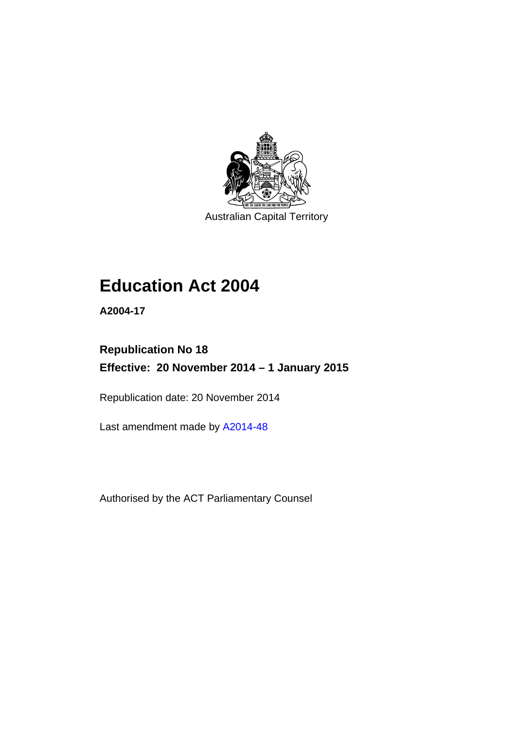

Australian Capital Territory

# **Education Act 2004**

**A2004-17** 

# **Republication No 18 Effective: 20 November 2014 – 1 January 2015**

Republication date: 20 November 2014

Last amendment made by [A2014-48](http://www.legislation.act.gov.au/a/2014-48)

Authorised by the ACT Parliamentary Counsel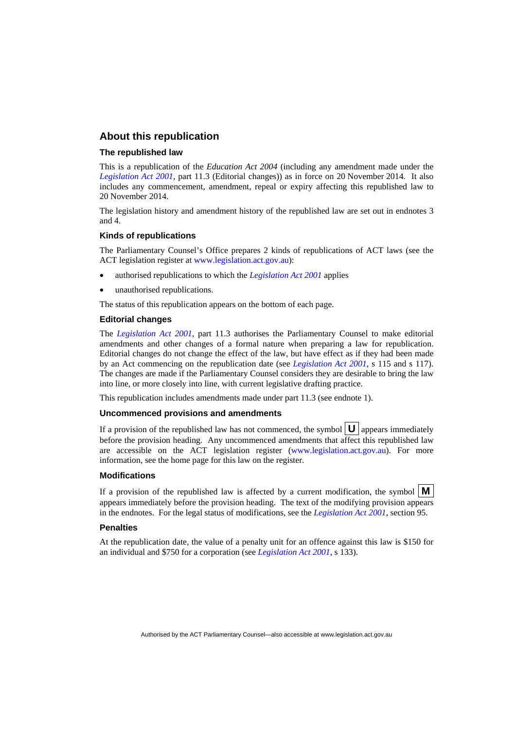### **About this republication**

#### **The republished law**

This is a republication of the *Education Act 2004* (including any amendment made under the *[Legislation Act 2001](http://www.legislation.act.gov.au/a/2001-14)*, part 11.3 (Editorial changes)) as in force on 20 November 2014*.* It also includes any commencement, amendment, repeal or expiry affecting this republished law to 20 November 2014.

The legislation history and amendment history of the republished law are set out in endnotes 3 and 4.

#### **Kinds of republications**

The Parliamentary Counsel's Office prepares 2 kinds of republications of ACT laws (see the ACT legislation register at [www.legislation.act.gov.au](http://www.legislation.act.gov.au/)):

- authorised republications to which the *[Legislation Act 2001](http://www.legislation.act.gov.au/a/2001-14)* applies
- unauthorised republications.

The status of this republication appears on the bottom of each page.

#### **Editorial changes**

The *[Legislation Act 2001](http://www.legislation.act.gov.au/a/2001-14)*, part 11.3 authorises the Parliamentary Counsel to make editorial amendments and other changes of a formal nature when preparing a law for republication. Editorial changes do not change the effect of the law, but have effect as if they had been made by an Act commencing on the republication date (see *[Legislation Act 2001](http://www.legislation.act.gov.au/a/2001-14)*, s 115 and s 117). The changes are made if the Parliamentary Counsel considers they are desirable to bring the law into line, or more closely into line, with current legislative drafting practice.

This republication includes amendments made under part 11.3 (see endnote 1).

#### **Uncommenced provisions and amendments**

If a provision of the republished law has not commenced, the symbol  $\mathbf{U}$  appears immediately before the provision heading. Any uncommenced amendments that affect this republished law are accessible on the ACT legislation register [\(www.legislation.act.gov.au\)](http://www.legislation.act.gov.au/). For more information, see the home page for this law on the register.

#### **Modifications**

If a provision of the republished law is affected by a current modification, the symbol  $\mathbf{M}$ appears immediately before the provision heading. The text of the modifying provision appears in the endnotes. For the legal status of modifications, see the *[Legislation Act 2001](http://www.legislation.act.gov.au/a/2001-14)*, section 95.

#### **Penalties**

At the republication date, the value of a penalty unit for an offence against this law is \$150 for an individual and \$750 for a corporation (see *[Legislation Act 2001](http://www.legislation.act.gov.au/a/2001-14)*, s 133).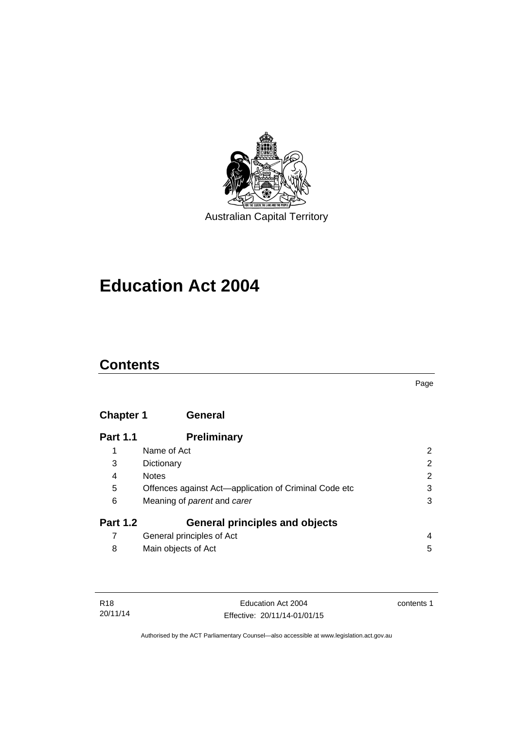

# **Education Act 2004**

# **Contents**

#### Page

# **[Chapter 1](#page-13-0) General**

| <b>Part 1.1</b> | <b>Preliminary</b>                                    |                       |
|-----------------|-------------------------------------------------------|-----------------------|
|                 | Name of Act                                           | 2                     |
| 3               | Dictionary                                            | $\mathbf{2}^{\prime}$ |
| 4               | <b>Notes</b>                                          | $\overline{2}$        |
| 5               | Offences against Act-application of Criminal Code etc | 3                     |
| 6               | Meaning of <i>parent</i> and <i>carer</i>             | 3                     |
| <b>Part 1.2</b> | <b>General principles and objects</b>                 |                       |
|                 | General principles of Act                             | 4                     |
| 8               | Main objects of Act                                   | 5                     |

| R18      |  |
|----------|--|
| 20/11/14 |  |

contents 1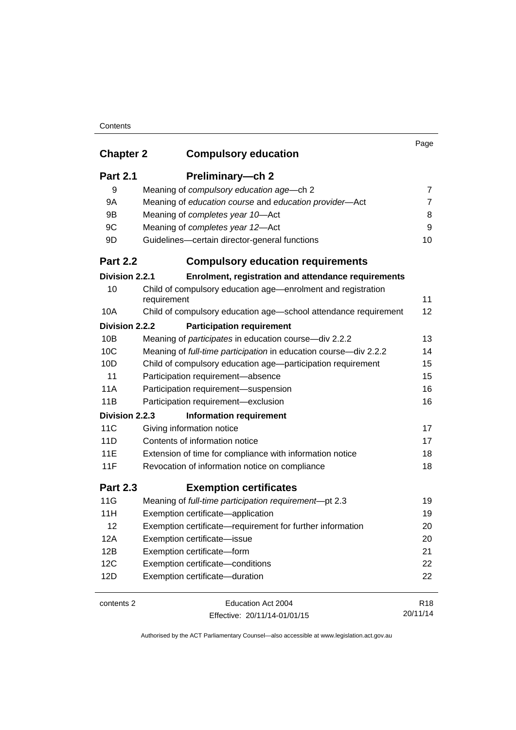| <b>Chapter 2</b> | <b>Compulsory education</b>                                                 | Page            |
|------------------|-----------------------------------------------------------------------------|-----------------|
| <b>Part 2.1</b>  | Preliminary-ch 2                                                            |                 |
| 9                | Meaning of compulsory education age-ch 2                                    | 7               |
| 9A               | Meaning of education course and education provider-Act                      | 7               |
| 9Β               | Meaning of completes year 10-Act                                            | 8               |
| 9C               | Meaning of completes year 12-Act                                            | 9               |
| 9D               | Guidelines-certain director-general functions                               | 10              |
| <b>Part 2.2</b>  | <b>Compulsory education requirements</b>                                    |                 |
| Division 2.2.1   | Enrolment, registration and attendance requirements                         |                 |
| 10               | Child of compulsory education age-enrolment and registration<br>requirement | 11              |
| 10A              | Child of compulsory education age-school attendance requirement             | 12              |
| Division 2.2.2   | <b>Participation requirement</b>                                            |                 |
| 10B              | Meaning of <i>participates</i> in education course-div 2.2.2                | 13              |
| 10C              | Meaning of full-time participation in education course-div 2.2.2            | 14              |
| 10D              | Child of compulsory education age-participation requirement                 | 15              |
| 11               | Participation requirement-absence                                           | 15              |
| 11A              | Participation requirement-suspension                                        | 16              |
| 11B              | Participation requirement-exclusion                                         | 16              |
| Division 2.2.3   | <b>Information requirement</b>                                              |                 |
| 11C              | Giving information notice                                                   | 17              |
| 11D              | Contents of information notice                                              | 17              |
| <b>11E</b>       | Extension of time for compliance with information notice                    | 18              |
| 11F              | Revocation of information notice on compliance                              | 18              |
| <b>Part 2.3</b>  | <b>Exemption certificates</b>                                               |                 |
| 11G              | Meaning of full-time participation requirement-pt 2.3                       | 19              |
| 11H              | Exemption certificate-application                                           | 19              |
| 12               | Exemption certificate—requirement for further information                   | 20              |
| 12A              | Exemption certificate-issue                                                 | 20              |
| 12B              | Exemption certificate-form                                                  | 21              |
| 12C              | Exemption certificate-conditions                                            | 22              |
| 12D              | Exemption certificate-duration                                              | 22              |
| contents 2       | Education Act 2004                                                          | R <sub>18</sub> |
|                  | Effective: 20/11/14-01/01/15                                                | 20/11/14        |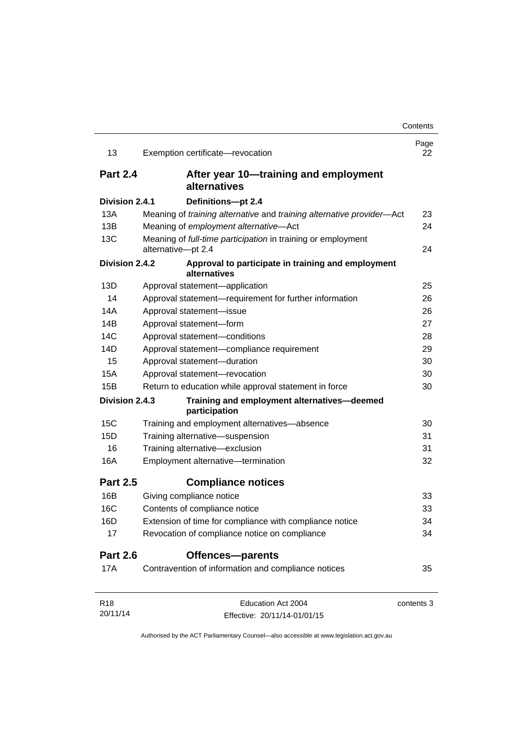| 13              | Exemption certificate-revocation                                                   | Page<br>22 |
|-----------------|------------------------------------------------------------------------------------|------------|
| <b>Part 2.4</b> | After year 10—training and employment<br>alternatives                              |            |
| Division 2.4.1  | Definitions-pt 2.4                                                                 |            |
| 13A             | Meaning of training alternative and training alternative provider-Act              | 23         |
| 13B             | Meaning of employment alternative-Act                                              | 24         |
| 13C             | Meaning of full-time participation in training or employment<br>alternative-pt 2.4 | 24         |
| Division 2.4.2  | Approval to participate in training and employment<br>alternatives                 |            |
| 13D             | Approval statement-application                                                     | 25         |
| 14              | Approval statement-requirement for further information                             | 26         |
| 14A             | Approval statement-issue                                                           | 26         |
| 14B             | Approval statement-form                                                            | 27         |
| 14C             | Approval statement-conditions                                                      | 28         |
| 14D             | Approval statement-compliance requirement                                          | 29         |
| 15              | Approval statement-duration                                                        | 30         |
| 15A             | Approval statement-revocation                                                      | 30         |
| 15B             | Return to education while approval statement in force                              | 30         |
| Division 2.4.3  | Training and employment alternatives-deemed<br>participation                       |            |
| 15C             | Training and employment alternatives-absence                                       | 30         |
| 15D             | Training alternative-suspension                                                    | 31         |
| 16              | Training alternative-exclusion                                                     | 31         |
| 16A             | Employment alternative-termination                                                 | 32         |
| <b>Part 2.5</b> | <b>Compliance notices</b>                                                          |            |
| 16B             | Giving compliance notice                                                           | 33         |
| 16C             | Contents of compliance notice                                                      | 33         |
| 16D             | Extension of time for compliance with compliance notice                            | 34         |
| 17              | Revocation of compliance notice on compliance                                      | 34         |
| <b>Part 2.6</b> | Offences-parents                                                                   |            |
| 17A             | Contravention of information and compliance notices                                | 35         |
| R <sub>18</sub> | Education Act 2004                                                                 | contents 3 |
| 20/11/14        | Effective: 20/11/14-01/01/15                                                       |            |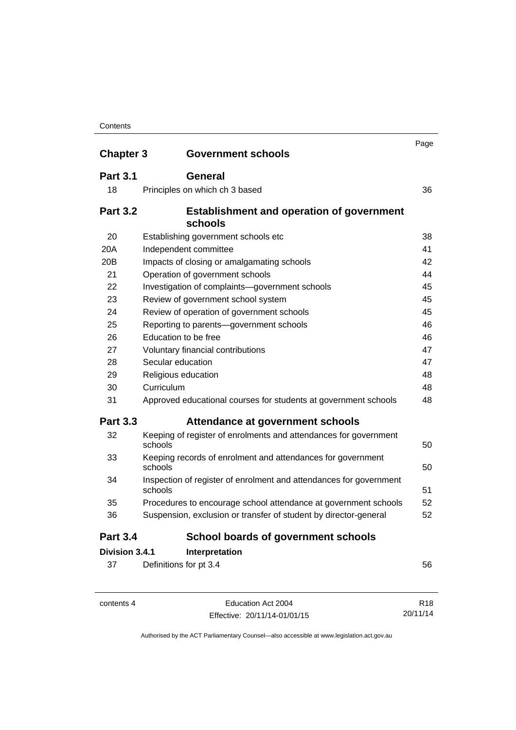| <b>Chapter 3</b> | <b>Government schools</b>                                                     | Page |
|------------------|-------------------------------------------------------------------------------|------|
| <b>Part 3.1</b>  | General                                                                       |      |
| 18               | Principles on which ch 3 based                                                | 36   |
| <b>Part 3.2</b>  | <b>Establishment and operation of government</b><br>schools                   |      |
| 20               | Establishing government schools etc                                           | 38   |
| 20A              | Independent committee                                                         | 41   |
| 20 <sub>B</sub>  | Impacts of closing or amalgamating schools                                    | 42   |
| 21               | Operation of government schools                                               | 44   |
| 22               | Investigation of complaints-government schools                                | 45   |
| 23               | Review of government school system                                            | 45   |
| 24               | Review of operation of government schools                                     | 45   |
| 25               | Reporting to parents-government schools                                       | 46   |
| 26               | Education to be free                                                          | 46   |
| 27               | Voluntary financial contributions                                             | 47   |
| 28               | Secular education                                                             | 47   |
| 29               | Religious education                                                           | 48   |
| 30               | Curriculum                                                                    | 48   |
| 31               | Approved educational courses for students at government schools               | 48   |
| <b>Part 3.3</b>  | Attendance at government schools                                              |      |
| 32               | Keeping of register of enrolments and attendances for government<br>schools   | 50   |
| 33               | Keeping records of enrolment and attendances for government<br>schools        | 50   |
| 34               | Inspection of register of enrolment and attendances for government<br>schools | 51   |
| 35               | Procedures to encourage school attendance at government schools               | 52   |
| 36               | Suspension, exclusion or transfer of student by director-general              | 52   |
| <b>Part 3.4</b>  | <b>School boards of government schools</b>                                    |      |
| Division 3.4.1   | Interpretation                                                                |      |
| 37               | Definitions for pt 3.4                                                        | 56   |

contents 4 Education Act 2004 Effective: 20/11/14-01/01/15 20/11/14

Authorised by the ACT Parliamentary Counsel—also accessible at www.legislation.act.gov.au

R18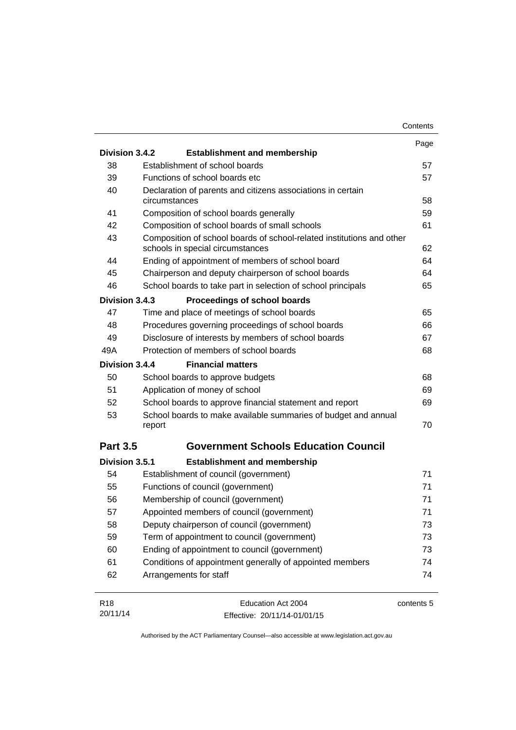|                 |                                                                                                           | Contents   |
|-----------------|-----------------------------------------------------------------------------------------------------------|------------|
|                 |                                                                                                           | Page       |
| Division 3.4.2  | <b>Establishment and membership</b>                                                                       |            |
| 38              | Establishment of school boards                                                                            | 57         |
| 39              | Functions of school boards etc                                                                            | 57         |
| 40              | Declaration of parents and citizens associations in certain<br>circumstances                              | 58         |
| 41              | Composition of school boards generally                                                                    | 59         |
| 42              | Composition of school boards of small schools                                                             | 61         |
| 43              | Composition of school boards of school-related institutions and other<br>schools in special circumstances | 62         |
| 44              | Ending of appointment of members of school board                                                          | 64         |
| 45              | Chairperson and deputy chairperson of school boards                                                       | 64         |
| 46              | School boards to take part in selection of school principals                                              | 65         |
| Division 3.4.3  | Proceedings of school boards                                                                              |            |
| 47              | Time and place of meetings of school boards                                                               | 65         |
| 48              | Procedures governing proceedings of school boards                                                         | 66         |
| 49              | Disclosure of interests by members of school boards                                                       | 67         |
| 49A             | Protection of members of school boards                                                                    | 68         |
| Division 3.4.4  | <b>Financial matters</b>                                                                                  |            |
| 50              | School boards to approve budgets                                                                          | 68         |
| 51              | Application of money of school                                                                            | 69         |
| 52              | School boards to approve financial statement and report                                                   | 69         |
| 53              | School boards to make available summaries of budget and annual<br>report                                  | 70         |
| <b>Part 3.5</b> | <b>Government Schools Education Council</b>                                                               |            |
| Division 3.5.1  | <b>Establishment and membership</b>                                                                       |            |
| 54              | Establishment of council (government)                                                                     | 71         |
| 55              | Functions of council (government)                                                                         | 71         |
| 56              | Membership of council (government)                                                                        | 71         |
| 57              | Appointed members of council (government)                                                                 | 71         |
| 58              | Deputy chairperson of council (government)                                                                | 73         |
| 59              | Term of appointment to council (government)                                                               | 73         |
| 60              | Ending of appointment to council (government)                                                             | 73         |
| 61              | Conditions of appointment generally of appointed members                                                  | 74         |
| 62              | Arrangements for staff                                                                                    | 74         |
| R <sub>18</sub> | Education Act 2004                                                                                        | contents 5 |
| 20/11/14        | Effective: 20/11/14-01/01/15                                                                              |            |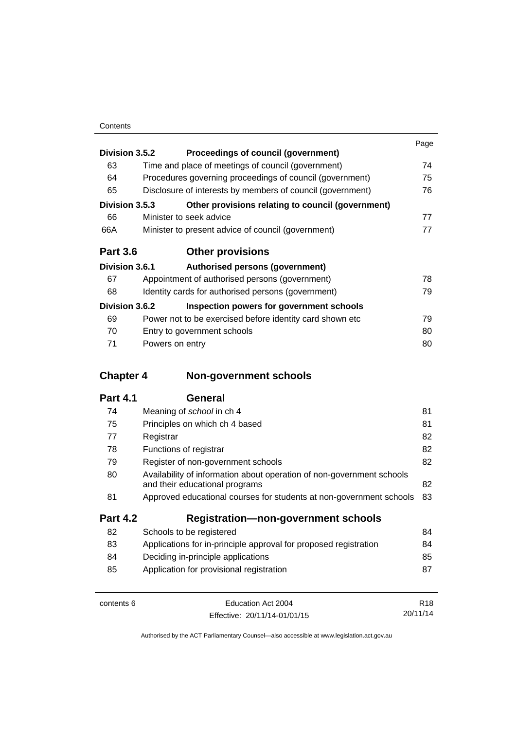|                 |                 |                                                            | Page |
|-----------------|-----------------|------------------------------------------------------------|------|
| Division 3.5.2  |                 | Proceedings of council (government)                        |      |
| 63              |                 | Time and place of meetings of council (government)         | 74   |
| 64              |                 | Procedures governing proceedings of council (government)   | 75   |
| 65              |                 | Disclosure of interests by members of council (government) | 76   |
| Division 3.5.3  |                 | Other provisions relating to council (government)          |      |
| 66              |                 | Minister to seek advice                                    | 77   |
| 66A             |                 | Minister to present advice of council (government)         | 77   |
| <b>Part 3.6</b> |                 | <b>Other provisions</b>                                    |      |
| Division 3.6.1  |                 | Authorised persons (government)                            |      |
| 67              |                 | Appointment of authorised persons (government)             | 78   |
| 68              |                 | Identity cards for authorised persons (government)         | 79   |
| Division 3.6.2  |                 | Inspection powers for government schools                   |      |
| 69              |                 | Power not to be exercised before identity card shown etc.  | 79   |
| 70              |                 | Entry to government schools                                | 80   |
| 71              | Powers on entry |                                                            | 80   |

# **Chapter 4 [Non-government schools](#page-92-0)**

| 74              | Meaning of school in ch 4                                                                               | 81 |
|-----------------|---------------------------------------------------------------------------------------------------------|----|
| 75              | Principles on which ch 4 based                                                                          | 81 |
| 77              | Registrar                                                                                               | 82 |
| 78              | Functions of registrar                                                                                  | 82 |
| 79              | Register of non-government schools                                                                      | 82 |
| 80              | Availability of information about operation of non-government schools<br>and their educational programs | 82 |
| 81              | Approved educational courses for students at non-government schools                                     | 83 |
| <b>Part 4.2</b> | <b>Registration-non-government schools</b>                                                              |    |
| 82              | Schools to be registered                                                                                | 84 |
| 83              | Applications for in-principle approval for proposed registration                                        | 84 |
| 84              | Deciding in-principle applications                                                                      | 85 |
| 85              | Application for provisional registration                                                                | 87 |
|                 |                                                                                                         |    |

| contents 6 | Education Act 2004           | R <sub>18</sub> |
|------------|------------------------------|-----------------|
|            | Effective: 20/11/14-01/01/15 | 20/11/14        |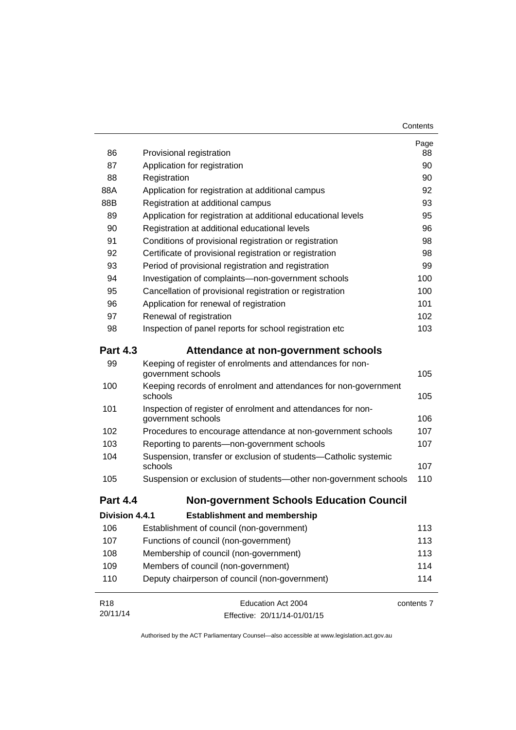| 86              | Provisional registration                                                           | Page<br>88 |
|-----------------|------------------------------------------------------------------------------------|------------|
| 87              | Application for registration                                                       | 90         |
| 88              | Registration                                                                       | 90         |
| 88A             | Application for registration at additional campus                                  | 92         |
| 88B             | Registration at additional campus                                                  | 93         |
| 89              | Application for registration at additional educational levels                      | 95         |
| 90              | Registration at additional educational levels                                      | 96         |
| 91              | Conditions of provisional registration or registration                             | 98         |
| 92              | Certificate of provisional registration or registration                            | 98         |
| 93              | Period of provisional registration and registration                                | 99         |
| 94              | Investigation of complaints-non-government schools                                 | 100        |
| 95              | Cancellation of provisional registration or registration                           | 100        |
| 96              | Application for renewal of registration                                            | 101        |
| 97              | Renewal of registration                                                            | 102        |
| 98              | Inspection of panel reports for school registration etc                            | 103        |
| <b>Part 4.3</b> | Attendance at non-government schools                                               |            |
| 99              | Keeping of register of enrolments and attendances for non-<br>government schools   | 105        |
| 100             | Keeping records of enrolment and attendances for non-government<br>schools         | 105        |
| 101             | Inspection of register of enrolment and attendances for non-<br>government schools | 106        |
| 102             | Procedures to encourage attendance at non-government schools                       | 107        |
| 103             | Reporting to parents-non-government schools                                        | 107        |
| 104             | Suspension, transfer or exclusion of students-Catholic systemic<br>schools         | 107        |
| 105             | Suspension or exclusion of students-other non-government schools                   | 110        |
| <b>Part 4.4</b> | <b>Non-government Schools Education Council</b>                                    |            |
| Division 4.4.1  | <b>Establishment and membership</b>                                                |            |
| 106             | Establishment of council (non-government)                                          | 113        |
| 107             | Functions of council (non-government)                                              | 113        |
| 108             | Membership of council (non-government)                                             | 113        |
| 109             | Members of council (non-government)                                                | 114        |
| 110             | Deputy chairperson of council (non-government)                                     | 114        |
| R <sub>18</sub> | Education Act 2004                                                                 | contents 7 |
| 20/11/14        | Effective: 20/11/14-01/01/15                                                       |            |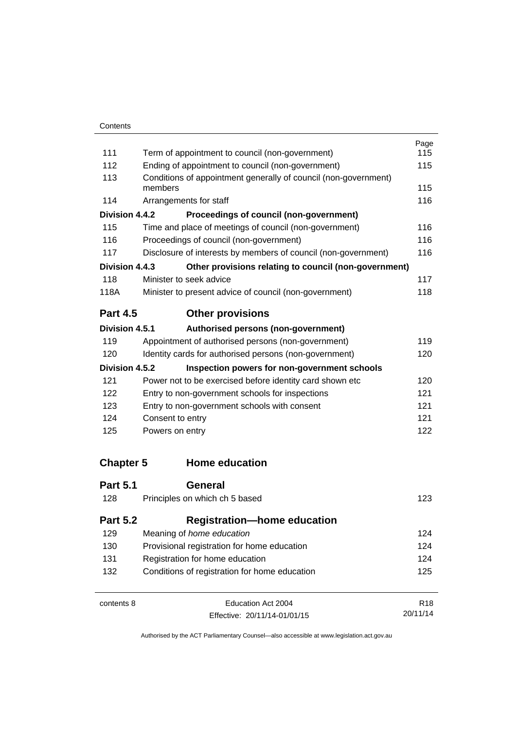|                  |                                                                            | Page            |
|------------------|----------------------------------------------------------------------------|-----------------|
| 111              | Term of appointment to council (non-government)                            | 115             |
| 112              | Ending of appointment to council (non-government)                          | 115             |
| 113              | Conditions of appointment generally of council (non-government)<br>members | 115             |
| 114              | Arrangements for staff                                                     | 116             |
| Division 4.4.2   | Proceedings of council (non-government)                                    |                 |
| 115              | Time and place of meetings of council (non-government)                     | 116             |
| 116              | Proceedings of council (non-government)                                    | 116             |
| 117              | Disclosure of interests by members of council (non-government)             | 116             |
| Division 4.4.3   | Other provisions relating to council (non-government)                      |                 |
| 118              | Minister to seek advice                                                    | 117             |
| 118A             | Minister to present advice of council (non-government)                     | 118             |
| <b>Part 4.5</b>  | <b>Other provisions</b>                                                    |                 |
| Division 4.5.1   | Authorised persons (non-government)                                        |                 |
| 119              | Appointment of authorised persons (non-government)                         | 119             |
| 120              | Identity cards for authorised persons (non-government)                     | 120             |
| Division 4.5.2   | Inspection powers for non-government schools                               |                 |
| 121              | Power not to be exercised before identity card shown etc                   | 120             |
| 122              | Entry to non-government schools for inspections                            | 121             |
| 123              | Entry to non-government schools with consent                               | 121             |
| 124              | Consent to entry                                                           | 121             |
| 125              | Powers on entry                                                            | 122             |
| <b>Chapter 5</b> | <b>Home education</b>                                                      |                 |
| <b>Part 5.1</b>  | General                                                                    |                 |
| 128              | Principles on which ch 5 based                                             | 123             |
| <b>Part 5.2</b>  | <b>Registration-home education</b>                                         |                 |
| 129              | Meaning of home education                                                  | 124             |
| 130              | Provisional registration for home education                                | 124             |
| 131              | Registration for home education                                            | 124             |
| 132              | Conditions of registration for home education                              | 125             |
| contents 8       | Education Act 2004                                                         | R <sub>18</sub> |

Effective: 20/11/14-01/01/15

20/11/14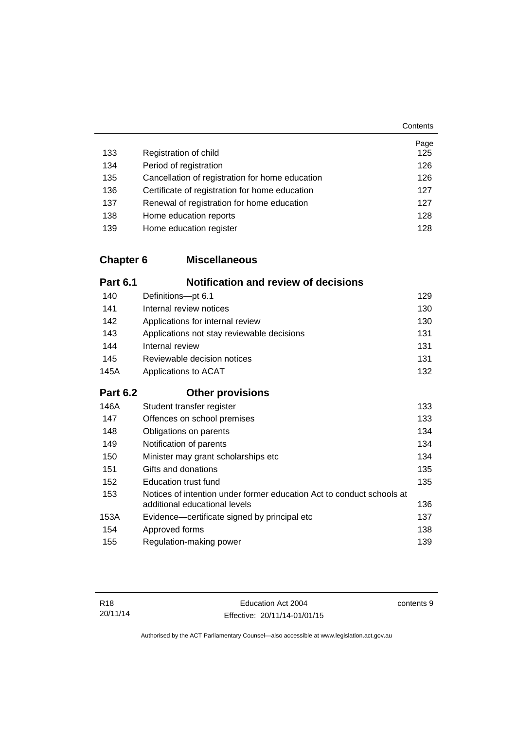|     |                                                 | Page |
|-----|-------------------------------------------------|------|
| 133 | Registration of child                           | 125  |
| 134 | Period of registration                          | 126  |
| 135 | Cancellation of registration for home education | 126  |
| 136 | Certificate of registration for home education  | 127  |
| 137 | Renewal of registration for home education      | 127  |
| 138 | Home education reports                          | 128  |
| 139 | Home education register                         | 128  |

## **Chapter 6 [Miscellaneous](#page-140-0)**

| <b>Part 6.1</b> | <b>Notification and review of decisions</b>                                                            |     |
|-----------------|--------------------------------------------------------------------------------------------------------|-----|
| 140             | Definitions-pt 6.1                                                                                     | 129 |
| 141             | Internal review notices                                                                                | 130 |
| 142             | Applications for internal review                                                                       | 130 |
| 143             | Applications not stay reviewable decisions                                                             | 131 |
| 144             | Internal review                                                                                        | 131 |
| 145             | Reviewable decision notices                                                                            | 131 |
| 145A            | Applications to ACAT                                                                                   | 132 |
| <b>Part 6.2</b> | <b>Other provisions</b>                                                                                |     |
| 146A            | Student transfer register                                                                              | 133 |
| 147             | Offences on school premises                                                                            | 133 |
| 148             | Obligations on parents                                                                                 | 134 |
| 149             | Notification of parents                                                                                | 134 |
| 150             | Minister may grant scholarships etc                                                                    | 134 |
| 151             | Gifts and donations                                                                                    | 135 |
| 152             | <b>Education trust fund</b>                                                                            | 135 |
| 153             | Notices of intention under former education Act to conduct schools at<br>additional educational levels | 136 |
| 153A            | Evidence—certificate signed by principal etc                                                           | 137 |
| 154             | Approved forms                                                                                         | 138 |
| 155             | Regulation-making power                                                                                | 139 |

contents 9

**Contents**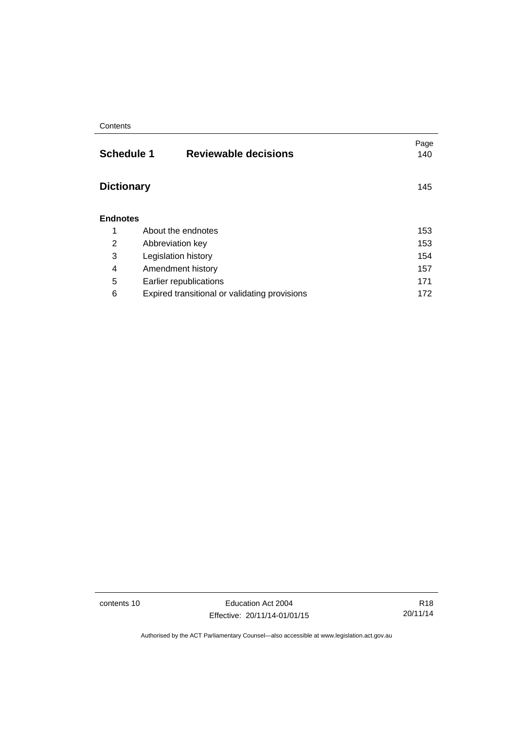| <b>Schedule 1</b><br><b>Reviewable decisions</b> | Page<br>140 |
|--------------------------------------------------|-------------|
| <b>Dictionary</b>                                | 145         |
| <b>Endnotes</b>                                  |             |
| About the endnotes                               | 153         |
| Abbreviation key                                 | 153         |
| Legislation history                              | 154         |
| Amendment history                                | 157         |
| Earlier republications                           | 171         |
| Expired transitional or validating provisions    | 172         |
|                                                  |             |

contents 10 Education Act 2004 Effective: 20/11/14-01/01/15

R18 20/11/14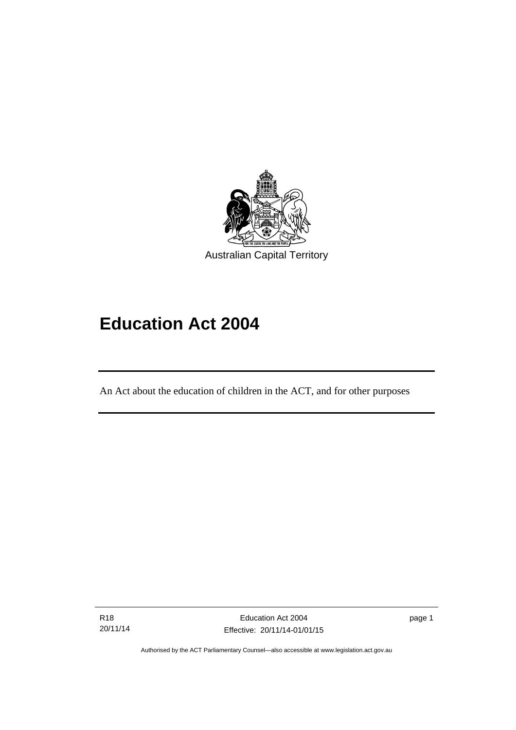

# **Education Act 2004**

An Act about the education of children in the ACT, and for other purposes

R18 20/11/14

l

page 1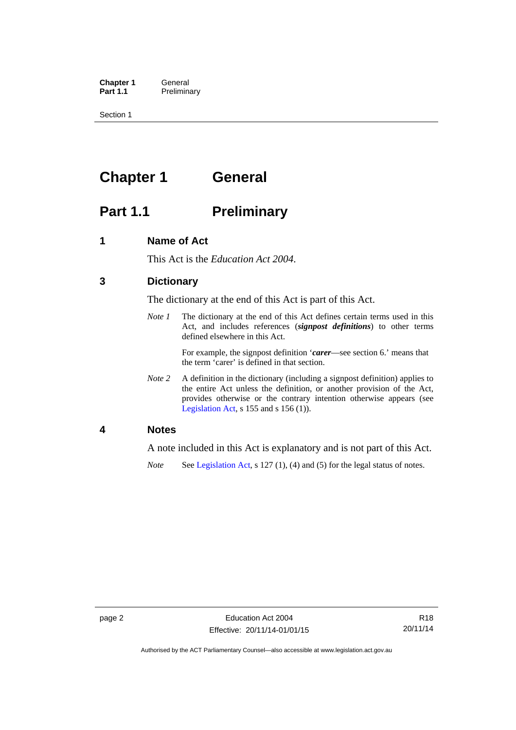**Chapter 1 General**<br>**Part 1.1 Prelimina Preliminary** 

Section 1

# <span id="page-13-0"></span>**Chapter 1 General**

# <span id="page-13-1"></span>**Part 1.1** Preliminary

### <span id="page-13-2"></span>**1 Name of Act**

This Act is the *Education Act 2004*.

### <span id="page-13-3"></span>**3 Dictionary**

The dictionary at the end of this Act is part of this Act.

*Note 1* The dictionary at the end of this Act defines certain terms used in this Act, and includes references (*signpost definitions*) to other terms defined elsewhere in this Act.

> For example, the signpost definition '*carer*—see section 6.' means that the term 'carer' is defined in that section.

*Note 2* A definition in the dictionary (including a signpost definition) applies to the entire Act unless the definition, or another provision of the Act, provides otherwise or the contrary intention otherwise appears (see [Legislation Act,](http://www.legislation.act.gov.au/a/2001-14)  $s$  155 and  $s$  156 (1)).

### <span id="page-13-4"></span>**4 Notes**

A note included in this Act is explanatory and is not part of this Act.

*Note* See [Legislation Act,](http://www.legislation.act.gov.au/a/2001-14) s 127 (1), (4) and (5) for the legal status of notes.

Authorised by the ACT Parliamentary Counsel—also accessible at www.legislation.act.gov.au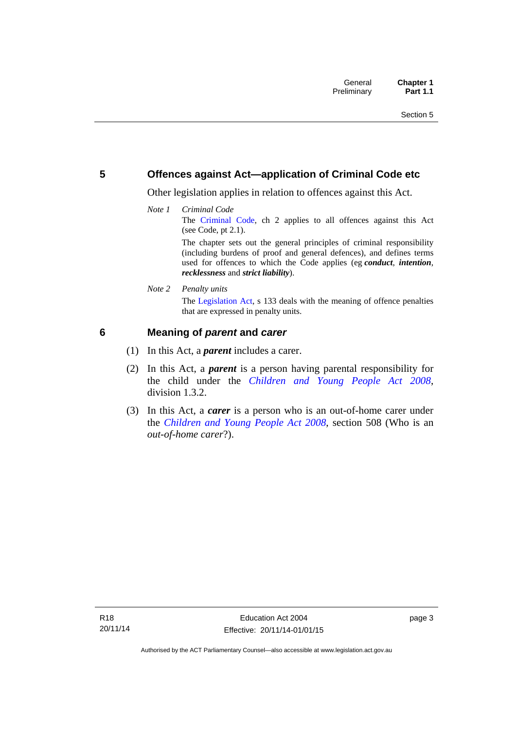### <span id="page-14-0"></span>**5 Offences against Act—application of Criminal Code etc**

Other legislation applies in relation to offences against this Act.

*Note 1 Criminal Code* The [Criminal Code,](http://www.legislation.act.gov.au/a/2002-51) ch 2 applies to all offences against this Act (see Code, pt 2.1). The chapter sets out the general principles of criminal responsibility (including burdens of proof and general defences), and defines terms

used for offences to which the Code applies (eg *conduct*, *intention*, *recklessness* and *strict liability*).

*Note 2 Penalty units* 

The [Legislation Act](http://www.legislation.act.gov.au/a/2001-14), s 133 deals with the meaning of offence penalties that are expressed in penalty units.

### <span id="page-14-1"></span>**6 Meaning of** *parent* **and** *carer*

- (1) In this Act, a *parent* includes a carer.
- (2) In this Act, a *parent* is a person having parental responsibility for the child under the *[Children and Young People Act 2008](http://www.legislation.act.gov.au/a/2008-19)*, division 1.3.2.
- (3) In this Act, a *carer* is a person who is an out-of-home carer under the *[Children and Young People Act 2008](http://www.legislation.act.gov.au/a/2008-19)*, section 508 (Who is an *out-of-home carer*?).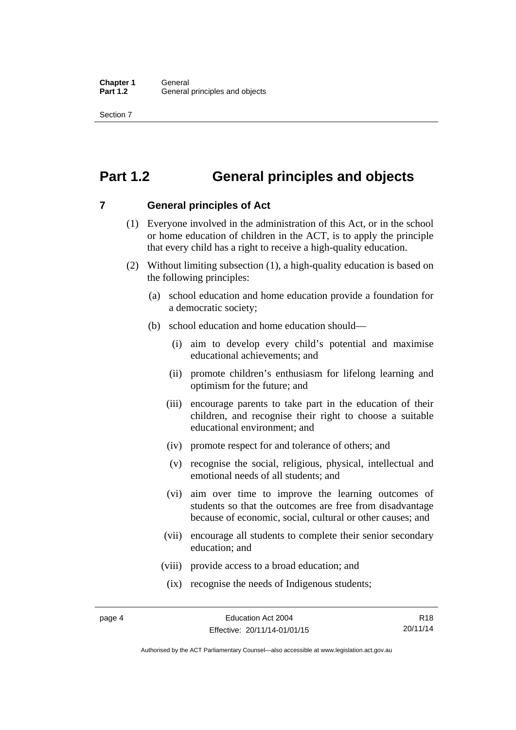Section 7

# <span id="page-15-0"></span>**Part 1.2 General principles and objects**

<span id="page-15-1"></span>**7 General principles of Act** 

- (1) Everyone involved in the administration of this Act, or in the school or home education of children in the ACT, is to apply the principle that every child has a right to receive a high-quality education.
- (2) Without limiting subsection (1), a high-quality education is based on the following principles:
	- (a) school education and home education provide a foundation for a democratic society;
	- (b) school education and home education should—
		- (i) aim to develop every child's potential and maximise educational achievements; and
		- (ii) promote children's enthusiasm for lifelong learning and optimism for the future; and
		- (iii) encourage parents to take part in the education of their children, and recognise their right to choose a suitable educational environment; and
		- (iv) promote respect for and tolerance of others; and
		- (v) recognise the social, religious, physical, intellectual and emotional needs of all students; and
		- (vi) aim over time to improve the learning outcomes of students so that the outcomes are free from disadvantage because of economic, social, cultural or other causes; and
		- (vii) encourage all students to complete their senior secondary education; and
		- (viii) provide access to a broad education; and
		- (ix) recognise the needs of Indigenous students;

R18 20/11/14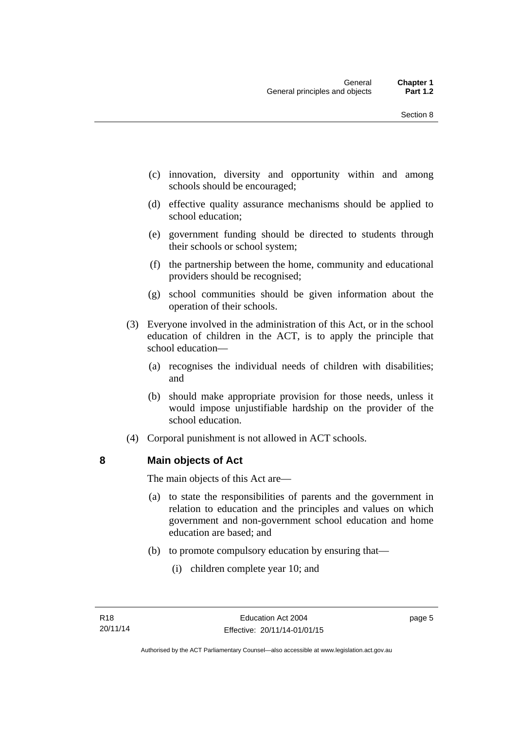- (c) innovation, diversity and opportunity within and among schools should be encouraged;
- (d) effective quality assurance mechanisms should be applied to school education;
- (e) government funding should be directed to students through their schools or school system;
- (f) the partnership between the home, community and educational providers should be recognised;
- (g) school communities should be given information about the operation of their schools.
- (3) Everyone involved in the administration of this Act, or in the school education of children in the ACT, is to apply the principle that school education—
	- (a) recognises the individual needs of children with disabilities; and
	- (b) should make appropriate provision for those needs, unless it would impose unjustifiable hardship on the provider of the school education.
- (4) Corporal punishment is not allowed in ACT schools.

### <span id="page-16-0"></span>**8 Main objects of Act**

The main objects of this Act are—

- (a) to state the responsibilities of parents and the government in relation to education and the principles and values on which government and non-government school education and home education are based; and
- (b) to promote compulsory education by ensuring that—
	- (i) children complete year 10; and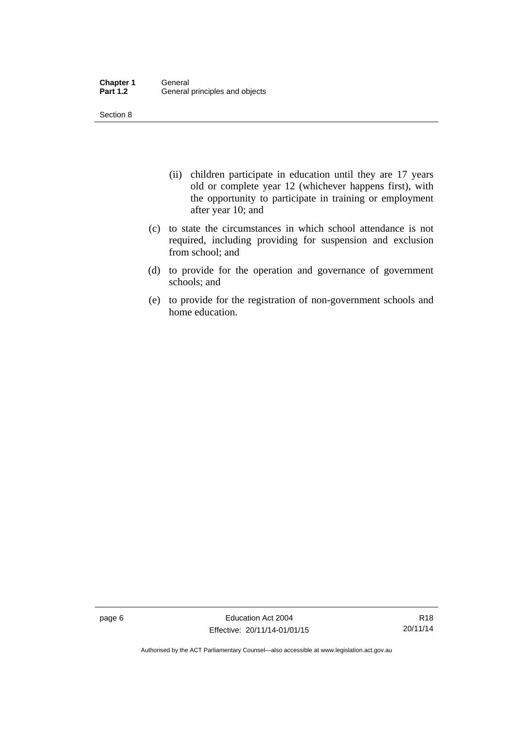Section 8

- (ii) children participate in education until they are 17 years old or complete year 12 (whichever happens first), with the opportunity to participate in training or employment after year 10; and
- (c) to state the circumstances in which school attendance is not required, including providing for suspension and exclusion from school; and
- (d) to provide for the operation and governance of government schools; and
- (e) to provide for the registration of non-government schools and home education.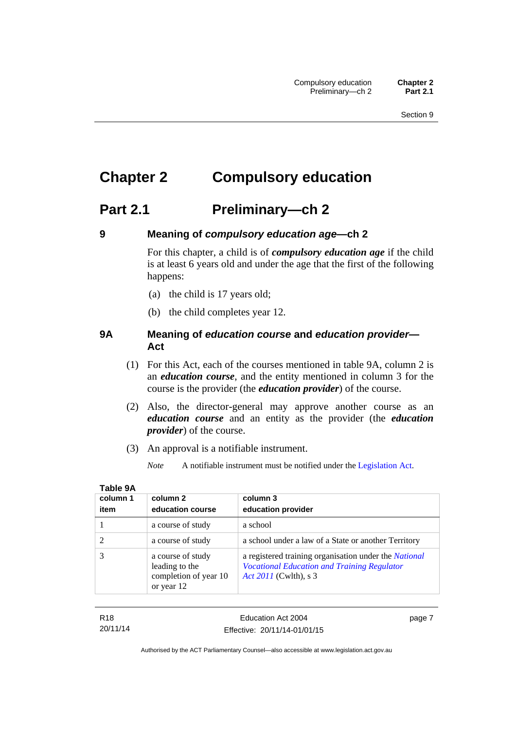# <span id="page-18-0"></span>**Chapter 2 Compulsory education**

## <span id="page-18-1"></span>**Part 2.1 Preliminary—ch 2**

<span id="page-18-2"></span>

### **9 Meaning of** *compulsory education age***—ch 2**

For this chapter, a child is of *compulsory education age* if the child is at least 6 years old and under the age that the first of the following happens:

- (a) the child is 17 years old;
- (b) the child completes year 12.

### <span id="page-18-3"></span>**9A Meaning of** *education course* **and** *education provider***— Act**

- (1) For this Act, each of the courses mentioned in table 9A, column 2 is an *education course*, and the entity mentioned in column 3 for the course is the provider (the *education provider*) of the course.
- (2) Also, the director-general may approve another course as an *education course* and an entity as the provider (the *education provider*) of the course.
- (3) An approval is a notifiable instrument.
	- *Note* A notifiable instrument must be notified under the [Legislation Act](http://www.legislation.act.gov.au/a/2001-14).

| column 1 | column 2                                                                   | column 3                                                                                                                                    |
|----------|----------------------------------------------------------------------------|---------------------------------------------------------------------------------------------------------------------------------------------|
| item     | education course                                                           | education provider                                                                                                                          |
|          | a course of study                                                          | a school                                                                                                                                    |
|          | a course of study                                                          | a school under a law of a State or another Territory                                                                                        |
|          | a course of study<br>leading to the<br>completion of year 10<br>or year 12 | a registered training organisation under the <i>National</i><br><b>Vocational Education and Training Regulator</b><br>Act 2011 (Cwlth), s 3 |

| ۰.<br>- 1 | ۰. |  |
|-----------|----|--|
|           |    |  |

R18 20/11/14 page 7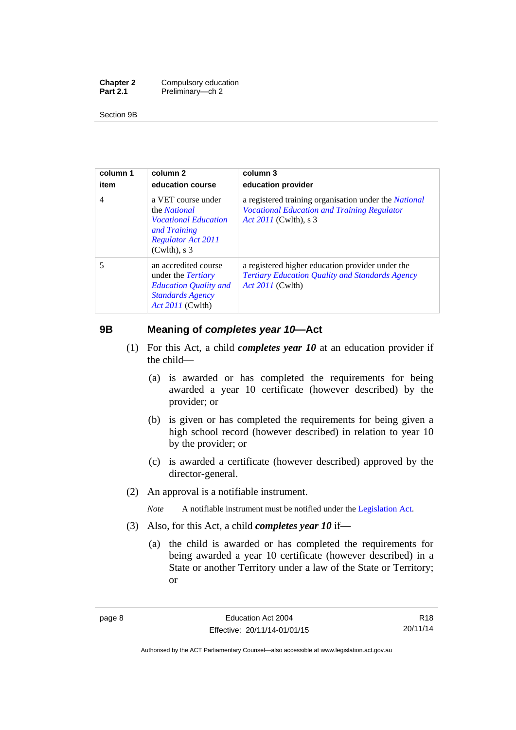| <b>Chapter 2</b> | Compulsory education |
|------------------|----------------------|
| <b>Part 2.1</b>  | Preliminary-ch 2     |

Section 9B

| column 1<br>item | column 2<br>education course                                                                                                             | column 3<br>education provider                                                                                                        |
|------------------|------------------------------------------------------------------------------------------------------------------------------------------|---------------------------------------------------------------------------------------------------------------------------------------|
| 4                | a VET course under<br>the <i>National</i><br><i>Vocational Education</i><br>and Training<br><b>Regulator Act 2011</b><br>$(Cwlth)$ , s 3 | a registered training organisation under the National<br><b>Vocational Education and Training Regulator</b><br>Act 2011 (Cwlth), s 3  |
| 5                | an accredited course<br>under the <i>Tertiary</i><br><b>Education Quality and</b><br><b>Standards Agency</b><br><i>Act 2011</i> (Cwlth)  | a registered higher education provider under the<br><b>Tertiary Education Quality and Standards Agency</b><br><i>Act 2011</i> (Cwlth) |

### <span id="page-19-0"></span>**9B Meaning of** *completes year 10***—Act**

- (1) For this Act, a child *completes year 10* at an education provider if the child—
	- (a) is awarded or has completed the requirements for being awarded a year 10 certificate (however described) by the provider; or
	- (b) is given or has completed the requirements for being given a high school record (however described) in relation to year 10 by the provider; or
	- (c) is awarded a certificate (however described) approved by the director-general.
- (2) An approval is a notifiable instrument.

*Note* A notifiable instrument must be notified under the [Legislation Act](http://www.legislation.act.gov.au/a/2001-14).

- (3) Also, for this Act, a child *completes year 10* if*—*
	- (a) the child is awarded or has completed the requirements for being awarded a year 10 certificate (however described) in a State or another Territory under a law of the State or Territory; or

R18 20/11/14

Authorised by the ACT Parliamentary Counsel—also accessible at www.legislation.act.gov.au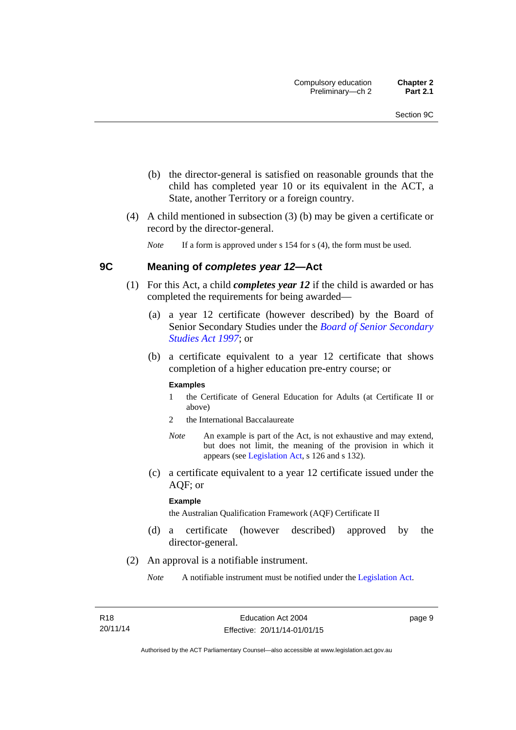- (b) the director-general is satisfied on reasonable grounds that the child has completed year 10 or its equivalent in the ACT, a State, another Territory or a foreign country.
- (4) A child mentioned in subsection (3) (b) may be given a certificate or record by the director-general.

*Note* If a form is approved under s 154 for s (4), the form must be used.

### <span id="page-20-0"></span>**9C Meaning of** *completes year 12***—Act**

- (1) For this Act, a child *completes year 12* if the child is awarded or has completed the requirements for being awarded—
	- (a) a year 12 certificate (however described) by the Board of Senior Secondary Studies under the *[Board of Senior Secondary](http://www.legislation.act.gov.au/a/1997-87)  [Studies Act 1997](http://www.legislation.act.gov.au/a/1997-87)*; or
	- (b) a certificate equivalent to a year 12 certificate that shows completion of a higher education pre-entry course; or

#### **Examples**

- 1 the Certificate of General Education for Adults (at Certificate II or above)
- 2 the International Baccalaureate
- *Note* An example is part of the Act, is not exhaustive and may extend, but does not limit, the meaning of the provision in which it appears (see [Legislation Act,](http://www.legislation.act.gov.au/a/2001-14) s 126 and s 132).
- (c) a certificate equivalent to a year 12 certificate issued under the AQF; or

#### **Example**

the Australian Qualification Framework (AQF) Certificate II

- (d) a certificate (however described) approved by the director-general.
- (2) An approval is a notifiable instrument.

*Note* A notifiable instrument must be notified under the [Legislation Act](http://www.legislation.act.gov.au/a/2001-14).

page 9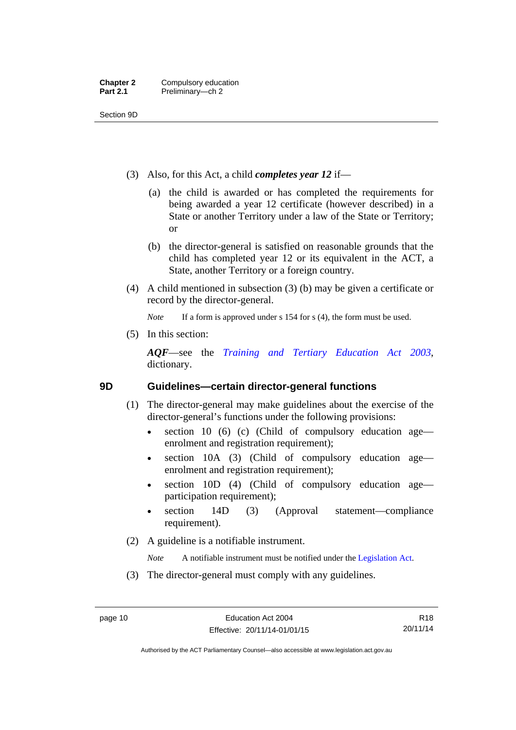Section 9D

- (3) Also, for this Act, a child *completes year 12* if—
	- (a) the child is awarded or has completed the requirements for being awarded a year 12 certificate (however described) in a State or another Territory under a law of the State or Territory; or
	- (b) the director-general is satisfied on reasonable grounds that the child has completed year 12 or its equivalent in the ACT, a State, another Territory or a foreign country.
- (4) A child mentioned in subsection (3) (b) may be given a certificate or record by the director-general.

*Note* If a form is approved under s 154 for s (4), the form must be used.

(5) In this section:

*AQF*—see the *[Training and Tertiary Education Act 2003](http://www.legislation.act.gov.au/a/2003-36)*, dictionary.

### <span id="page-21-0"></span>**9D Guidelines—certain director-general functions**

- (1) The director-general may make guidelines about the exercise of the director-general's functions under the following provisions:
	- $\bullet$  section 10 (6) (c) (Child of compulsory education age enrolment and registration requirement);
	- section 10A (3) (Child of compulsory education age enrolment and registration requirement);
	- section 10D (4) (Child of compulsory education age participation requirement);
	- section 14D (3) (Approval statement—compliance requirement).
- (2) A guideline is a notifiable instrument.

*Note* A notifiable instrument must be notified under the [Legislation Act](http://www.legislation.act.gov.au/a/2001-14).

(3) The director-general must comply with any guidelines.

Authorised by the ACT Parliamentary Counsel—also accessible at www.legislation.act.gov.au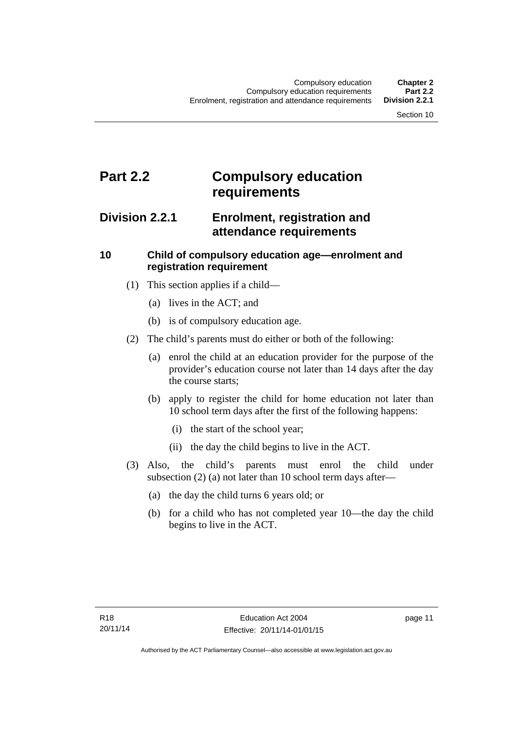# <span id="page-22-0"></span>**Part 2.2 Compulsory education requirements**

### <span id="page-22-1"></span>**Division 2.2.1 Enrolment, registration and attendance requirements**

### <span id="page-22-2"></span>**10 Child of compulsory education age—enrolment and registration requirement**

- (1) This section applies if a child—
	- (a) lives in the ACT; and
	- (b) is of compulsory education age.
- (2) The child's parents must do either or both of the following:
	- (a) enrol the child at an education provider for the purpose of the provider's education course not later than 14 days after the day the course starts;
	- (b) apply to register the child for home education not later than 10 school term days after the first of the following happens:
		- (i) the start of the school year;
		- (ii) the day the child begins to live in the ACT.
- (3) Also, the child's parents must enrol the child under subsection (2) (a) not later than 10 school term days after—
	- (a) the day the child turns 6 years old; or
	- (b) for a child who has not completed year 10—the day the child begins to live in the ACT.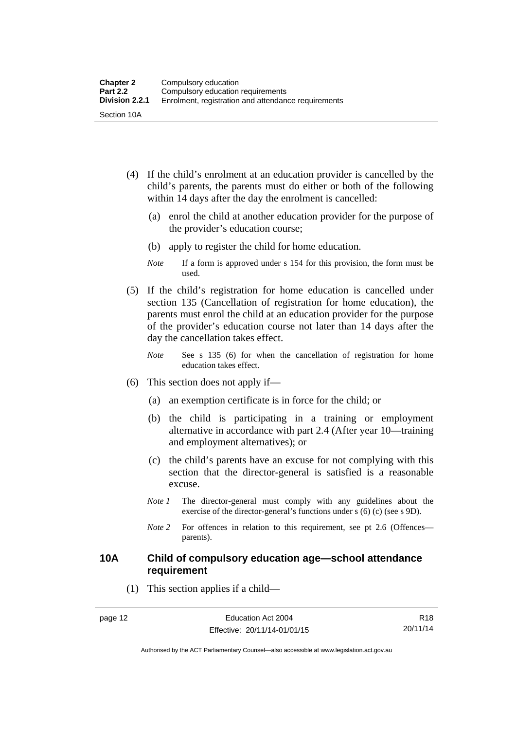- (4) If the child's enrolment at an education provider is cancelled by the child's parents, the parents must do either or both of the following within 14 days after the day the enrolment is cancelled:
	- (a) enrol the child at another education provider for the purpose of the provider's education course;
	- (b) apply to register the child for home education.
	- *Note* If a form is approved under s 154 for this provision, the form must be used.
- (5) If the child's registration for home education is cancelled under section 135 (Cancellation of registration for home education), the parents must enrol the child at an education provider for the purpose of the provider's education course not later than 14 days after the day the cancellation takes effect.
	- *Note* See s 135 (6) for when the cancellation of registration for home education takes effect.
- (6) This section does not apply if—
	- (a) an exemption certificate is in force for the child; or
	- (b) the child is participating in a training or employment alternative in accordance with part 2.4 (After year 10—training and employment alternatives); or
	- (c) the child's parents have an excuse for not complying with this section that the director-general is satisfied is a reasonable excuse.
	- *Note 1* The director-general must comply with any guidelines about the exercise of the director-general's functions under s (6) (c) (see s 9D).
	- *Note* 2 For offences in relation to this requirement, see pt 2.6 (Offences parents).

### <span id="page-23-0"></span>**10A Child of compulsory education age—school attendance requirement**

(1) This section applies if a child—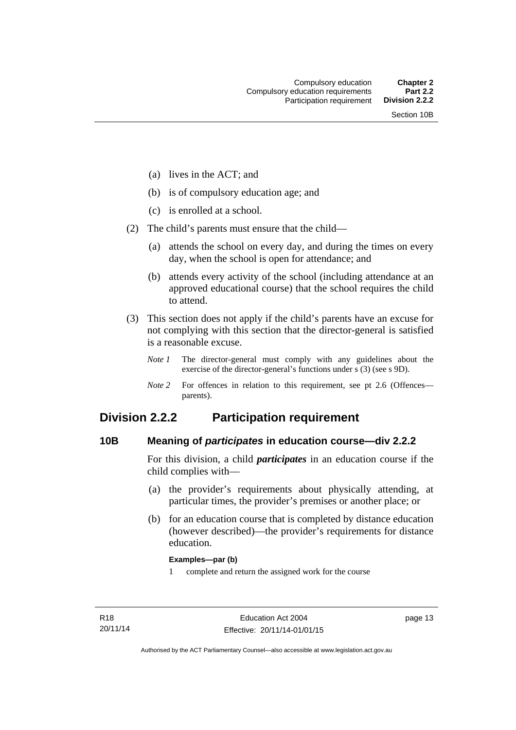- (a) lives in the ACT; and
- (b) is of compulsory education age; and
- (c) is enrolled at a school.
- (2) The child's parents must ensure that the child—
	- (a) attends the school on every day, and during the times on every day, when the school is open for attendance; and
	- (b) attends every activity of the school (including attendance at an approved educational course) that the school requires the child to attend.
- (3) This section does not apply if the child's parents have an excuse for not complying with this section that the director-general is satisfied is a reasonable excuse.
	- *Note 1* The director-general must comply with any guidelines about the exercise of the director-general's functions under s (3) (see s 9D).
	- *Note 2* For offences in relation to this requirement, see pt 2.6 (Offences parents).

### <span id="page-24-0"></span>**Division 2.2.2 Participation requirement**

### <span id="page-24-1"></span>**10B Meaning of** *participates* **in education course—div 2.2.2**

For this division, a child *participates* in an education course if the child complies with—

- (a) the provider's requirements about physically attending, at particular times, the provider's premises or another place; or
- (b) for an education course that is completed by distance education (however described)—the provider's requirements for distance education.

#### **Examples—par (b)**

1 complete and return the assigned work for the course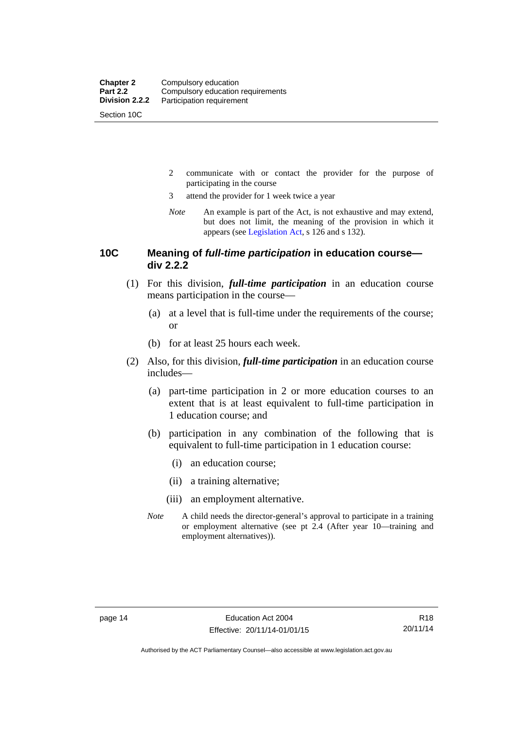Section 10C

- 2 communicate with or contact the provider for the purpose of participating in the course
- 3 attend the provider for 1 week twice a year
- *Note* An example is part of the Act, is not exhaustive and may extend, but does not limit, the meaning of the provision in which it appears (see [Legislation Act,](http://www.legislation.act.gov.au/a/2001-14) s 126 and s 132).

### <span id="page-25-0"></span>**10C Meaning of** *full-time participation* **in education course div 2.2.2**

- (1) For this division, *full-time participation* in an education course means participation in the course—
	- (a) at a level that is full-time under the requirements of the course; or
	- (b) for at least 25 hours each week.
- (2) Also, for this division, *full-time participation* in an education course includes—
	- (a) part-time participation in 2 or more education courses to an extent that is at least equivalent to full-time participation in 1 education course; and
	- (b) participation in any combination of the following that is equivalent to full-time participation in 1 education course:
		- (i) an education course;
		- (ii) a training alternative;
		- (iii) an employment alternative.
	- *Note* A child needs the director-general's approval to participate in a training or employment alternative (see pt 2.4 (After year 10—training and employment alternatives)).

Authorised by the ACT Parliamentary Counsel—also accessible at www.legislation.act.gov.au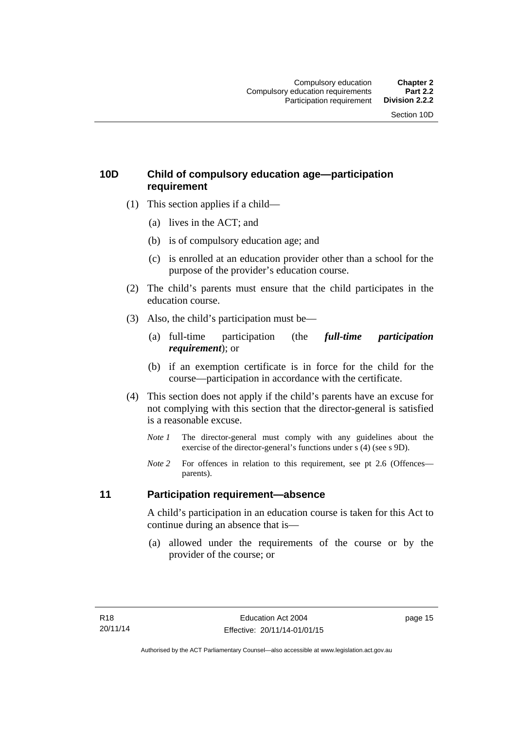### <span id="page-26-0"></span>**10D Child of compulsory education age—participation requirement**

- (1) This section applies if a child—
	- (a) lives in the ACT; and
	- (b) is of compulsory education age; and
	- (c) is enrolled at an education provider other than a school for the purpose of the provider's education course.
- (2) The child's parents must ensure that the child participates in the education course.
- (3) Also, the child's participation must be—
	- (a) full-time participation (the *full-time participation requirement*); or
	- (b) if an exemption certificate is in force for the child for the course—participation in accordance with the certificate.
- (4) This section does not apply if the child's parents have an excuse for not complying with this section that the director-general is satisfied is a reasonable excuse.
	- *Note 1* The director-general must comply with any guidelines about the exercise of the director-general's functions under s (4) (see s 9D).
	- *Note* 2 For offences in relation to this requirement, see pt 2.6 (Offences parents).

### <span id="page-26-1"></span>**11 Participation requirement—absence**

A child's participation in an education course is taken for this Act to continue during an absence that is—

 (a) allowed under the requirements of the course or by the provider of the course; or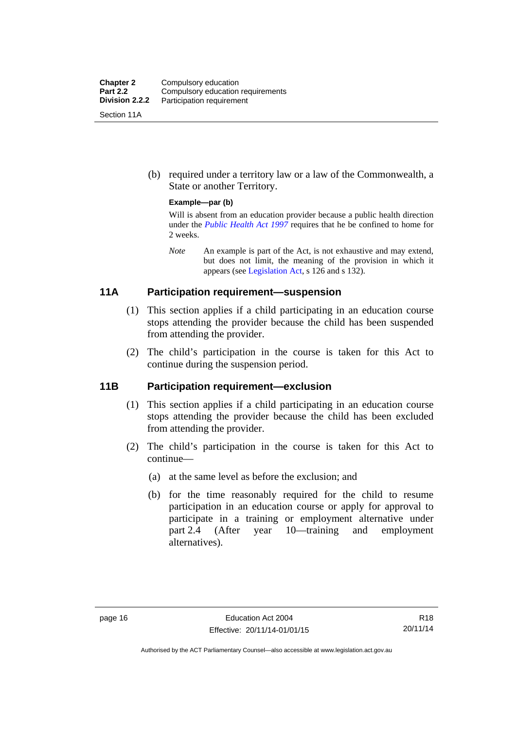| <b>Chapter 2</b><br><b>Part 2.2</b> | Compulsory education<br>Compulsory education requirements |
|-------------------------------------|-----------------------------------------------------------|
| Division 2.2.2                      | Participation requirement                                 |
| Section 11A                         |                                                           |

 (b) required under a territory law or a law of the Commonwealth, a State or another Territory.

#### **Example—par (b)**

Will is absent from an education provider because a public health direction under the *[Public Health Act 1997](http://www.legislation.act.gov.au/a/1997-69)* requires that he be confined to home for 2 weeks.

*Note* An example is part of the Act, is not exhaustive and may extend, but does not limit, the meaning of the provision in which it appears (see [Legislation Act,](http://www.legislation.act.gov.au/a/2001-14) s 126 and s 132).

### <span id="page-27-0"></span>**11A Participation requirement—suspension**

- (1) This section applies if a child participating in an education course stops attending the provider because the child has been suspended from attending the provider.
- (2) The child's participation in the course is taken for this Act to continue during the suspension period.

### <span id="page-27-1"></span>**11B Participation requirement—exclusion**

- (1) This section applies if a child participating in an education course stops attending the provider because the child has been excluded from attending the provider.
- (2) The child's participation in the course is taken for this Act to continue—
	- (a) at the same level as before the exclusion; and
	- (b) for the time reasonably required for the child to resume participation in an education course or apply for approval to participate in a training or employment alternative under part 2.4 (After year 10—training and employment alternatives).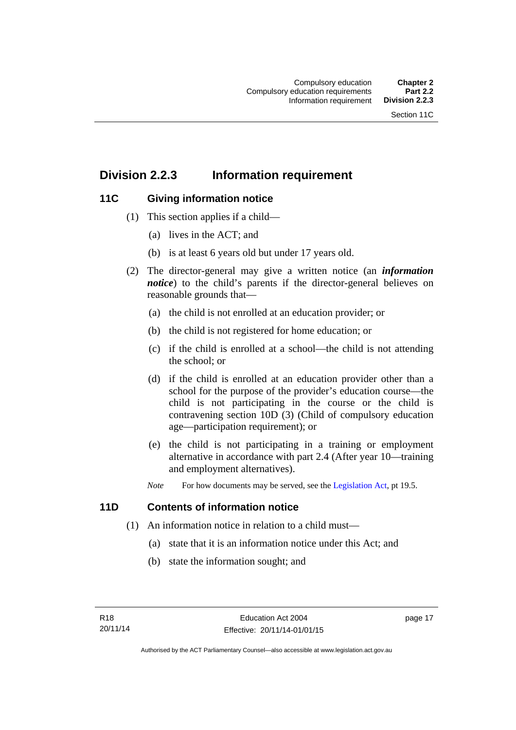## <span id="page-28-0"></span>**Division 2.2.3 Information requirement**

### <span id="page-28-1"></span>**11C Giving information notice**

- (1) This section applies if a child—
	- (a) lives in the ACT; and
	- (b) is at least 6 years old but under 17 years old.
- (2) The director-general may give a written notice (an *information notice*) to the child's parents if the director-general believes on reasonable grounds that—
	- (a) the child is not enrolled at an education provider; or
	- (b) the child is not registered for home education; or
	- (c) if the child is enrolled at a school—the child is not attending the school; or
	- (d) if the child is enrolled at an education provider other than a school for the purpose of the provider's education course—the child is not participating in the course or the child is contravening section 10D (3) (Child of compulsory education age—participation requirement); or
	- (e) the child is not participating in a training or employment alternative in accordance with part 2.4 (After year 10—training and employment alternatives).
	- *Note* For how documents may be served, see the [Legislation Act,](http://www.legislation.act.gov.au/a/2001-14) pt 19.5.

### <span id="page-28-2"></span>**11D Contents of information notice**

- (1) An information notice in relation to a child must—
	- (a) state that it is an information notice under this Act; and
	- (b) state the information sought; and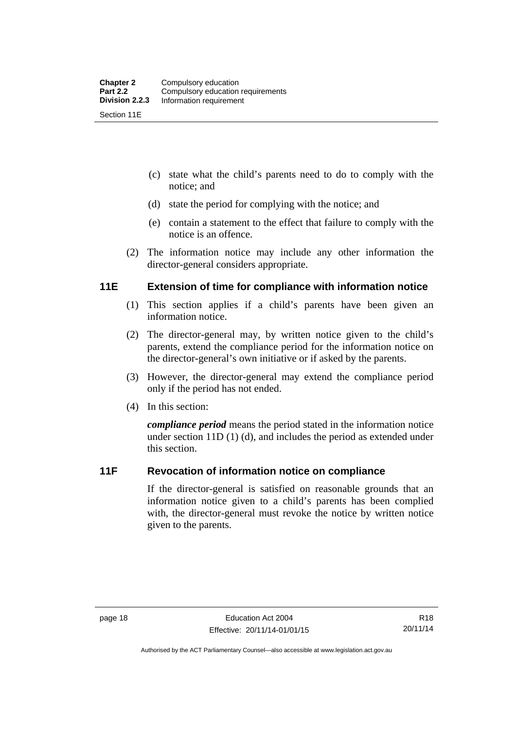- (c) state what the child's parents need to do to comply with the notice; and
- (d) state the period for complying with the notice; and
- (e) contain a statement to the effect that failure to comply with the notice is an offence.
- (2) The information notice may include any other information the director-general considers appropriate.

### <span id="page-29-0"></span>**11E Extension of time for compliance with information notice**

- (1) This section applies if a child's parents have been given an information notice.
- (2) The director-general may, by written notice given to the child's parents, extend the compliance period for the information notice on the director-general's own initiative or if asked by the parents.
- (3) However, the director-general may extend the compliance period only if the period has not ended.
- (4) In this section:

*compliance period* means the period stated in the information notice under section 11D (1) (d), and includes the period as extended under this section.

### <span id="page-29-1"></span>**11F Revocation of information notice on compliance**

If the director-general is satisfied on reasonable grounds that an information notice given to a child's parents has been complied with, the director-general must revoke the notice by written notice given to the parents.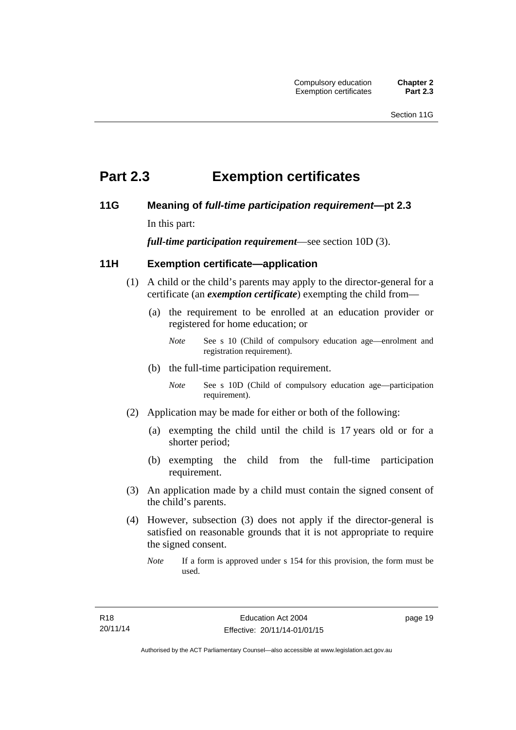# <span id="page-30-0"></span>**Part 2.3 Exemption certificates**

### <span id="page-30-1"></span>**11G Meaning of** *full-time participation requirement***—pt 2.3**

In this part:

*full-time participation requirement*—see section 10D (3).

### <span id="page-30-2"></span>**11H Exemption certificate—application**

- (1) A child or the child's parents may apply to the director-general for a certificate (an *exemption certificate*) exempting the child from—
	- (a) the requirement to be enrolled at an education provider or registered for home education; or
		- *Note* See s 10 (Child of compulsory education age—enrolment and registration requirement).
	- (b) the full-time participation requirement.
		- *Note* See s 10D (Child of compulsory education age—participation requirement).
- (2) Application may be made for either or both of the following:
	- (a) exempting the child until the child is 17 years old or for a shorter period;
	- (b) exempting the child from the full-time participation requirement.
- (3) An application made by a child must contain the signed consent of the child's parents.
- (4) However, subsection (3) does not apply if the director-general is satisfied on reasonable grounds that it is not appropriate to require the signed consent.
	- *Note* If a form is approved under s 154 for this provision, the form must be used.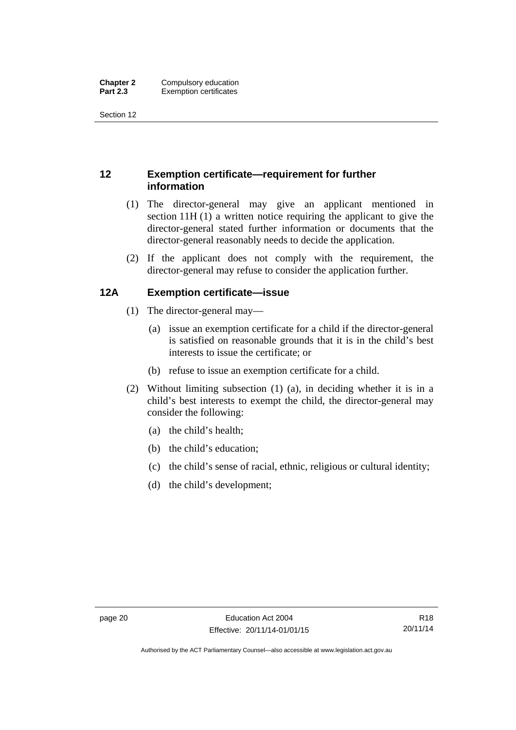Section 12

### <span id="page-31-0"></span>**12 Exemption certificate—requirement for further information**

- (1) The director-general may give an applicant mentioned in section 11H (1) a written notice requiring the applicant to give the director-general stated further information or documents that the director-general reasonably needs to decide the application.
- (2) If the applicant does not comply with the requirement, the director-general may refuse to consider the application further.

### <span id="page-31-1"></span>**12A Exemption certificate—issue**

- (1) The director-general may—
	- (a) issue an exemption certificate for a child if the director-general is satisfied on reasonable grounds that it is in the child's best interests to issue the certificate; or
	- (b) refuse to issue an exemption certificate for a child.
- (2) Without limiting subsection (1) (a), in deciding whether it is in a child's best interests to exempt the child, the director-general may consider the following:
	- (a) the child's health;
	- (b) the child's education;
	- (c) the child's sense of racial, ethnic, religious or cultural identity;
	- (d) the child's development;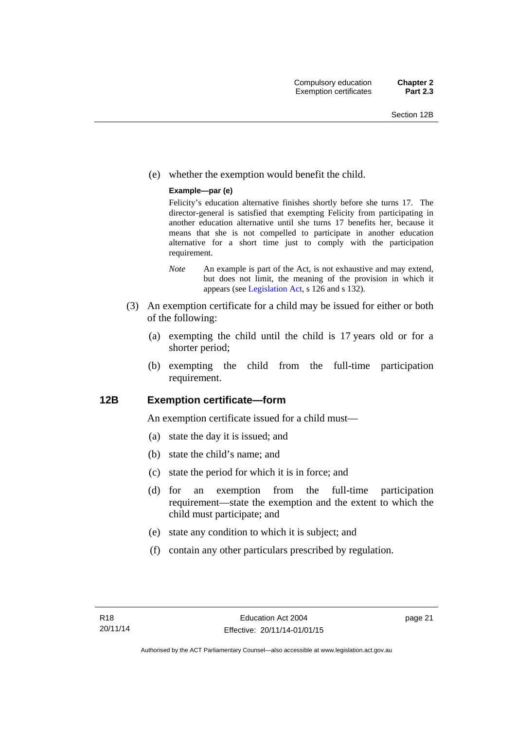(e) whether the exemption would benefit the child.

#### **Example—par (e)**

Felicity's education alternative finishes shortly before she turns 17. The director-general is satisfied that exempting Felicity from participating in another education alternative until she turns 17 benefits her, because it means that she is not compelled to participate in another education alternative for a short time just to comply with the participation requirement.

- *Note* An example is part of the Act, is not exhaustive and may extend, but does not limit, the meaning of the provision in which it appears (see [Legislation Act,](http://www.legislation.act.gov.au/a/2001-14) s 126 and s 132).
- (3) An exemption certificate for a child may be issued for either or both of the following:
	- (a) exempting the child until the child is 17 years old or for a shorter period;
	- (b) exempting the child from the full-time participation requirement.

### <span id="page-32-0"></span>**12B Exemption certificate—form**

An exemption certificate issued for a child must—

- (a) state the day it is issued; and
- (b) state the child's name; and
- (c) state the period for which it is in force; and
- (d) for an exemption from the full-time participation requirement—state the exemption and the extent to which the child must participate; and
- (e) state any condition to which it is subject; and
- (f) contain any other particulars prescribed by regulation.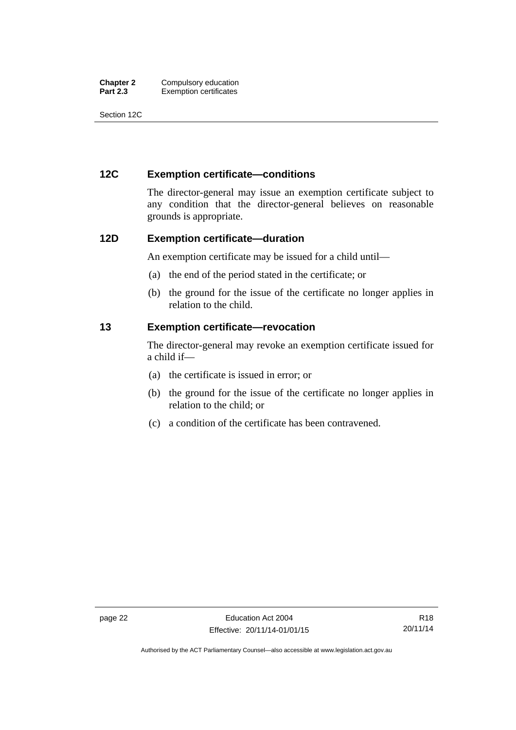| <b>Chapter 2</b> | Compulsory education          |
|------------------|-------------------------------|
| <b>Part 2.3</b>  | <b>Exemption certificates</b> |

Section 12C

### <span id="page-33-0"></span>**12C Exemption certificate—conditions**

The director-general may issue an exemption certificate subject to any condition that the director-general believes on reasonable grounds is appropriate.

### <span id="page-33-1"></span>**12D Exemption certificate—duration**

An exemption certificate may be issued for a child until—

- (a) the end of the period stated in the certificate; or
- (b) the ground for the issue of the certificate no longer applies in relation to the child.

### <span id="page-33-2"></span>**13 Exemption certificate—revocation**

The director-general may revoke an exemption certificate issued for a child if—

- (a) the certificate is issued in error; or
- (b) the ground for the issue of the certificate no longer applies in relation to the child; or
- (c) a condition of the certificate has been contravened.

Authorised by the ACT Parliamentary Counsel—also accessible at www.legislation.act.gov.au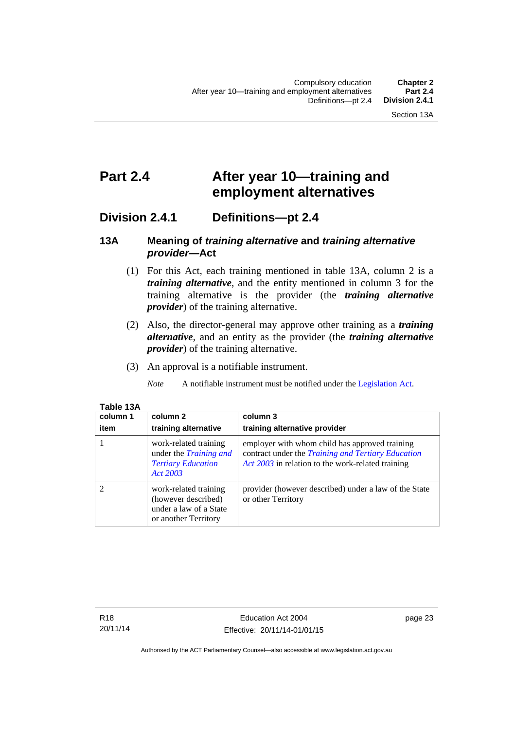# <span id="page-34-0"></span>**Part 2.4 After year 10—training and employment alternatives**

### <span id="page-34-1"></span>**Division 2.4.1 Definitions—pt 2.4**

### <span id="page-34-2"></span>**13A Meaning of** *training alternative* **and** *training alternative provider***—Act**

- (1) For this Act, each training mentioned in table 13A, column 2 is a *training alternative*, and the entity mentioned in column 3 for the training alternative is the provider (the *training alternative provider*) of the training alternative.
- (2) Also, the director-general may approve other training as a *training alternative*, and an entity as the provider (the *training alternative provider*) of the training alternative.
- (3) An approval is a notifiable instrument.

*Note* A notifiable instrument must be notified under the [Legislation Act](http://www.legislation.act.gov.au/a/2001-14).

| TAUR TJA |         |
|----------|---------|
| column 1 | ∣ colur |
|          |         |

**Table 13A** 

| column 1<br>item | column 2<br>training alternative                                                                | column 3<br>training alternative provider                                                                                                                        |
|------------------|-------------------------------------------------------------------------------------------------|------------------------------------------------------------------------------------------------------------------------------------------------------------------|
|                  | work-related training<br>under the <i>Training and</i><br><b>Tertiary Education</b><br>Act 2003 | employer with whom child has approved training<br>contract under the <i>Training and Tertiary Education</i><br>Act 2003 in relation to the work-related training |
|                  | work-related training<br>(however described)<br>under a law of a State<br>or another Territory  | provider (however described) under a law of the State<br>or other Territory                                                                                      |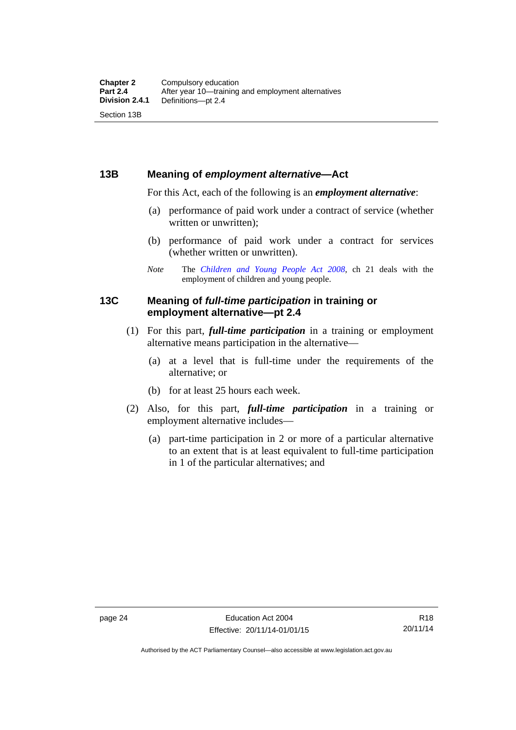### <span id="page-35-0"></span>**13B Meaning of** *employment alternative***—Act**

For this Act, each of the following is an *employment alternative*:

- (a) performance of paid work under a contract of service (whether written or unwritten);
- (b) performance of paid work under a contract for services (whether written or unwritten).
- *Note* The *[Children and Young People Act 2008](http://www.legislation.act.gov.au/a/2008-19)*, ch 21 deals with the employment of children and young people.

### <span id="page-35-1"></span>**13C Meaning of** *full-time participation* **in training or employment alternative—pt 2.4**

- (1) For this part, *full-time participation* in a training or employment alternative means participation in the alternative—
	- (a) at a level that is full-time under the requirements of the alternative; or
	- (b) for at least 25 hours each week.
- (2) Also, for this part, *full-time participation* in a training or employment alternative includes—
	- (a) part-time participation in 2 or more of a particular alternative to an extent that is at least equivalent to full-time participation in 1 of the particular alternatives; and

Authorised by the ACT Parliamentary Counsel—also accessible at www.legislation.act.gov.au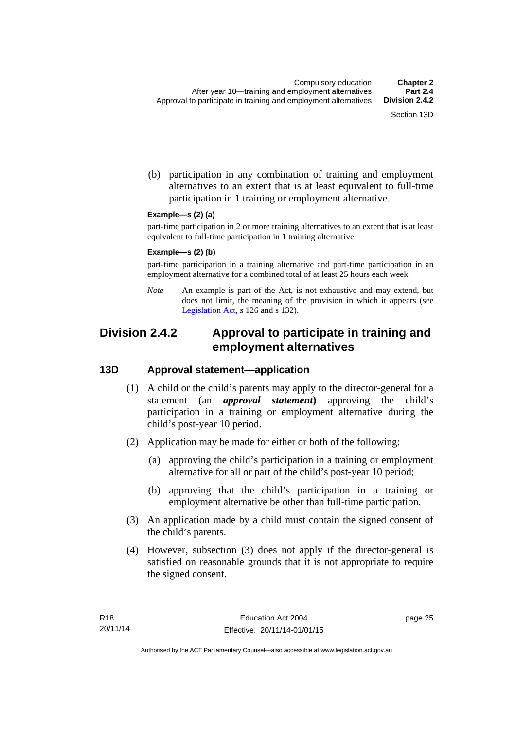(b) participation in any combination of training and employment alternatives to an extent that is at least equivalent to full-time participation in 1 training or employment alternative.

#### **Example—s (2) (a)**

part-time participation in 2 or more training alternatives to an extent that is at least equivalent to full-time participation in 1 training alternative

#### **Example—s (2) (b)**

part-time participation in a training alternative and part-time participation in an employment alternative for a combined total of at least 25 hours each week

*Note* An example is part of the Act, is not exhaustive and may extend, but does not limit, the meaning of the provision in which it appears (see [Legislation Act,](http://www.legislation.act.gov.au/a/2001-14) s 126 and s 132).

# **Division 2.4.2 Approval to participate in training and employment alternatives**

## **13D Approval statement—application**

- (1) A child or the child's parents may apply to the director-general for a statement (an *approval statement***)** approving the child's participation in a training or employment alternative during the child's post-year 10 period.
- (2) Application may be made for either or both of the following:
	- (a) approving the child's participation in a training or employment alternative for all or part of the child's post-year 10 period;
	- (b) approving that the child's participation in a training or employment alternative be other than full-time participation.
- (3) An application made by a child must contain the signed consent of the child's parents.
- (4) However, subsection (3) does not apply if the director-general is satisfied on reasonable grounds that it is not appropriate to require the signed consent.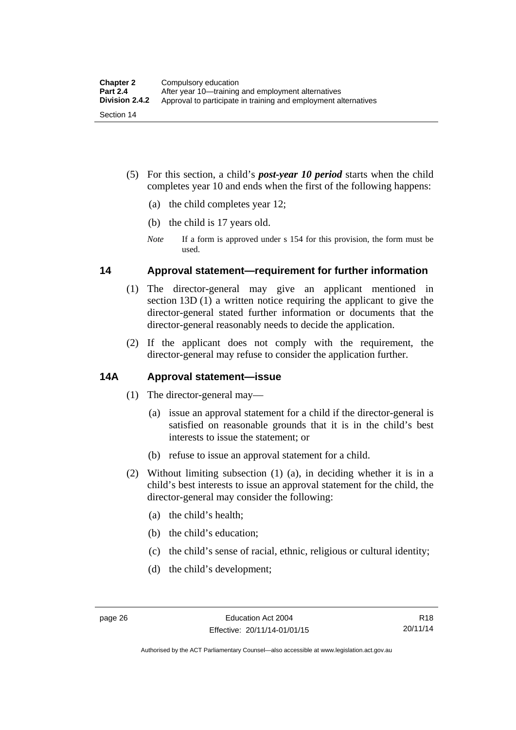- (5) For this section, a child's *post-year 10 period* starts when the child completes year 10 and ends when the first of the following happens:
	- (a) the child completes year 12;
	- (b) the child is 17 years old.
	- *Note* If a form is approved under s 154 for this provision, the form must be used.

## **14 Approval statement—requirement for further information**

- (1) The director-general may give an applicant mentioned in section 13D (1) a written notice requiring the applicant to give the director-general stated further information or documents that the director-general reasonably needs to decide the application.
- (2) If the applicant does not comply with the requirement, the director-general may refuse to consider the application further.

## **14A Approval statement—issue**

- (1) The director-general may—
	- (a) issue an approval statement for a child if the director-general is satisfied on reasonable grounds that it is in the child's best interests to issue the statement; or
	- (b) refuse to issue an approval statement for a child.
- (2) Without limiting subsection (1) (a), in deciding whether it is in a child's best interests to issue an approval statement for the child, the director-general may consider the following:
	- (a) the child's health;
	- (b) the child's education;
	- (c) the child's sense of racial, ethnic, religious or cultural identity;
	- (d) the child's development;

Authorised by the ACT Parliamentary Counsel—also accessible at www.legislation.act.gov.au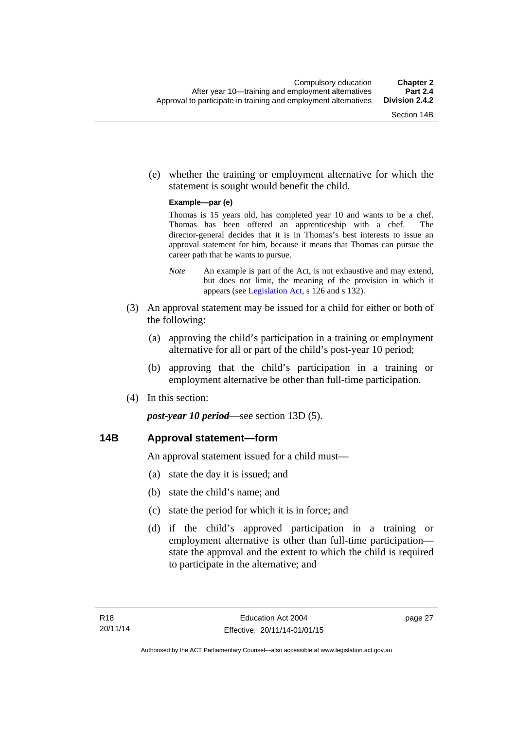(e) whether the training or employment alternative for which the statement is sought would benefit the child.

#### **Example—par (e)**

Thomas is 15 years old, has completed year 10 and wants to be a chef. Thomas has been offered an apprenticeship with a chef. The director-general decides that it is in Thomas's best interests to issue an approval statement for him, because it means that Thomas can pursue the career path that he wants to pursue.

- *Note* An example is part of the Act, is not exhaustive and may extend, but does not limit, the meaning of the provision in which it appears (see [Legislation Act,](http://www.legislation.act.gov.au/a/2001-14) s 126 and s 132).
- (3) An approval statement may be issued for a child for either or both of the following:
	- (a) approving the child's participation in a training or employment alternative for all or part of the child's post-year 10 period;
	- (b) approving that the child's participation in a training or employment alternative be other than full-time participation.
- (4) In this section:

*post-year 10 period*—see section 13D (5).

## **14B Approval statement—form**

An approval statement issued for a child must—

- (a) state the day it is issued; and
- (b) state the child's name; and
- (c) state the period for which it is in force; and
- (d) if the child's approved participation in a training or employment alternative is other than full-time participation state the approval and the extent to which the child is required to participate in the alternative; and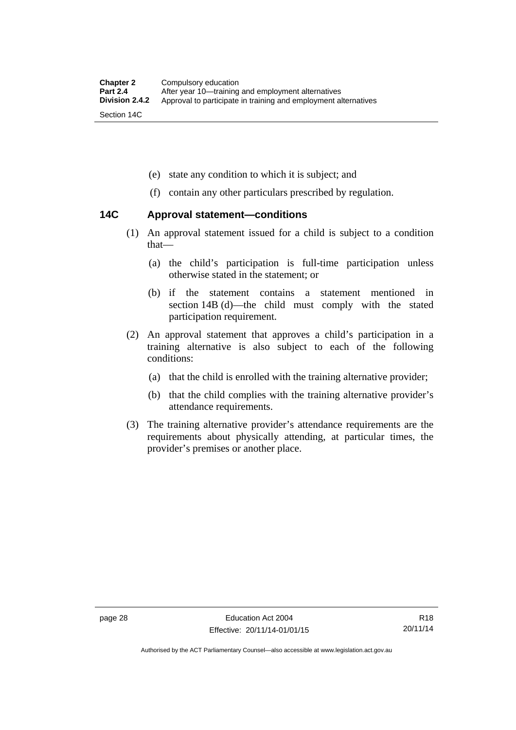- (e) state any condition to which it is subject; and
- (f) contain any other particulars prescribed by regulation.

## **14C Approval statement—conditions**

- (1) An approval statement issued for a child is subject to a condition that—
	- (a) the child's participation is full-time participation unless otherwise stated in the statement; or
	- (b) if the statement contains a statement mentioned in section 14B (d)—the child must comply with the stated participation requirement.
- (2) An approval statement that approves a child's participation in a training alternative is also subject to each of the following conditions:
	- (a) that the child is enrolled with the training alternative provider;
	- (b) that the child complies with the training alternative provider's attendance requirements.
- (3) The training alternative provider's attendance requirements are the requirements about physically attending, at particular times, the provider's premises or another place.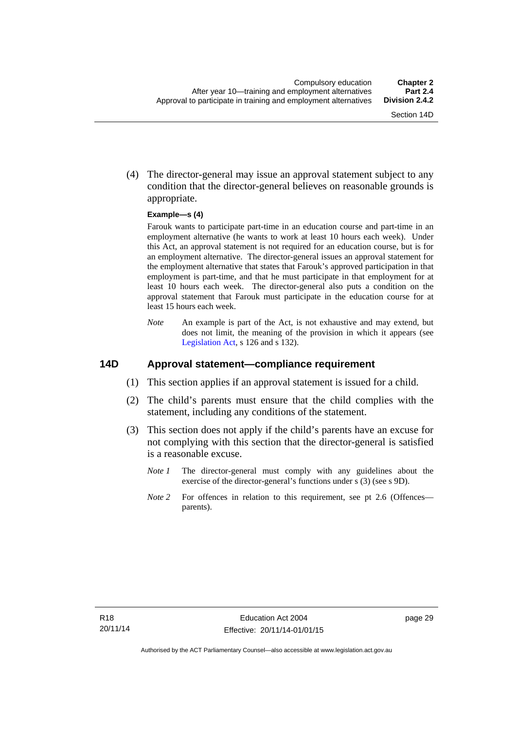(4) The director-general may issue an approval statement subject to any condition that the director-general believes on reasonable grounds is appropriate.

#### **Example—s (4)**

Farouk wants to participate part-time in an education course and part-time in an employment alternative (he wants to work at least 10 hours each week). Under this Act, an approval statement is not required for an education course, but is for an employment alternative. The director-general issues an approval statement for the employment alternative that states that Farouk's approved participation in that employment is part-time, and that he must participate in that employment for at least 10 hours each week. The director-general also puts a condition on the approval statement that Farouk must participate in the education course for at least 15 hours each week.

*Note* An example is part of the Act, is not exhaustive and may extend, but does not limit, the meaning of the provision in which it appears (see [Legislation Act,](http://www.legislation.act.gov.au/a/2001-14) s 126 and s 132).

### **14D Approval statement—compliance requirement**

- (1) This section applies if an approval statement is issued for a child.
- (2) The child's parents must ensure that the child complies with the statement, including any conditions of the statement.
- (3) This section does not apply if the child's parents have an excuse for not complying with this section that the director-general is satisfied is a reasonable excuse.
	- *Note 1* The director-general must comply with any guidelines about the exercise of the director-general's functions under s (3) (see s 9D).
	- *Note 2* For offences in relation to this requirement, see pt 2.6 (Offences parents).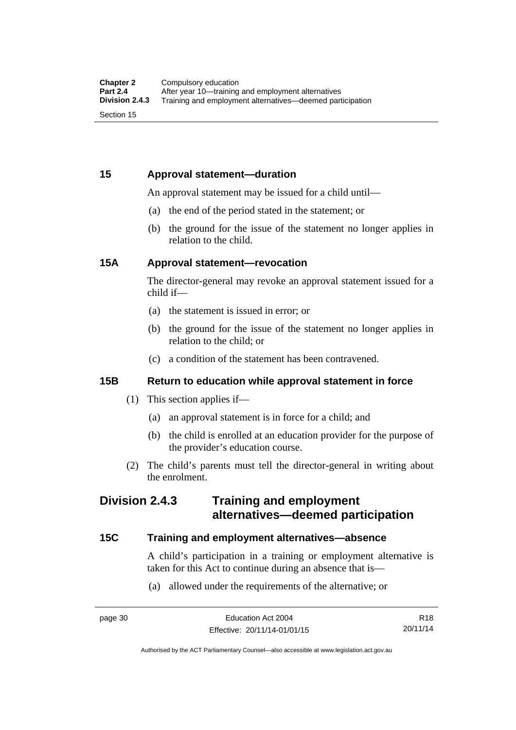## **15 Approval statement—duration**

An approval statement may be issued for a child until—

- (a) the end of the period stated in the statement; or
- (b) the ground for the issue of the statement no longer applies in relation to the child.

## **15A Approval statement—revocation**

The director-general may revoke an approval statement issued for a child if—

- (a) the statement is issued in error; or
- (b) the ground for the issue of the statement no longer applies in relation to the child; or
- (c) a condition of the statement has been contravened.

## **15B Return to education while approval statement in force**

- (1) This section applies if—
	- (a) an approval statement is in force for a child; and
	- (b) the child is enrolled at an education provider for the purpose of the provider's education course.
- (2) The child's parents must tell the director-general in writing about the enrolment.

## **Division 2.4.3 Training and employment alternatives—deemed participation**

### **15C Training and employment alternatives—absence**

A child's participation in a training or employment alternative is taken for this Act to continue during an absence that is—

(a) allowed under the requirements of the alternative; or

R18 20/11/14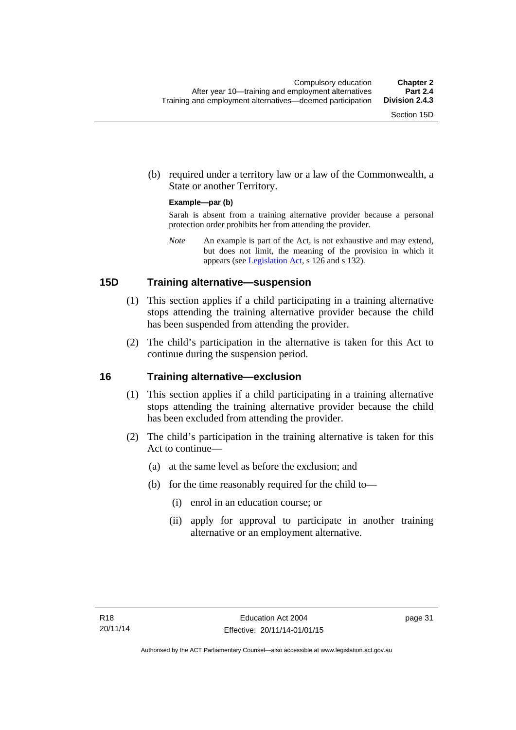(b) required under a territory law or a law of the Commonwealth, a State or another Territory.

#### **Example—par (b)**

Sarah is absent from a training alternative provider because a personal protection order prohibits her from attending the provider.

*Note* An example is part of the Act, is not exhaustive and may extend, but does not limit, the meaning of the provision in which it appears (see [Legislation Act,](http://www.legislation.act.gov.au/a/2001-14) s 126 and s 132).

### **15D Training alternative—suspension**

- (1) This section applies if a child participating in a training alternative stops attending the training alternative provider because the child has been suspended from attending the provider.
- (2) The child's participation in the alternative is taken for this Act to continue during the suspension period.

#### **16 Training alternative—exclusion**

- (1) This section applies if a child participating in a training alternative stops attending the training alternative provider because the child has been excluded from attending the provider.
- (2) The child's participation in the training alternative is taken for this Act to continue—
	- (a) at the same level as before the exclusion; and
	- (b) for the time reasonably required for the child to—
		- (i) enrol in an education course; or
		- (ii) apply for approval to participate in another training alternative or an employment alternative.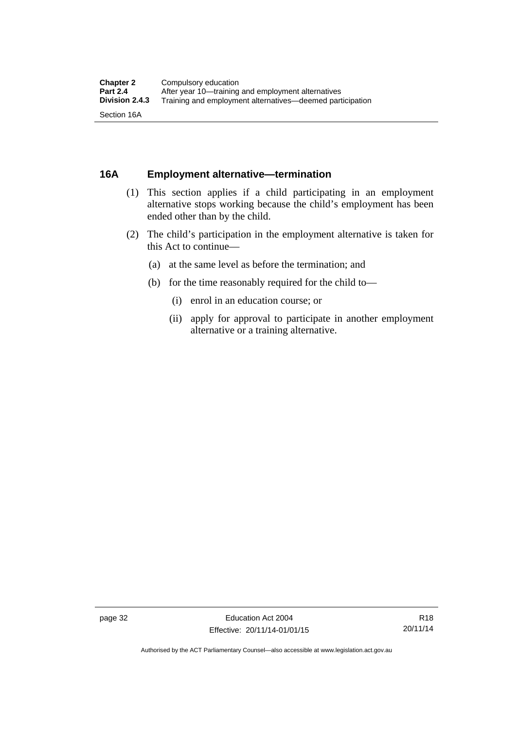## **16A Employment alternative—termination**

- (1) This section applies if a child participating in an employment alternative stops working because the child's employment has been ended other than by the child.
- (2) The child's participation in the employment alternative is taken for this Act to continue—
	- (a) at the same level as before the termination; and
	- (b) for the time reasonably required for the child to—
		- (i) enrol in an education course; or
		- (ii) apply for approval to participate in another employment alternative or a training alternative.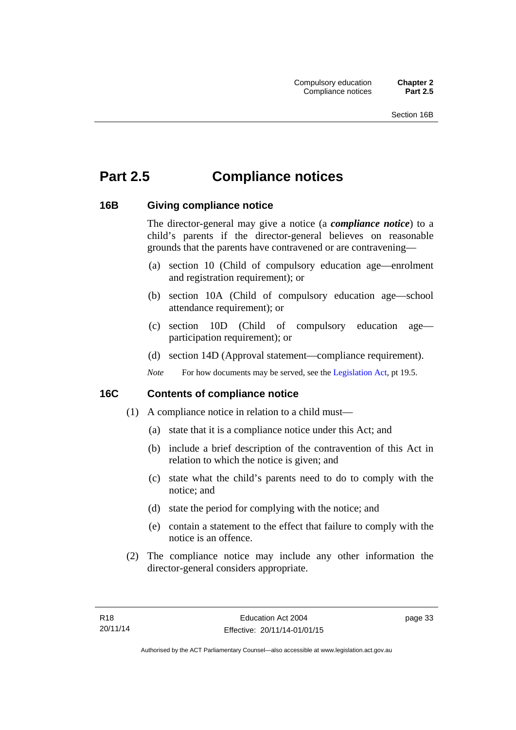# **Part 2.5 Compliance notices**

## **16B Giving compliance notice**

The director-general may give a notice (a *compliance notice*) to a child's parents if the director-general believes on reasonable grounds that the parents have contravened or are contravening—

- (a) section 10 (Child of compulsory education age—enrolment and registration requirement); or
- (b) section 10A (Child of compulsory education age—school attendance requirement); or
- (c) section 10D (Child of compulsory education age participation requirement); or
- (d) section 14D (Approval statement—compliance requirement).
- *Note* For how documents may be served, see the [Legislation Act,](http://www.legislation.act.gov.au/a/2001-14) pt 19.5.

## **16C Contents of compliance notice**

- (1) A compliance notice in relation to a child must—
	- (a) state that it is a compliance notice under this Act; and
	- (b) include a brief description of the contravention of this Act in relation to which the notice is given; and
	- (c) state what the child's parents need to do to comply with the notice; and
	- (d) state the period for complying with the notice; and
	- (e) contain a statement to the effect that failure to comply with the notice is an offence.
- (2) The compliance notice may include any other information the director-general considers appropriate.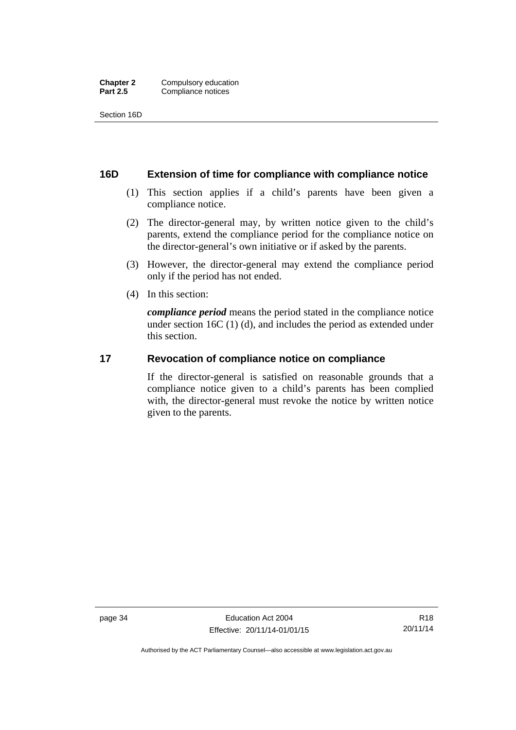Section 16D

#### **16D Extension of time for compliance with compliance notice**

- (1) This section applies if a child's parents have been given a compliance notice.
- (2) The director-general may, by written notice given to the child's parents, extend the compliance period for the compliance notice on the director-general's own initiative or if asked by the parents.
- (3) However, the director-general may extend the compliance period only if the period has not ended.
- (4) In this section:

*compliance period* means the period stated in the compliance notice under section 16C (1) (d), and includes the period as extended under this section.

## **17 Revocation of compliance notice on compliance**

If the director-general is satisfied on reasonable grounds that a compliance notice given to a child's parents has been complied with, the director-general must revoke the notice by written notice given to the parents.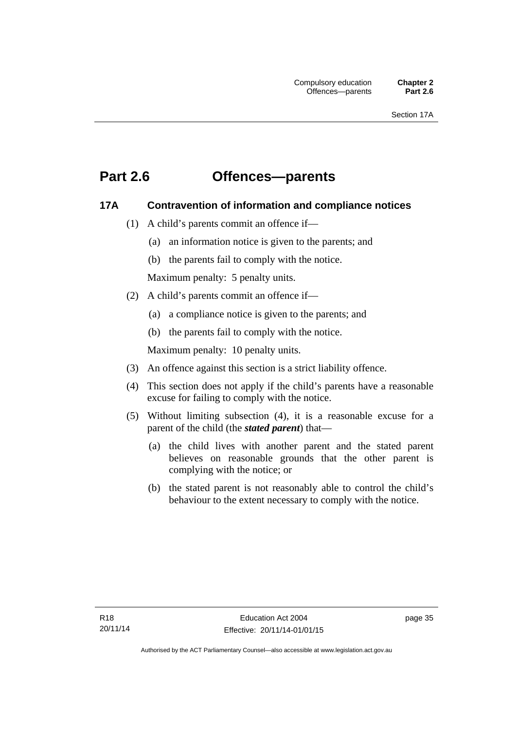# **Part 2.6 Offences—parents**

## **17A Contravention of information and compliance notices**

- (1) A child's parents commit an offence if—
	- (a) an information notice is given to the parents; and
	- (b) the parents fail to comply with the notice.

Maximum penalty: 5 penalty units.

- (2) A child's parents commit an offence if—
	- (a) a compliance notice is given to the parents; and
	- (b) the parents fail to comply with the notice.

Maximum penalty: 10 penalty units.

- (3) An offence against this section is a strict liability offence.
- (4) This section does not apply if the child's parents have a reasonable excuse for failing to comply with the notice.
- (5) Without limiting subsection (4), it is a reasonable excuse for a parent of the child (the *stated parent*) that—
	- (a) the child lives with another parent and the stated parent believes on reasonable grounds that the other parent is complying with the notice; or
	- (b) the stated parent is not reasonably able to control the child's behaviour to the extent necessary to comply with the notice.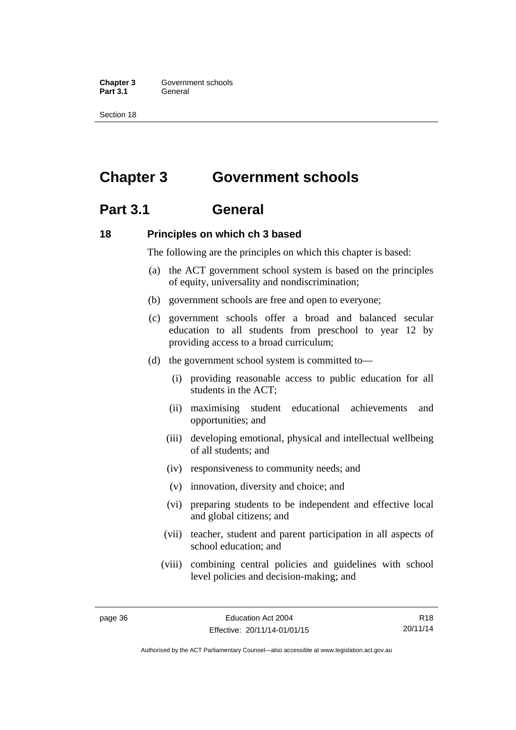**Chapter 3 Government schools** Part 3.1 **General** 

Section 18

# **Chapter 3 Government schools**

# **Part 3.1 General**

### **18 Principles on which ch 3 based**

The following are the principles on which this chapter is based:

- (a) the ACT government school system is based on the principles of equity, universality and nondiscrimination;
- (b) government schools are free and open to everyone;
- (c) government schools offer a broad and balanced secular education to all students from preschool to year 12 by providing access to a broad curriculum;
- (d) the government school system is committed to—
	- (i) providing reasonable access to public education for all students in the ACT;
	- (ii) maximising student educational achievements and opportunities; and
	- (iii) developing emotional, physical and intellectual wellbeing of all students; and
	- (iv) responsiveness to community needs; and
	- (v) innovation, diversity and choice; and
	- (vi) preparing students to be independent and effective local and global citizens; and
	- (vii) teacher, student and parent participation in all aspects of school education; and
	- (viii) combining central policies and guidelines with school level policies and decision-making; and

R18 20/11/14

Authorised by the ACT Parliamentary Counsel—also accessible at www.legislation.act.gov.au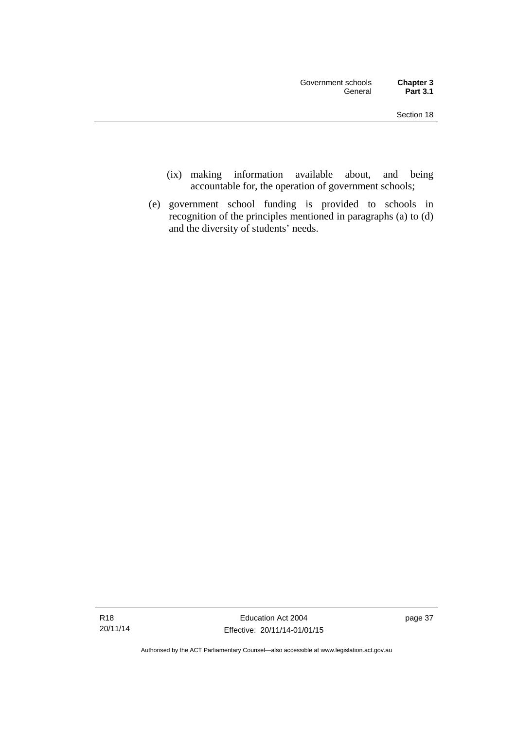- (ix) making information available about, and being accountable for, the operation of government schools;
- (e) government school funding is provided to schools in recognition of the principles mentioned in paragraphs (a) to (d) and the diversity of students' needs.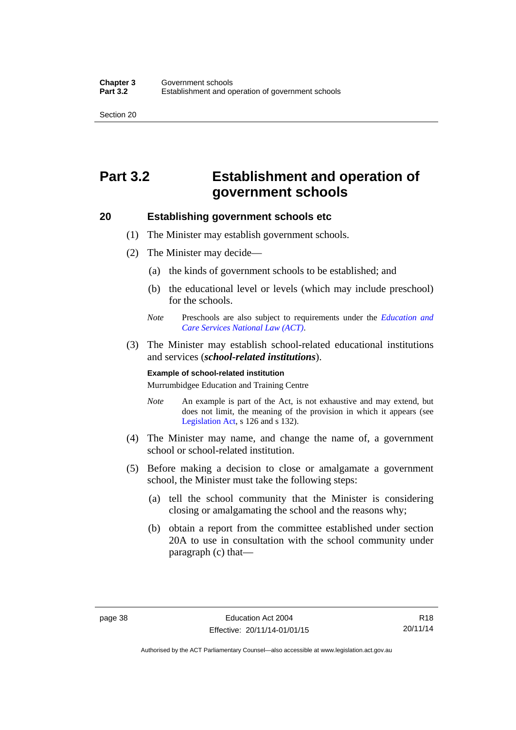Section 20

# **Part 3.2 Establishment and operation of government schools**

## **20 Establishing government schools etc**

- (1) The Minister may establish government schools.
- (2) The Minister may decide—
	- (a) the kinds of government schools to be established; and
	- (b) the educational level or levels (which may include preschool) for the schools.
	- *Note* Preschools are also subject to requirements under the *[Education and](http://www.legislation.act.gov.au/a/2011-42/default.asp)  [Care Services National Law \(ACT\)](http://www.legislation.act.gov.au/a/2011-42/default.asp)*.
- (3) The Minister may establish school-related educational institutions and services (*school-related institutions*).

#### **Example of school-related institution**

Murrumbidgee Education and Training Centre

- *Note* An example is part of the Act, is not exhaustive and may extend, but does not limit, the meaning of the provision in which it appears (see [Legislation Act,](http://www.legislation.act.gov.au/a/2001-14) s 126 and s 132).
- (4) The Minister may name, and change the name of, a government school or school-related institution.
- (5) Before making a decision to close or amalgamate a government school, the Minister must take the following steps:
	- (a) tell the school community that the Minister is considering closing or amalgamating the school and the reasons why;
	- (b) obtain a report from the committee established under section 20A to use in consultation with the school community under paragraph (c) that—

Authorised by the ACT Parliamentary Counsel—also accessible at www.legislation.act.gov.au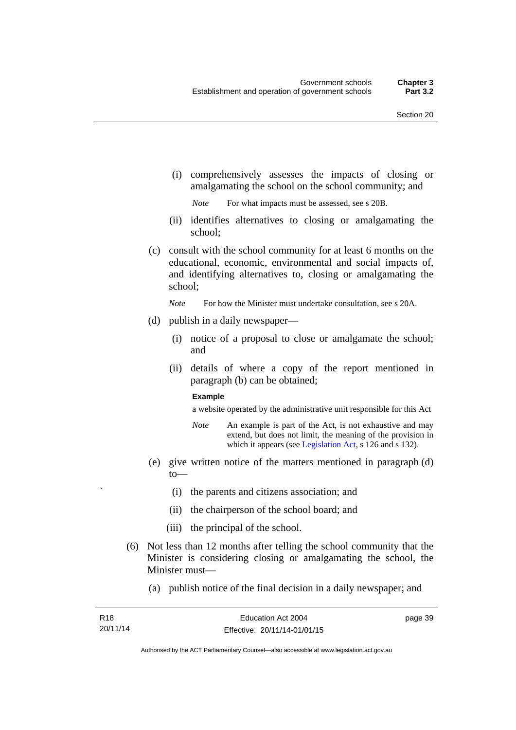(i) comprehensively assesses the impacts of closing or amalgamating the school on the school community; and

*Note* For what impacts must be assessed, see s 20B.

- (ii) identifies alternatives to closing or amalgamating the school;
- (c) consult with the school community for at least 6 months on the educational, economic, environmental and social impacts of, and identifying alternatives to, closing or amalgamating the school;

*Note* For how the Minister must undertake consultation, see s 20A.

- (d) publish in a daily newspaper—
	- (i) notice of a proposal to close or amalgamate the school; and
	- (ii) details of where a copy of the report mentioned in paragraph (b) can be obtained;

#### **Example**

a website operated by the administrative unit responsible for this Act

- *Note* An example is part of the Act, is not exhaustive and may extend, but does not limit, the meaning of the provision in which it appears (see [Legislation Act,](http://www.legislation.act.gov.au/a/2001-14) s 126 and s 132).
- (e) give written notice of the matters mentioned in paragraph (d) to—
	- ` (i) the parents and citizens association; and
	- (ii) the chairperson of the school board; and
	- (iii) the principal of the school.
- (6) Not less than 12 months after telling the school community that the Minister is considering closing or amalgamating the school, the Minister must—
	- (a) publish notice of the final decision in a daily newspaper; and

page 39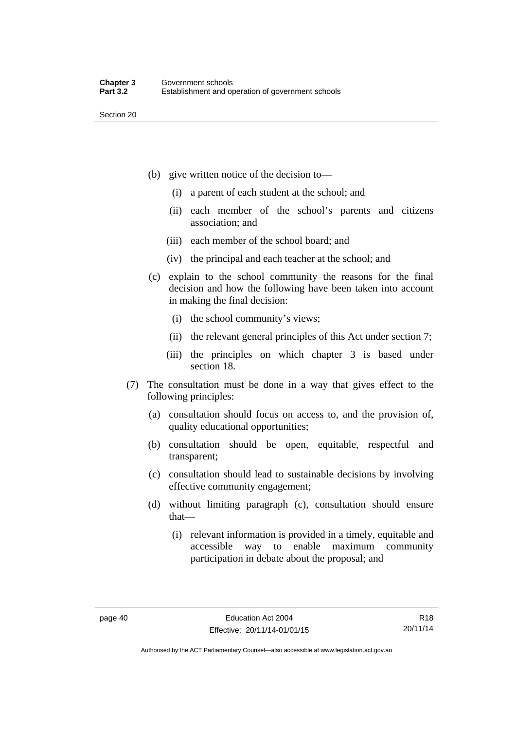Section 20

- (b) give written notice of the decision to—
	- (i) a parent of each student at the school; and
	- (ii) each member of the school's parents and citizens association; and
	- (iii) each member of the school board; and
	- (iv) the principal and each teacher at the school; and
- (c) explain to the school community the reasons for the final decision and how the following have been taken into account in making the final decision:
	- (i) the school community's views;
	- (ii) the relevant general principles of this Act under section 7;
	- (iii) the principles on which chapter 3 is based under section 18.
- (7) The consultation must be done in a way that gives effect to the following principles:
	- (a) consultation should focus on access to, and the provision of, quality educational opportunities;
	- (b) consultation should be open, equitable, respectful and transparent;
	- (c) consultation should lead to sustainable decisions by involving effective community engagement;
	- (d) without limiting paragraph (c), consultation should ensure that—
		- (i) relevant information is provided in a timely, equitable and accessible way to enable maximum community participation in debate about the proposal; and

R18 20/11/14

Authorised by the ACT Parliamentary Counsel—also accessible at www.legislation.act.gov.au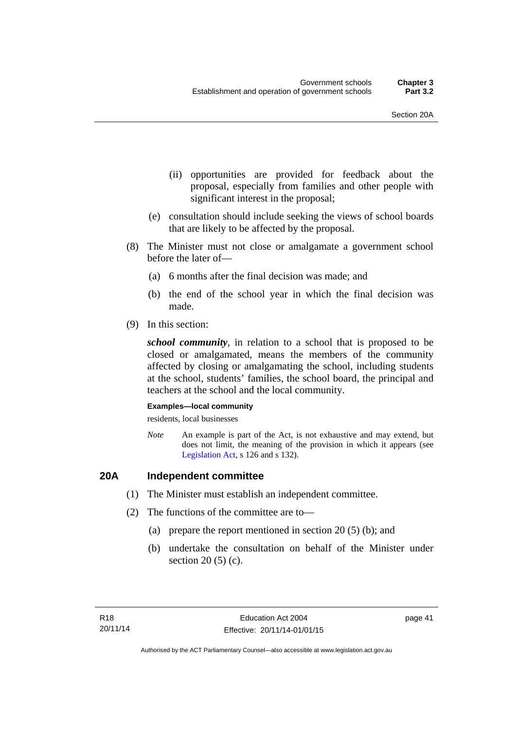- (ii) opportunities are provided for feedback about the proposal, especially from families and other people with significant interest in the proposal;
- (e) consultation should include seeking the views of school boards that are likely to be affected by the proposal.
- (8) The Minister must not close or amalgamate a government school before the later of—
	- (a) 6 months after the final decision was made; and
	- (b) the end of the school year in which the final decision was made.
- (9) In this section:

*school community*, in relation to a school that is proposed to be closed or amalgamated, means the members of the community affected by closing or amalgamating the school, including students at the school, students' families, the school board, the principal and teachers at the school and the local community.

#### **Examples—local community**

residents, local businesses

*Note* An example is part of the Act, is not exhaustive and may extend, but does not limit, the meaning of the provision in which it appears (see [Legislation Act,](http://www.legislation.act.gov.au/a/2001-14) s 126 and s 132).

## **20A Independent committee**

- (1) The Minister must establish an independent committee.
- (2) The functions of the committee are to—
	- (a) prepare the report mentioned in section 20 (5) (b); and
	- (b) undertake the consultation on behalf of the Minister under section  $20(5)(c)$ .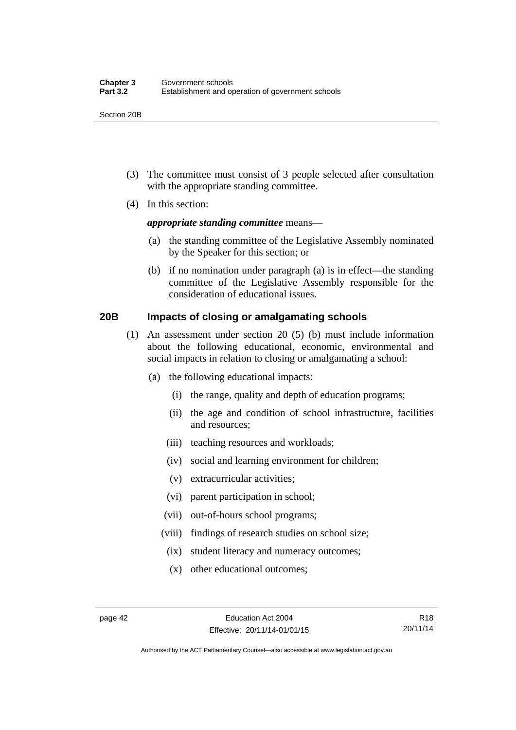Section 20B

- (3) The committee must consist of 3 people selected after consultation with the appropriate standing committee.
- (4) In this section:

#### *appropriate standing committee* means—

- (a) the standing committee of the Legislative Assembly nominated by the Speaker for this section; or
- (b) if no nomination under paragraph (a) is in effect—the standing committee of the Legislative Assembly responsible for the consideration of educational issues.

## **20B Impacts of closing or amalgamating schools**

- (1) An assessment under section 20 (5) (b) must include information about the following educational, economic, environmental and social impacts in relation to closing or amalgamating a school:
	- (a) the following educational impacts:
		- (i) the range, quality and depth of education programs;
		- (ii) the age and condition of school infrastructure, facilities and resources;
		- (iii) teaching resources and workloads;
		- (iv) social and learning environment for children;
		- (v) extracurricular activities;
		- (vi) parent participation in school;
		- (vii) out-of-hours school programs;
		- (viii) findings of research studies on school size;
			- (ix) student literacy and numeracy outcomes;
			- (x) other educational outcomes;

Authorised by the ACT Parliamentary Counsel—also accessible at www.legislation.act.gov.au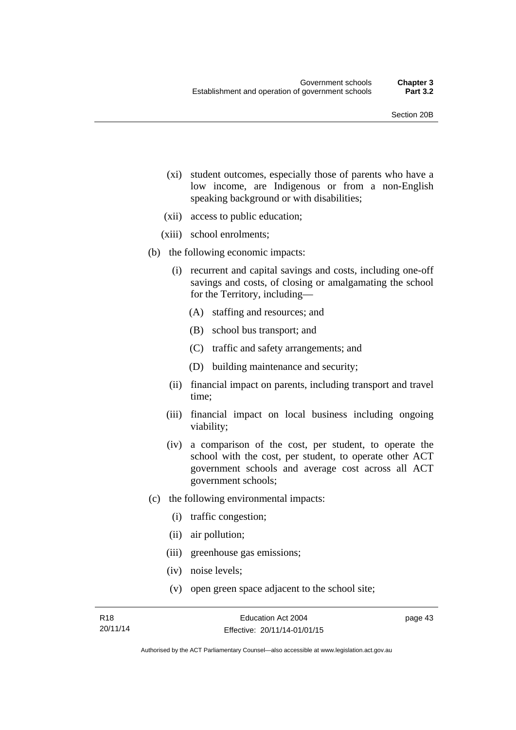- (xi) student outcomes, especially those of parents who have a low income, are Indigenous or from a non-English speaking background or with disabilities;
- (xii) access to public education;
- (xiii) school enrolments;
- (b) the following economic impacts:
	- (i) recurrent and capital savings and costs, including one-off savings and costs, of closing or amalgamating the school for the Territory, including—
		- (A) staffing and resources; and
		- (B) school bus transport; and
		- (C) traffic and safety arrangements; and
		- (D) building maintenance and security;
	- (ii) financial impact on parents, including transport and travel time;
	- (iii) financial impact on local business including ongoing viability;
	- (iv) a comparison of the cost, per student, to operate the school with the cost, per student, to operate other ACT government schools and average cost across all ACT government schools;
- (c) the following environmental impacts:
	- (i) traffic congestion;
	- (ii) air pollution;
	- (iii) greenhouse gas emissions;
	- (iv) noise levels;
	- (v) open green space adjacent to the school site;

page 43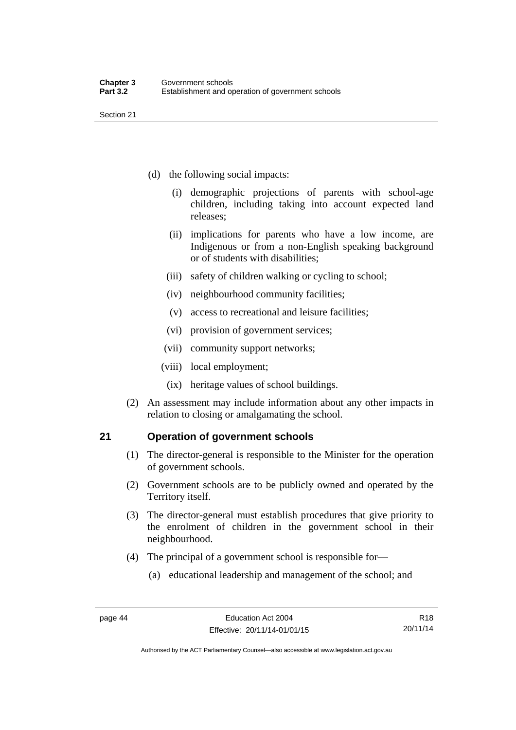Section 21

- (d) the following social impacts:
	- (i) demographic projections of parents with school-age children, including taking into account expected land releases;
	- (ii) implications for parents who have a low income, are Indigenous or from a non-English speaking background or of students with disabilities;
	- (iii) safety of children walking or cycling to school;
	- (iv) neighbourhood community facilities;
	- (v) access to recreational and leisure facilities;
	- (vi) provision of government services;
	- (vii) community support networks;
	- (viii) local employment;
		- (ix) heritage values of school buildings.
- (2) An assessment may include information about any other impacts in relation to closing or amalgamating the school.

## **21 Operation of government schools**

- (1) The director-general is responsible to the Minister for the operation of government schools.
- (2) Government schools are to be publicly owned and operated by the Territory itself.
- (3) The director-general must establish procedures that give priority to the enrolment of children in the government school in their neighbourhood.
- (4) The principal of a government school is responsible for—
	- (a) educational leadership and management of the school; and

Authorised by the ACT Parliamentary Counsel—also accessible at www.legislation.act.gov.au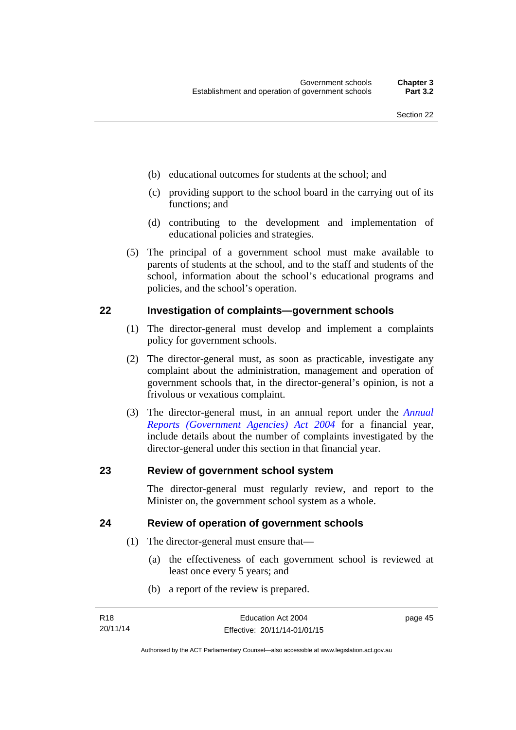- (b) educational outcomes for students at the school; and
- (c) providing support to the school board in the carrying out of its functions; and
- (d) contributing to the development and implementation of educational policies and strategies.
- (5) The principal of a government school must make available to parents of students at the school, and to the staff and students of the school, information about the school's educational programs and policies, and the school's operation.

#### **22 Investigation of complaints—government schools**

- (1) The director-general must develop and implement a complaints policy for government schools.
- (2) The director-general must, as soon as practicable, investigate any complaint about the administration, management and operation of government schools that, in the director-general's opinion, is not a frivolous or vexatious complaint.
- (3) The director-general must, in an annual report under the *[Annual](http://www.legislation.act.gov.au/a/2004-8)  [Reports \(Government Agencies\) Act 2004](http://www.legislation.act.gov.au/a/2004-8)* for a financial year, include details about the number of complaints investigated by the director-general under this section in that financial year.

#### **23 Review of government school system**

The director-general must regularly review, and report to the Minister on, the government school system as a whole.

### **24 Review of operation of government schools**

- (1) The director-general must ensure that—
	- (a) the effectiveness of each government school is reviewed at least once every 5 years; and
	- (b) a report of the review is prepared.

page 45

Authorised by the ACT Parliamentary Counsel—also accessible at www.legislation.act.gov.au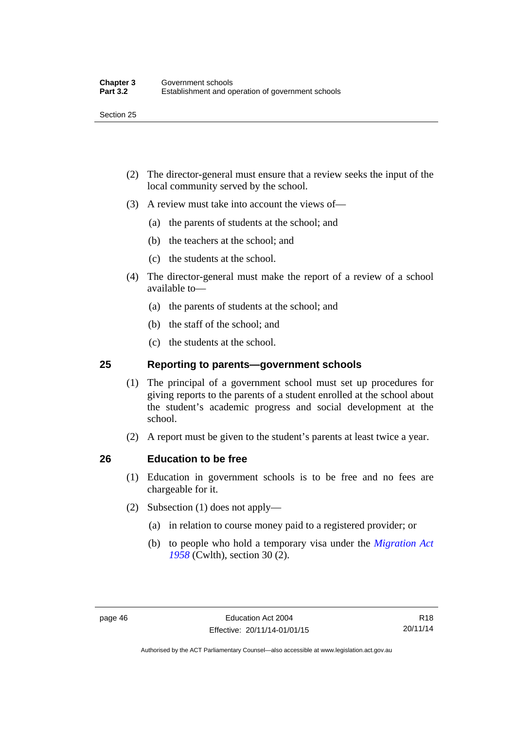- (2) The director-general must ensure that a review seeks the input of the local community served by the school.
- (3) A review must take into account the views of—
	- (a) the parents of students at the school; and
	- (b) the teachers at the school; and
	- (c) the students at the school.
- (4) The director-general must make the report of a review of a school available to—
	- (a) the parents of students at the school; and
	- (b) the staff of the school; and
	- (c) the students at the school.

## **25 Reporting to parents—government schools**

- (1) The principal of a government school must set up procedures for giving reports to the parents of a student enrolled at the school about the student's academic progress and social development at the school.
- (2) A report must be given to the student's parents at least twice a year.

## **26 Education to be free**

- (1) Education in government schools is to be free and no fees are chargeable for it.
- (2) Subsection (1) does not apply—
	- (a) in relation to course money paid to a registered provider; or
	- (b) to people who hold a temporary visa under the *[Migration Act](http://www.comlaw.gov.au/Series/C1958A00062)  [1958](http://www.comlaw.gov.au/Series/C1958A00062)* (Cwlth), section 30 (2).

Authorised by the ACT Parliamentary Counsel—also accessible at www.legislation.act.gov.au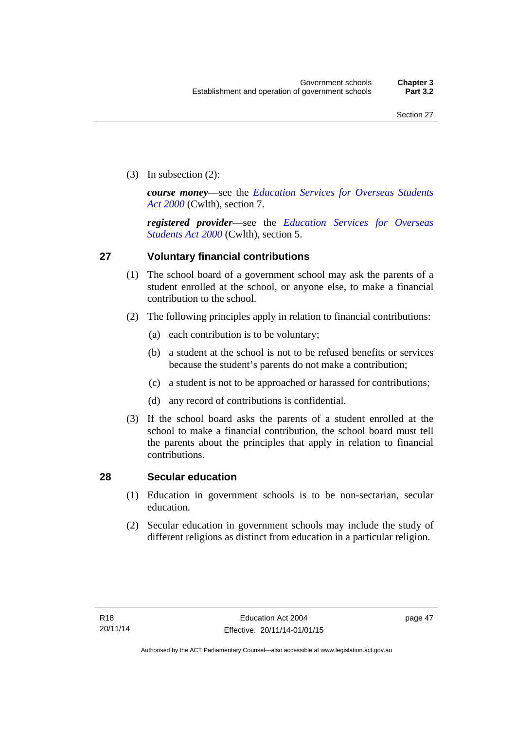(3) In subsection (2):

*course money*—see the *[Education Services for Overseas Students](http://www.comlaw.gov.au/Series/C2004A00757)  [Act 2000](http://www.comlaw.gov.au/Series/C2004A00757)* (Cwlth), section 7.

*registered provider*—see the *[Education Services for Overseas](http://www.comlaw.gov.au/Series/C2004A00757)  [Students Act 2000](http://www.comlaw.gov.au/Series/C2004A00757)* (Cwlth), section 5.

## **27 Voluntary financial contributions**

- (1) The school board of a government school may ask the parents of a student enrolled at the school, or anyone else, to make a financial contribution to the school.
- (2) The following principles apply in relation to financial contributions:
	- (a) each contribution is to be voluntary;
	- (b) a student at the school is not to be refused benefits or services because the student's parents do not make a contribution;
	- (c) a student is not to be approached or harassed for contributions;
	- (d) any record of contributions is confidential.
- (3) If the school board asks the parents of a student enrolled at the school to make a financial contribution, the school board must tell the parents about the principles that apply in relation to financial contributions.

## **28 Secular education**

- (1) Education in government schools is to be non-sectarian, secular education.
- (2) Secular education in government schools may include the study of different religions as distinct from education in a particular religion.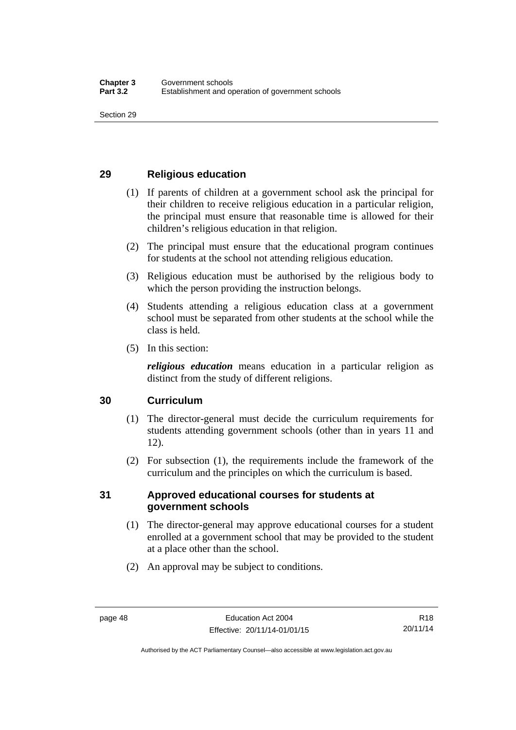## **29 Religious education**

- (1) If parents of children at a government school ask the principal for their children to receive religious education in a particular religion, the principal must ensure that reasonable time is allowed for their children's religious education in that religion.
- (2) The principal must ensure that the educational program continues for students at the school not attending religious education.
- (3) Religious education must be authorised by the religious body to which the person providing the instruction belongs.
- (4) Students attending a religious education class at a government school must be separated from other students at the school while the class is held.
- (5) In this section:

*religious education* means education in a particular religion as distinct from the study of different religions.

## **30 Curriculum**

- (1) The director-general must decide the curriculum requirements for students attending government schools (other than in years 11 and 12).
- (2) For subsection (1), the requirements include the framework of the curriculum and the principles on which the curriculum is based.

## **31 Approved educational courses for students at government schools**

- (1) The director-general may approve educational courses for a student enrolled at a government school that may be provided to the student at a place other than the school.
- (2) An approval may be subject to conditions.

Authorised by the ACT Parliamentary Counsel—also accessible at www.legislation.act.gov.au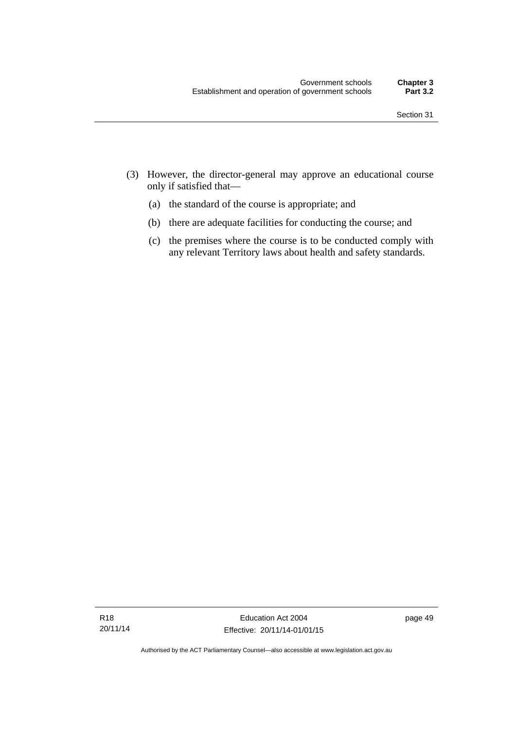- (3) However, the director-general may approve an educational course only if satisfied that—
	- (a) the standard of the course is appropriate; and
	- (b) there are adequate facilities for conducting the course; and
	- (c) the premises where the course is to be conducted comply with any relevant Territory laws about health and safety standards.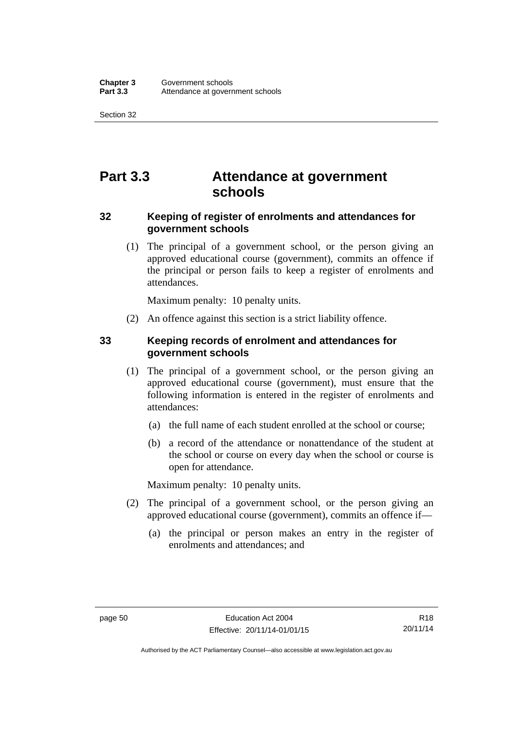Section 32

# **Part 3.3 Attendance at government schools**

## **32 Keeping of register of enrolments and attendances for government schools**

 (1) The principal of a government school, or the person giving an approved educational course (government), commits an offence if the principal or person fails to keep a register of enrolments and attendances.

Maximum penalty: 10 penalty units.

(2) An offence against this section is a strict liability offence.

## **33 Keeping records of enrolment and attendances for government schools**

- (1) The principal of a government school, or the person giving an approved educational course (government), must ensure that the following information is entered in the register of enrolments and attendances:
	- (a) the full name of each student enrolled at the school or course;
	- (b) a record of the attendance or nonattendance of the student at the school or course on every day when the school or course is open for attendance.

Maximum penalty: 10 penalty units.

- (2) The principal of a government school, or the person giving an approved educational course (government), commits an offence if—
	- (a) the principal or person makes an entry in the register of enrolments and attendances; and

Authorised by the ACT Parliamentary Counsel—also accessible at www.legislation.act.gov.au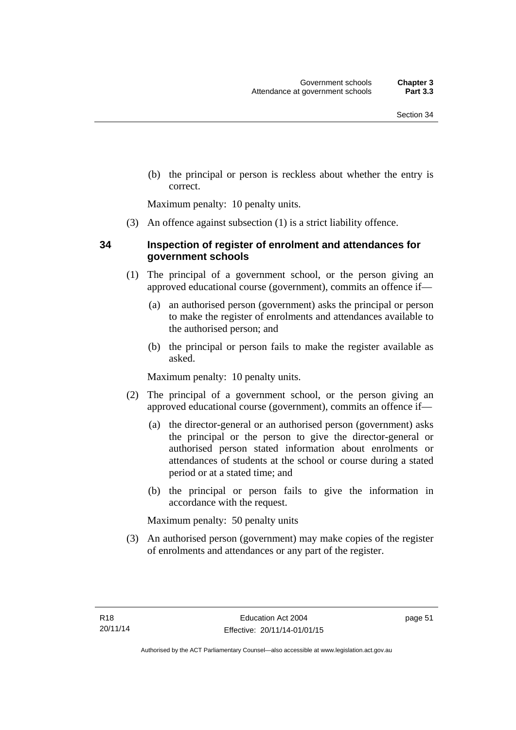(b) the principal or person is reckless about whether the entry is correct.

Maximum penalty: 10 penalty units.

(3) An offence against subsection (1) is a strict liability offence.

## **34 Inspection of register of enrolment and attendances for government schools**

- (1) The principal of a government school, or the person giving an approved educational course (government), commits an offence if—
	- (a) an authorised person (government) asks the principal or person to make the register of enrolments and attendances available to the authorised person; and
	- (b) the principal or person fails to make the register available as asked.

Maximum penalty: 10 penalty units.

- (2) The principal of a government school, or the person giving an approved educational course (government), commits an offence if—
	- (a) the director-general or an authorised person (government) asks the principal or the person to give the director-general or authorised person stated information about enrolments or attendances of students at the school or course during a stated period or at a stated time; and
	- (b) the principal or person fails to give the information in accordance with the request.

Maximum penalty: 50 penalty units

 (3) An authorised person (government) may make copies of the register of enrolments and attendances or any part of the register.

page 51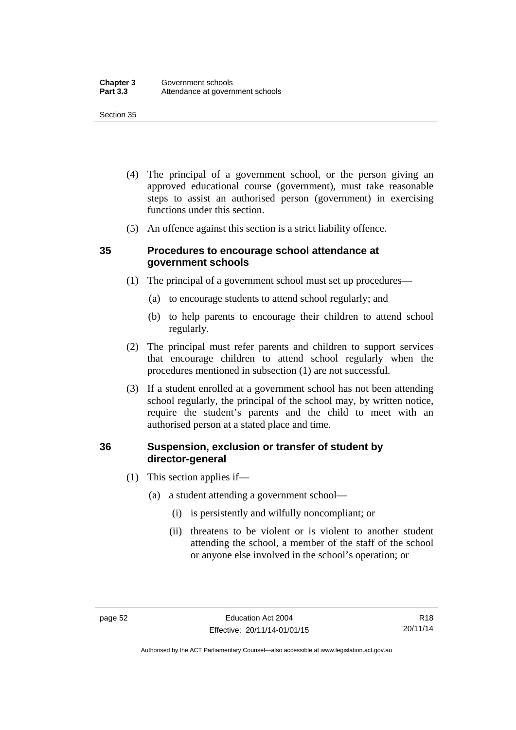#### Section 35

- (4) The principal of a government school, or the person giving an approved educational course (government), must take reasonable steps to assist an authorised person (government) in exercising functions under this section.
- (5) An offence against this section is a strict liability offence.

### **35 Procedures to encourage school attendance at government schools**

- (1) The principal of a government school must set up procedures—
	- (a) to encourage students to attend school regularly; and
	- (b) to help parents to encourage their children to attend school regularly.
- (2) The principal must refer parents and children to support services that encourage children to attend school regularly when the procedures mentioned in subsection (1) are not successful.
- (3) If a student enrolled at a government school has not been attending school regularly, the principal of the school may, by written notice, require the student's parents and the child to meet with an authorised person at a stated place and time.

## **36 Suspension, exclusion or transfer of student by director-general**

- (1) This section applies if—
	- (a) a student attending a government school—
		- (i) is persistently and wilfully noncompliant; or
		- (ii) threatens to be violent or is violent to another student attending the school, a member of the staff of the school or anyone else involved in the school's operation; or

R18 20/11/14

Authorised by the ACT Parliamentary Counsel—also accessible at www.legislation.act.gov.au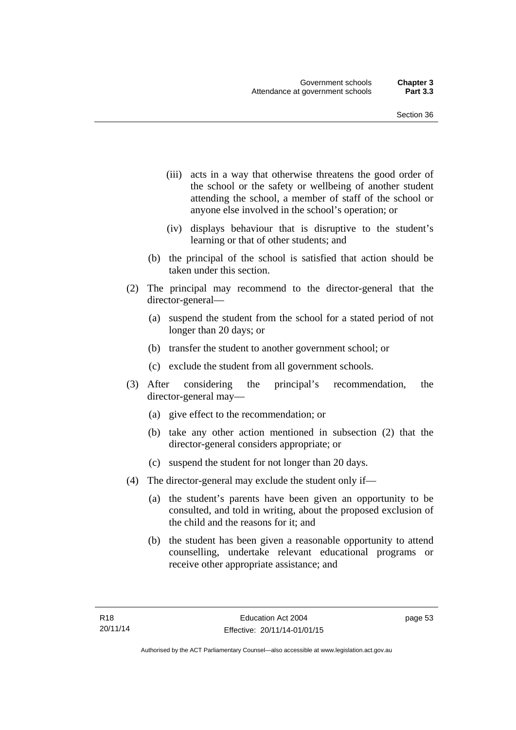- (iii) acts in a way that otherwise threatens the good order of the school or the safety or wellbeing of another student attending the school, a member of staff of the school or anyone else involved in the school's operation; or
- (iv) displays behaviour that is disruptive to the student's learning or that of other students; and
- (b) the principal of the school is satisfied that action should be taken under this section.
- (2) The principal may recommend to the director-general that the director-general—
	- (a) suspend the student from the school for a stated period of not longer than 20 days; or
	- (b) transfer the student to another government school; or
	- (c) exclude the student from all government schools.
- (3) After considering the principal's recommendation, the director-general may—
	- (a) give effect to the recommendation; or
	- (b) take any other action mentioned in subsection (2) that the director-general considers appropriate; or
	- (c) suspend the student for not longer than 20 days.
- (4) The director-general may exclude the student only if—
	- (a) the student's parents have been given an opportunity to be consulted, and told in writing, about the proposed exclusion of the child and the reasons for it; and
	- (b) the student has been given a reasonable opportunity to attend counselling, undertake relevant educational programs or receive other appropriate assistance; and

page 53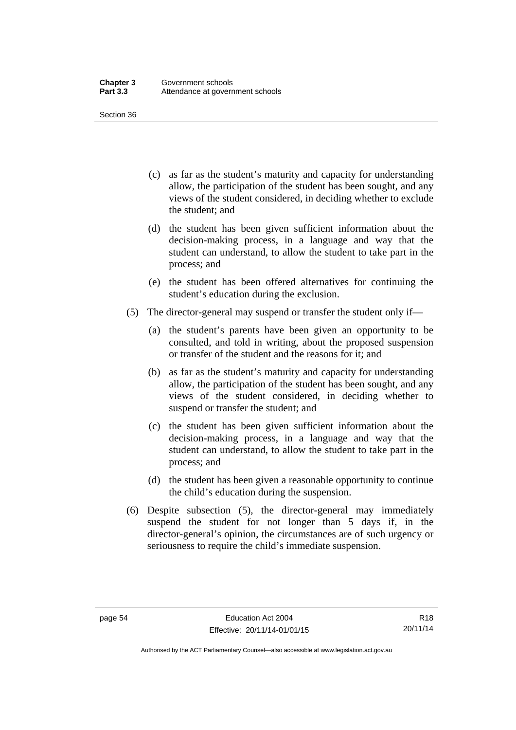Section 36

- (c) as far as the student's maturity and capacity for understanding allow, the participation of the student has been sought, and any views of the student considered, in deciding whether to exclude the student; and
- (d) the student has been given sufficient information about the decision-making process, in a language and way that the student can understand, to allow the student to take part in the process; and
- (e) the student has been offered alternatives for continuing the student's education during the exclusion.
- (5) The director-general may suspend or transfer the student only if—
	- (a) the student's parents have been given an opportunity to be consulted, and told in writing, about the proposed suspension or transfer of the student and the reasons for it; and
	- (b) as far as the student's maturity and capacity for understanding allow, the participation of the student has been sought, and any views of the student considered, in deciding whether to suspend or transfer the student; and
	- (c) the student has been given sufficient information about the decision-making process, in a language and way that the student can understand, to allow the student to take part in the process; and
	- (d) the student has been given a reasonable opportunity to continue the child's education during the suspension.
- (6) Despite subsection (5), the director-general may immediately suspend the student for not longer than 5 days if, in the director-general's opinion, the circumstances are of such urgency or seriousness to require the child's immediate suspension.

Authorised by the ACT Parliamentary Counsel—also accessible at www.legislation.act.gov.au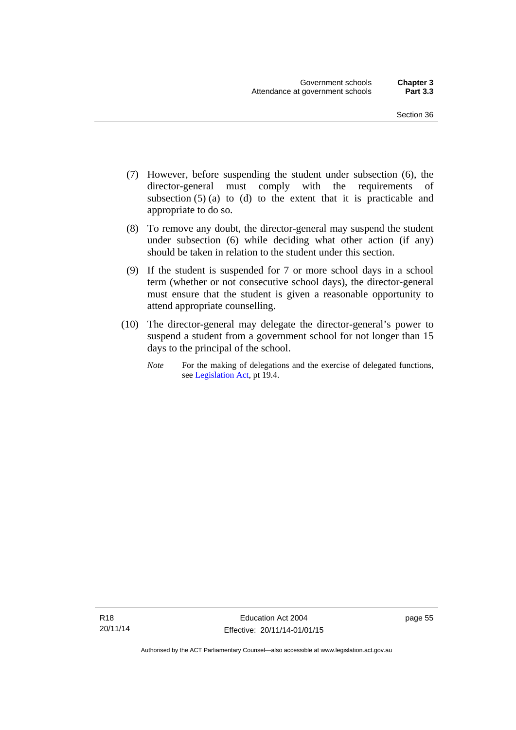- (7) However, before suspending the student under subsection (6), the director-general must comply with the requirements of subsection  $(5)$  (a) to (d) to the extent that it is practicable and appropriate to do so.
- (8) To remove any doubt, the director-general may suspend the student under subsection (6) while deciding what other action (if any) should be taken in relation to the student under this section.
- (9) If the student is suspended for 7 or more school days in a school term (whether or not consecutive school days), the director-general must ensure that the student is given a reasonable opportunity to attend appropriate counselling.
- (10) The director-general may delegate the director-general's power to suspend a student from a government school for not longer than 15 days to the principal of the school.
	- *Note* For the making of delegations and the exercise of delegated functions, see [Legislation Act](http://www.legislation.act.gov.au/a/2001-14), pt 19.4.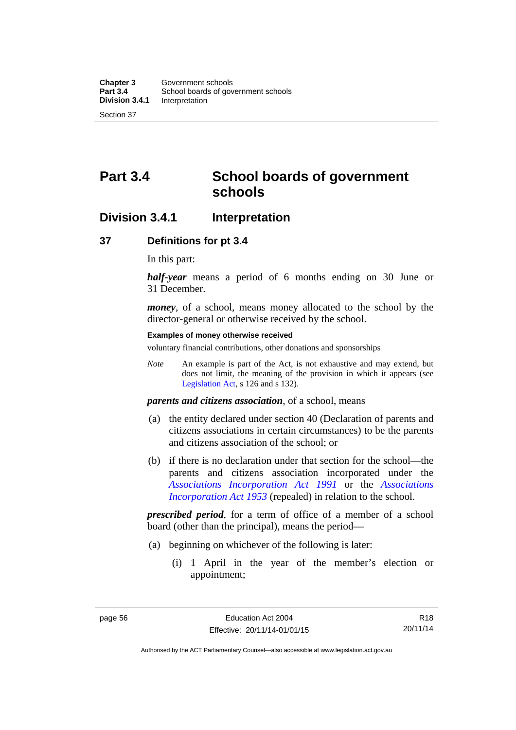# **Part 3.4 School boards of government schools**

## **Division 3.4.1 Interpretation**

#### **37 Definitions for pt 3.4**

In this part:

*half-year* means a period of 6 months ending on 30 June or 31 December.

*money*, of a school, means money allocated to the school by the director-general or otherwise received by the school.

#### **Examples of money otherwise received**

voluntary financial contributions, other donations and sponsorships

*Note* An example is part of the Act, is not exhaustive and may extend, but does not limit, the meaning of the provision in which it appears (see [Legislation Act,](http://www.legislation.act.gov.au/a/2001-14) s 126 and s 132).

*parents and citizens association*, of a school, means

- (a) the entity declared under section 40 (Declaration of parents and citizens associations in certain circumstances) to be the parents and citizens association of the school; or
- (b) if there is no declaration under that section for the school—the parents and citizens association incorporated under the *[Associations Incorporation Act 1991](http://www.legislation.act.gov.au/a/1991-46)* or the *[Associations](http://www.legislation.act.gov.au/a/1953-15)  [Incorporation Act 1953](http://www.legislation.act.gov.au/a/1953-15)* (repealed) in relation to the school.

*prescribed period*, for a term of office of a member of a school board (other than the principal), means the period—

- (a) beginning on whichever of the following is later:
	- (i) 1 April in the year of the member's election or appointment;

R18 20/11/14

Authorised by the ACT Parliamentary Counsel—also accessible at www.legislation.act.gov.au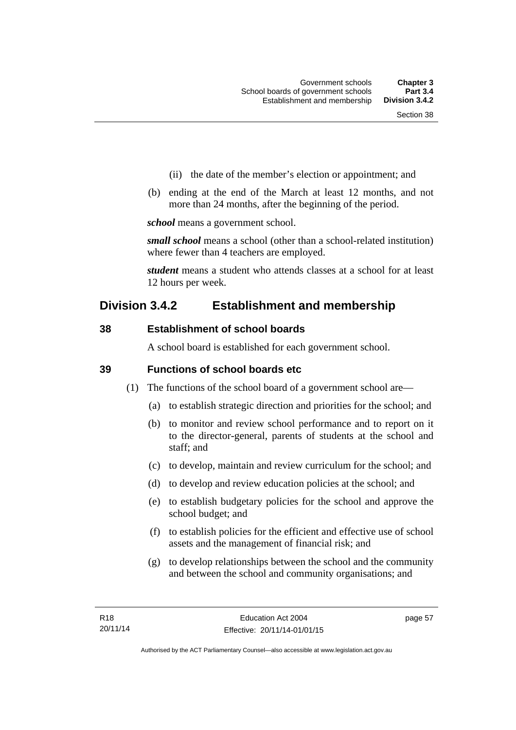- (ii) the date of the member's election or appointment; and
- (b) ending at the end of the March at least 12 months, and not more than 24 months, after the beginning of the period.

*school* means a government school.

*small school* means a school (other than a school-related institution) where fewer than 4 teachers are employed.

*student* means a student who attends classes at a school for at least 12 hours per week.

# **Division 3.4.2 Establishment and membership**

## **38 Establishment of school boards**

A school board is established for each government school.

## **39 Functions of school boards etc**

- (1) The functions of the school board of a government school are—
	- (a) to establish strategic direction and priorities for the school; and
	- (b) to monitor and review school performance and to report on it to the director-general, parents of students at the school and staff; and
	- (c) to develop, maintain and review curriculum for the school; and
	- (d) to develop and review education policies at the school; and
	- (e) to establish budgetary policies for the school and approve the school budget; and
	- (f) to establish policies for the efficient and effective use of school assets and the management of financial risk; and
	- (g) to develop relationships between the school and the community and between the school and community organisations; and

page 57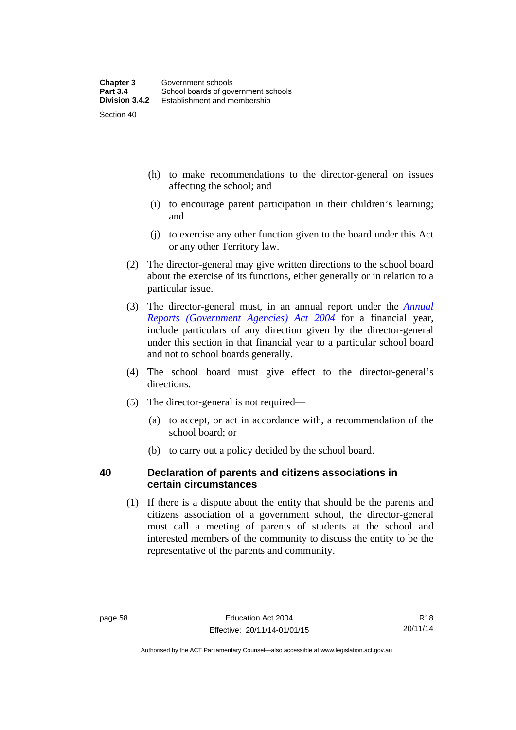- (h) to make recommendations to the director-general on issues affecting the school; and
- (i) to encourage parent participation in their children's learning; and
- (j) to exercise any other function given to the board under this Act or any other Territory law.
- (2) The director-general may give written directions to the school board about the exercise of its functions, either generally or in relation to a particular issue.
- (3) The director-general must, in an annual report under the *[Annual](http://www.legislation.act.gov.au/a/2004-8)  [Reports \(Government Agencies\) Act 2004](http://www.legislation.act.gov.au/a/2004-8)* for a financial year, include particulars of any direction given by the director-general under this section in that financial year to a particular school board and not to school boards generally.
- (4) The school board must give effect to the director-general's directions.
- (5) The director-general is not required—
	- (a) to accept, or act in accordance with, a recommendation of the school board; or
	- (b) to carry out a policy decided by the school board.

## **40 Declaration of parents and citizens associations in certain circumstances**

 (1) If there is a dispute about the entity that should be the parents and citizens association of a government school, the director-general must call a meeting of parents of students at the school and interested members of the community to discuss the entity to be the representative of the parents and community.

Authorised by the ACT Parliamentary Counsel—also accessible at www.legislation.act.gov.au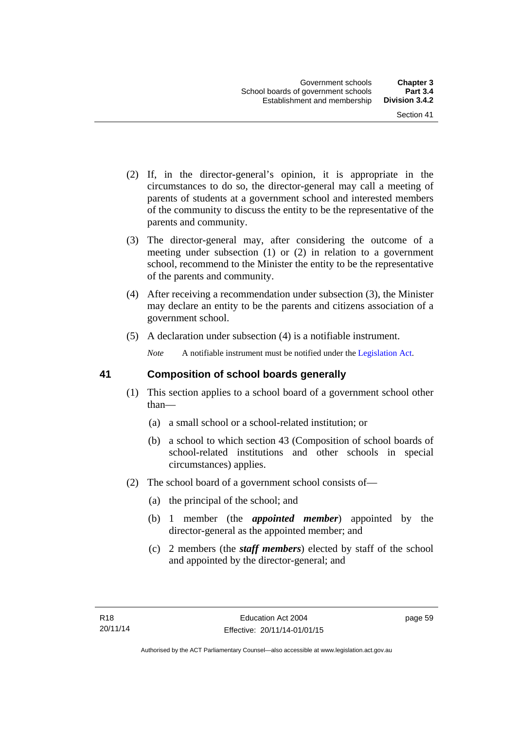- (2) If, in the director-general's opinion, it is appropriate in the circumstances to do so, the director-general may call a meeting of parents of students at a government school and interested members of the community to discuss the entity to be the representative of the parents and community.
- (3) The director-general may, after considering the outcome of a meeting under subsection (1) or (2) in relation to a government school, recommend to the Minister the entity to be the representative of the parents and community.
- (4) After receiving a recommendation under subsection (3), the Minister may declare an entity to be the parents and citizens association of a government school.
- (5) A declaration under subsection (4) is a notifiable instrument.

*Note* A notifiable instrument must be notified under the [Legislation Act](http://www.legislation.act.gov.au/a/2001-14).

## **41 Composition of school boards generally**

- (1) This section applies to a school board of a government school other than—
	- (a) a small school or a school-related institution; or
	- (b) a school to which section 43 (Composition of school boards of school-related institutions and other schools in special circumstances) applies.
- (2) The school board of a government school consists of—
	- (a) the principal of the school; and
	- (b) 1 member (the *appointed member*) appointed by the director-general as the appointed member; and
	- (c) 2 members (the *staff members*) elected by staff of the school and appointed by the director-general; and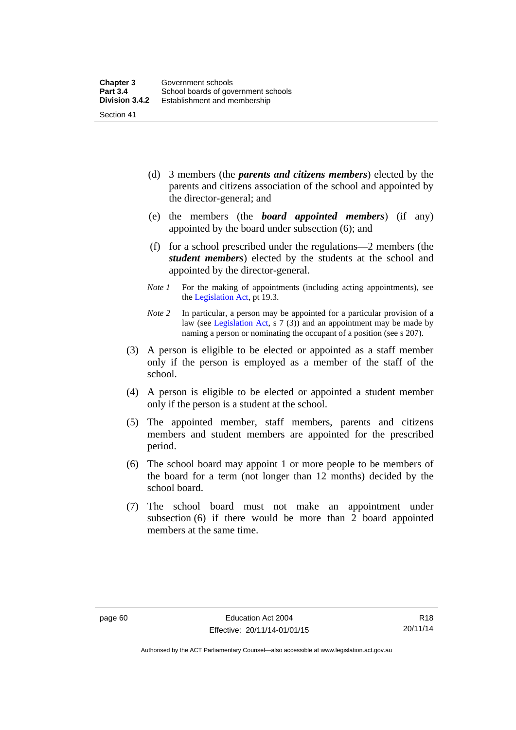- (d) 3 members (the *parents and citizens members*) elected by the parents and citizens association of the school and appointed by the director-general; and
- (e) the members (the *board appointed members*) (if any) appointed by the board under subsection (6); and
- (f) for a school prescribed under the regulations—2 members (the *student members*) elected by the students at the school and appointed by the director-general.
- *Note 1* For the making of appointments (including acting appointments), see the [Legislation Act,](http://www.legislation.act.gov.au/a/2001-14) pt 19.3.
- *Note 2* In particular, a person may be appointed for a particular provision of a law (see [Legislation Act,](http://www.legislation.act.gov.au/a/2001-14) s 7 (3)) and an appointment may be made by naming a person or nominating the occupant of a position (see s 207).
- (3) A person is eligible to be elected or appointed as a staff member only if the person is employed as a member of the staff of the school.
- (4) A person is eligible to be elected or appointed a student member only if the person is a student at the school.
- (5) The appointed member, staff members, parents and citizens members and student members are appointed for the prescribed period.
- (6) The school board may appoint 1 or more people to be members of the board for a term (not longer than 12 months) decided by the school board.
- (7) The school board must not make an appointment under subsection (6) if there would be more than 2 board appointed members at the same time.

Authorised by the ACT Parliamentary Counsel—also accessible at www.legislation.act.gov.au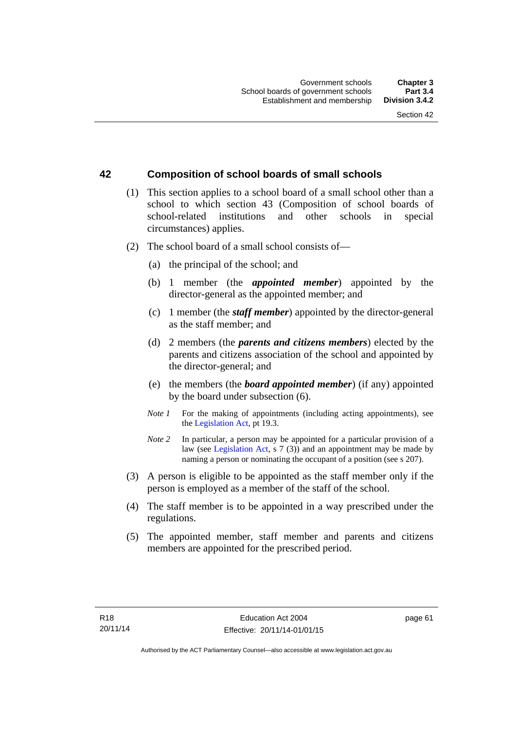## **42 Composition of school boards of small schools**

- (1) This section applies to a school board of a small school other than a school to which section 43 (Composition of school boards of school-related institutions and other schools in special circumstances) applies.
- (2) The school board of a small school consists of—
	- (a) the principal of the school; and
	- (b) 1 member (the *appointed member*) appointed by the director-general as the appointed member; and
	- (c) 1 member (the *staff member*) appointed by the director-general as the staff member; and
	- (d) 2 members (the *parents and citizens members*) elected by the parents and citizens association of the school and appointed by the director-general; and
	- (e) the members (the *board appointed member*) (if any) appointed by the board under subsection (6).
	- *Note 1* For the making of appointments (including acting appointments), see the [Legislation Act,](http://www.legislation.act.gov.au/a/2001-14) pt 19.3.
	- *Note* 2 In particular, a person may be appointed for a particular provision of a law (see [Legislation Act,](http://www.legislation.act.gov.au/a/2001-14) s 7 (3)) and an appointment may be made by naming a person or nominating the occupant of a position (see s 207).
- (3) A person is eligible to be appointed as the staff member only if the person is employed as a member of the staff of the school.
- (4) The staff member is to be appointed in a way prescribed under the regulations.
- (5) The appointed member, staff member and parents and citizens members are appointed for the prescribed period.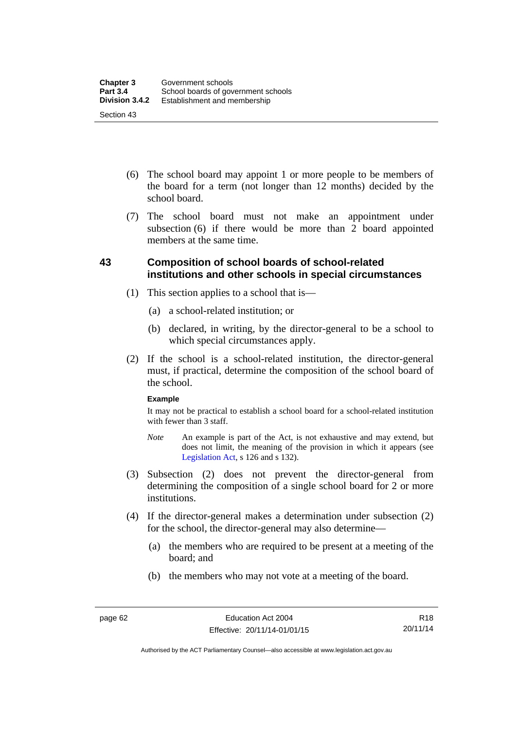- (6) The school board may appoint 1 or more people to be members of the board for a term (not longer than 12 months) decided by the school board.
- (7) The school board must not make an appointment under subsection  $(6)$  if there would be more than  $2$  board appointed members at the same time.

## **43 Composition of school boards of school-related institutions and other schools in special circumstances**

- (1) This section applies to a school that is—
	- (a) a school-related institution; or
	- (b) declared, in writing, by the director-general to be a school to which special circumstances apply.
- (2) If the school is a school-related institution, the director-general must, if practical, determine the composition of the school board of the school.

#### **Example**

It may not be practical to establish a school board for a school-related institution with fewer than 3 staff.

- *Note* An example is part of the Act, is not exhaustive and may extend, but does not limit, the meaning of the provision in which it appears (see [Legislation Act,](http://www.legislation.act.gov.au/a/2001-14) s 126 and s 132).
- (3) Subsection (2) does not prevent the director-general from determining the composition of a single school board for 2 or more institutions.
- (4) If the director-general makes a determination under subsection (2) for the school, the director-general may also determine—
	- (a) the members who are required to be present at a meeting of the board; and
	- (b) the members who may not vote at a meeting of the board.

Authorised by the ACT Parliamentary Counsel—also accessible at www.legislation.act.gov.au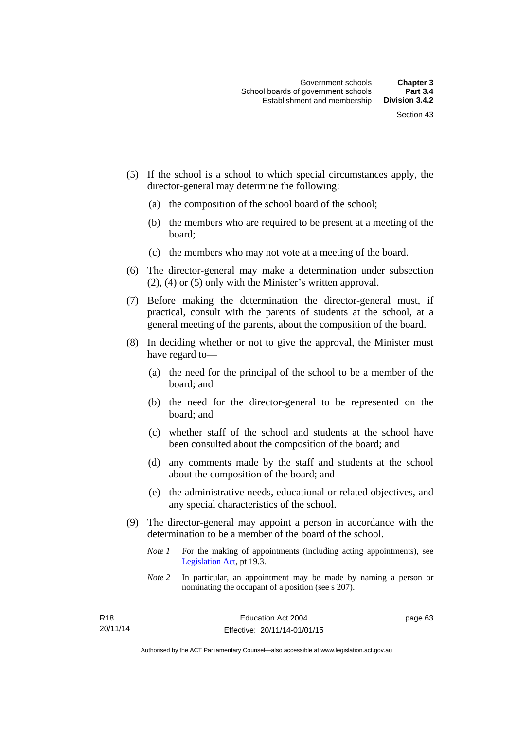- (5) If the school is a school to which special circumstances apply, the director-general may determine the following:
	- (a) the composition of the school board of the school;
	- (b) the members who are required to be present at a meeting of the board;
	- (c) the members who may not vote at a meeting of the board.
- (6) The director-general may make a determination under subsection (2), (4) or (5) only with the Minister's written approval.
- (7) Before making the determination the director-general must, if practical, consult with the parents of students at the school, at a general meeting of the parents, about the composition of the board.
- (8) In deciding whether or not to give the approval, the Minister must have regard to—
	- (a) the need for the principal of the school to be a member of the board; and
	- (b) the need for the director-general to be represented on the board; and
	- (c) whether staff of the school and students at the school have been consulted about the composition of the board; and
	- (d) any comments made by the staff and students at the school about the composition of the board; and
	- (e) the administrative needs, educational or related objectives, and any special characteristics of the school.
- (9) The director-general may appoint a person in accordance with the determination to be a member of the board of the school.
	- *Note 1* For the making of appointments (including acting appointments), see [Legislation Act,](http://www.legislation.act.gov.au/a/2001-14) pt 19.3.
	- *Note 2* In particular, an appointment may be made by naming a person or nominating the occupant of a position (see s 207).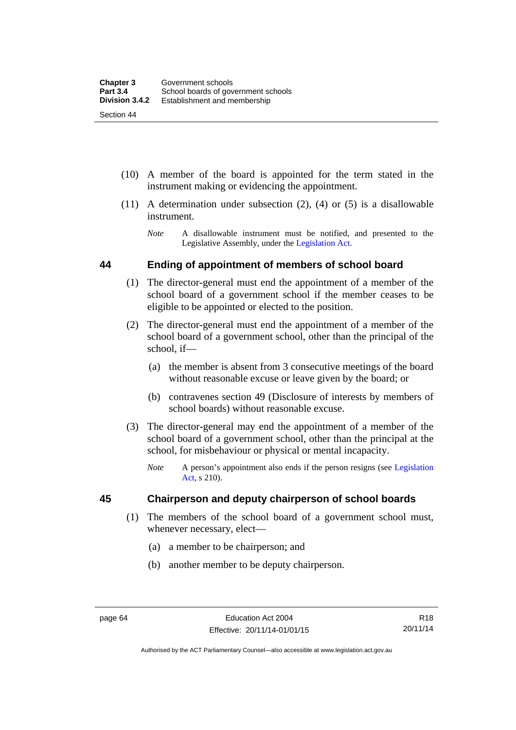(10) A member of the board is appointed for the term stated in the

instrument making or evidencing the appointment.

- (11) A determination under subsection (2), (4) or (5) is a disallowable instrument.
	- *Note* A disallowable instrument must be notified, and presented to the Legislative Assembly, under the [Legislation Act.](http://www.legislation.act.gov.au/a/2001-14)

## **44 Ending of appointment of members of school board**

- (1) The director-general must end the appointment of a member of the school board of a government school if the member ceases to be eligible to be appointed or elected to the position.
- (2) The director-general must end the appointment of a member of the school board of a government school, other than the principal of the school, if—
	- (a) the member is absent from 3 consecutive meetings of the board without reasonable excuse or leave given by the board; or
	- (b) contravenes section 49 (Disclosure of interests by members of school boards) without reasonable excuse.
- (3) The director-general may end the appointment of a member of the school board of a government school, other than the principal at the school, for misbehaviour or physical or mental incapacity.
	- *Note* A person's appointment also ends if the person resigns (see [Legislation](http://www.legislation.act.gov.au/a/2001-14)  [Act](http://www.legislation.act.gov.au/a/2001-14), s 210).

## **45 Chairperson and deputy chairperson of school boards**

- (1) The members of the school board of a government school must, whenever necessary, elect—
	- (a) a member to be chairperson; and
	- (b) another member to be deputy chairperson.

Authorised by the ACT Parliamentary Counsel—also accessible at www.legislation.act.gov.au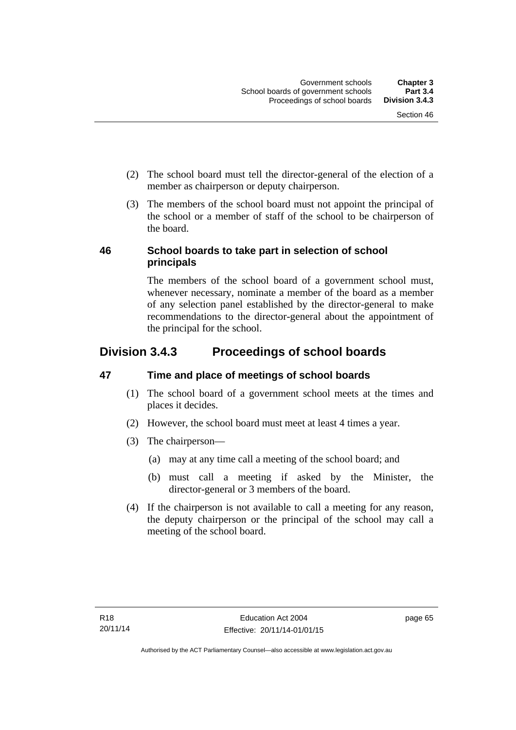- (2) The school board must tell the director-general of the election of a member as chairperson or deputy chairperson.
- (3) The members of the school board must not appoint the principal of the school or a member of staff of the school to be chairperson of the board.

## **46 School boards to take part in selection of school principals**

The members of the school board of a government school must, whenever necessary, nominate a member of the board as a member of any selection panel established by the director-general to make recommendations to the director-general about the appointment of the principal for the school.

# **Division 3.4.3 Proceedings of school boards**

## **47 Time and place of meetings of school boards**

- (1) The school board of a government school meets at the times and places it decides.
- (2) However, the school board must meet at least 4 times a year.
- (3) The chairperson—
	- (a) may at any time call a meeting of the school board; and
	- (b) must call a meeting if asked by the Minister, the director-general or 3 members of the board.
- (4) If the chairperson is not available to call a meeting for any reason, the deputy chairperson or the principal of the school may call a meeting of the school board.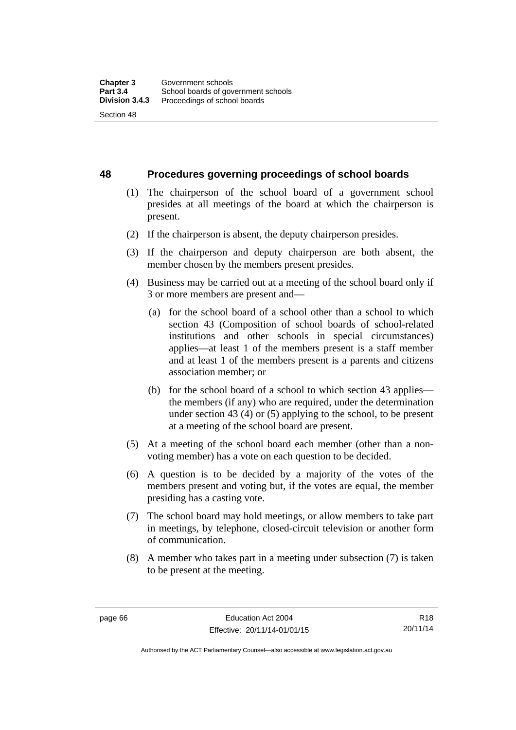**48 Procedures governing proceedings of school boards** 

- (1) The chairperson of the school board of a government school presides at all meetings of the board at which the chairperson is present.
- (2) If the chairperson is absent, the deputy chairperson presides.
- (3) If the chairperson and deputy chairperson are both absent, the member chosen by the members present presides.
- (4) Business may be carried out at a meeting of the school board only if 3 or more members are present and—
	- (a) for the school board of a school other than a school to which section 43 (Composition of school boards of school-related institutions and other schools in special circumstances) applies—at least 1 of the members present is a staff member and at least 1 of the members present is a parents and citizens association member; or
	- (b) for the school board of a school to which section 43 applies the members (if any) who are required, under the determination under section 43 (4) or (5) applying to the school, to be present at a meeting of the school board are present.
- (5) At a meeting of the school board each member (other than a nonvoting member) has a vote on each question to be decided.
- (6) A question is to be decided by a majority of the votes of the members present and voting but, if the votes are equal, the member presiding has a casting vote.
- (7) The school board may hold meetings, or allow members to take part in meetings, by telephone, closed-circuit television or another form of communication.
- (8) A member who takes part in a meeting under subsection (7) is taken to be present at the meeting.

R18 20/11/14

Authorised by the ACT Parliamentary Counsel—also accessible at www.legislation.act.gov.au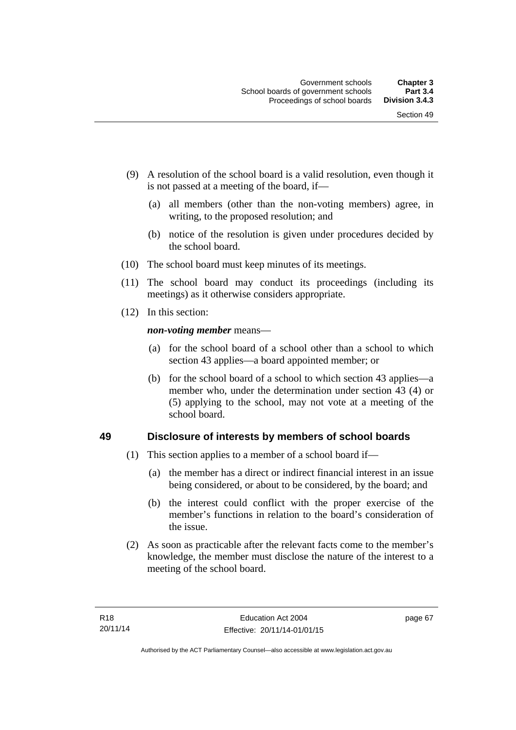- (9) A resolution of the school board is a valid resolution, even though it is not passed at a meeting of the board, if—
	- (a) all members (other than the non-voting members) agree, in writing, to the proposed resolution; and
	- (b) notice of the resolution is given under procedures decided by the school board.
- (10) The school board must keep minutes of its meetings.
- (11) The school board may conduct its proceedings (including its meetings) as it otherwise considers appropriate.
- (12) In this section:

*non-voting member* means—

- (a) for the school board of a school other than a school to which section 43 applies—a board appointed member; or
- (b) for the school board of a school to which section 43 applies—a member who, under the determination under section 43 (4) or (5) applying to the school, may not vote at a meeting of the school board.

## **49 Disclosure of interests by members of school boards**

- (1) This section applies to a member of a school board if—
	- (a) the member has a direct or indirect financial interest in an issue being considered, or about to be considered, by the board; and
	- (b) the interest could conflict with the proper exercise of the member's functions in relation to the board's consideration of the issue.
- (2) As soon as practicable after the relevant facts come to the member's knowledge, the member must disclose the nature of the interest to a meeting of the school board.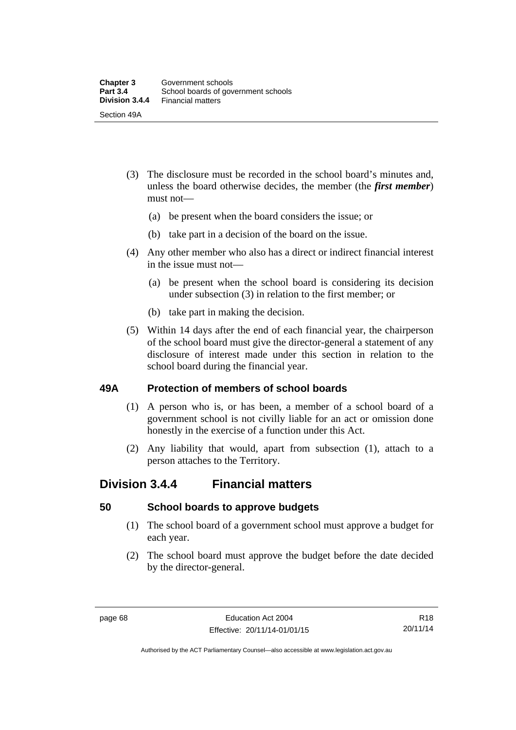- (3) The disclosure must be recorded in the school board's minutes and, unless the board otherwise decides, the member (the *first member*) must not—
	- (a) be present when the board considers the issue; or
	- (b) take part in a decision of the board on the issue.
- (4) Any other member who also has a direct or indirect financial interest in the issue must not—
	- (a) be present when the school board is considering its decision under subsection (3) in relation to the first member; or
	- (b) take part in making the decision.
- (5) Within 14 days after the end of each financial year, the chairperson of the school board must give the director-general a statement of any disclosure of interest made under this section in relation to the school board during the financial year.

## **49A Protection of members of school boards**

- (1) A person who is, or has been, a member of a school board of a government school is not civilly liable for an act or omission done honestly in the exercise of a function under this Act.
- (2) Any liability that would, apart from subsection (1), attach to a person attaches to the Territory.

## **Division 3.4.4 Financial matters**

## **50 School boards to approve budgets**

- (1) The school board of a government school must approve a budget for each year.
- (2) The school board must approve the budget before the date decided by the director-general.

Authorised by the ACT Parliamentary Counsel—also accessible at www.legislation.act.gov.au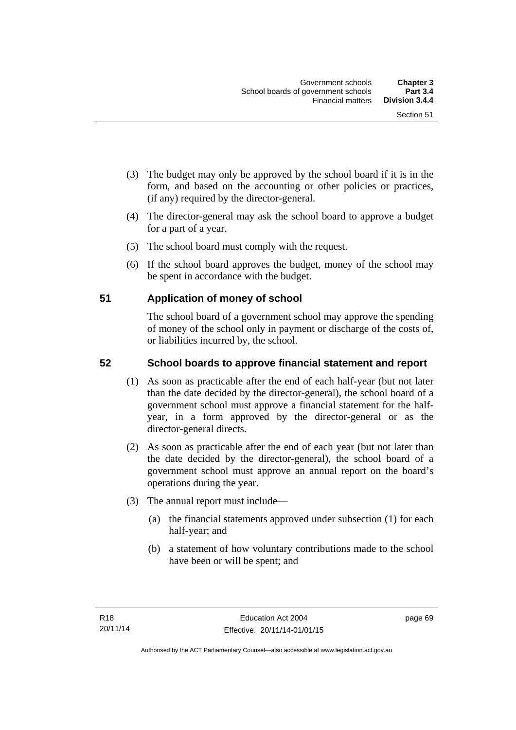- (3) The budget may only be approved by the school board if it is in the form, and based on the accounting or other policies or practices, (if any) required by the director-general.
- (4) The director-general may ask the school board to approve a budget for a part of a year.
- (5) The school board must comply with the request.
- (6) If the school board approves the budget, money of the school may be spent in accordance with the budget.

## **51 Application of money of school**

The school board of a government school may approve the spending of money of the school only in payment or discharge of the costs of, or liabilities incurred by, the school.

## **52 School boards to approve financial statement and report**

- (1) As soon as practicable after the end of each half-year (but not later than the date decided by the director-general), the school board of a government school must approve a financial statement for the halfyear, in a form approved by the director-general or as the director-general directs.
- (2) As soon as practicable after the end of each year (but not later than the date decided by the director-general), the school board of a government school must approve an annual report on the board's operations during the year.
- (3) The annual report must include—
	- (a) the financial statements approved under subsection (1) for each half-year; and
	- (b) a statement of how voluntary contributions made to the school have been or will be spent; and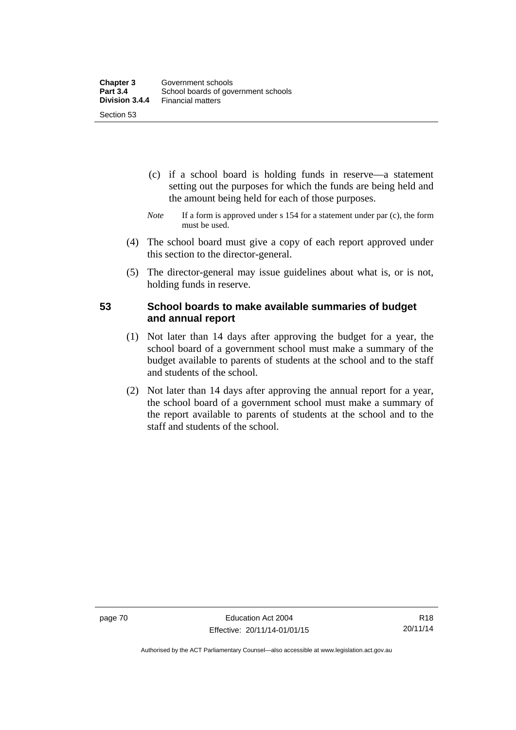- (c) if a school board is holding funds in reserve—a statement setting out the purposes for which the funds are being held and the amount being held for each of those purposes.
- *Note* If a form is approved under s 154 for a statement under par (c), the form must be used.
- (4) The school board must give a copy of each report approved under this section to the director-general.
- (5) The director-general may issue guidelines about what is, or is not, holding funds in reserve.

## **53 School boards to make available summaries of budget and annual report**

- (1) Not later than 14 days after approving the budget for a year, the school board of a government school must make a summary of the budget available to parents of students at the school and to the staff and students of the school.
- (2) Not later than 14 days after approving the annual report for a year, the school board of a government school must make a summary of the report available to parents of students at the school and to the staff and students of the school.

Authorised by the ACT Parliamentary Counsel—also accessible at www.legislation.act.gov.au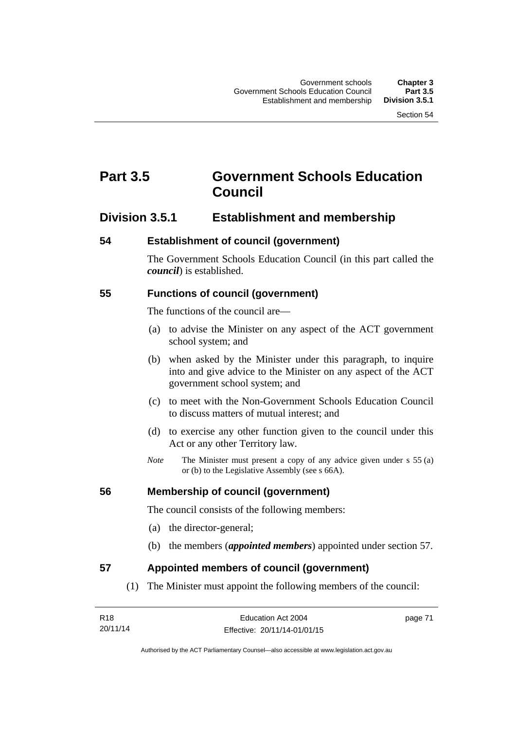# **Part 3.5 Government Schools Education Council**

## **Division 3.5.1 Establishment and membership**

## **54 Establishment of council (government)**

The Government Schools Education Council (in this part called the *council*) is established.

## **55 Functions of council (government)**

The functions of the council are—

- (a) to advise the Minister on any aspect of the ACT government school system; and
- (b) when asked by the Minister under this paragraph, to inquire into and give advice to the Minister on any aspect of the ACT government school system; and
- (c) to meet with the Non-Government Schools Education Council to discuss matters of mutual interest; and
- (d) to exercise any other function given to the council under this Act or any other Territory law.
- *Note* The Minister must present a copy of any advice given under s 55 (a) or (b) to the Legislative Assembly (see s 66A).

## **56 Membership of council (government)**

The council consists of the following members:

- (a) the director-general;
- (b) the members (*appointed members*) appointed under section 57.

## **57 Appointed members of council (government)**

(1) The Minister must appoint the following members of the council:

| R18      |  |
|----------|--|
| 20/11/14 |  |

page 71

Authorised by the ACT Parliamentary Counsel—also accessible at www.legislation.act.gov.au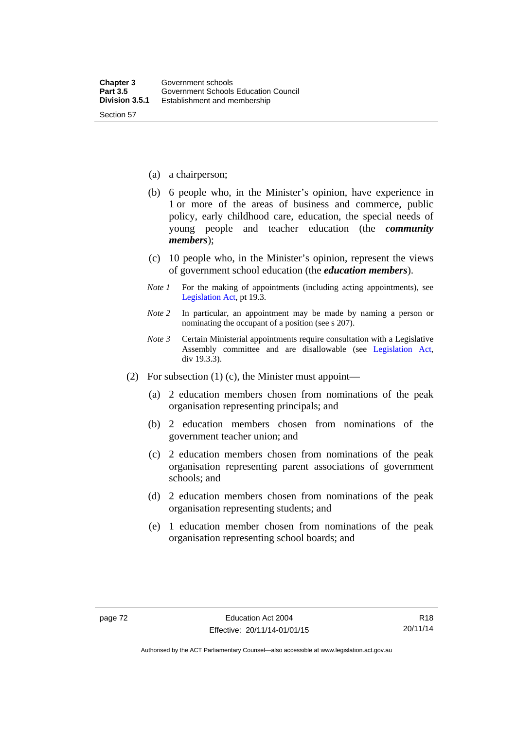- (a) a chairperson;
- (b) 6 people who, in the Minister's opinion, have experience in 1 or more of the areas of business and commerce, public policy, early childhood care, education, the special needs of young people and teacher education (the *community members*);
- (c) 10 people who, in the Minister's opinion, represent the views of government school education (the *education members*).
- *Note 1* For the making of appointments (including acting appointments), see [Legislation Act,](http://www.legislation.act.gov.au/a/2001-14) pt 19.3.
- *Note 2* In particular, an appointment may be made by naming a person or nominating the occupant of a position (see s 207).
- *Note 3* Certain Ministerial appointments require consultation with a Legislative Assembly committee and are disallowable (see [Legislation Act,](http://www.legislation.act.gov.au/a/2001-14) div 19.3.3).
- (2) For subsection (1) (c), the Minister must appoint—
	- (a) 2 education members chosen from nominations of the peak organisation representing principals; and
	- (b) 2 education members chosen from nominations of the government teacher union; and
	- (c) 2 education members chosen from nominations of the peak organisation representing parent associations of government schools; and
	- (d) 2 education members chosen from nominations of the peak organisation representing students; and
	- (e) 1 education member chosen from nominations of the peak organisation representing school boards; and

Authorised by the ACT Parliamentary Counsel—also accessible at www.legislation.act.gov.au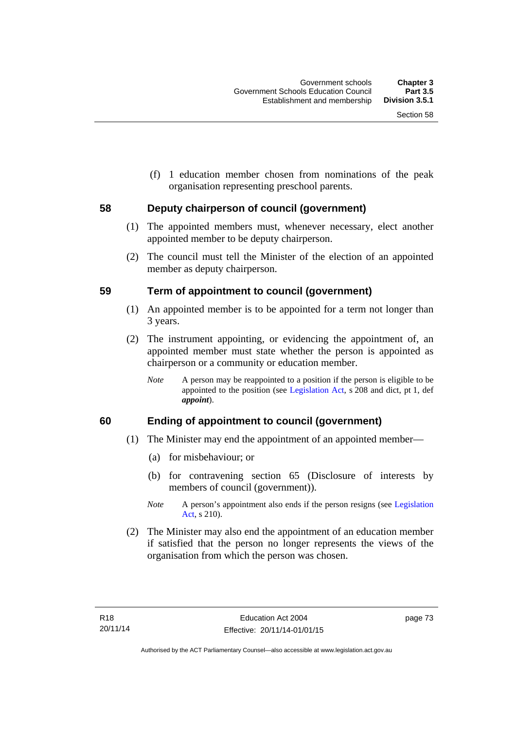(f) 1 education member chosen from nominations of the peak organisation representing preschool parents.

## **58 Deputy chairperson of council (government)**

- (1) The appointed members must, whenever necessary, elect another appointed member to be deputy chairperson.
- (2) The council must tell the Minister of the election of an appointed member as deputy chairperson.

## **59 Term of appointment to council (government)**

- (1) An appointed member is to be appointed for a term not longer than 3 years.
- (2) The instrument appointing, or evidencing the appointment of, an appointed member must state whether the person is appointed as chairperson or a community or education member.
	- *Note* A person may be reappointed to a position if the person is eligible to be appointed to the position (see [Legislation Act](http://www.legislation.act.gov.au/a/2001-14), s 208 and dict, pt 1, def *appoint*).

## **60 Ending of appointment to council (government)**

- (1) The Minister may end the appointment of an appointed member—
	- (a) for misbehaviour; or
	- (b) for contravening section 65 (Disclosure of interests by members of council (government)).
	- *Note* A person's appointment also ends if the person resigns (see Legislation [Act](http://www.legislation.act.gov.au/a/2001-14), s 210).
- (2) The Minister may also end the appointment of an education member if satisfied that the person no longer represents the views of the organisation from which the person was chosen.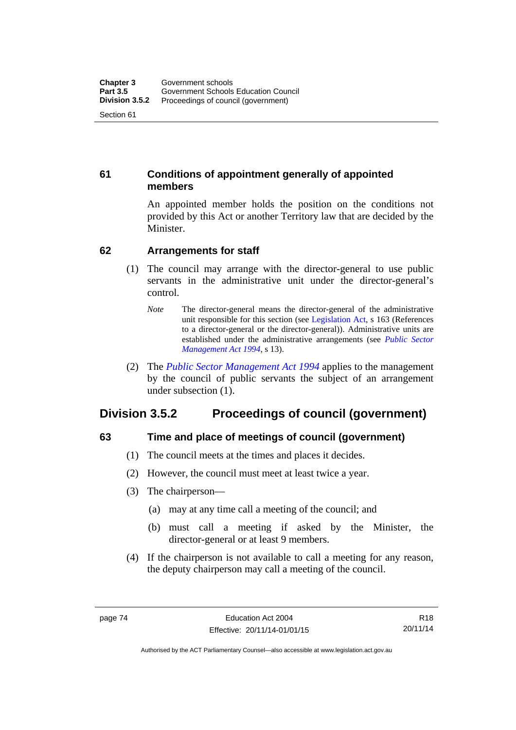## **61 Conditions of appointment generally of appointed members**

An appointed member holds the position on the conditions not provided by this Act or another Territory law that are decided by the Minister.

## **62 Arrangements for staff**

- (1) The council may arrange with the director-general to use public servants in the administrative unit under the director-general's control.
	- *Note* The director-general means the director-general of the administrative unit responsible for this section (see [Legislation Act](http://www.legislation.act.gov.au/a/2001-14), s 163 (References to a director-general or the director-general)). Administrative units are established under the administrative arrangements (see *[Public Sector](http://www.legislation.act.gov.au/a/1994-37)  [Management Act 1994](http://www.legislation.act.gov.au/a/1994-37)*, s 13).
- (2) The *[Public Sector Management Act 1994](http://www.legislation.act.gov.au/a/1994-37)* applies to the management by the council of public servants the subject of an arrangement under subsection (1).

# **Division 3.5.2 Proceedings of council (government)**

## **63 Time and place of meetings of council (government)**

- (1) The council meets at the times and places it decides.
- (2) However, the council must meet at least twice a year.
- (3) The chairperson—
	- (a) may at any time call a meeting of the council; and
	- (b) must call a meeting if asked by the Minister, the director-general or at least 9 members.
- (4) If the chairperson is not available to call a meeting for any reason, the deputy chairperson may call a meeting of the council.

Authorised by the ACT Parliamentary Counsel—also accessible at www.legislation.act.gov.au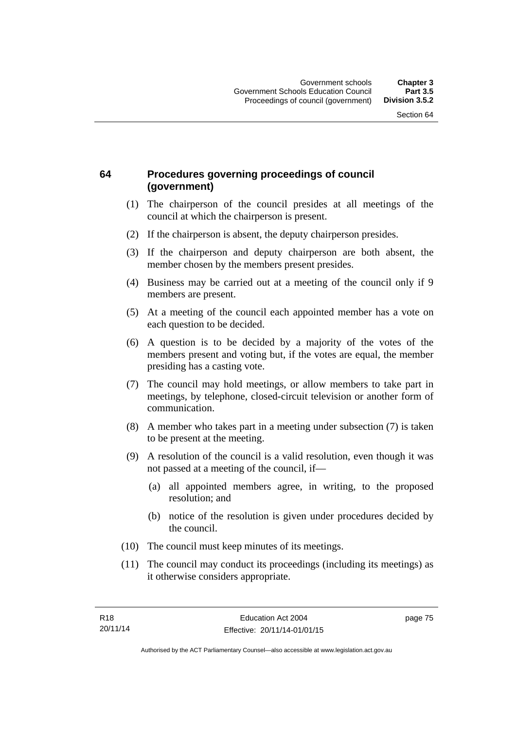## **64 Procedures governing proceedings of council (government)**

- (1) The chairperson of the council presides at all meetings of the council at which the chairperson is present.
- (2) If the chairperson is absent, the deputy chairperson presides.
- (3) If the chairperson and deputy chairperson are both absent, the member chosen by the members present presides.
- (4) Business may be carried out at a meeting of the council only if 9 members are present.
- (5) At a meeting of the council each appointed member has a vote on each question to be decided.
- (6) A question is to be decided by a majority of the votes of the members present and voting but, if the votes are equal, the member presiding has a casting vote.
- (7) The council may hold meetings, or allow members to take part in meetings, by telephone, closed-circuit television or another form of communication.
- (8) A member who takes part in a meeting under subsection (7) is taken to be present at the meeting.
- (9) A resolution of the council is a valid resolution, even though it was not passed at a meeting of the council, if—
	- (a) all appointed members agree, in writing, to the proposed resolution; and
	- (b) notice of the resolution is given under procedures decided by the council.
- (10) The council must keep minutes of its meetings.
- (11) The council may conduct its proceedings (including its meetings) as it otherwise considers appropriate.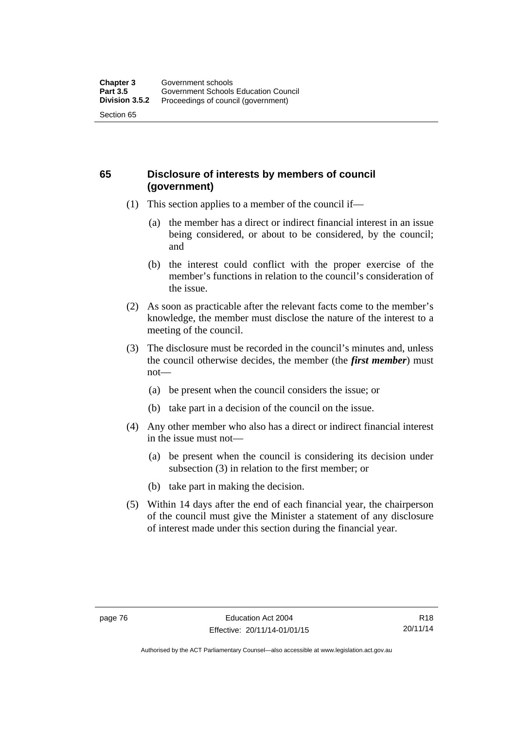## **65 Disclosure of interests by members of council (government)**

- (1) This section applies to a member of the council if—
	- (a) the member has a direct or indirect financial interest in an issue being considered, or about to be considered, by the council; and
	- (b) the interest could conflict with the proper exercise of the member's functions in relation to the council's consideration of the issue.
- (2) As soon as practicable after the relevant facts come to the member's knowledge, the member must disclose the nature of the interest to a meeting of the council.
- (3) The disclosure must be recorded in the council's minutes and, unless the council otherwise decides, the member (the *first member*) must not—
	- (a) be present when the council considers the issue; or
	- (b) take part in a decision of the council on the issue.
- (4) Any other member who also has a direct or indirect financial interest in the issue must not—
	- (a) be present when the council is considering its decision under subsection (3) in relation to the first member; or
	- (b) take part in making the decision.
- (5) Within 14 days after the end of each financial year, the chairperson of the council must give the Minister a statement of any disclosure of interest made under this section during the financial year.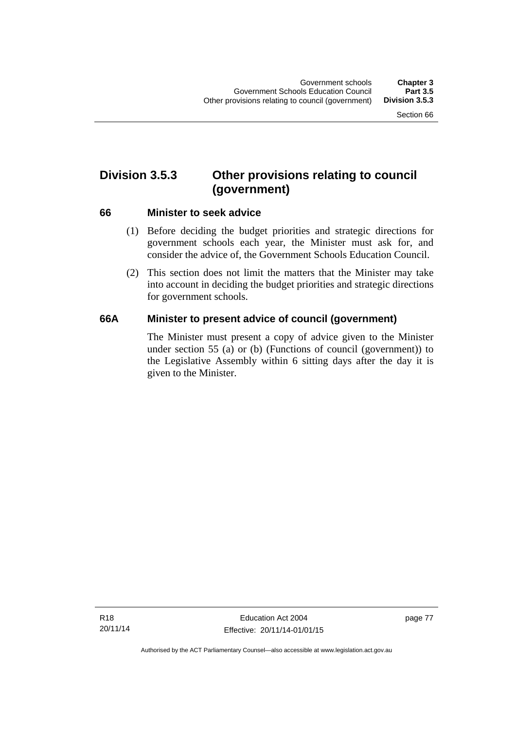# **Division 3.5.3 Other provisions relating to council (government)**

## **66 Minister to seek advice**

- (1) Before deciding the budget priorities and strategic directions for government schools each year, the Minister must ask for, and consider the advice of, the Government Schools Education Council.
- (2) This section does not limit the matters that the Minister may take into account in deciding the budget priorities and strategic directions for government schools.

## **66A Minister to present advice of council (government)**

The Minister must present a copy of advice given to the Minister under section 55 (a) or (b) (Functions of council (government)) to the Legislative Assembly within 6 sitting days after the day it is given to the Minister.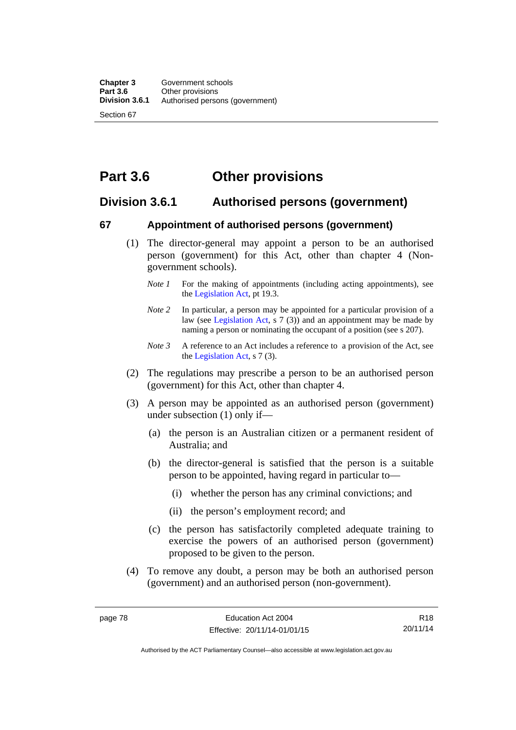# **Part 3.6 Other provisions**

## **Division 3.6.1 Authorised persons (government)**

## **67 Appointment of authorised persons (government)**

- (1) The director-general may appoint a person to be an authorised person (government) for this Act, other than chapter 4 (Nongovernment schools).
	- *Note 1* For the making of appointments (including acting appointments), see the [Legislation Act,](http://www.legislation.act.gov.au/a/2001-14) pt 19.3.
	- *Note 2* In particular, a person may be appointed for a particular provision of a law (see [Legislation Act,](http://www.legislation.act.gov.au/a/2001-14) s 7 (3)) and an appointment may be made by naming a person or nominating the occupant of a position (see s 207).
	- *Note 3* A reference to an Act includes a reference to a provision of the Act, see the [Legislation Act,](http://www.legislation.act.gov.au/a/2001-14) s 7 (3).
- (2) The regulations may prescribe a person to be an authorised person (government) for this Act, other than chapter 4.
- (3) A person may be appointed as an authorised person (government) under subsection (1) only if—
	- (a) the person is an Australian citizen or a permanent resident of Australia; and
	- (b) the director-general is satisfied that the person is a suitable person to be appointed, having regard in particular to—
		- (i) whether the person has any criminal convictions; and
		- (ii) the person's employment record; and
	- (c) the person has satisfactorily completed adequate training to exercise the powers of an authorised person (government) proposed to be given to the person.
- (4) To remove any doubt, a person may be both an authorised person (government) and an authorised person (non-government).

R18 20/11/14

Authorised by the ACT Parliamentary Counsel—also accessible at www.legislation.act.gov.au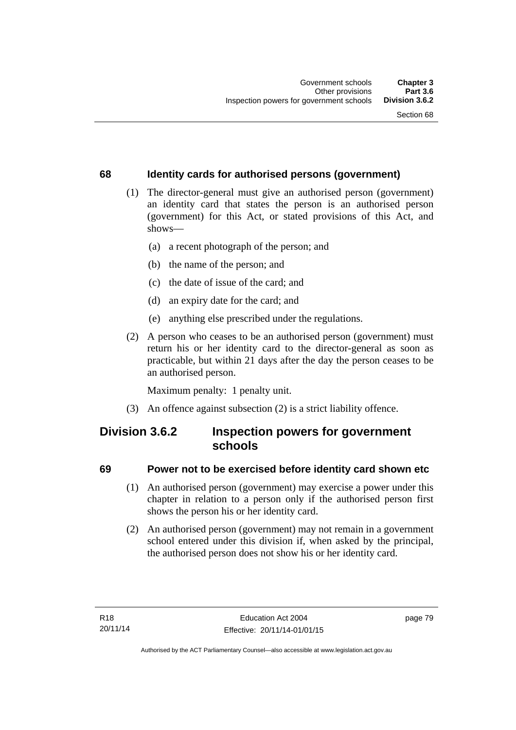## **68 Identity cards for authorised persons (government)**

- (1) The director-general must give an authorised person (government) an identity card that states the person is an authorised person (government) for this Act, or stated provisions of this Act, and shows—
	- (a) a recent photograph of the person; and
	- (b) the name of the person; and
	- (c) the date of issue of the card; and
	- (d) an expiry date for the card; and
	- (e) anything else prescribed under the regulations.
- (2) A person who ceases to be an authorised person (government) must return his or her identity card to the director-general as soon as practicable, but within 21 days after the day the person ceases to be an authorised person.

Maximum penalty: 1 penalty unit.

(3) An offence against subsection (2) is a strict liability offence.

## **Division 3.6.2 Inspection powers for government schools**

## **69 Power not to be exercised before identity card shown etc**

- (1) An authorised person (government) may exercise a power under this chapter in relation to a person only if the authorised person first shows the person his or her identity card.
- (2) An authorised person (government) may not remain in a government school entered under this division if, when asked by the principal, the authorised person does not show his or her identity card.

page 79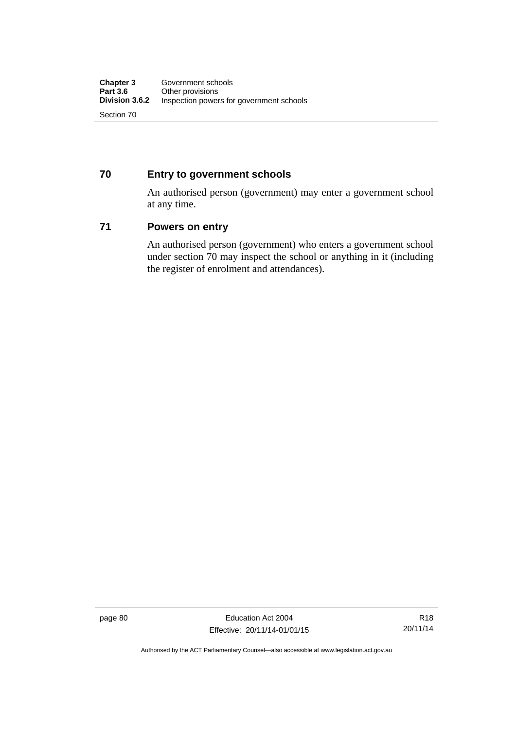## **70 Entry to government schools**

An authorised person (government) may enter a government school at any time.

## **71 Powers on entry**

An authorised person (government) who enters a government school under section 70 may inspect the school or anything in it (including the register of enrolment and attendances).

page 80 Education Act 2004 Effective: 20/11/14-01/01/15

Authorised by the ACT Parliamentary Counsel—also accessible at www.legislation.act.gov.au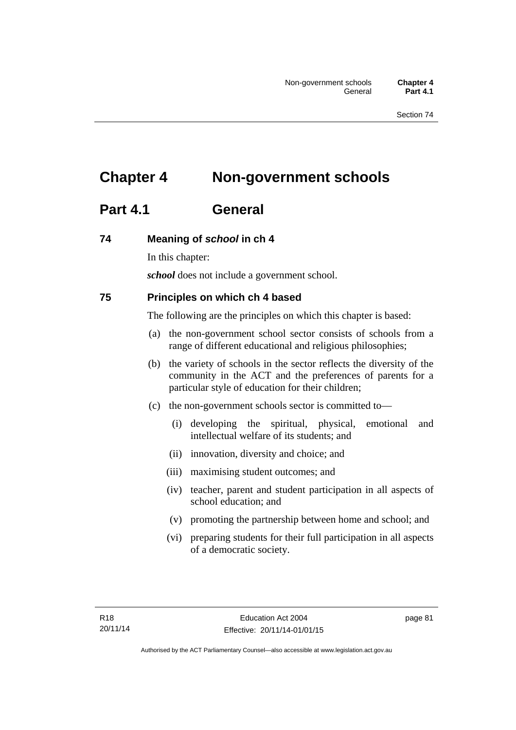# **Chapter 4 Non-government schools**

# **Part 4.1 General**

## **74 Meaning of** *school* **in ch 4**

In this chapter:

*school* does not include a government school.

## **75 Principles on which ch 4 based**

The following are the principles on which this chapter is based:

- (a) the non-government school sector consists of schools from a range of different educational and religious philosophies;
- (b) the variety of schools in the sector reflects the diversity of the community in the ACT and the preferences of parents for a particular style of education for their children;
- (c) the non-government schools sector is committed to—
	- (i) developing the spiritual, physical, emotional and intellectual welfare of its students; and
	- (ii) innovation, diversity and choice; and
	- (iii) maximising student outcomes; and
	- (iv) teacher, parent and student participation in all aspects of school education; and
	- (v) promoting the partnership between home and school; and
	- (vi) preparing students for their full participation in all aspects of a democratic society.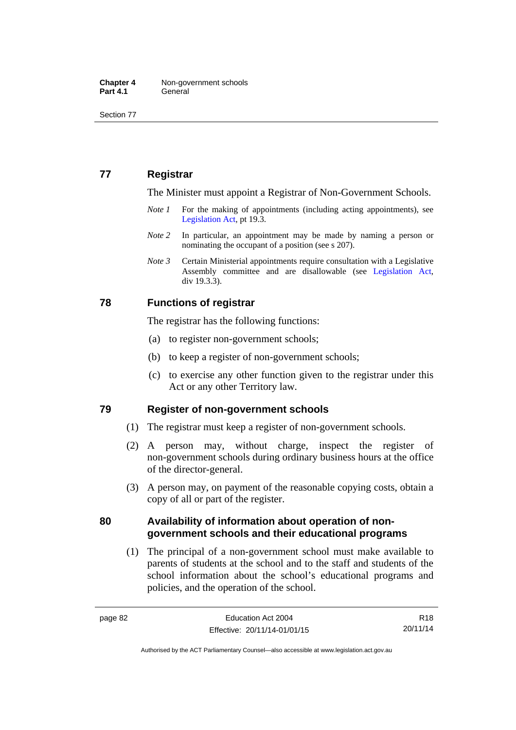Section 77

## **77 Registrar**

The Minister must appoint a Registrar of Non-Government Schools.

- *Note 1* For the making of appointments (including acting appointments), see [Legislation Act,](http://www.legislation.act.gov.au/a/2001-14) pt 19.3.
- *Note* 2 In particular, an appointment may be made by naming a person or nominating the occupant of a position (see s 207).
- *Note 3* Certain Ministerial appointments require consultation with a Legislative Assembly committee and are disallowable (see [Legislation Act,](http://www.legislation.act.gov.au/a/2001-14) div 19.3.3).

## **78 Functions of registrar**

The registrar has the following functions:

- (a) to register non-government schools;
- (b) to keep a register of non-government schools;
- (c) to exercise any other function given to the registrar under this Act or any other Territory law.

## **79 Register of non-government schools**

- (1) The registrar must keep a register of non-government schools.
- (2) A person may, without charge, inspect the register of non-government schools during ordinary business hours at the office of the director-general.
- (3) A person may, on payment of the reasonable copying costs, obtain a copy of all or part of the register.

## **80 Availability of information about operation of nongovernment schools and their educational programs**

(1) The principal of a non-government school must make available to parents of students at the school and to the staff and students of the school information about the school's educational programs and policies, and the operation of the school.

R18 20/11/14

Authorised by the ACT Parliamentary Counsel—also accessible at www.legislation.act.gov.au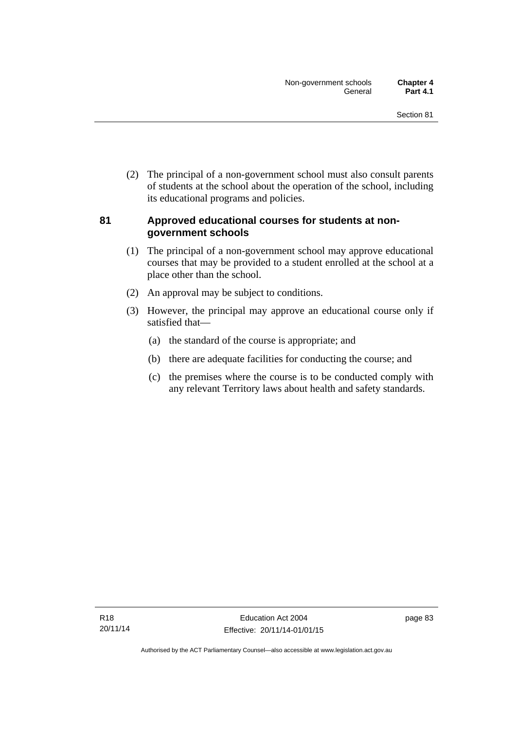(2) The principal of a non-government school must also consult parents of students at the school about the operation of the school, including its educational programs and policies.

## **81 Approved educational courses for students at nongovernment schools**

- (1) The principal of a non-government school may approve educational courses that may be provided to a student enrolled at the school at a place other than the school.
- (2) An approval may be subject to conditions.
- (3) However, the principal may approve an educational course only if satisfied that—
	- (a) the standard of the course is appropriate; and
	- (b) there are adequate facilities for conducting the course; and
	- (c) the premises where the course is to be conducted comply with any relevant Territory laws about health and safety standards.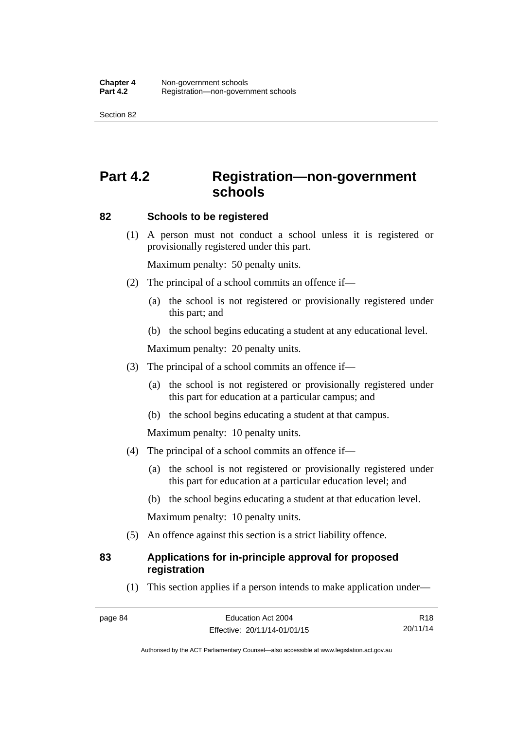Section 82

# **Part 4.2 Registration—non-government schools**

## **82 Schools to be registered**

 (1) A person must not conduct a school unless it is registered or provisionally registered under this part.

Maximum penalty: 50 penalty units.

- (2) The principal of a school commits an offence if—
	- (a) the school is not registered or provisionally registered under this part; and
	- (b) the school begins educating a student at any educational level.

Maximum penalty: 20 penalty units.

- (3) The principal of a school commits an offence if—
	- (a) the school is not registered or provisionally registered under this part for education at a particular campus; and
	- (b) the school begins educating a student at that campus.

Maximum penalty: 10 penalty units.

- (4) The principal of a school commits an offence if—
	- (a) the school is not registered or provisionally registered under this part for education at a particular education level; and
	- (b) the school begins educating a student at that education level.

Maximum penalty: 10 penalty units.

(5) An offence against this section is a strict liability offence.

## **83 Applications for in-principle approval for proposed registration**

(1) This section applies if a person intends to make application under—

R18 20/11/14

Authorised by the ACT Parliamentary Counsel—also accessible at www.legislation.act.gov.au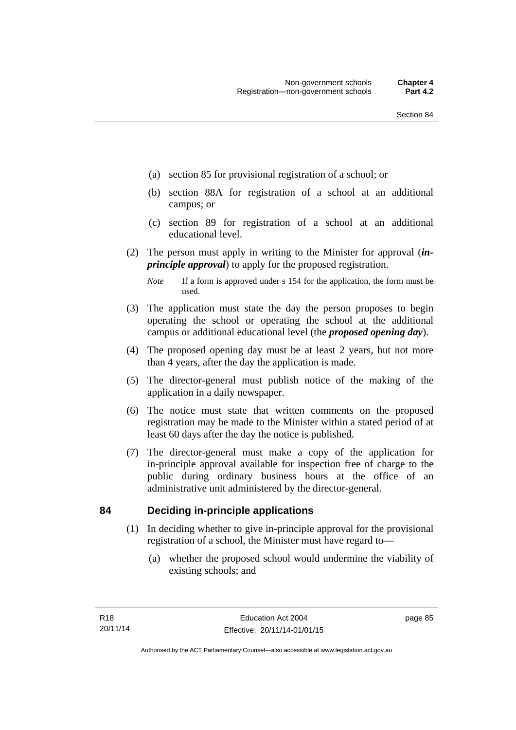- (a) section 85 for provisional registration of a school; or
- (b) section 88A for registration of a school at an additional campus; or
- (c) section 89 for registration of a school at an additional educational level.
- (2) The person must apply in writing to the Minister for approval (*inprinciple approval*) to apply for the proposed registration.
	- *Note* If a form is approved under s 154 for the application, the form must be used.
- (3) The application must state the day the person proposes to begin operating the school or operating the school at the additional campus or additional educational level (the *proposed opening day*).
- (4) The proposed opening day must be at least 2 years, but not more than 4 years, after the day the application is made.
- (5) The director-general must publish notice of the making of the application in a daily newspaper.
- (6) The notice must state that written comments on the proposed registration may be made to the Minister within a stated period of at least 60 days after the day the notice is published.
- (7) The director-general must make a copy of the application for in-principle approval available for inspection free of charge to the public during ordinary business hours at the office of an administrative unit administered by the director-general.

## **84 Deciding in-principle applications**

- (1) In deciding whether to give in-principle approval for the provisional registration of a school, the Minister must have regard to—
	- (a) whether the proposed school would undermine the viability of existing schools; and

page 85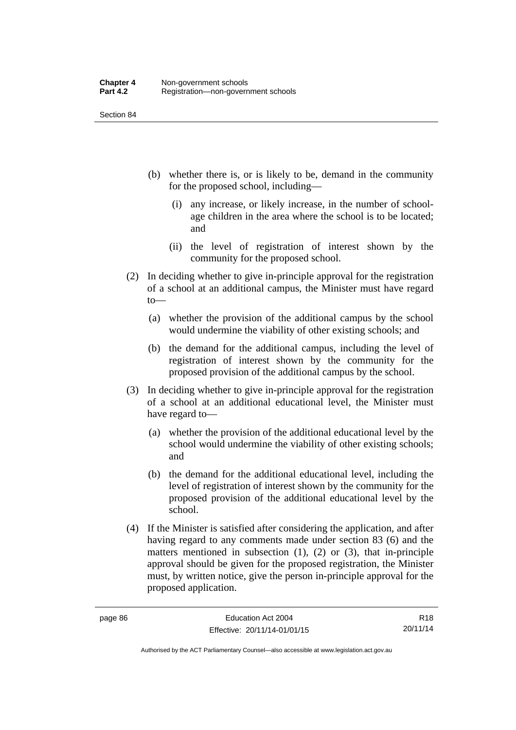Section 84

- (b) whether there is, or is likely to be, demand in the community for the proposed school, including—
	- (i) any increase, or likely increase, in the number of schoolage children in the area where the school is to be located; and
	- (ii) the level of registration of interest shown by the community for the proposed school.
- (2) In deciding whether to give in-principle approval for the registration of a school at an additional campus, the Minister must have regard to—
	- (a) whether the provision of the additional campus by the school would undermine the viability of other existing schools; and
	- (b) the demand for the additional campus, including the level of registration of interest shown by the community for the proposed provision of the additional campus by the school.
- (3) In deciding whether to give in-principle approval for the registration of a school at an additional educational level, the Minister must have regard to—
	- (a) whether the provision of the additional educational level by the school would undermine the viability of other existing schools; and
	- (b) the demand for the additional educational level, including the level of registration of interest shown by the community for the proposed provision of the additional educational level by the school.
- (4) If the Minister is satisfied after considering the application, and after having regard to any comments made under section 83 (6) and the matters mentioned in subsection  $(1)$ ,  $(2)$  or  $(3)$ , that in-principle approval should be given for the proposed registration, the Minister must, by written notice, give the person in-principle approval for the proposed application.

R18 20/11/14

Authorised by the ACT Parliamentary Counsel—also accessible at www.legislation.act.gov.au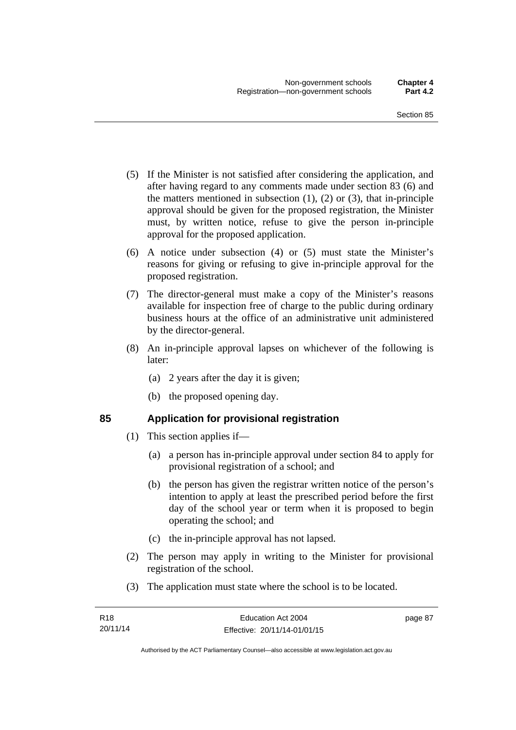- (5) If the Minister is not satisfied after considering the application, and after having regard to any comments made under section 83 (6) and the matters mentioned in subsection  $(1)$ ,  $(2)$  or  $(3)$ , that in-principle approval should be given for the proposed registration, the Minister must, by written notice, refuse to give the person in-principle approval for the proposed application.
- (6) A notice under subsection (4) or (5) must state the Minister's reasons for giving or refusing to give in-principle approval for the proposed registration.
- (7) The director-general must make a copy of the Minister's reasons available for inspection free of charge to the public during ordinary business hours at the office of an administrative unit administered by the director-general.
- (8) An in-principle approval lapses on whichever of the following is later:
	- (a) 2 years after the day it is given;
	- (b) the proposed opening day.

## **85 Application for provisional registration**

- (1) This section applies if—
	- (a) a person has in-principle approval under section 84 to apply for provisional registration of a school; and
	- (b) the person has given the registrar written notice of the person's intention to apply at least the prescribed period before the first day of the school year or term when it is proposed to begin operating the school; and
	- (c) the in-principle approval has not lapsed.
- (2) The person may apply in writing to the Minister for provisional registration of the school.
- (3) The application must state where the school is to be located.

page 87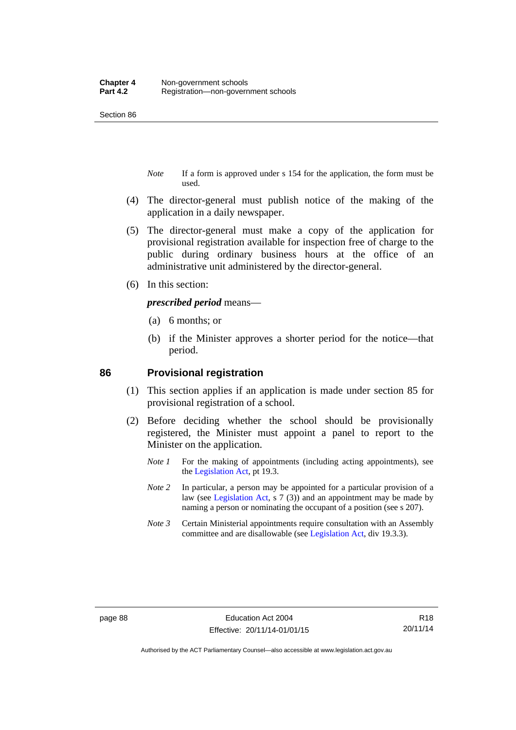Section 86

- *Note* If a form is approved under s 154 for the application, the form must be used.
- (4) The director-general must publish notice of the making of the application in a daily newspaper.
- (5) The director-general must make a copy of the application for provisional registration available for inspection free of charge to the public during ordinary business hours at the office of an administrative unit administered by the director-general.
- (6) In this section:

*prescribed period* means—

- (a) 6 months; or
- (b) if the Minister approves a shorter period for the notice—that period.

#### **86 Provisional registration**

- (1) This section applies if an application is made under section 85 for provisional registration of a school.
- (2) Before deciding whether the school should be provisionally registered, the Minister must appoint a panel to report to the Minister on the application.
	- *Note 1* For the making of appointments (including acting appointments), see the [Legislation Act,](http://www.legislation.act.gov.au/a/2001-14) pt 19.3.
	- *Note 2* In particular, a person may be appointed for a particular provision of a law (see [Legislation Act,](http://www.legislation.act.gov.au/a/2001-14) s 7 (3)) and an appointment may be made by naming a person or nominating the occupant of a position (see s 207).
	- *Note 3* Certain Ministerial appointments require consultation with an Assembly committee and are disallowable (see [Legislation Act](http://www.legislation.act.gov.au/a/2001-14), div 19.3.3).

R18 20/11/14

Authorised by the ACT Parliamentary Counsel—also accessible at www.legislation.act.gov.au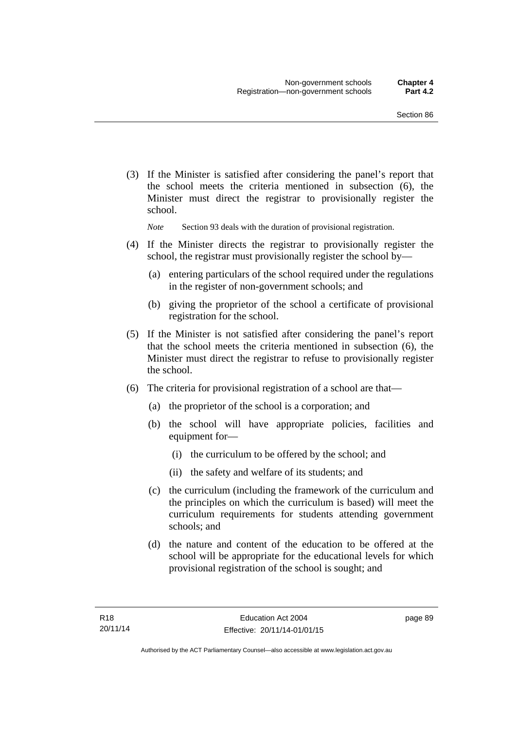(3) If the Minister is satisfied after considering the panel's report that the school meets the criteria mentioned in subsection (6), the Minister must direct the registrar to provisionally register the school.

*Note* Section 93 deals with the duration of provisional registration.

- (4) If the Minister directs the registrar to provisionally register the school, the registrar must provisionally register the school by—
	- (a) entering particulars of the school required under the regulations in the register of non-government schools; and
	- (b) giving the proprietor of the school a certificate of provisional registration for the school.
- (5) If the Minister is not satisfied after considering the panel's report that the school meets the criteria mentioned in subsection (6), the Minister must direct the registrar to refuse to provisionally register the school.
- (6) The criteria for provisional registration of a school are that—
	- (a) the proprietor of the school is a corporation; and
	- (b) the school will have appropriate policies, facilities and equipment for-
		- (i) the curriculum to be offered by the school; and
		- (ii) the safety and welfare of its students; and
	- (c) the curriculum (including the framework of the curriculum and the principles on which the curriculum is based) will meet the curriculum requirements for students attending government schools; and
	- (d) the nature and content of the education to be offered at the school will be appropriate for the educational levels for which provisional registration of the school is sought; and

page 89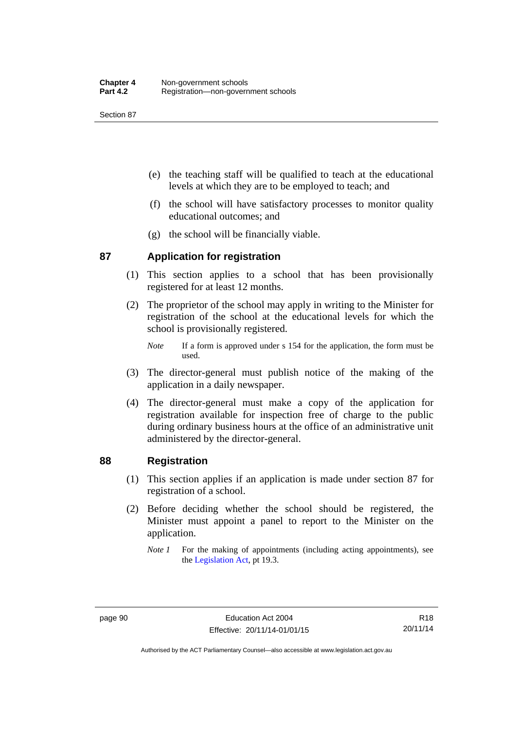Section 87

- (e) the teaching staff will be qualified to teach at the educational levels at which they are to be employed to teach; and
- (f) the school will have satisfactory processes to monitor quality educational outcomes; and
- (g) the school will be financially viable.

## **87 Application for registration**

- (1) This section applies to a school that has been provisionally registered for at least 12 months.
- (2) The proprietor of the school may apply in writing to the Minister for registration of the school at the educational levels for which the school is provisionally registered.
	- *Note* If a form is approved under s 154 for the application, the form must be used.
- (3) The director-general must publish notice of the making of the application in a daily newspaper.
- (4) The director-general must make a copy of the application for registration available for inspection free of charge to the public during ordinary business hours at the office of an administrative unit administered by the director-general.

## **88 Registration**

- (1) This section applies if an application is made under section 87 for registration of a school.
- (2) Before deciding whether the school should be registered, the Minister must appoint a panel to report to the Minister on the application.
	- *Note 1* For the making of appointments (including acting appointments), see the [Legislation Act,](http://www.legislation.act.gov.au/a/2001-14) pt 19.3.

R18 20/11/14

Authorised by the ACT Parliamentary Counsel—also accessible at www.legislation.act.gov.au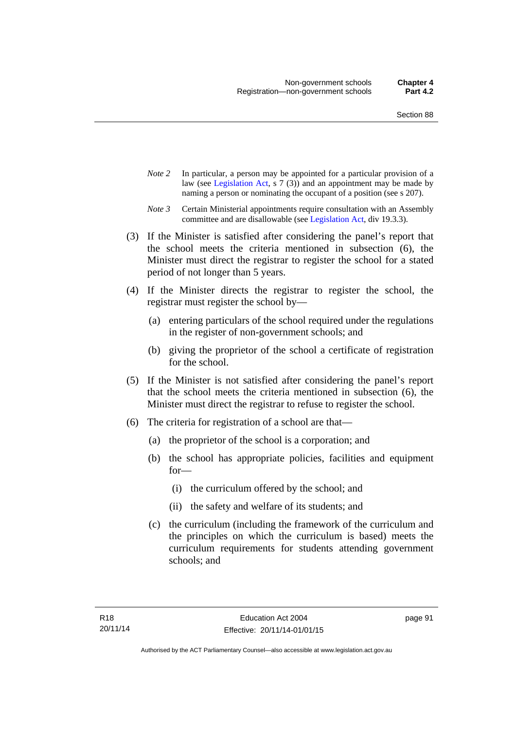- *Note 2* In particular, a person may be appointed for a particular provision of a law (see [Legislation Act,](http://www.legislation.act.gov.au/a/2001-14) s 7 (3)) and an appointment may be made by naming a person or nominating the occupant of a position (see s 207).
- *Note 3* Certain Ministerial appointments require consultation with an Assembly committee and are disallowable (see [Legislation Act](http://www.legislation.act.gov.au/a/2001-14), div 19.3.3).
- (3) If the Minister is satisfied after considering the panel's report that the school meets the criteria mentioned in subsection (6), the Minister must direct the registrar to register the school for a stated period of not longer than 5 years.
- (4) If the Minister directs the registrar to register the school, the registrar must register the school by—
	- (a) entering particulars of the school required under the regulations in the register of non-government schools; and
	- (b) giving the proprietor of the school a certificate of registration for the school.
- (5) If the Minister is not satisfied after considering the panel's report that the school meets the criteria mentioned in subsection (6), the Minister must direct the registrar to refuse to register the school.
- (6) The criteria for registration of a school are that—
	- (a) the proprietor of the school is a corporation; and
	- (b) the school has appropriate policies, facilities and equipment for—
		- (i) the curriculum offered by the school; and
		- (ii) the safety and welfare of its students; and
	- (c) the curriculum (including the framework of the curriculum and the principles on which the curriculum is based) meets the curriculum requirements for students attending government schools; and

page 91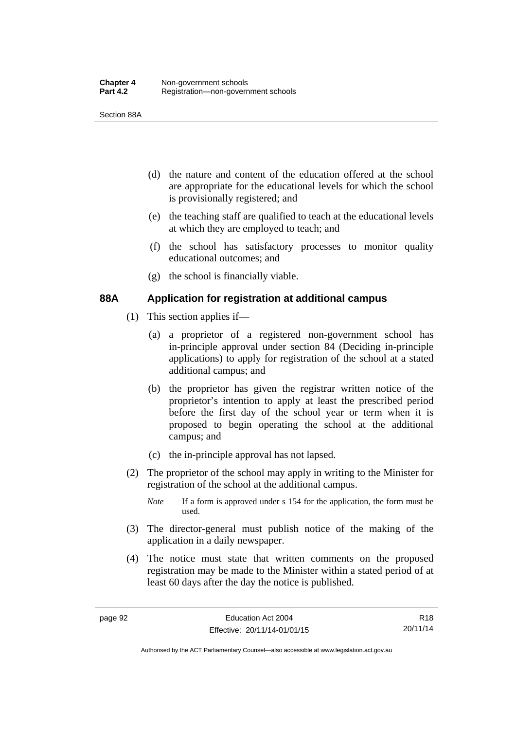Section 88A

- (d) the nature and content of the education offered at the school are appropriate for the educational levels for which the school is provisionally registered; and
- (e) the teaching staff are qualified to teach at the educational levels at which they are employed to teach; and
- (f) the school has satisfactory processes to monitor quality educational outcomes; and
- (g) the school is financially viable.

## **88A Application for registration at additional campus**

- (1) This section applies if—
	- (a) a proprietor of a registered non-government school has in-principle approval under section 84 (Deciding in-principle applications) to apply for registration of the school at a stated additional campus; and
	- (b) the proprietor has given the registrar written notice of the proprietor's intention to apply at least the prescribed period before the first day of the school year or term when it is proposed to begin operating the school at the additional campus; and
	- (c) the in-principle approval has not lapsed.
- (2) The proprietor of the school may apply in writing to the Minister for registration of the school at the additional campus.
	- *Note* If a form is approved under s 154 for the application, the form must be used.
- (3) The director-general must publish notice of the making of the application in a daily newspaper.
- (4) The notice must state that written comments on the proposed registration may be made to the Minister within a stated period of at least 60 days after the day the notice is published.

R18 20/11/14

Authorised by the ACT Parliamentary Counsel—also accessible at www.legislation.act.gov.au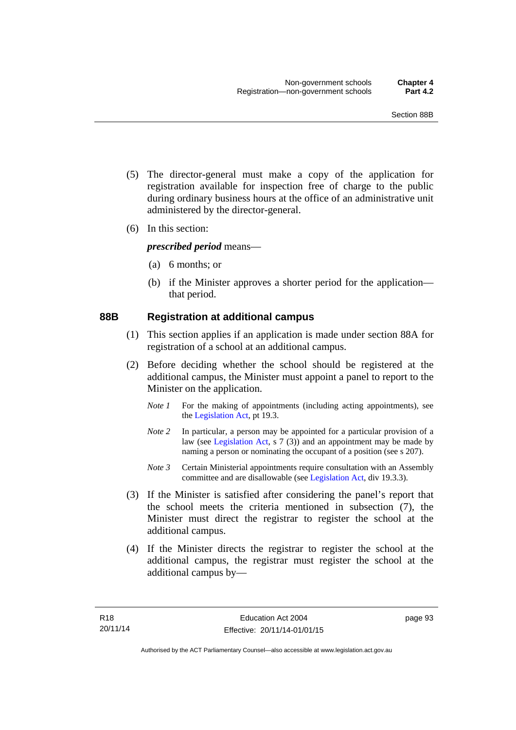- (5) The director-general must make a copy of the application for registration available for inspection free of charge to the public during ordinary business hours at the office of an administrative unit administered by the director-general.
- (6) In this section:

*prescribed period* means—

- (a) 6 months; or
- (b) if the Minister approves a shorter period for the application that period.

#### **88B Registration at additional campus**

- (1) This section applies if an application is made under section 88A for registration of a school at an additional campus.
- (2) Before deciding whether the school should be registered at the additional campus, the Minister must appoint a panel to report to the Minister on the application.
	- *Note 1* For the making of appointments (including acting appointments), see the [Legislation Act,](http://www.legislation.act.gov.au/a/2001-14) pt 19.3.
	- *Note 2* In particular, a person may be appointed for a particular provision of a law (see [Legislation Act,](http://www.legislation.act.gov.au/a/2001-14) s 7 (3)) and an appointment may be made by naming a person or nominating the occupant of a position (see s 207).
	- *Note 3* Certain Ministerial appointments require consultation with an Assembly committee and are disallowable (see [Legislation Act](http://www.legislation.act.gov.au/a/2001-14), div 19.3.3).
- (3) If the Minister is satisfied after considering the panel's report that the school meets the criteria mentioned in subsection (7), the Minister must direct the registrar to register the school at the additional campus.
- (4) If the Minister directs the registrar to register the school at the additional campus, the registrar must register the school at the additional campus by—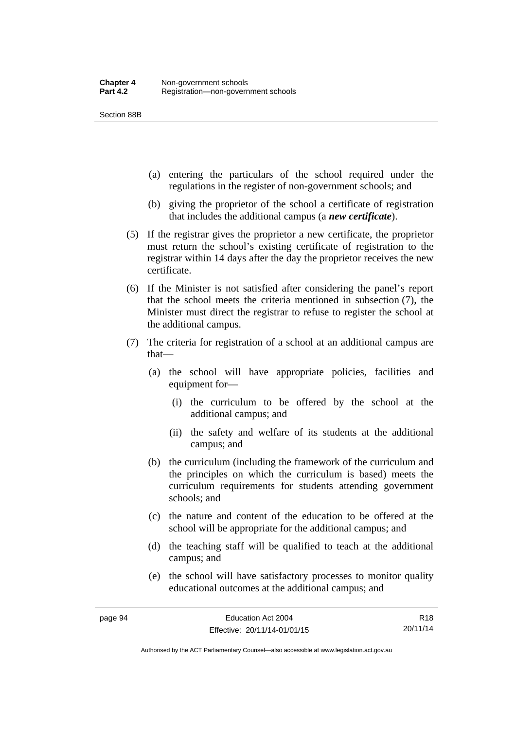Section 88B

- (a) entering the particulars of the school required under the regulations in the register of non-government schools; and
- (b) giving the proprietor of the school a certificate of registration that includes the additional campus (a *new certificate*).
- (5) If the registrar gives the proprietor a new certificate, the proprietor must return the school's existing certificate of registration to the registrar within 14 days after the day the proprietor receives the new certificate.
- (6) If the Minister is not satisfied after considering the panel's report that the school meets the criteria mentioned in subsection (7), the Minister must direct the registrar to refuse to register the school at the additional campus.
- (7) The criteria for registration of a school at an additional campus are that—
	- (a) the school will have appropriate policies, facilities and equipment for—
		- (i) the curriculum to be offered by the school at the additional campus; and
		- (ii) the safety and welfare of its students at the additional campus; and
	- (b) the curriculum (including the framework of the curriculum and the principles on which the curriculum is based) meets the curriculum requirements for students attending government schools; and
	- (c) the nature and content of the education to be offered at the school will be appropriate for the additional campus; and
	- (d) the teaching staff will be qualified to teach at the additional campus; and
	- (e) the school will have satisfactory processes to monitor quality educational outcomes at the additional campus; and

R18 20/11/14

Authorised by the ACT Parliamentary Counsel—also accessible at www.legislation.act.gov.au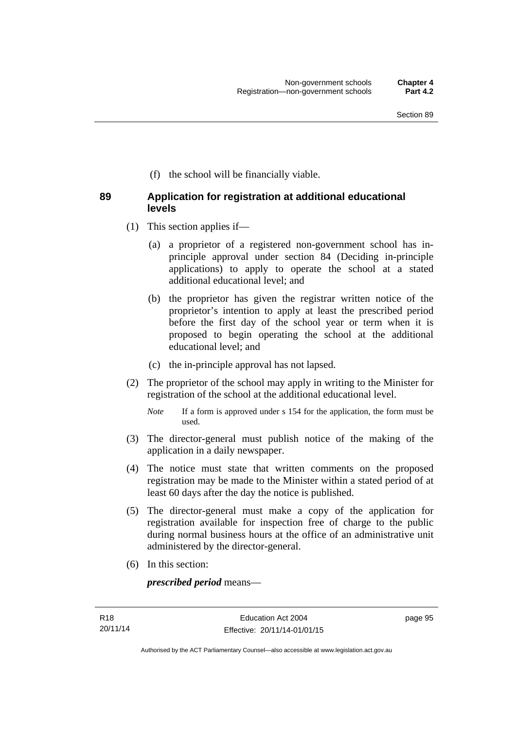(f) the school will be financially viable.

## **89 Application for registration at additional educational levels**

- (1) This section applies if—
	- (a) a proprietor of a registered non-government school has inprinciple approval under section 84 (Deciding in-principle applications) to apply to operate the school at a stated additional educational level; and
	- (b) the proprietor has given the registrar written notice of the proprietor's intention to apply at least the prescribed period before the first day of the school year or term when it is proposed to begin operating the school at the additional educational level; and
	- (c) the in-principle approval has not lapsed.
- (2) The proprietor of the school may apply in writing to the Minister for registration of the school at the additional educational level.
	- *Note* If a form is approved under s 154 for the application, the form must be used.
- (3) The director-general must publish notice of the making of the application in a daily newspaper.
- (4) The notice must state that written comments on the proposed registration may be made to the Minister within a stated period of at least 60 days after the day the notice is published.
- (5) The director-general must make a copy of the application for registration available for inspection free of charge to the public during normal business hours at the office of an administrative unit administered by the director-general.
- (6) In this section:

*prescribed period* means—

page 95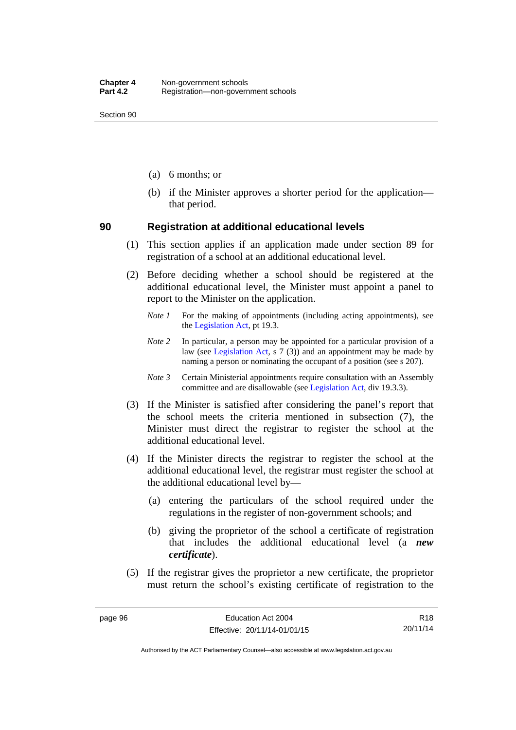Section 90

- (a) 6 months; or
- (b) if the Minister approves a shorter period for the application that period.

#### **90 Registration at additional educational levels**

- (1) This section applies if an application made under section 89 for registration of a school at an additional educational level.
- (2) Before deciding whether a school should be registered at the additional educational level, the Minister must appoint a panel to report to the Minister on the application.
	- *Note 1* For the making of appointments (including acting appointments), see the [Legislation Act,](http://www.legislation.act.gov.au/a/2001-14) pt 19.3.
	- *Note 2* In particular, a person may be appointed for a particular provision of a law (see [Legislation Act,](http://www.legislation.act.gov.au/a/2001-14) s 7 (3)) and an appointment may be made by naming a person or nominating the occupant of a position (see s 207).
	- *Note 3* Certain Ministerial appointments require consultation with an Assembly committee and are disallowable (see [Legislation Act](http://www.legislation.act.gov.au/a/2001-14), div 19.3.3).
- (3) If the Minister is satisfied after considering the panel's report that the school meets the criteria mentioned in subsection (7), the Minister must direct the registrar to register the school at the additional educational level.
- (4) If the Minister directs the registrar to register the school at the additional educational level, the registrar must register the school at the additional educational level by—
	- (a) entering the particulars of the school required under the regulations in the register of non-government schools; and
	- (b) giving the proprietor of the school a certificate of registration that includes the additional educational level (a *new certificate*).
- (5) If the registrar gives the proprietor a new certificate, the proprietor must return the school's existing certificate of registration to the

R18 20/11/14

Authorised by the ACT Parliamentary Counsel—also accessible at www.legislation.act.gov.au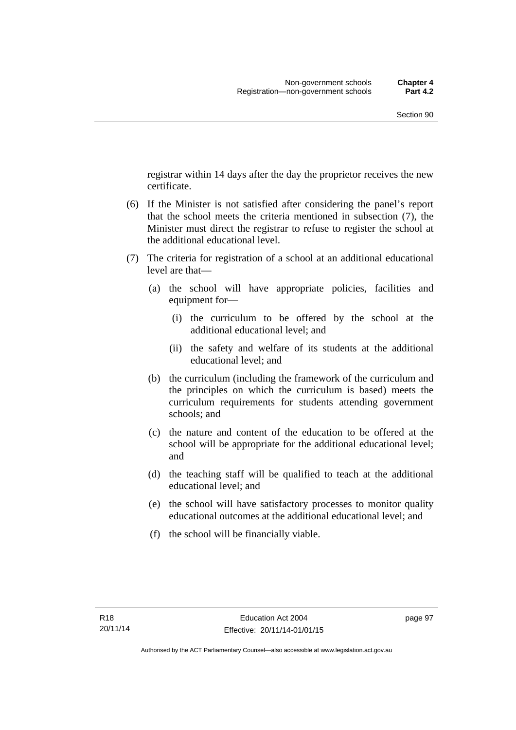registrar within 14 days after the day the proprietor receives the new certificate.

- (6) If the Minister is not satisfied after considering the panel's report that the school meets the criteria mentioned in subsection (7), the Minister must direct the registrar to refuse to register the school at the additional educational level.
- (7) The criteria for registration of a school at an additional educational level are that—
	- (a) the school will have appropriate policies, facilities and equipment for—
		- (i) the curriculum to be offered by the school at the additional educational level; and
		- (ii) the safety and welfare of its students at the additional educational level; and
	- (b) the curriculum (including the framework of the curriculum and the principles on which the curriculum is based) meets the curriculum requirements for students attending government schools; and
	- (c) the nature and content of the education to be offered at the school will be appropriate for the additional educational level; and
	- (d) the teaching staff will be qualified to teach at the additional educational level; and
	- (e) the school will have satisfactory processes to monitor quality educational outcomes at the additional educational level; and
	- (f) the school will be financially viable.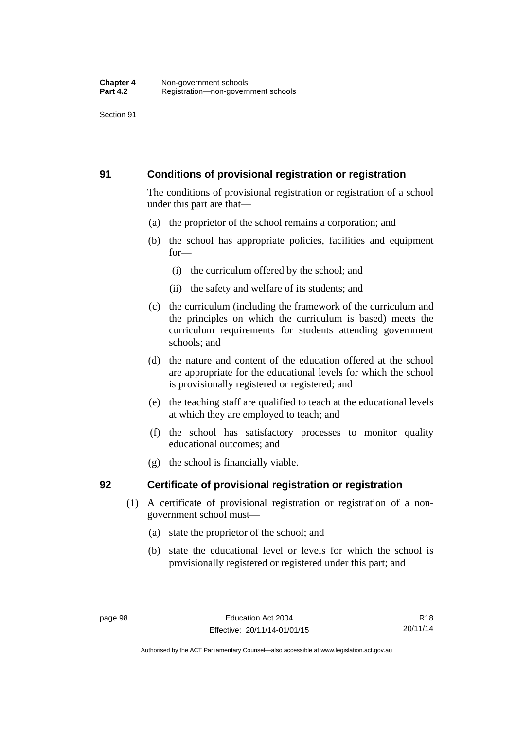### **91 Conditions of provisional registration or registration**

The conditions of provisional registration or registration of a school under this part are that—

- (a) the proprietor of the school remains a corporation; and
- (b) the school has appropriate policies, facilities and equipment for—
	- (i) the curriculum offered by the school; and
	- (ii) the safety and welfare of its students; and
- (c) the curriculum (including the framework of the curriculum and the principles on which the curriculum is based) meets the curriculum requirements for students attending government schools; and
- (d) the nature and content of the education offered at the school are appropriate for the educational levels for which the school is provisionally registered or registered; and
- (e) the teaching staff are qualified to teach at the educational levels at which they are employed to teach; and
- (f) the school has satisfactory processes to monitor quality educational outcomes; and
- (g) the school is financially viable.

## **92 Certificate of provisional registration or registration**

- (1) A certificate of provisional registration or registration of a nongovernment school must—
	- (a) state the proprietor of the school; and
	- (b) state the educational level or levels for which the school is provisionally registered or registered under this part; and

R18 20/11/14

Authorised by the ACT Parliamentary Counsel—also accessible at www.legislation.act.gov.au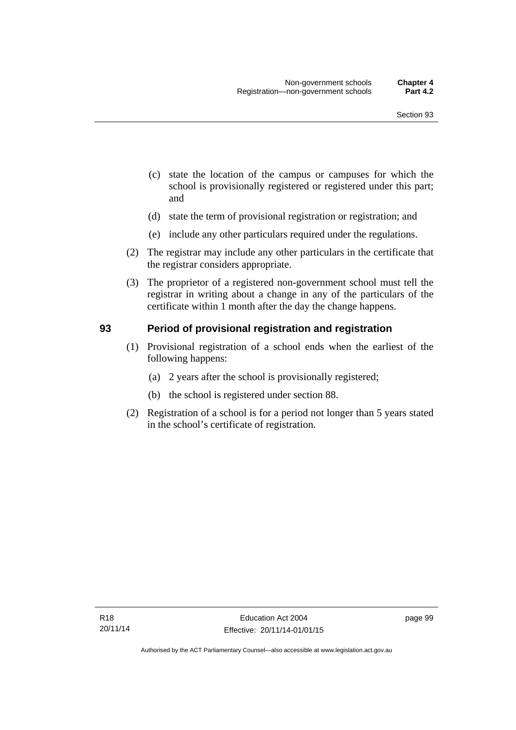- (c) state the location of the campus or campuses for which the school is provisionally registered or registered under this part; and
- (d) state the term of provisional registration or registration; and
- (e) include any other particulars required under the regulations.
- (2) The registrar may include any other particulars in the certificate that the registrar considers appropriate.
- (3) The proprietor of a registered non-government school must tell the registrar in writing about a change in any of the particulars of the certificate within 1 month after the day the change happens.

#### **93 Period of provisional registration and registration**

- (1) Provisional registration of a school ends when the earliest of the following happens:
	- (a) 2 years after the school is provisionally registered;
	- (b) the school is registered under section 88.
- (2) Registration of a school is for a period not longer than 5 years stated in the school's certificate of registration.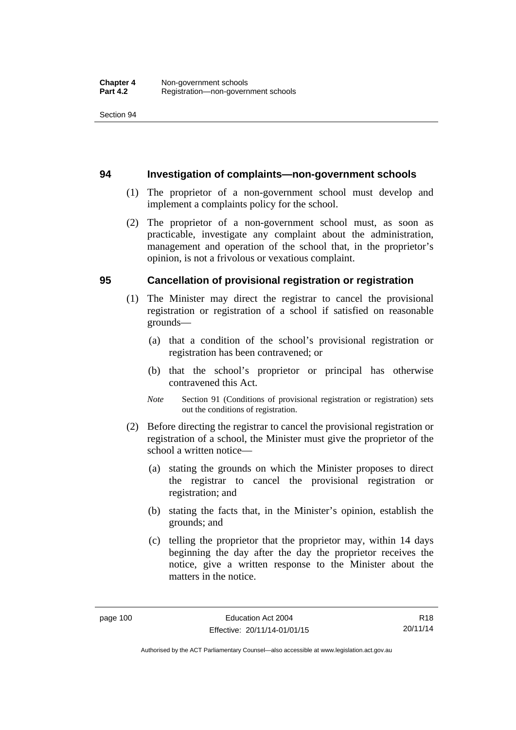#### **94 Investigation of complaints—non-government schools**

- (1) The proprietor of a non-government school must develop and implement a complaints policy for the school.
- (2) The proprietor of a non-government school must, as soon as practicable, investigate any complaint about the administration, management and operation of the school that, in the proprietor's opinion, is not a frivolous or vexatious complaint.

#### **95 Cancellation of provisional registration or registration**

- (1) The Minister may direct the registrar to cancel the provisional registration or registration of a school if satisfied on reasonable grounds—
	- (a) that a condition of the school's provisional registration or registration has been contravened; or
	- (b) that the school's proprietor or principal has otherwise contravened this Act.
	- *Note* Section 91 (Conditions of provisional registration or registration) sets out the conditions of registration.
- (2) Before directing the registrar to cancel the provisional registration or registration of a school, the Minister must give the proprietor of the school a written notice—
	- (a) stating the grounds on which the Minister proposes to direct the registrar to cancel the provisional registration or registration; and
	- (b) stating the facts that, in the Minister's opinion, establish the grounds; and
	- (c) telling the proprietor that the proprietor may, within 14 days beginning the day after the day the proprietor receives the notice, give a written response to the Minister about the matters in the notice.

Authorised by the ACT Parliamentary Counsel—also accessible at www.legislation.act.gov.au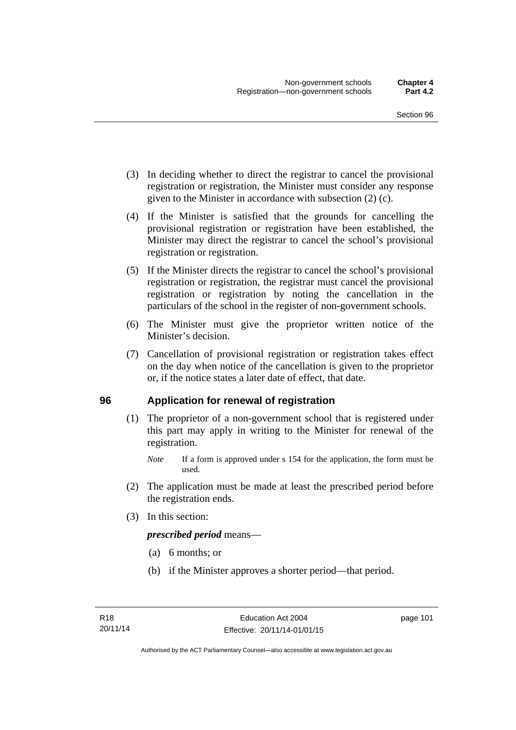- (3) In deciding whether to direct the registrar to cancel the provisional registration or registration, the Minister must consider any response given to the Minister in accordance with subsection (2) (c).
- (4) If the Minister is satisfied that the grounds for cancelling the provisional registration or registration have been established, the Minister may direct the registrar to cancel the school's provisional registration or registration.
- (5) If the Minister directs the registrar to cancel the school's provisional registration or registration, the registrar must cancel the provisional registration or registration by noting the cancellation in the particulars of the school in the register of non-government schools.
- (6) The Minister must give the proprietor written notice of the Minister's decision.
- (7) Cancellation of provisional registration or registration takes effect on the day when notice of the cancellation is given to the proprietor or, if the notice states a later date of effect, that date.

#### **96 Application for renewal of registration**

- (1) The proprietor of a non-government school that is registered under this part may apply in writing to the Minister for renewal of the registration.
	- *Note* If a form is approved under s 154 for the application, the form must be used.
- (2) The application must be made at least the prescribed period before the registration ends.
- (3) In this section:

*prescribed period* means—

- (a) 6 months; or
- (b) if the Minister approves a shorter period—that period.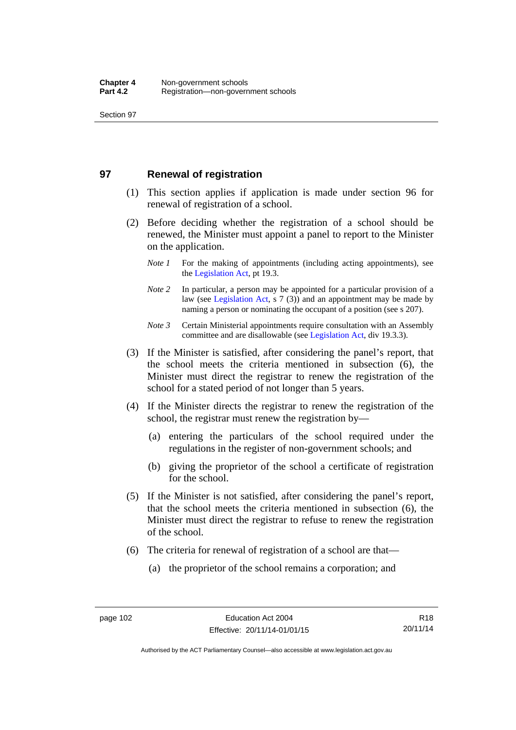#### **97 Renewal of registration**

- (1) This section applies if application is made under section 96 for renewal of registration of a school.
- (2) Before deciding whether the registration of a school should be renewed, the Minister must appoint a panel to report to the Minister on the application.
	- *Note 1* For the making of appointments (including acting appointments), see the [Legislation Act,](http://www.legislation.act.gov.au/a/2001-14) pt 19.3.
	- *Note 2* In particular, a person may be appointed for a particular provision of a law (see [Legislation Act,](http://www.legislation.act.gov.au/a/2001-14) s 7 (3)) and an appointment may be made by naming a person or nominating the occupant of a position (see s 207).
	- *Note 3* Certain Ministerial appointments require consultation with an Assembly committee and are disallowable (see [Legislation Act](http://www.legislation.act.gov.au/a/2001-14), div 19.3.3).
- (3) If the Minister is satisfied, after considering the panel's report, that the school meets the criteria mentioned in subsection (6), the Minister must direct the registrar to renew the registration of the school for a stated period of not longer than 5 years.
- (4) If the Minister directs the registrar to renew the registration of the school, the registrar must renew the registration by—
	- (a) entering the particulars of the school required under the regulations in the register of non-government schools; and
	- (b) giving the proprietor of the school a certificate of registration for the school.
- (5) If the Minister is not satisfied, after considering the panel's report, that the school meets the criteria mentioned in subsection (6), the Minister must direct the registrar to refuse to renew the registration of the school.
- (6) The criteria for renewal of registration of a school are that—
	- (a) the proprietor of the school remains a corporation; and

Authorised by the ACT Parliamentary Counsel—also accessible at www.legislation.act.gov.au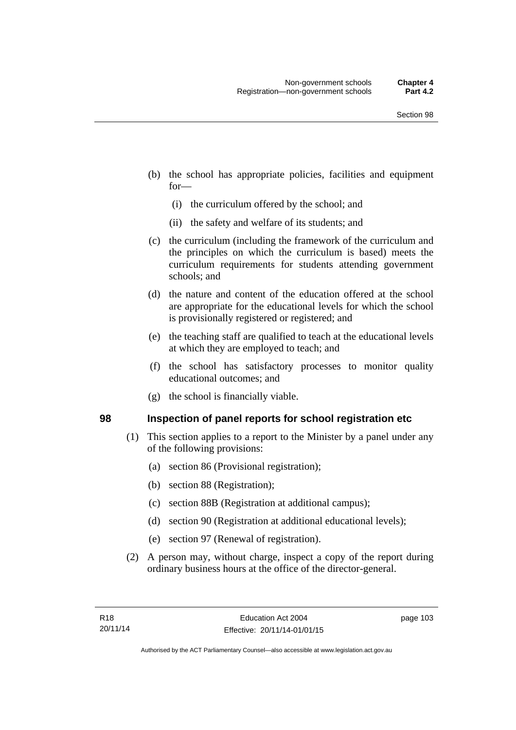- (b) the school has appropriate policies, facilities and equipment for—
	- (i) the curriculum offered by the school; and
	- (ii) the safety and welfare of its students; and
- (c) the curriculum (including the framework of the curriculum and the principles on which the curriculum is based) meets the curriculum requirements for students attending government schools; and
- (d) the nature and content of the education offered at the school are appropriate for the educational levels for which the school is provisionally registered or registered; and
- (e) the teaching staff are qualified to teach at the educational levels at which they are employed to teach; and
- (f) the school has satisfactory processes to monitor quality educational outcomes; and
- (g) the school is financially viable.

#### **98 Inspection of panel reports for school registration etc**

- (1) This section applies to a report to the Minister by a panel under any of the following provisions:
	- (a) section 86 (Provisional registration);
	- (b) section 88 (Registration);
	- (c) section 88B (Registration at additional campus);
	- (d) section 90 (Registration at additional educational levels);
	- (e) section 97 (Renewal of registration).
- (2) A person may, without charge, inspect a copy of the report during ordinary business hours at the office of the director-general.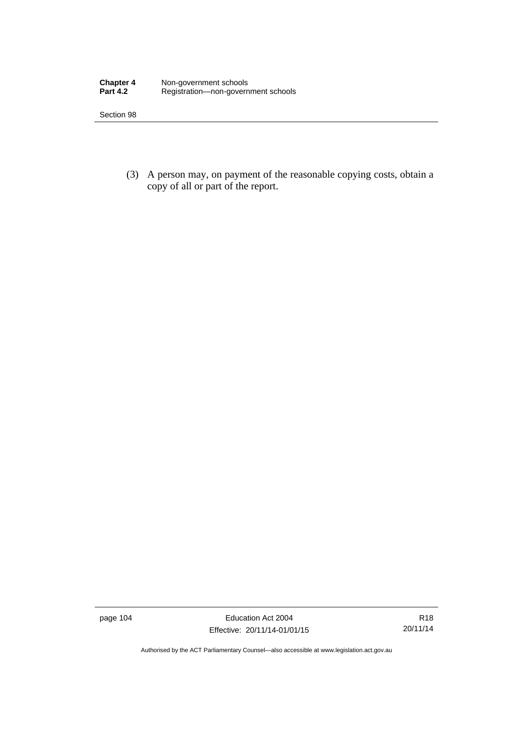| <b>Chapter 4</b> | Non-government schools              |
|------------------|-------------------------------------|
| <b>Part 4.2</b>  | Registration-non-government schools |

 (3) A person may, on payment of the reasonable copying costs, obtain a copy of all or part of the report.

page 104 Education Act 2004 Effective: 20/11/14-01/01/15

R18 20/11/14

Authorised by the ACT Parliamentary Counsel—also accessible at www.legislation.act.gov.au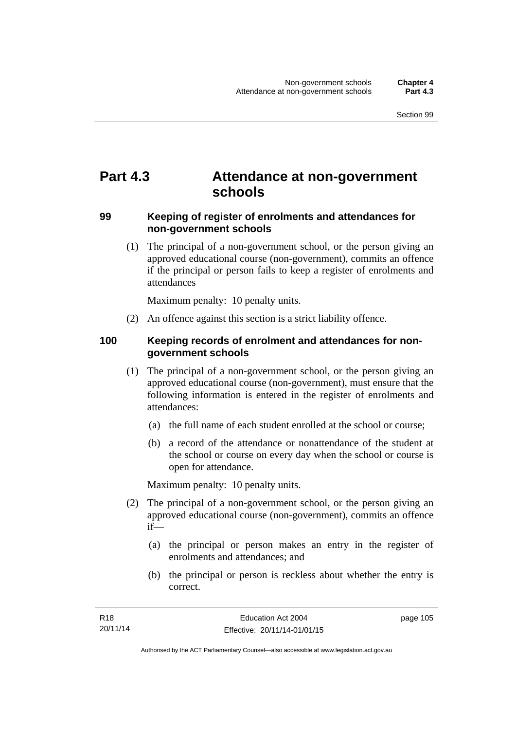# **Part 4.3 Attendance at non-government schools**

#### **99 Keeping of register of enrolments and attendances for non-government schools**

 (1) The principal of a non-government school, or the person giving an approved educational course (non-government), commits an offence if the principal or person fails to keep a register of enrolments and attendances

Maximum penalty: 10 penalty units.

(2) An offence against this section is a strict liability offence.

### **100 Keeping records of enrolment and attendances for nongovernment schools**

- (1) The principal of a non-government school, or the person giving an approved educational course (non-government), must ensure that the following information is entered in the register of enrolments and attendances:
	- (a) the full name of each student enrolled at the school or course;
	- (b) a record of the attendance or nonattendance of the student at the school or course on every day when the school or course is open for attendance.

Maximum penalty: 10 penalty units.

- (2) The principal of a non-government school, or the person giving an approved educational course (non-government), commits an offence if—
	- (a) the principal or person makes an entry in the register of enrolments and attendances; and
	- (b) the principal or person is reckless about whether the entry is correct.

page 105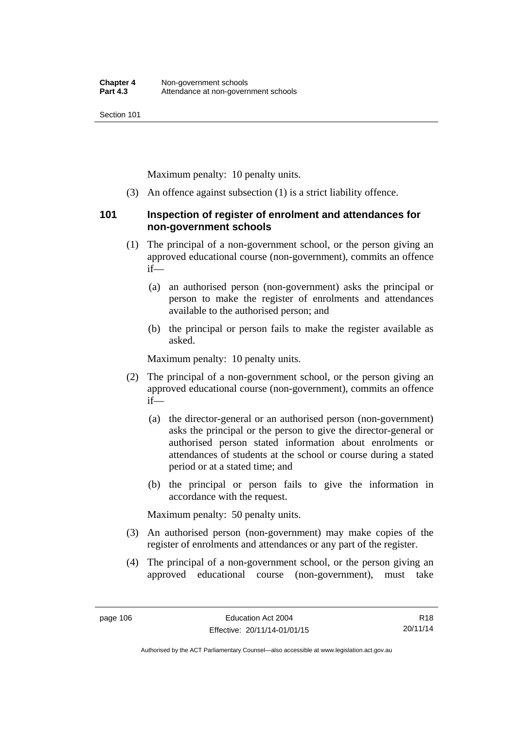Maximum penalty: 10 penalty units.

(3) An offence against subsection (1) is a strict liability offence.

#### **101 Inspection of register of enrolment and attendances for non-government schools**

- (1) The principal of a non-government school, or the person giving an approved educational course (non-government), commits an offence if—
	- (a) an authorised person (non-government) asks the principal or person to make the register of enrolments and attendances available to the authorised person; and
	- (b) the principal or person fails to make the register available as asked.

Maximum penalty: 10 penalty units.

- (2) The principal of a non-government school, or the person giving an approved educational course (non-government), commits an offence if—
	- (a) the director-general or an authorised person (non-government) asks the principal or the person to give the director-general or authorised person stated information about enrolments or attendances of students at the school or course during a stated period or at a stated time; and
	- (b) the principal or person fails to give the information in accordance with the request.

Maximum penalty: 50 penalty units.

- (3) An authorised person (non-government) may make copies of the register of enrolments and attendances or any part of the register.
- (4) The principal of a non-government school, or the person giving an approved educational course (non-government), must take

R18 20/11/14

Authorised by the ACT Parliamentary Counsel—also accessible at www.legislation.act.gov.au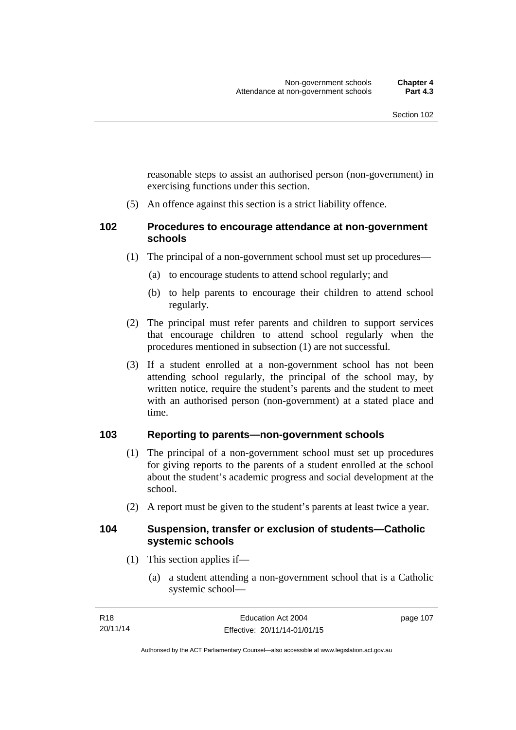reasonable steps to assist an authorised person (non-government) in exercising functions under this section.

(5) An offence against this section is a strict liability offence.

#### **102 Procedures to encourage attendance at non-government schools**

- (1) The principal of a non-government school must set up procedures—
	- (a) to encourage students to attend school regularly; and
	- (b) to help parents to encourage their children to attend school regularly.
- (2) The principal must refer parents and children to support services that encourage children to attend school regularly when the procedures mentioned in subsection (1) are not successful.
- (3) If a student enrolled at a non-government school has not been attending school regularly, the principal of the school may, by written notice, require the student's parents and the student to meet with an authorised person (non-government) at a stated place and time.

### **103 Reporting to parents—non-government schools**

- (1) The principal of a non-government school must set up procedures for giving reports to the parents of a student enrolled at the school about the student's academic progress and social development at the school.
- (2) A report must be given to the student's parents at least twice a year.

#### **104 Suspension, transfer or exclusion of students—Catholic systemic schools**

- (1) This section applies if—
	- (a) a student attending a non-government school that is a Catholic systemic school—

Authorised by the ACT Parliamentary Counsel—also accessible at www.legislation.act.gov.au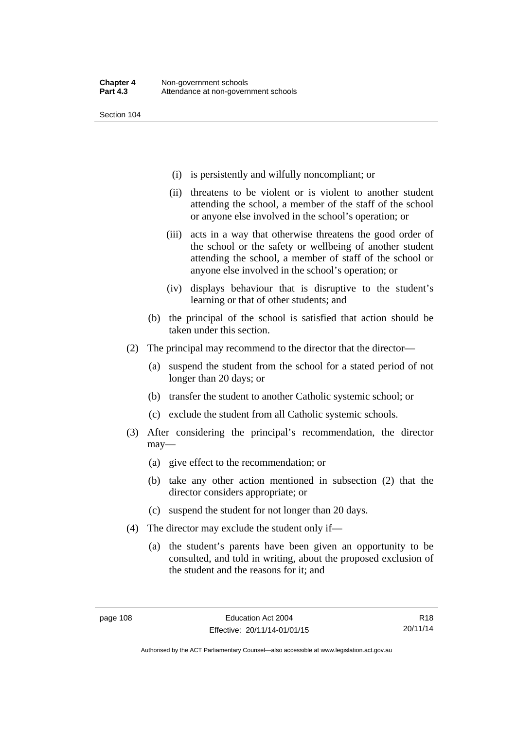- (i) is persistently and wilfully noncompliant; or
- (ii) threatens to be violent or is violent to another student attending the school, a member of the staff of the school or anyone else involved in the school's operation; or
- (iii) acts in a way that otherwise threatens the good order of the school or the safety or wellbeing of another student attending the school, a member of staff of the school or anyone else involved in the school's operation; or
- (iv) displays behaviour that is disruptive to the student's learning or that of other students; and
- (b) the principal of the school is satisfied that action should be taken under this section.
- (2) The principal may recommend to the director that the director—
	- (a) suspend the student from the school for a stated period of not longer than 20 days; or
	- (b) transfer the student to another Catholic systemic school; or
	- (c) exclude the student from all Catholic systemic schools.
- (3) After considering the principal's recommendation, the director may—
	- (a) give effect to the recommendation; or
	- (b) take any other action mentioned in subsection (2) that the director considers appropriate; or
	- (c) suspend the student for not longer than 20 days.
- (4) The director may exclude the student only if—
	- (a) the student's parents have been given an opportunity to be consulted, and told in writing, about the proposed exclusion of the student and the reasons for it; and

R18 20/11/14

Authorised by the ACT Parliamentary Counsel—also accessible at www.legislation.act.gov.au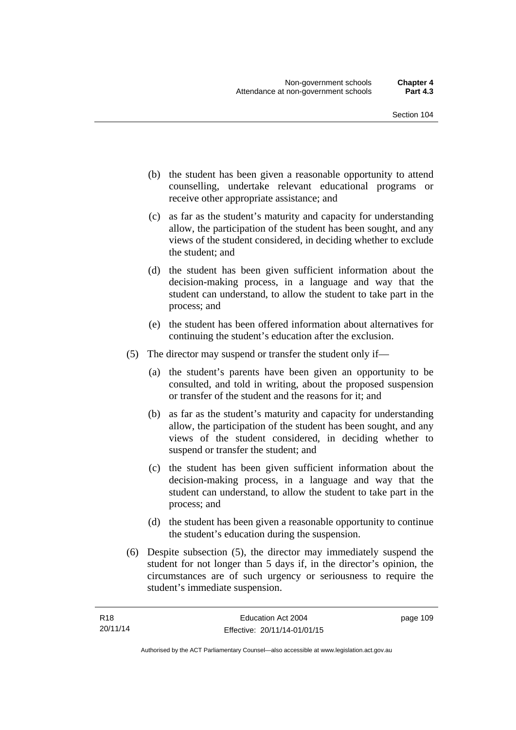- (b) the student has been given a reasonable opportunity to attend counselling, undertake relevant educational programs or receive other appropriate assistance; and
- (c) as far as the student's maturity and capacity for understanding allow, the participation of the student has been sought, and any views of the student considered, in deciding whether to exclude the student; and
- (d) the student has been given sufficient information about the decision-making process, in a language and way that the student can understand, to allow the student to take part in the process; and
- (e) the student has been offered information about alternatives for continuing the student's education after the exclusion.
- (5) The director may suspend or transfer the student only if—
	- (a) the student's parents have been given an opportunity to be consulted, and told in writing, about the proposed suspension or transfer of the student and the reasons for it; and
	- (b) as far as the student's maturity and capacity for understanding allow, the participation of the student has been sought, and any views of the student considered, in deciding whether to suspend or transfer the student; and
	- (c) the student has been given sufficient information about the decision-making process, in a language and way that the student can understand, to allow the student to take part in the process; and
	- (d) the student has been given a reasonable opportunity to continue the student's education during the suspension.
- (6) Despite subsection (5), the director may immediately suspend the student for not longer than 5 days if, in the director's opinion, the circumstances are of such urgency or seriousness to require the student's immediate suspension.

page 109

Authorised by the ACT Parliamentary Counsel—also accessible at www.legislation.act.gov.au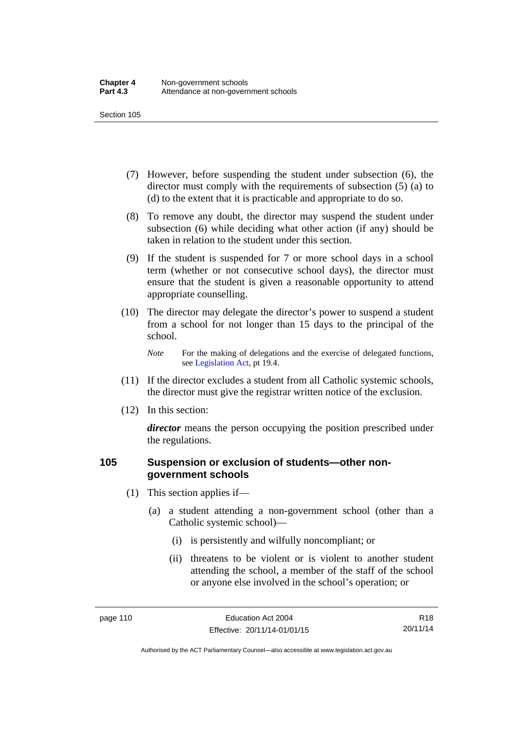- (7) However, before suspending the student under subsection (6), the director must comply with the requirements of subsection (5) (a) to (d) to the extent that it is practicable and appropriate to do so.
- (8) To remove any doubt, the director may suspend the student under subsection (6) while deciding what other action (if any) should be taken in relation to the student under this section.
- (9) If the student is suspended for 7 or more school days in a school term (whether or not consecutive school days), the director must ensure that the student is given a reasonable opportunity to attend appropriate counselling.
- (10) The director may delegate the director's power to suspend a student from a school for not longer than 15 days to the principal of the school.

*Note* For the making of delegations and the exercise of delegated functions, see [Legislation Act](http://www.legislation.act.gov.au/a/2001-14), pt 19.4.

- (11) If the director excludes a student from all Catholic systemic schools, the director must give the registrar written notice of the exclusion.
- (12) In this section:

*director* means the person occupying the position prescribed under the regulations.

#### **105 Suspension or exclusion of students—other nongovernment schools**

- (1) This section applies if—
	- (a) a student attending a non-government school (other than a Catholic systemic school)—
		- (i) is persistently and wilfully noncompliant; or
		- (ii) threatens to be violent or is violent to another student attending the school, a member of the staff of the school or anyone else involved in the school's operation; or

R18 20/11/14

Authorised by the ACT Parliamentary Counsel—also accessible at www.legislation.act.gov.au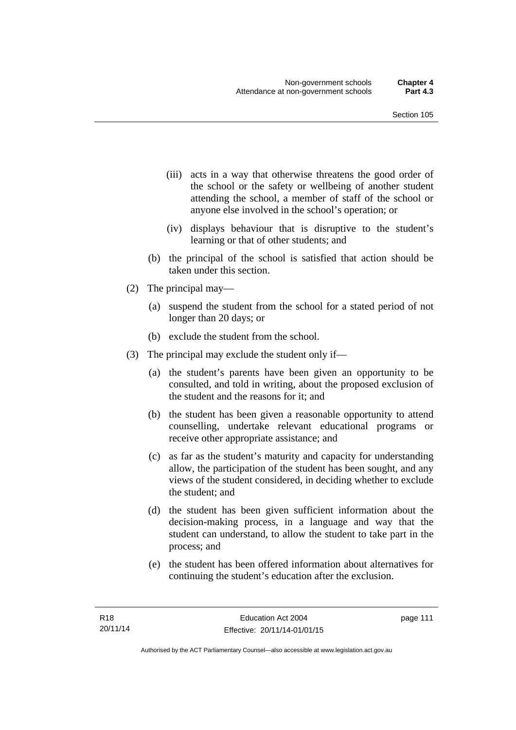- (iii) acts in a way that otherwise threatens the good order of the school or the safety or wellbeing of another student attending the school, a member of staff of the school or anyone else involved in the school's operation; or
- (iv) displays behaviour that is disruptive to the student's learning or that of other students; and
- (b) the principal of the school is satisfied that action should be taken under this section.
- (2) The principal may—
	- (a) suspend the student from the school for a stated period of not longer than 20 days; or
	- (b) exclude the student from the school.
- (3) The principal may exclude the student only if—
	- (a) the student's parents have been given an opportunity to be consulted, and told in writing, about the proposed exclusion of the student and the reasons for it; and
	- (b) the student has been given a reasonable opportunity to attend counselling, undertake relevant educational programs or receive other appropriate assistance; and
	- (c) as far as the student's maturity and capacity for understanding allow, the participation of the student has been sought, and any views of the student considered, in deciding whether to exclude the student; and
	- (d) the student has been given sufficient information about the decision-making process, in a language and way that the student can understand, to allow the student to take part in the process; and
	- (e) the student has been offered information about alternatives for continuing the student's education after the exclusion.

page 111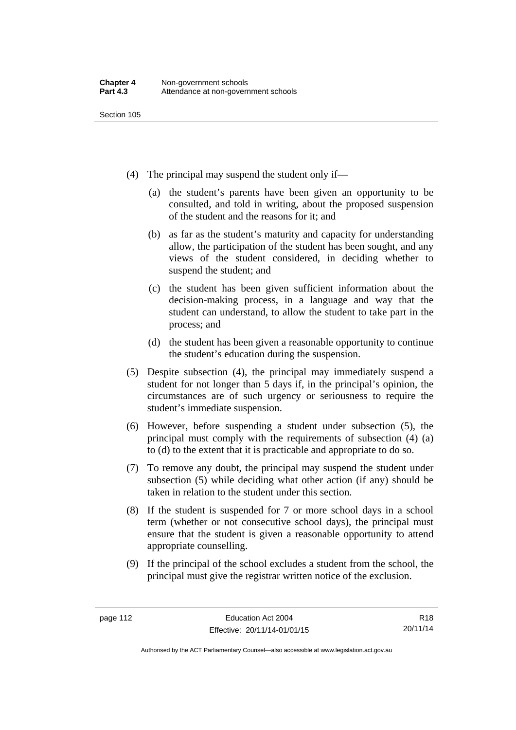- (4) The principal may suspend the student only if—
	- (a) the student's parents have been given an opportunity to be consulted, and told in writing, about the proposed suspension of the student and the reasons for it; and
	- (b) as far as the student's maturity and capacity for understanding allow, the participation of the student has been sought, and any views of the student considered, in deciding whether to suspend the student; and
	- (c) the student has been given sufficient information about the decision-making process, in a language and way that the student can understand, to allow the student to take part in the process; and
	- (d) the student has been given a reasonable opportunity to continue the student's education during the suspension.
- (5) Despite subsection (4), the principal may immediately suspend a student for not longer than 5 days if, in the principal's opinion, the circumstances are of such urgency or seriousness to require the student's immediate suspension.
- (6) However, before suspending a student under subsection (5), the principal must comply with the requirements of subsection (4) (a) to (d) to the extent that it is practicable and appropriate to do so.
- (7) To remove any doubt, the principal may suspend the student under subsection (5) while deciding what other action (if any) should be taken in relation to the student under this section.
- (8) If the student is suspended for 7 or more school days in a school term (whether or not consecutive school days), the principal must ensure that the student is given a reasonable opportunity to attend appropriate counselling.
- (9) If the principal of the school excludes a student from the school, the principal must give the registrar written notice of the exclusion.

Authorised by the ACT Parliamentary Counsel—also accessible at www.legislation.act.gov.au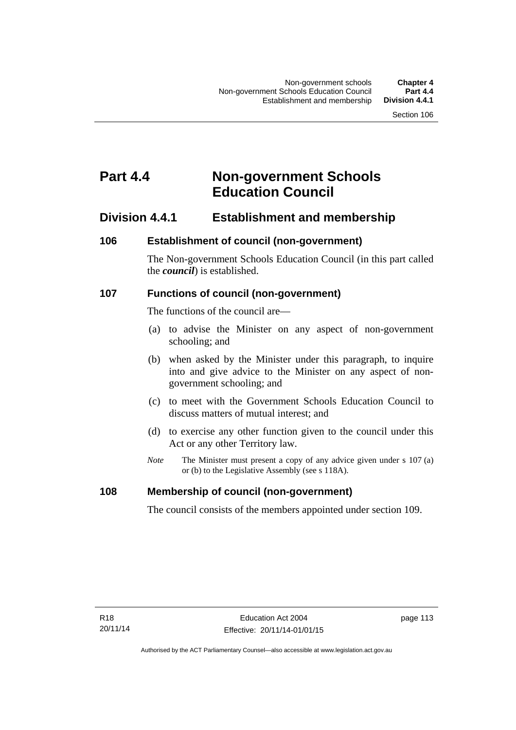# **Part 4.4 Non-government Schools Education Council**

# **Division 4.4.1 Establishment and membership**

#### **106 Establishment of council (non-government)**

The Non-government Schools Education Council (in this part called the *council*) is established.

#### **107 Functions of council (non-government)**

The functions of the council are—

- (a) to advise the Minister on any aspect of non-government schooling; and
- (b) when asked by the Minister under this paragraph, to inquire into and give advice to the Minister on any aspect of nongovernment schooling; and
- (c) to meet with the Government Schools Education Council to discuss matters of mutual interest; and
- (d) to exercise any other function given to the council under this Act or any other Territory law.
- *Note* The Minister must present a copy of any advice given under s 107 (a) or (b) to the Legislative Assembly (see s 118A).

#### **108 Membership of council (non-government)**

The council consists of the members appointed under section 109.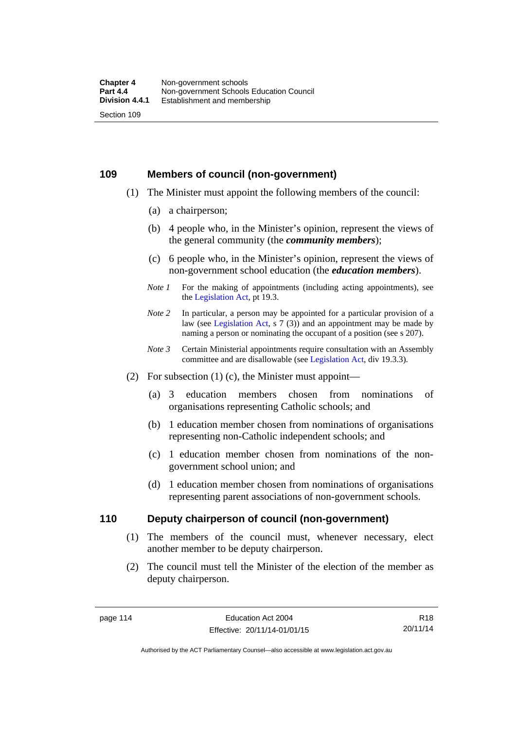#### **109 Members of council (non-government)**

- (1) The Minister must appoint the following members of the council:
	- (a) a chairperson;
	- (b) 4 people who, in the Minister's opinion, represent the views of the general community (the *community members*);
	- (c) 6 people who, in the Minister's opinion, represent the views of non-government school education (the *education members*).
	- *Note 1* For the making of appointments (including acting appointments), see the [Legislation Act,](http://www.legislation.act.gov.au/a/2001-14) pt 19.3.
	- *Note 2* In particular, a person may be appointed for a particular provision of a law (see [Legislation Act,](http://www.legislation.act.gov.au/a/2001-14) s 7 (3)) and an appointment may be made by naming a person or nominating the occupant of a position (see s 207).
	- *Note 3* Certain Ministerial appointments require consultation with an Assembly committee and are disallowable (see [Legislation Act](http://www.legislation.act.gov.au/a/2001-14), div 19.3.3).
- (2) For subsection  $(1)$  (c), the Minister must appoint—
	- (a) 3 education members chosen from nominations of organisations representing Catholic schools; and
	- (b) 1 education member chosen from nominations of organisations representing non-Catholic independent schools; and
	- (c) 1 education member chosen from nominations of the nongovernment school union; and
	- (d) 1 education member chosen from nominations of organisations representing parent associations of non-government schools.

#### **110 Deputy chairperson of council (non-government)**

- (1) The members of the council must, whenever necessary, elect another member to be deputy chairperson.
- (2) The council must tell the Minister of the election of the member as deputy chairperson.

R18 20/11/14

Authorised by the ACT Parliamentary Counsel—also accessible at www.legislation.act.gov.au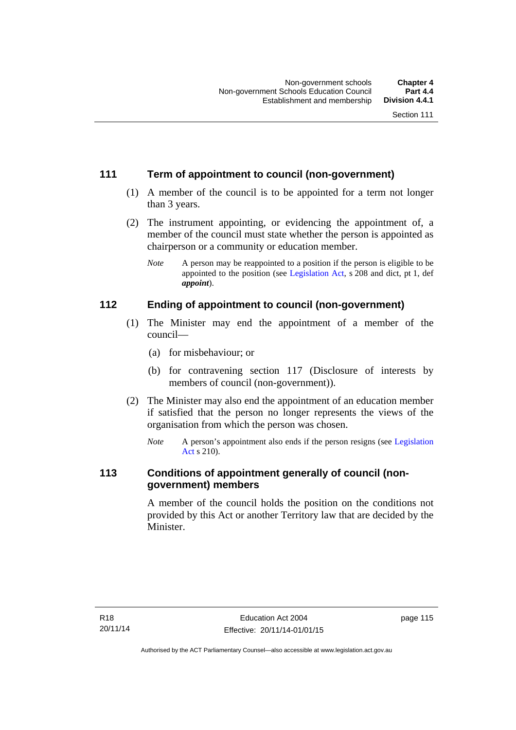## **111 Term of appointment to council (non-government)**

- (1) A member of the council is to be appointed for a term not longer than 3 years.
- (2) The instrument appointing, or evidencing the appointment of, a member of the council must state whether the person is appointed as chairperson or a community or education member.
	- *Note* A person may be reappointed to a position if the person is eligible to be appointed to the position (see [Legislation Act](http://www.legislation.act.gov.au/a/2001-14), s 208 and dict, pt 1, def *appoint*).

## **112 Ending of appointment to council (non-government)**

- (1) The Minister may end the appointment of a member of the council—
	- (a) for misbehaviour; or
	- (b) for contravening section 117 (Disclosure of interests by members of council (non-government)).
- (2) The Minister may also end the appointment of an education member if satisfied that the person no longer represents the views of the organisation from which the person was chosen.
	- *Note* A person's appointment also ends if the person resigns (see [Legislation](http://www.legislation.act.gov.au/a/2001-14)  [Act](http://www.legislation.act.gov.au/a/2001-14) s 210).

## **113 Conditions of appointment generally of council (nongovernment) members**

A member of the council holds the position on the conditions not provided by this Act or another Territory law that are decided by the Minister.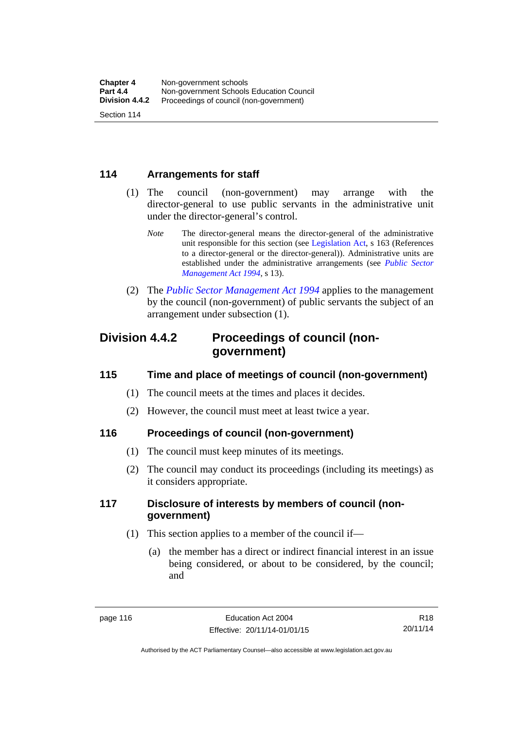### **114 Arrangements for staff**

- (1) The council (non-government) may arrange with the director-general to use public servants in the administrative unit under the director-general's control.
	- *Note* The director-general means the director-general of the administrative unit responsible for this section (see [Legislation Act](http://www.legislation.act.gov.au/a/2001-14), s 163 (References to a director-general or the director-general)). Administrative units are established under the administrative arrangements (see *[Public Sector](http://www.legislation.act.gov.au/a/1994-37)  [Management Act 1994](http://www.legislation.act.gov.au/a/1994-37)*, s 13).
- (2) The *[Public Sector Management Act 1994](http://www.legislation.act.gov.au/a/1994-37)* applies to the management by the council (non-government) of public servants the subject of an arrangement under subsection (1).

# **Division 4.4.2 Proceedings of council (nongovernment)**

## **115 Time and place of meetings of council (non-government)**

- (1) The council meets at the times and places it decides.
- (2) However, the council must meet at least twice a year.

## **116 Proceedings of council (non-government)**

- (1) The council must keep minutes of its meetings.
- (2) The council may conduct its proceedings (including its meetings) as it considers appropriate.

## **117 Disclosure of interests by members of council (nongovernment)**

- (1) This section applies to a member of the council if—
	- (a) the member has a direct or indirect financial interest in an issue being considered, or about to be considered, by the council; and

R18 20/11/14

Authorised by the ACT Parliamentary Counsel—also accessible at www.legislation.act.gov.au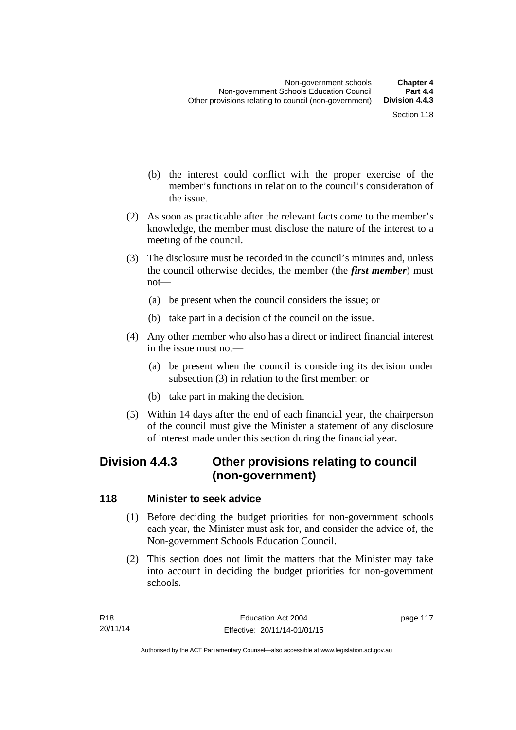- (b) the interest could conflict with the proper exercise of the member's functions in relation to the council's consideration of the issue.
- (2) As soon as practicable after the relevant facts come to the member's knowledge, the member must disclose the nature of the interest to a meeting of the council.
- (3) The disclosure must be recorded in the council's minutes and, unless the council otherwise decides, the member (the *first member*) must not—
	- (a) be present when the council considers the issue; or
	- (b) take part in a decision of the council on the issue.
- (4) Any other member who also has a direct or indirect financial interest in the issue must not—
	- (a) be present when the council is considering its decision under subsection (3) in relation to the first member; or
	- (b) take part in making the decision.
- (5) Within 14 days after the end of each financial year, the chairperson of the council must give the Minister a statement of any disclosure of interest made under this section during the financial year.

# **Division 4.4.3 Other provisions relating to council (non-government)**

#### **118 Minister to seek advice**

- (1) Before deciding the budget priorities for non-government schools each year, the Minister must ask for, and consider the advice of, the Non-government Schools Education Council.
- (2) This section does not limit the matters that the Minister may take into account in deciding the budget priorities for non-government schools.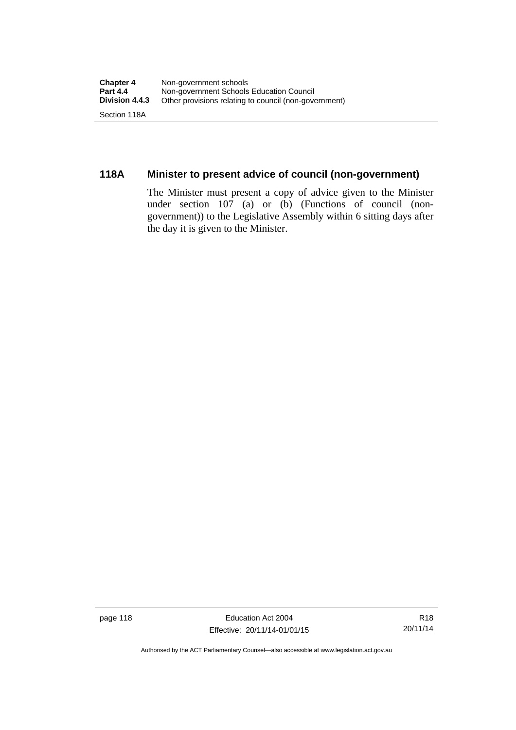## **118A Minister to present advice of council (non-government)**

The Minister must present a copy of advice given to the Minister under section 107 (a) or (b) (Functions of council (nongovernment)) to the Legislative Assembly within 6 sitting days after the day it is given to the Minister.

page 118 Education Act 2004 Effective: 20/11/14-01/01/15

Authorised by the ACT Parliamentary Counsel—also accessible at www.legislation.act.gov.au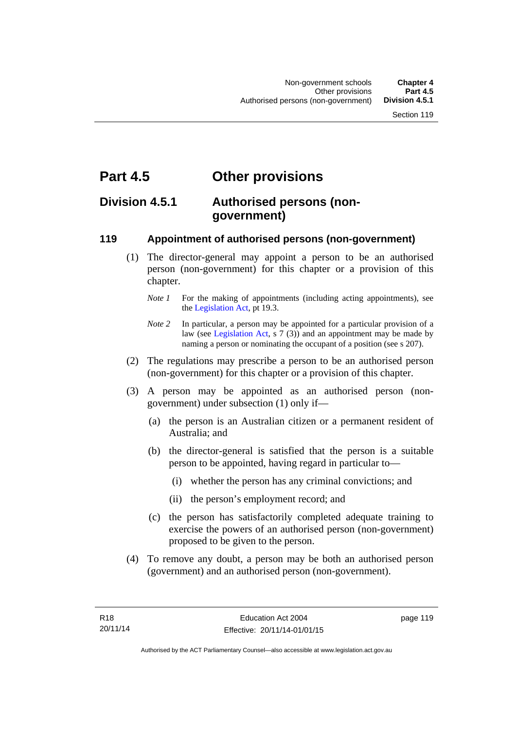# **Part 4.5 Other provisions**

# **Division 4.5.1 Authorised persons (nongovernment)**

#### **119 Appointment of authorised persons (non-government)**

- (1) The director-general may appoint a person to be an authorised person (non-government) for this chapter or a provision of this chapter.
	- *Note 1* For the making of appointments (including acting appointments), see the [Legislation Act,](http://www.legislation.act.gov.au/a/2001-14) pt 19.3.
	- *Note* 2 In particular, a person may be appointed for a particular provision of a law (see [Legislation Act,](http://www.legislation.act.gov.au/a/2001-14) s 7 (3)) and an appointment may be made by naming a person or nominating the occupant of a position (see s 207).
- (2) The regulations may prescribe a person to be an authorised person (non-government) for this chapter or a provision of this chapter.
- (3) A person may be appointed as an authorised person (nongovernment) under subsection (1) only if—
	- (a) the person is an Australian citizen or a permanent resident of Australia; and
	- (b) the director-general is satisfied that the person is a suitable person to be appointed, having regard in particular to—
		- (i) whether the person has any criminal convictions; and
		- (ii) the person's employment record; and
	- (c) the person has satisfactorily completed adequate training to exercise the powers of an authorised person (non-government) proposed to be given to the person.
- (4) To remove any doubt, a person may be both an authorised person (government) and an authorised person (non-government).

page 119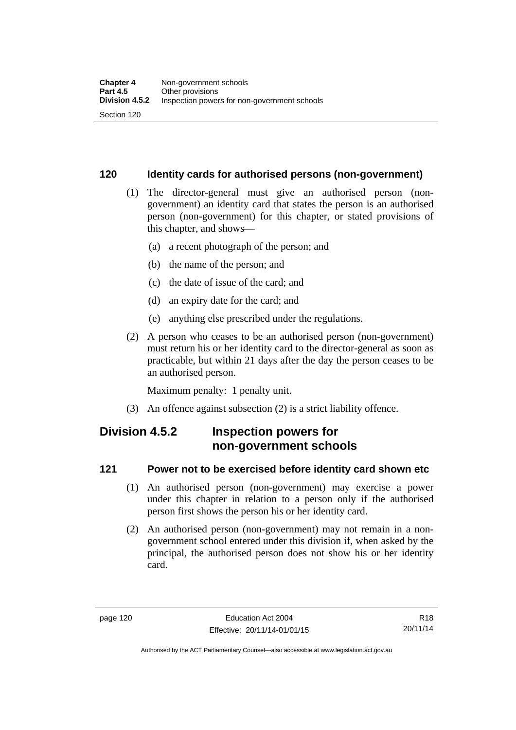#### **120 Identity cards for authorised persons (non-government)**

- (1) The director-general must give an authorised person (nongovernment) an identity card that states the person is an authorised person (non-government) for this chapter, or stated provisions of this chapter, and shows—
	- (a) a recent photograph of the person; and
	- (b) the name of the person; and
	- (c) the date of issue of the card; and
	- (d) an expiry date for the card; and
	- (e) anything else prescribed under the regulations.
- (2) A person who ceases to be an authorised person (non-government) must return his or her identity card to the director-general as soon as practicable, but within 21 days after the day the person ceases to be an authorised person.

Maximum penalty: 1 penalty unit.

(3) An offence against subsection (2) is a strict liability offence.

# **Division 4.5.2 Inspection powers for non-government schools**

#### **121 Power not to be exercised before identity card shown etc**

- (1) An authorised person (non-government) may exercise a power under this chapter in relation to a person only if the authorised person first shows the person his or her identity card.
- (2) An authorised person (non-government) may not remain in a nongovernment school entered under this division if, when asked by the principal, the authorised person does not show his or her identity card.

Authorised by the ACT Parliamentary Counsel—also accessible at www.legislation.act.gov.au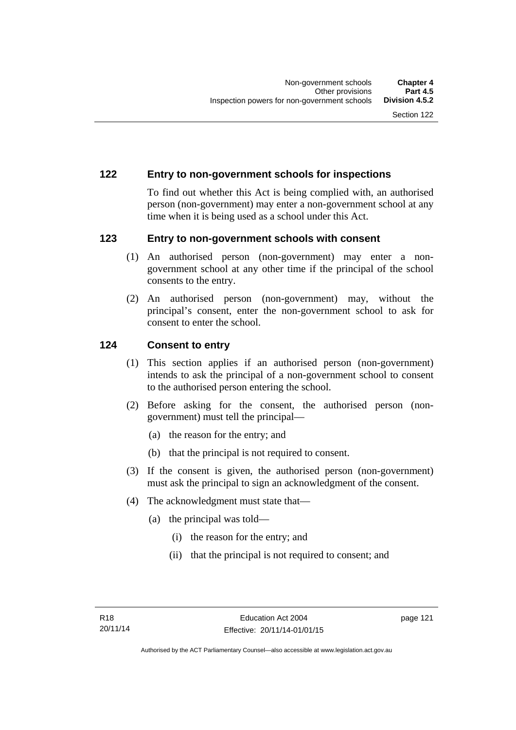#### **122 Entry to non-government schools for inspections**

To find out whether this Act is being complied with, an authorised person (non-government) may enter a non-government school at any time when it is being used as a school under this Act.

#### **123 Entry to non-government schools with consent**

- (1) An authorised person (non-government) may enter a nongovernment school at any other time if the principal of the school consents to the entry.
- (2) An authorised person (non-government) may, without the principal's consent, enter the non-government school to ask for consent to enter the school.

#### **124 Consent to entry**

- (1) This section applies if an authorised person (non-government) intends to ask the principal of a non-government school to consent to the authorised person entering the school.
- (2) Before asking for the consent, the authorised person (nongovernment) must tell the principal—
	- (a) the reason for the entry; and
	- (b) that the principal is not required to consent.
- (3) If the consent is given, the authorised person (non-government) must ask the principal to sign an acknowledgment of the consent.
- (4) The acknowledgment must state that—
	- (a) the principal was told—
		- (i) the reason for the entry; and
		- (ii) that the principal is not required to consent; and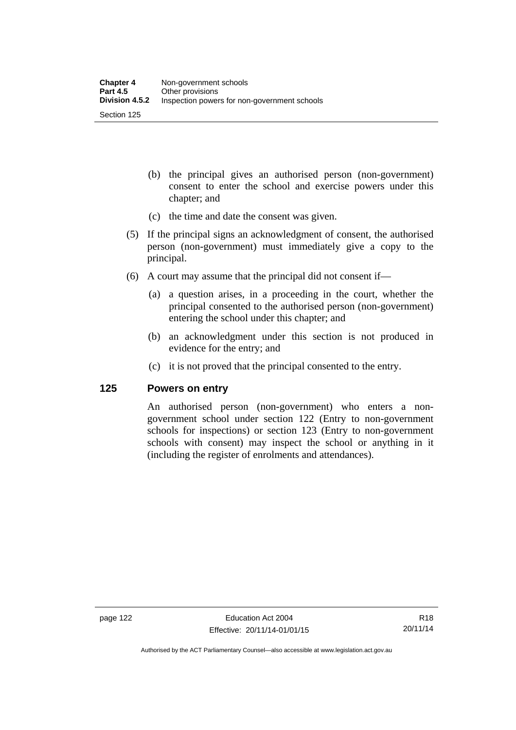- (b) the principal gives an authorised person (non-government) consent to enter the school and exercise powers under this chapter; and
- (c) the time and date the consent was given.
- (5) If the principal signs an acknowledgment of consent, the authorised person (non-government) must immediately give a copy to the principal.
- (6) A court may assume that the principal did not consent if—
	- (a) a question arises, in a proceeding in the court, whether the principal consented to the authorised person (non-government) entering the school under this chapter; and
	- (b) an acknowledgment under this section is not produced in evidence for the entry; and
	- (c) it is not proved that the principal consented to the entry.

#### **125 Powers on entry**

An authorised person (non-government) who enters a nongovernment school under section 122 (Entry to non-government schools for inspections) or section 123 (Entry to non-government schools with consent) may inspect the school or anything in it (including the register of enrolments and attendances).

Authorised by the ACT Parliamentary Counsel—also accessible at www.legislation.act.gov.au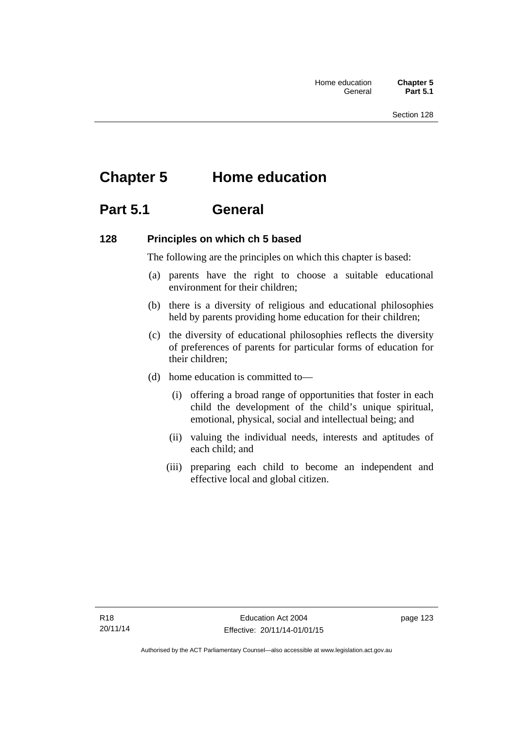# **Chapter 5 Home education**

# **Part 5.1 General**

#### **128 Principles on which ch 5 based**

The following are the principles on which this chapter is based:

- (a) parents have the right to choose a suitable educational environment for their children;
- (b) there is a diversity of religious and educational philosophies held by parents providing home education for their children;
- (c) the diversity of educational philosophies reflects the diversity of preferences of parents for particular forms of education for their children;
- (d) home education is committed to—
	- (i) offering a broad range of opportunities that foster in each child the development of the child's unique spiritual, emotional, physical, social and intellectual being; and
	- (ii) valuing the individual needs, interests and aptitudes of each child; and
	- (iii) preparing each child to become an independent and effective local and global citizen.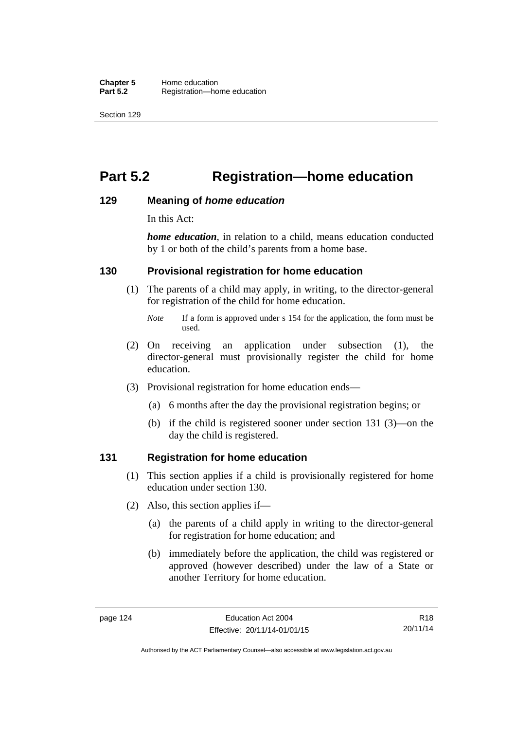# **Part 5.2 Registration—home education**

#### **129 Meaning of** *home education*

In this Act:

*home education*, in relation to a child, means education conducted by 1 or both of the child's parents from a home base.

#### **130 Provisional registration for home education**

(1) The parents of a child may apply, in writing, to the director-general for registration of the child for home education.

- (2) On receiving an application under subsection (1), the director-general must provisionally register the child for home education.
- (3) Provisional registration for home education ends—
	- (a) 6 months after the day the provisional registration begins; or
	- (b) if the child is registered sooner under section 131 (3)—on the day the child is registered.

#### **131 Registration for home education**

- (1) This section applies if a child is provisionally registered for home education under section 130.
- (2) Also, this section applies if—
	- (a) the parents of a child apply in writing to the director-general for registration for home education; and
	- (b) immediately before the application, the child was registered or approved (however described) under the law of a State or another Territory for home education.

*Note* If a form is approved under s 154 for the application, the form must be used.

R18 20/11/14

Authorised by the ACT Parliamentary Counsel—also accessible at www.legislation.act.gov.au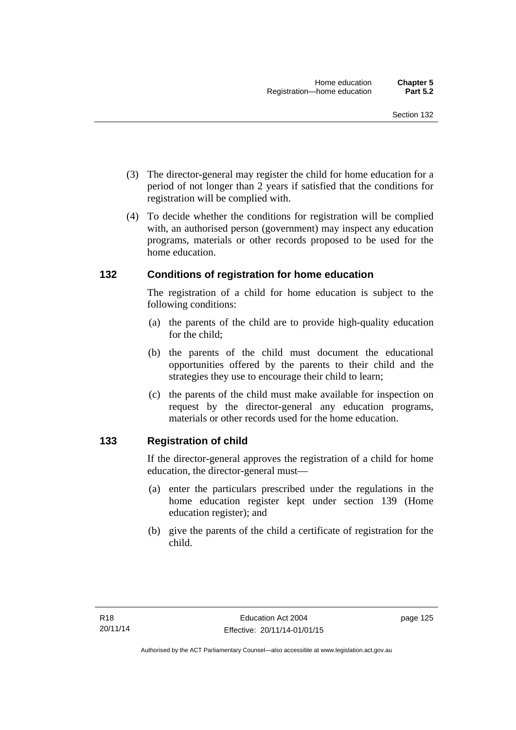- (3) The director-general may register the child for home education for a period of not longer than 2 years if satisfied that the conditions for registration will be complied with.
- (4) To decide whether the conditions for registration will be complied with, an authorised person (government) may inspect any education programs, materials or other records proposed to be used for the home education.

#### **132 Conditions of registration for home education**

The registration of a child for home education is subject to the following conditions:

- (a) the parents of the child are to provide high-quality education for the child;
- (b) the parents of the child must document the educational opportunities offered by the parents to their child and the strategies they use to encourage their child to learn;
- (c) the parents of the child must make available for inspection on request by the director-general any education programs, materials or other records used for the home education.

#### **133 Registration of child**

If the director-general approves the registration of a child for home education, the director-general must—

- (a) enter the particulars prescribed under the regulations in the home education register kept under section 139 (Home education register); and
- (b) give the parents of the child a certificate of registration for the child.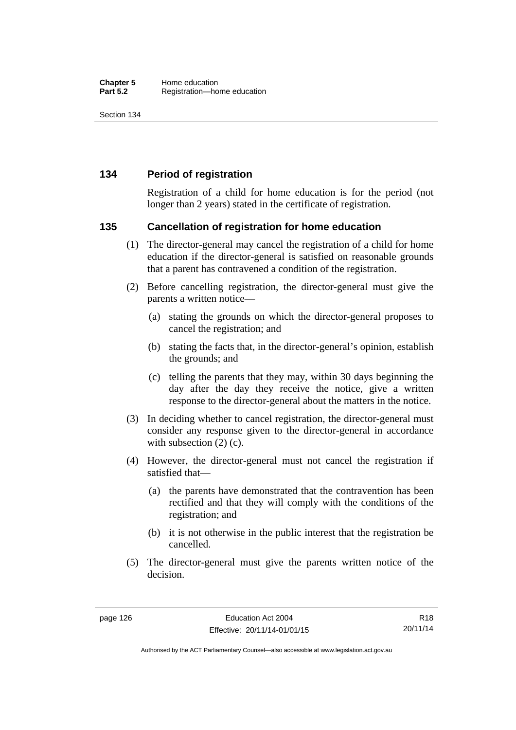#### **134 Period of registration**

Registration of a child for home education is for the period (not longer than 2 years) stated in the certificate of registration.

#### **135 Cancellation of registration for home education**

- (1) The director-general may cancel the registration of a child for home education if the director-general is satisfied on reasonable grounds that a parent has contravened a condition of the registration.
- (2) Before cancelling registration, the director-general must give the parents a written notice—
	- (a) stating the grounds on which the director-general proposes to cancel the registration; and
	- (b) stating the facts that, in the director-general's opinion, establish the grounds; and
	- (c) telling the parents that they may, within 30 days beginning the day after the day they receive the notice, give a written response to the director-general about the matters in the notice.
- (3) In deciding whether to cancel registration, the director-general must consider any response given to the director-general in accordance with subsection  $(2)$  (c).
- (4) However, the director-general must not cancel the registration if satisfied that—
	- (a) the parents have demonstrated that the contravention has been rectified and that they will comply with the conditions of the registration; and
	- (b) it is not otherwise in the public interest that the registration be cancelled.
- (5) The director-general must give the parents written notice of the decision.

R18 20/11/14

Authorised by the ACT Parliamentary Counsel—also accessible at www.legislation.act.gov.au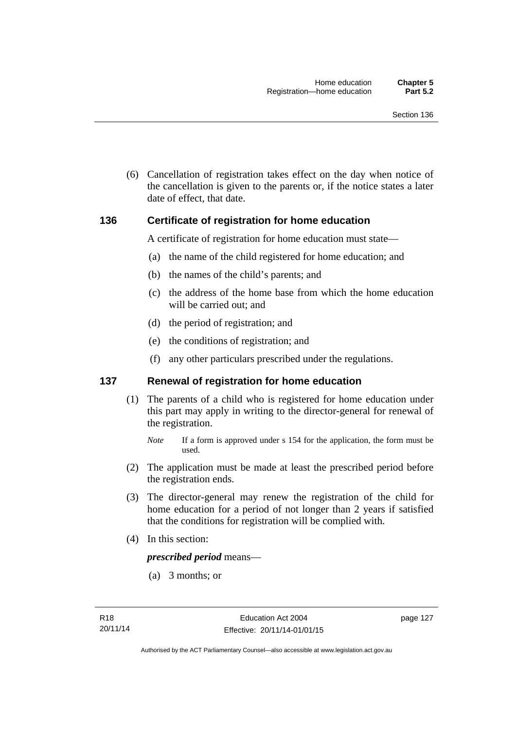(6) Cancellation of registration takes effect on the day when notice of the cancellation is given to the parents or, if the notice states a later date of effect, that date.

#### **136 Certificate of registration for home education**

A certificate of registration for home education must state—

- (a) the name of the child registered for home education; and
- (b) the names of the child's parents; and
- (c) the address of the home base from which the home education will be carried out; and
- (d) the period of registration; and
- (e) the conditions of registration; and
- (f) any other particulars prescribed under the regulations.

#### **137 Renewal of registration for home education**

(1) The parents of a child who is registered for home education under this part may apply in writing to the director-general for renewal of the registration.

- (2) The application must be made at least the prescribed period before the registration ends.
- (3) The director-general may renew the registration of the child for home education for a period of not longer than 2 years if satisfied that the conditions for registration will be complied with.
- (4) In this section:

*prescribed period* means—

(a) 3 months; or

*Note* If a form is approved under s 154 for the application, the form must be used.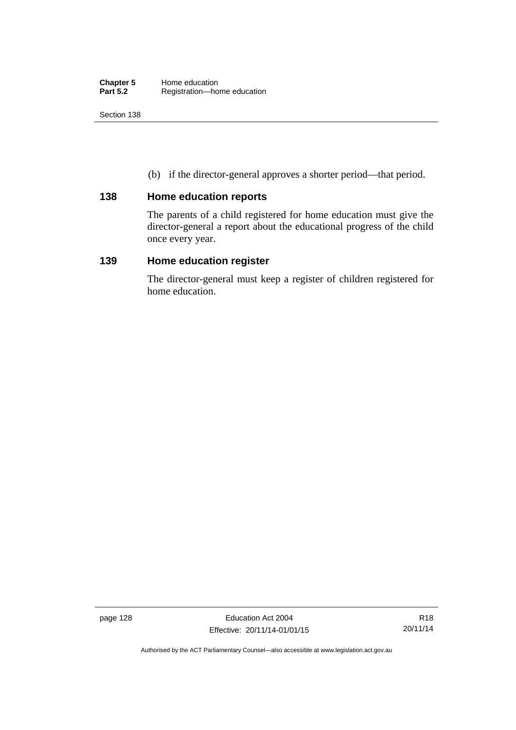(b) if the director-general approves a shorter period—that period.

#### **138 Home education reports**

The parents of a child registered for home education must give the director-general a report about the educational progress of the child once every year.

### **139 Home education register**

The director-general must keep a register of children registered for home education.

page 128 Education Act 2004 Effective: 20/11/14-01/01/15

Authorised by the ACT Parliamentary Counsel—also accessible at www.legislation.act.gov.au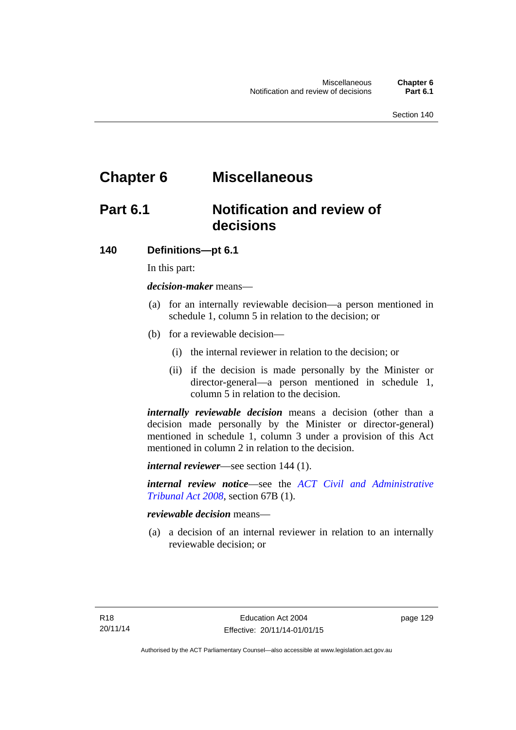# **Chapter 6 Miscellaneous**

# **Part 6.1 Notification and review of decisions**

#### **140 Definitions***—***pt 6.1**

In this part:

*decision-maker* means—

- (a) for an internally reviewable decision—a person mentioned in schedule 1, column 5 in relation to the decision; or
- (b) for a reviewable decision—
	- (i) the internal reviewer in relation to the decision; or
	- (ii) if the decision is made personally by the Minister or director-general—a person mentioned in schedule 1, column 5 in relation to the decision.

*internally reviewable decision* means a decision (other than a decision made personally by the Minister or director-general) mentioned in schedule 1, column 3 under a provision of this Act mentioned in column 2 in relation to the decision.

*internal reviewer*—see section 144 (1).

*internal review notice*—see the *[ACT Civil and Administrative](http://www.legislation.act.gov.au/a/2008-35)  [Tribunal Act 2008](http://www.legislation.act.gov.au/a/2008-35)*, section 67B (1).

*reviewable decision* means—

 (a) a decision of an internal reviewer in relation to an internally reviewable decision; or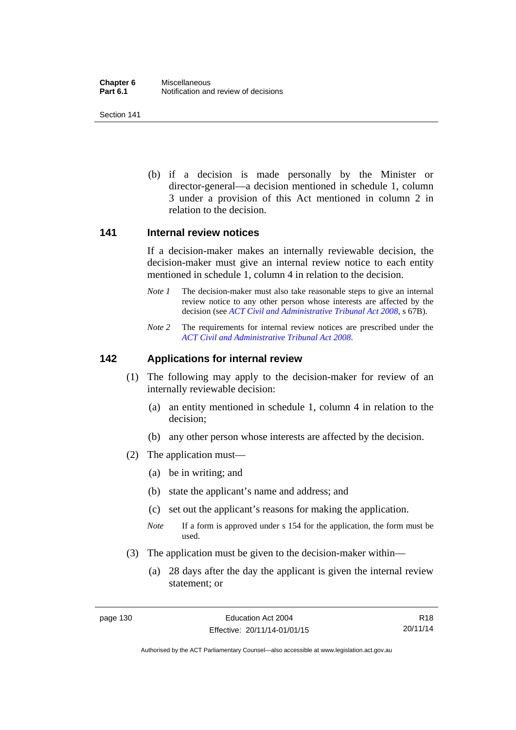(b) if a decision is made personally by the Minister or director-general—a decision mentioned in schedule 1, column 3 under a provision of this Act mentioned in column 2 in relation to the decision.

#### **141 Internal review notices**

If a decision-maker makes an internally reviewable decision, the decision-maker must give an internal review notice to each entity mentioned in schedule 1, column 4 in relation to the decision.

- *Note 1* The decision-maker must also take reasonable steps to give an internal review notice to any other person whose interests are affected by the decision (see *[ACT Civil and Administrative Tribunal Act 2008](http://www.legislation.act.gov.au/a/2008-35)*, s 67B).
- *Note 2* The requirements for internal review notices are prescribed under the *[ACT Civil and Administrative Tribunal Act 2008](http://www.legislation.act.gov.au/a/2008-35)*.

#### **142 Applications for internal review**

- (1) The following may apply to the decision-maker for review of an internally reviewable decision:
	- (a) an entity mentioned in schedule 1, column 4 in relation to the decision;
	- (b) any other person whose interests are affected by the decision.
- (2) The application must—
	- (a) be in writing; and
	- (b) state the applicant's name and address; and
	- (c) set out the applicant's reasons for making the application.
	- *Note* If a form is approved under s 154 for the application, the form must be used.
- (3) The application must be given to the decision-maker within—
	- (a) 28 days after the day the applicant is given the internal review statement; or

R18 20/11/14

Authorised by the ACT Parliamentary Counsel—also accessible at www.legislation.act.gov.au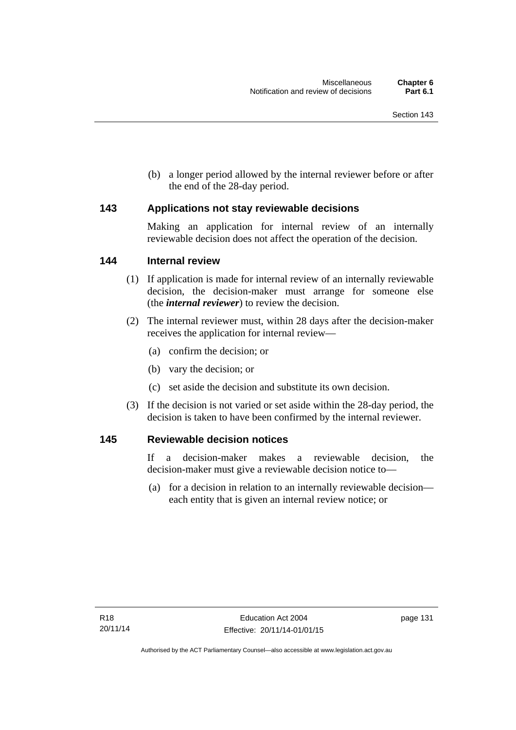(b) a longer period allowed by the internal reviewer before or after the end of the 28-day period.

#### **143 Applications not stay reviewable decisions**

Making an application for internal review of an internally reviewable decision does not affect the operation of the decision.

#### **144 Internal review**

- (1) If application is made for internal review of an internally reviewable decision, the decision-maker must arrange for someone else (the *internal reviewer*) to review the decision.
- (2) The internal reviewer must, within 28 days after the decision-maker receives the application for internal review—
	- (a) confirm the decision; or
	- (b) vary the decision; or
	- (c) set aside the decision and substitute its own decision.
- (3) If the decision is not varied or set aside within the 28-day period, the decision is taken to have been confirmed by the internal reviewer.

#### **145 Reviewable decision notices**

If a decision-maker makes a reviewable decision, the decision-maker must give a reviewable decision notice to—

 (a) for a decision in relation to an internally reviewable decision each entity that is given an internal review notice; or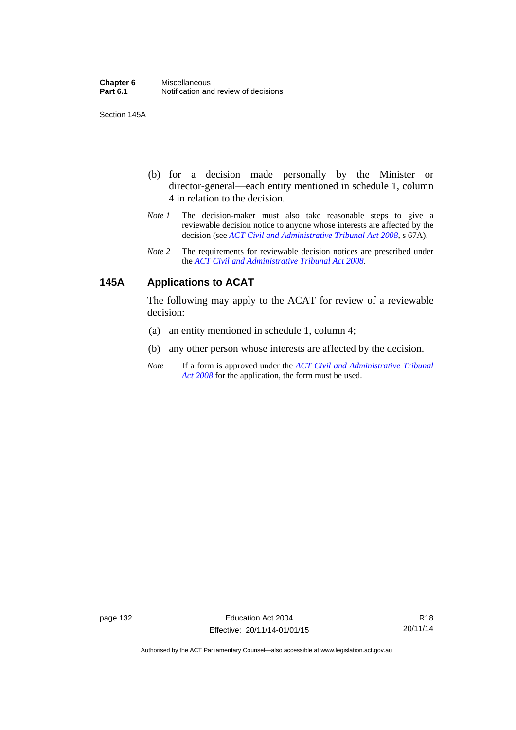Section 145A

- (b) for a decision made personally by the Minister or director-general—each entity mentioned in schedule 1, column 4 in relation to the decision.
- *Note 1* The decision-maker must also take reasonable steps to give a reviewable decision notice to anyone whose interests are affected by the decision (see *[ACT Civil and Administrative Tribunal Act 2008](http://www.legislation.act.gov.au/a/2008-35)*, s 67A).
- *Note 2* The requirements for reviewable decision notices are prescribed under the *[ACT Civil and Administrative Tribunal Act 2008](http://www.legislation.act.gov.au/a/2008-35)*.

# **145A Applications to ACAT**

The following may apply to the ACAT for review of a reviewable decision:

- (a) an entity mentioned in schedule 1, column 4;
- (b) any other person whose interests are affected by the decision.
- *Note* If a form is approved under the *[ACT Civil and Administrative Tribunal](http://www.legislation.act.gov.au/a/2008-35)  [Act 2008](http://www.legislation.act.gov.au/a/2008-35)* for the application, the form must be used.

page 132 Education Act 2004 Effective: 20/11/14-01/01/15

Authorised by the ACT Parliamentary Counsel—also accessible at www.legislation.act.gov.au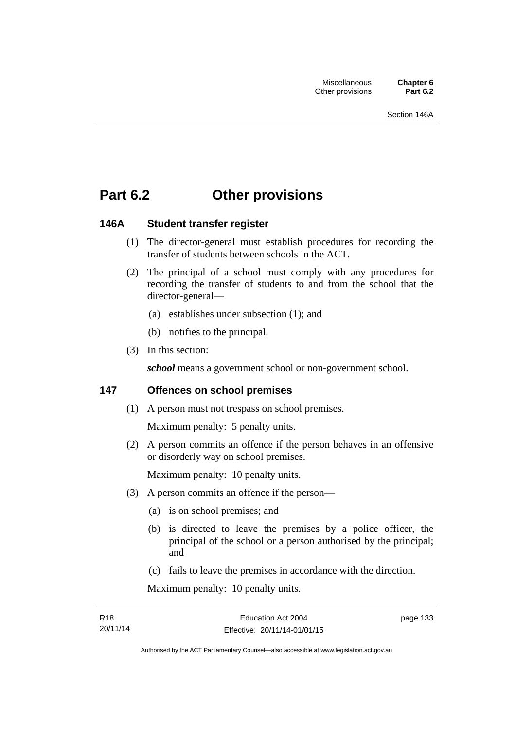# **Part 6.2 Other provisions**

# **146A Student transfer register**

- (1) The director-general must establish procedures for recording the transfer of students between schools in the ACT.
- (2) The principal of a school must comply with any procedures for recording the transfer of students to and from the school that the director-general—
	- (a) establishes under subsection (1); and
	- (b) notifies to the principal.
- (3) In this section:

*school* means a government school or non-government school.

# **147 Offences on school premises**

(1) A person must not trespass on school premises.

Maximum penalty: 5 penalty units.

 (2) A person commits an offence if the person behaves in an offensive or disorderly way on school premises.

Maximum penalty: 10 penalty units.

- (3) A person commits an offence if the person—
	- (a) is on school premises; and
	- (b) is directed to leave the premises by a police officer, the principal of the school or a person authorised by the principal; and
	- (c) fails to leave the premises in accordance with the direction.

Maximum penalty: 10 penalty units.

page 133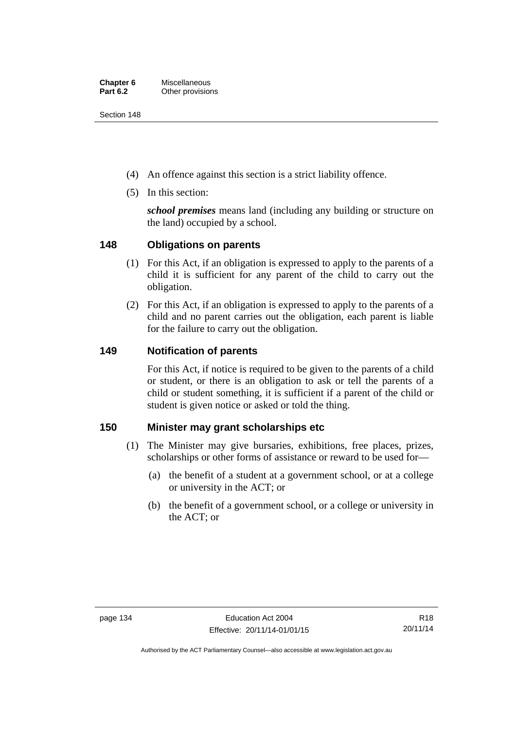Section 148

- (4) An offence against this section is a strict liability offence.
- (5) In this section:

*school premises* means land (including any building or structure on the land) occupied by a school.

# **148 Obligations on parents**

- (1) For this Act, if an obligation is expressed to apply to the parents of a child it is sufficient for any parent of the child to carry out the obligation.
- (2) For this Act, if an obligation is expressed to apply to the parents of a child and no parent carries out the obligation, each parent is liable for the failure to carry out the obligation.

# **149 Notification of parents**

For this Act, if notice is required to be given to the parents of a child or student, or there is an obligation to ask or tell the parents of a child or student something, it is sufficient if a parent of the child or student is given notice or asked or told the thing.

# **150 Minister may grant scholarships etc**

- (1) The Minister may give bursaries, exhibitions, free places, prizes, scholarships or other forms of assistance or reward to be used for—
	- (a) the benefit of a student at a government school, or at a college or university in the ACT; or
	- (b) the benefit of a government school, or a college or university in the ACT; or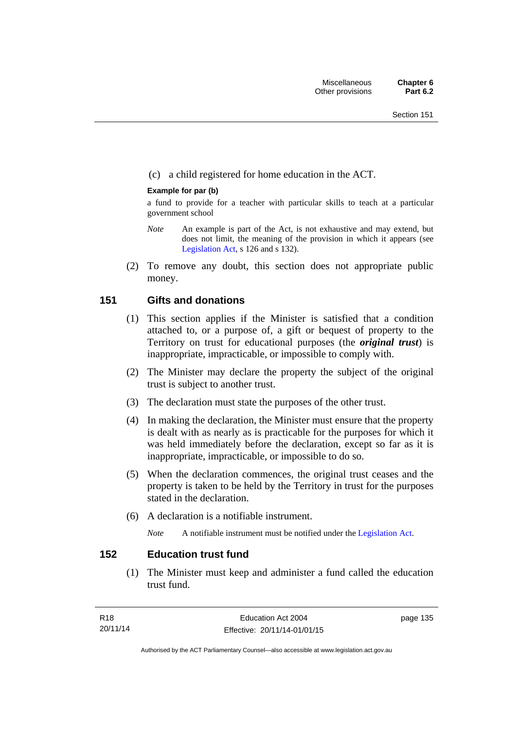## (c) a child registered for home education in the ACT.

### **Example for par (b)**

a fund to provide for a teacher with particular skills to teach at a particular government school

- *Note* An example is part of the Act, is not exhaustive and may extend, but does not limit, the meaning of the provision in which it appears (see [Legislation Act,](http://www.legislation.act.gov.au/a/2001-14) s 126 and s 132).
- (2) To remove any doubt, this section does not appropriate public money.

# **151 Gifts and donations**

- (1) This section applies if the Minister is satisfied that a condition attached to, or a purpose of, a gift or bequest of property to the Territory on trust for educational purposes (the *original trust*) is inappropriate, impracticable, or impossible to comply with.
- (2) The Minister may declare the property the subject of the original trust is subject to another trust.
- (3) The declaration must state the purposes of the other trust.
- (4) In making the declaration, the Minister must ensure that the property is dealt with as nearly as is practicable for the purposes for which it was held immediately before the declaration, except so far as it is inappropriate, impracticable, or impossible to do so.
- (5) When the declaration commences, the original trust ceases and the property is taken to be held by the Territory in trust for the purposes stated in the declaration.
- (6) A declaration is a notifiable instrument.

*Note* A notifiable instrument must be notified under the [Legislation Act](http://www.legislation.act.gov.au/a/2001-14).

# **152 Education trust fund**

 (1) The Minister must keep and administer a fund called the education trust fund.

page 135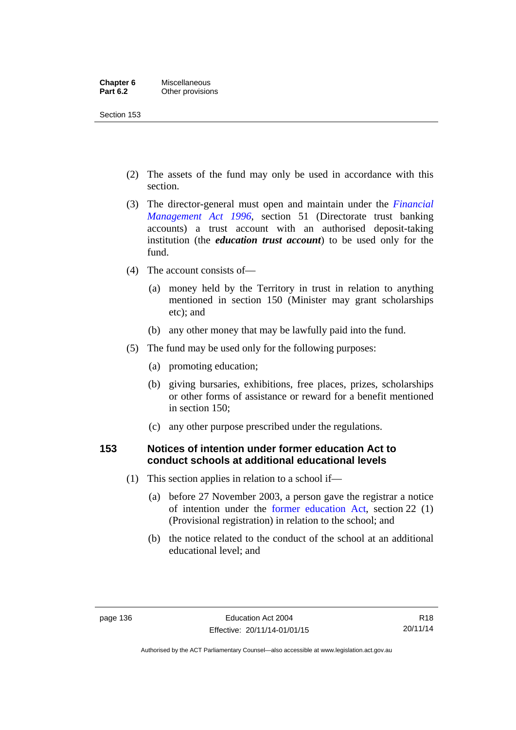Section 153

- (2) The assets of the fund may only be used in accordance with this section.
- (3) The director-general must open and maintain under the *[Financial](http://www.legislation.act.gov.au/a/1996-22)  [Management Act 1996](http://www.legislation.act.gov.au/a/1996-22)*, section 51 (Directorate trust banking accounts) a trust account with an authorised deposit-taking institution (the *education trust account*) to be used only for the fund.
- (4) The account consists of—
	- (a) money held by the Territory in trust in relation to anything mentioned in section 150 (Minister may grant scholarships etc); and
	- (b) any other money that may be lawfully paid into the fund.
- (5) The fund may be used only for the following purposes:
	- (a) promoting education;
	- (b) giving bursaries, exhibitions, free places, prizes, scholarships or other forms of assistance or reward for a benefit mentioned in section 150;
	- (c) any other purpose prescribed under the regulations.

# **153 Notices of intention under former education Act to conduct schools at additional educational levels**

- (1) This section applies in relation to a school if—
	- (a) before 27 November 2003, a person gave the registrar a notice of intention under the [former education Act](http://www.legislation.act.gov.au/a/1937-25/default.asp), section 22 (1) (Provisional registration) in relation to the school; and
	- (b) the notice related to the conduct of the school at an additional educational level; and

Authorised by the ACT Parliamentary Counsel—also accessible at www.legislation.act.gov.au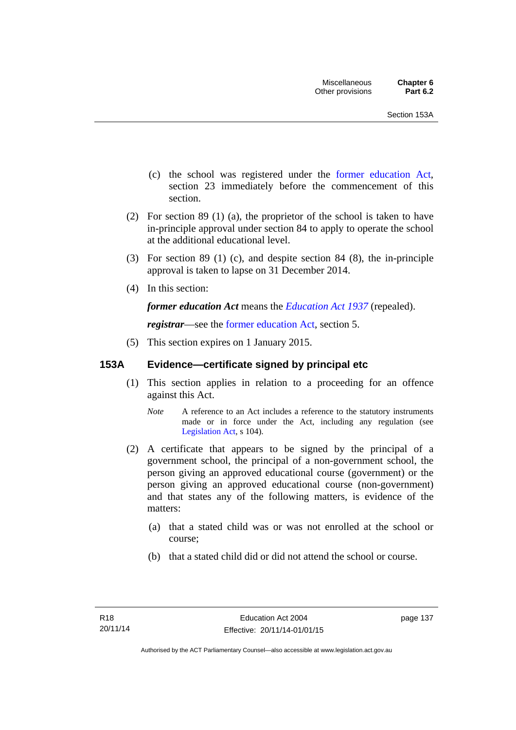- (c) the school was registered under the [former education Act](http://www.legislation.act.gov.au/a/1937-25/default.asp), section 23 immediately before the commencement of this section.
- (2) For section 89 (1) (a), the proprietor of the school is taken to have in-principle approval under section 84 to apply to operate the school at the additional educational level.
- (3) For section 89 (1) (c), and despite section 84 (8), the in-principle approval is taken to lapse on 31 December 2014.
- (4) In this section:

*former education Act* means the *[Education Act 1937](http://www.legislation.act.gov.au/a/1937-25)* (repealed).

*registrar*—see the [former education Act](http://www.legislation.act.gov.au/a/1937-25/default.asp), section 5.

(5) This section expires on 1 January 2015.

# **153A Evidence—certificate signed by principal etc**

- (1) This section applies in relation to a proceeding for an offence against this Act.
	- *Note* A reference to an Act includes a reference to the statutory instruments made or in force under the Act, including any regulation (see [Legislation Act,](http://www.legislation.act.gov.au/a/2001-14) s 104).
- (2) A certificate that appears to be signed by the principal of a government school, the principal of a non-government school, the person giving an approved educational course (government) or the person giving an approved educational course (non-government) and that states any of the following matters, is evidence of the matters:
	- (a) that a stated child was or was not enrolled at the school or course;
	- (b) that a stated child did or did not attend the school or course.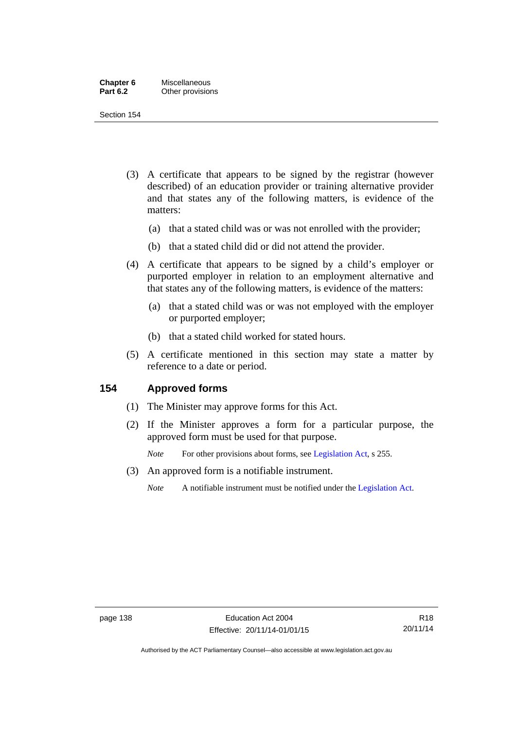| Chapter 6       | Miscellaneous    |
|-----------------|------------------|
| <b>Part 6.2</b> | Other provisions |

Section 154

- (3) A certificate that appears to be signed by the registrar (however described) of an education provider or training alternative provider and that states any of the following matters, is evidence of the matters:
	- (a) that a stated child was or was not enrolled with the provider;
	- (b) that a stated child did or did not attend the provider.
- (4) A certificate that appears to be signed by a child's employer or purported employer in relation to an employment alternative and that states any of the following matters, is evidence of the matters:
	- (a) that a stated child was or was not employed with the employer or purported employer;
	- (b) that a stated child worked for stated hours.
- (5) A certificate mentioned in this section may state a matter by reference to a date or period.

## **154 Approved forms**

- (1) The Minister may approve forms for this Act.
- (2) If the Minister approves a form for a particular purpose, the approved form must be used for that purpose.

*Note* For other provisions about forms, see [Legislation Act,](http://www.legislation.act.gov.au/a/2001-14) s 255.

- (3) An approved form is a notifiable instrument.
	- *Note* A notifiable instrument must be notified under the [Legislation Act](http://www.legislation.act.gov.au/a/2001-14).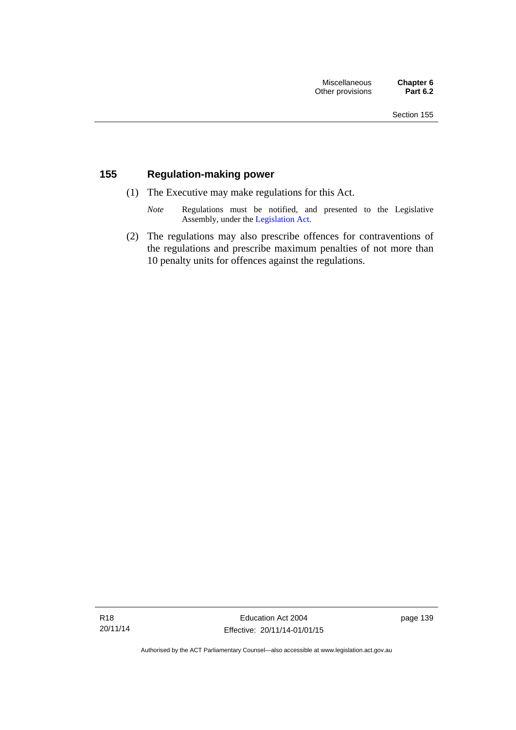# **155 Regulation-making power**

- (1) The Executive may make regulations for this Act.
	- *Note* Regulations must be notified, and presented to the Legislative Assembly, under the [Legislation Act](http://www.legislation.act.gov.au/a/2001-14).
- (2) The regulations may also prescribe offences for contraventions of the regulations and prescribe maximum penalties of not more than 10 penalty units for offences against the regulations.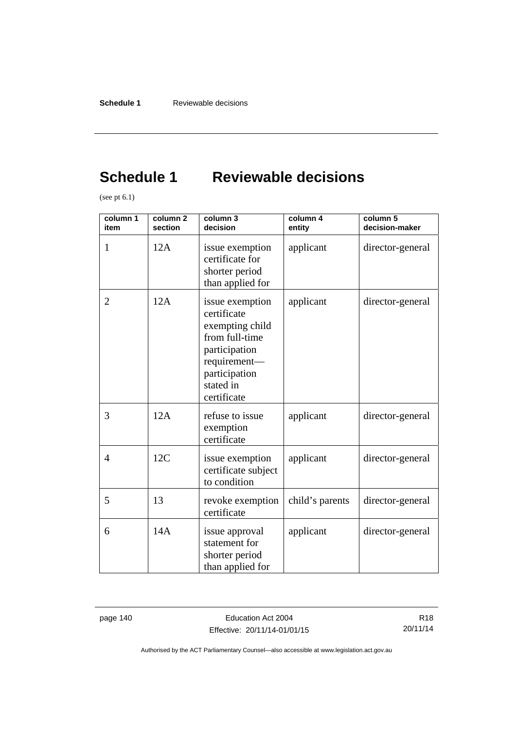# **Schedule 1 Reviewable decisions**

(see pt 6.1)

| column 1<br>item | column <sub>2</sub><br>section | column 3<br>decision                                                                                                                              | column 4<br>entity | column 5<br>decision-maker |
|------------------|--------------------------------|---------------------------------------------------------------------------------------------------------------------------------------------------|--------------------|----------------------------|
| 1                | 12A                            | issue exemption<br>certificate for<br>shorter period<br>than applied for                                                                          | applicant          | director-general           |
| 2                | 12A                            | issue exemption<br>certificate<br>exempting child<br>from full-time<br>participation<br>requirement-<br>participation<br>stated in<br>certificate | applicant          | director-general           |
| 3                | 12A                            | refuse to issue<br>exemption<br>certificate                                                                                                       | applicant          | director-general           |
| $\overline{4}$   | 12C                            | issue exemption<br>certificate subject<br>to condition                                                                                            | applicant          | director-general           |
| 5                | 13                             | revoke exemption<br>certificate                                                                                                                   | child's parents    | director-general           |
| 6                | 14A                            | issue approval<br>statement for<br>shorter period<br>than applied for                                                                             | applicant          | director-general           |

page 140 **Education Act 2004** Effective: 20/11/14-01/01/15

R18 20/11/14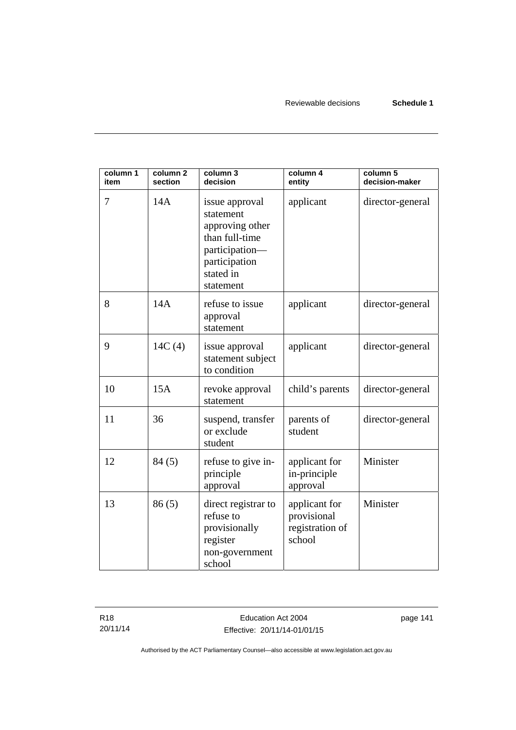| column 1<br>item | column <sub>2</sub><br>section | column 3<br>decision                                                                                                          | column 4<br>entity                                        | column 5<br>decision-maker |
|------------------|--------------------------------|-------------------------------------------------------------------------------------------------------------------------------|-----------------------------------------------------------|----------------------------|
| 7                | 14A                            | issue approval<br>statement<br>approving other<br>than full-time<br>participation-<br>participation<br>stated in<br>statement | applicant                                                 | director-general           |
| 8                | 14A                            | refuse to issue<br>approval<br>statement                                                                                      | applicant                                                 | director-general           |
| 9                | 14C(4)                         | issue approval<br>statement subject<br>to condition                                                                           | applicant                                                 | director-general           |
| 10               | 15A                            | revoke approval<br>statement                                                                                                  | child's parents                                           | director-general           |
| 11               | 36                             | suspend, transfer<br>or exclude<br>student                                                                                    | parents of<br>student                                     | director-general           |
| 12               | 84(5)                          | refuse to give in-<br>principle<br>approval                                                                                   | applicant for<br>in-principle<br>approval                 | Minister                   |
| 13               | 86(5)                          | direct registrar to<br>refuse to<br>provisionally<br>register<br>non-government<br>school                                     | applicant for<br>provisional<br>registration of<br>school | Minister                   |

R18 20/11/14 page 141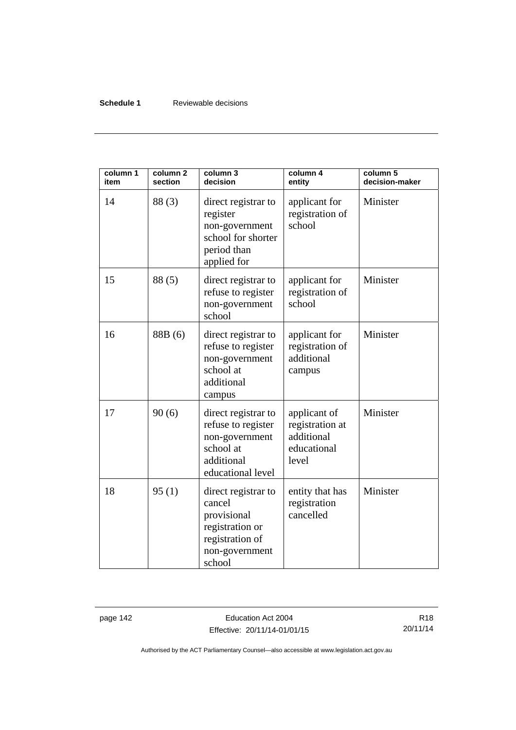## **Schedule 1** Reviewable decisions

| column 1<br>item | column <sub>2</sub><br>section | column 3<br>decision                                                                                           | column 4<br>entity                                                    | column 5<br>decision-maker |
|------------------|--------------------------------|----------------------------------------------------------------------------------------------------------------|-----------------------------------------------------------------------|----------------------------|
| 14               | 88(3)                          | direct registrar to<br>register<br>non-government<br>school for shorter<br>period than<br>applied for          | applicant for<br>registration of<br>school                            | Minister                   |
| 15               | 88(5)                          | direct registrar to<br>refuse to register<br>non-government<br>school                                          | applicant for<br>registration of<br>school                            | Minister                   |
| 16               | 88B (6)                        | direct registrar to<br>refuse to register<br>non-government<br>school at<br>additional<br>campus               | applicant for<br>registration of<br>additional<br>campus              | Minister                   |
| 17               | 90(6)                          | direct registrar to<br>refuse to register<br>non-government<br>school at<br>additional<br>educational level    | applicant of<br>registration at<br>additional<br>educational<br>level | Minister                   |
| 18               | 95(1)                          | direct registrar to<br>cancel<br>provisional<br>registration or<br>registration of<br>non-government<br>school | entity that has<br>registration<br>cancelled                          | Minister                   |

page 142 **Education Act 2004** Effective: 20/11/14-01/01/15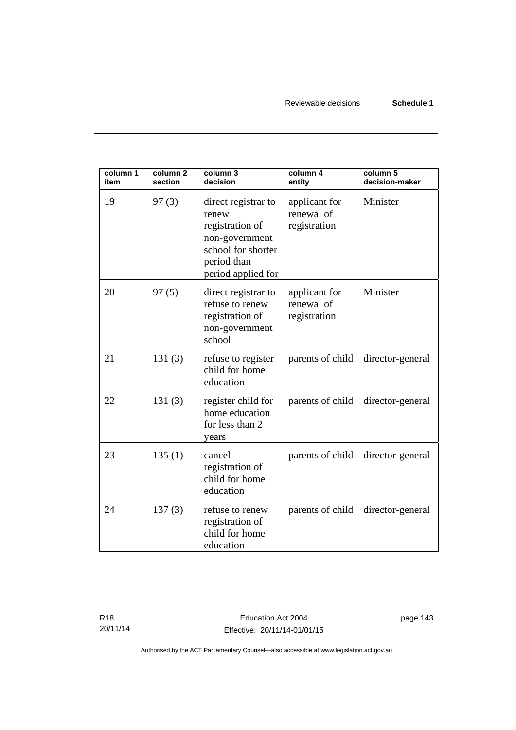| column 1<br>item | column <sub>2</sub><br>section | column 3<br>decision                                                                                                         | column 4<br>entity                          | column 5<br>decision-maker |
|------------------|--------------------------------|------------------------------------------------------------------------------------------------------------------------------|---------------------------------------------|----------------------------|
| 19               | 97(3)                          | direct registrar to<br>renew<br>registration of<br>non-government<br>school for shorter<br>period than<br>period applied for | applicant for<br>renewal of<br>registration | Minister                   |
| 20               | 97(5)                          | direct registrar to<br>refuse to renew<br>registration of<br>non-government<br>school                                        | applicant for<br>renewal of<br>registration | Minister                   |
| 21               | 131(3)                         | refuse to register<br>child for home<br>education                                                                            | parents of child                            | director-general           |
| 22               | 131(3)                         | register child for<br>home education<br>for less than 2<br>years                                                             | parents of child                            | director-general           |
| 23               | 135(1)                         | cancel<br>registration of<br>child for home<br>education                                                                     | parents of child                            | director-general           |
| 24               | 137(3)                         | refuse to renew<br>registration of<br>child for home<br>education                                                            | parents of child                            | director-general           |

page 143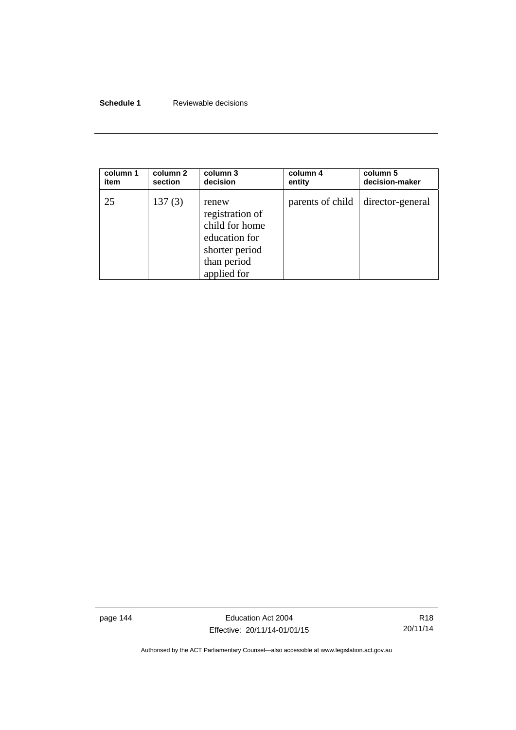## **Schedule 1** Reviewable decisions

| column 1 | column 2 | column 3                                                                                                    | column 4         | column 5         |
|----------|----------|-------------------------------------------------------------------------------------------------------------|------------------|------------------|
| item     | section  | decision                                                                                                    | entity           | decision-maker   |
| 25       | 137(3)   | renew<br>registration of<br>child for home<br>education for<br>shorter period<br>than period<br>applied for | parents of child | director-general |

page 144 **Education Act 2004** Effective: 20/11/14-01/01/15

R18 20/11/14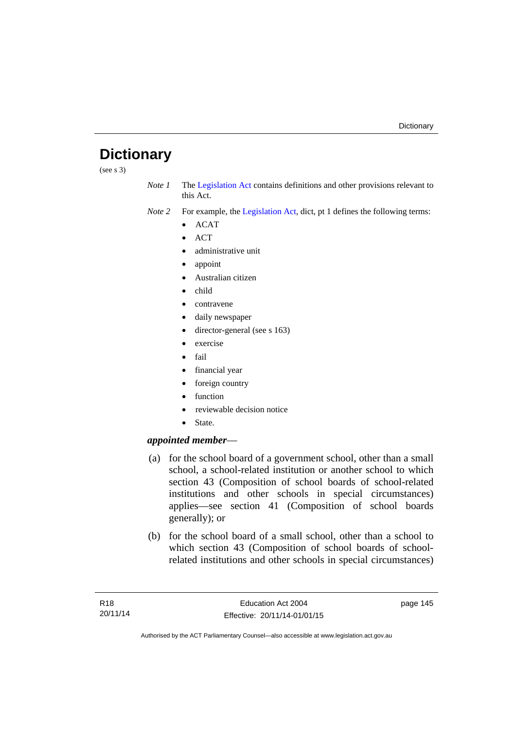# **Dictionary**

(see s 3)

*Note 1* The [Legislation Act](http://www.legislation.act.gov.au/a/2001-14) contains definitions and other provisions relevant to this Act.

*Note 2* For example, the [Legislation Act,](http://www.legislation.act.gov.au/a/2001-14) dict, pt 1 defines the following terms:

- $\bullet$  ACAT
- $\bullet$  ACT
- administrative unit
- appoint
- Australian citizen
- child
- contravene
- daily newspaper
- director-general (see s 163)
- exercise
- $\bullet$  fail
- financial year
- foreign country
- function
- reviewable decision notice
- State.

# *appointed member*—

- (a) for the school board of a government school, other than a small school, a school-related institution or another school to which section 43 (Composition of school boards of school-related institutions and other schools in special circumstances) applies—see section 41 (Composition of school boards generally); or
- (b) for the school board of a small school, other than a school to which section 43 (Composition of school boards of schoolrelated institutions and other schools in special circumstances)

page 145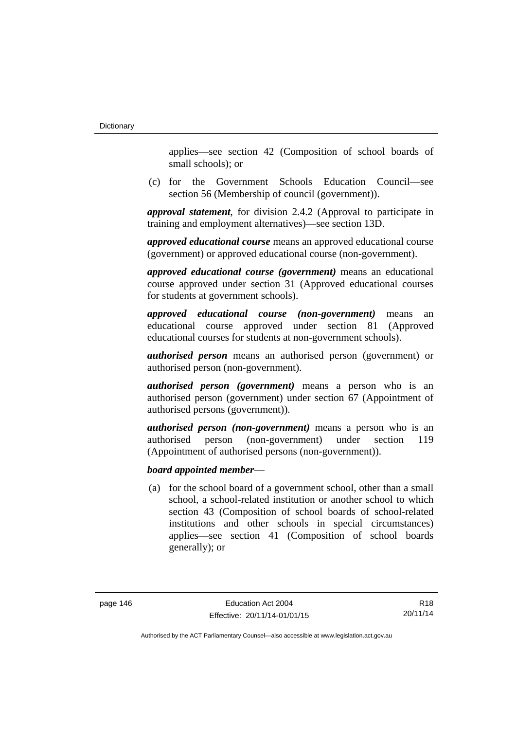applies—see section 42 (Composition of school boards of small schools); or

 (c) for the Government Schools Education Council—see section 56 (Membership of council (government)).

*approval statement*, for division 2.4.2 (Approval to participate in training and employment alternatives)—see section 13D.

*approved educational course* means an approved educational course (government) or approved educational course (non-government).

*approved educational course (government)* means an educational course approved under section 31 (Approved educational courses for students at government schools).

*approved educational course (non-government)* means an educational course approved under section 81 (Approved educational courses for students at non-government schools).

*authorised person* means an authorised person (government) or authorised person (non-government).

*authorised person (government)* means a person who is an authorised person (government) under section 67 (Appointment of authorised persons (government)).

*authorised person (non-government)* means a person who is an authorised person (non-government) under section 119 (Appointment of authorised persons (non-government)).

## *board appointed member*—

 (a) for the school board of a government school, other than a small school, a school-related institution or another school to which section 43 (Composition of school boards of school-related institutions and other schools in special circumstances) applies—see section 41 (Composition of school boards generally); or

R18 20/11/14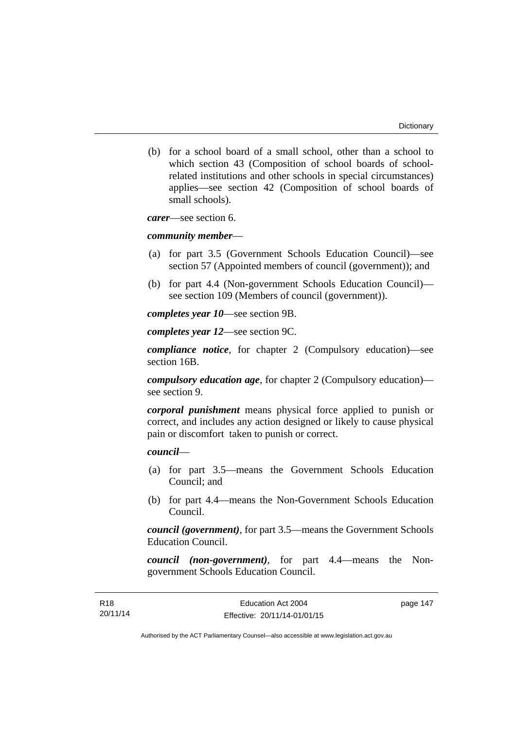(b) for a school board of a small school, other than a school to which section 43 (Composition of school boards of schoolrelated institutions and other schools in special circumstances) applies—see section 42 (Composition of school boards of small schools).

*carer*—see section 6.

#### *community member*—

- (a) for part 3.5 (Government Schools Education Council)—see section 57 (Appointed members of council (government)); and
- (b) for part 4.4 (Non-government Schools Education Council) see section 109 (Members of council (government)).

*completes year 10*—see section 9B.

*completes year 12*—see section 9C.

*compliance notice*, for chapter 2 (Compulsory education)—see section 16B.

*compulsory education age*, for chapter 2 (Compulsory education) see section 9.

*corporal punishment* means physical force applied to punish or correct, and includes any action designed or likely to cause physical pain or discomfort taken to punish or correct.

# *council*—

- (a) for part 3.5—means the Government Schools Education Council; and
- (b) for part 4.4—means the Non-Government Schools Education Council.

*council (government)*, for part 3.5—means the Government Schools Education Council.

*council (non-government)*, for part 4.4—means the Nongovernment Schools Education Council.

page 147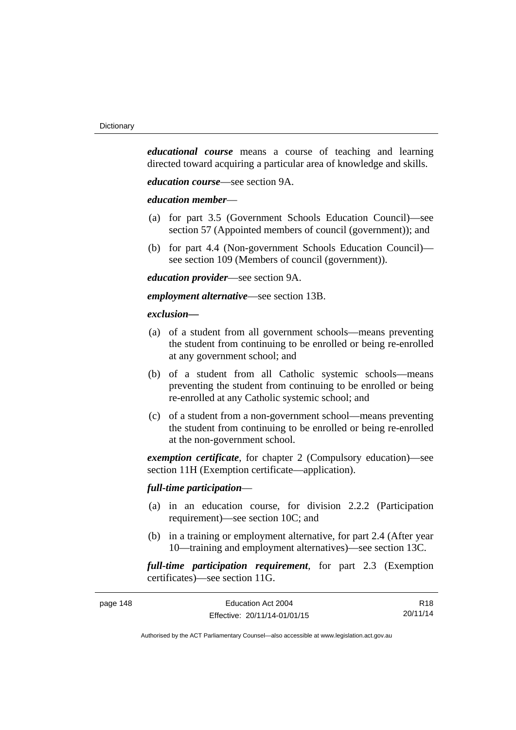*educational course* means a course of teaching and learning directed toward acquiring a particular area of knowledge and skills.

*education course*—see section 9A.

### *education member*—

- (a) for part 3.5 (Government Schools Education Council)—see section 57 (Appointed members of council (government)); and
- (b) for part 4.4 (Non-government Schools Education Council) see section 109 (Members of council (government)).

*education provider*—see section 9A.

*employment alternative*—see section 13B.

### *exclusion***—**

- (a) of a student from all government schools—means preventing the student from continuing to be enrolled or being re-enrolled at any government school; and
- (b) of a student from all Catholic systemic schools—means preventing the student from continuing to be enrolled or being re-enrolled at any Catholic systemic school; and
- (c) of a student from a non-government school—means preventing the student from continuing to be enrolled or being re-enrolled at the non-government school.

*exemption certificate*, for chapter 2 (Compulsory education)—see section 11H (Exemption certificate—application).

### *full-time participation*—

- (a) in an education course, for division 2.2.2 (Participation requirement)—see section 10C; and
- (b) in a training or employment alternative, for part 2.4 (After year 10—training and employment alternatives)—see section 13C.

*full-time participation requirement*, for part 2.3 (Exemption certificates)—see section 11G.

| page 148 | Education Act 2004           | R <sub>18</sub> |
|----------|------------------------------|-----------------|
|          | Effective: 20/11/14-01/01/15 | 20/11/14        |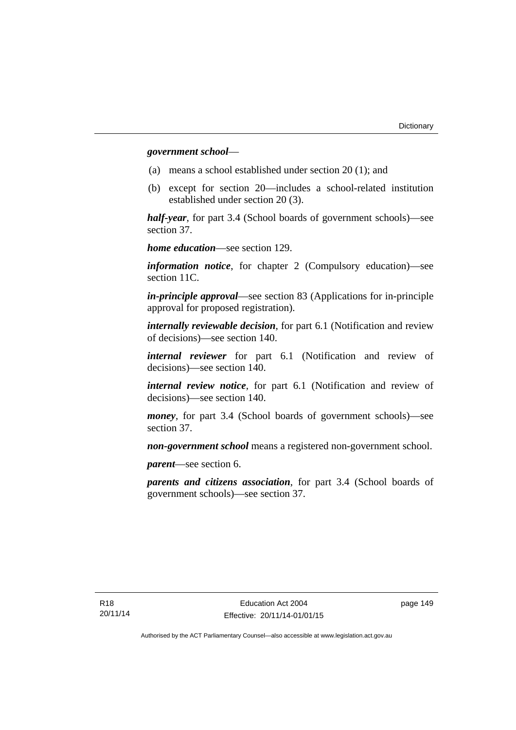### *government school*—

- (a) means a school established under section 20 (1); and
- (b) except for section 20—includes a school-related institution established under section 20 (3).

*half-year*, for part 3.4 (School boards of government schools)—see section 37.

*home education*—see section 129.

*information notice*, for chapter 2 (Compulsory education)—see section 11C.

*in-principle approval*—see section 83 (Applications for in-principle approval for proposed registration).

*internally reviewable decision*, for part 6.1 (Notification and review of decisions)—see section 140.

*internal reviewer* for part 6.1 (Notification and review of decisions)—see section 140.

*internal review notice*, for part 6.1 (Notification and review of decisions)—see section 140.

*money*, for part 3.4 (School boards of government schools)—see section 37.

*non-government school* means a registered non-government school.

*parent*—see section 6.

*parents and citizens association*, for part 3.4 (School boards of government schools)—see section 37.

page 149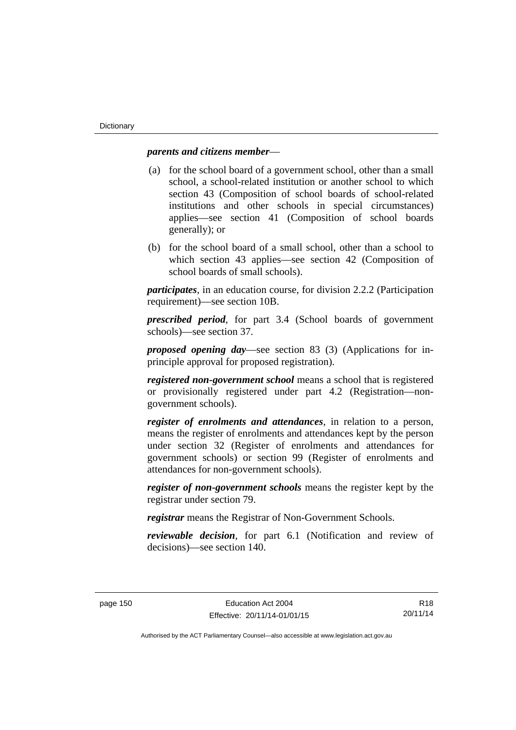## *parents and citizens member*—

- (a) for the school board of a government school, other than a small school, a school-related institution or another school to which section 43 (Composition of school boards of school-related institutions and other schools in special circumstances) applies—see section 41 (Composition of school boards generally); or
- (b) for the school board of a small school, other than a school to which section 43 applies—see section 42 (Composition of school boards of small schools).

*participates*, in an education course, for division 2.2.2 (Participation requirement)—see section 10B.

*prescribed period*, for part 3.4 (School boards of government schools)—see section 37.

*proposed opening day*—see section 83 (3) (Applications for inprinciple approval for proposed registration).

*registered non-government school* means a school that is registered or provisionally registered under part 4.2 (Registration—nongovernment schools).

*register of enrolments and attendances*, in relation to a person, means the register of enrolments and attendances kept by the person under section 32 (Register of enrolments and attendances for government schools) or section 99 (Register of enrolments and attendances for non-government schools).

*register of non-government schools* means the register kept by the registrar under section 79.

*registrar* means the Registrar of Non-Government Schools.

*reviewable decision*, for part 6.1 (Notification and review of decisions)—see section 140.

R18 20/11/14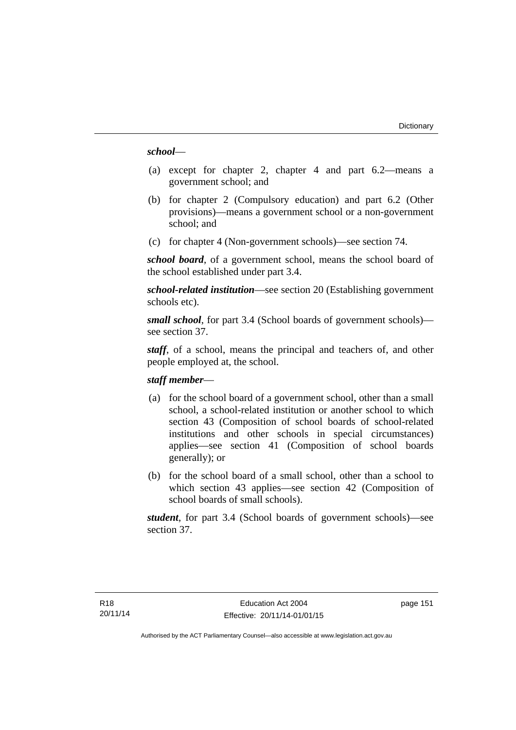### *school*—

- (a) except for chapter 2, chapter 4 and part 6.2—means a government school; and
- (b) for chapter 2 (Compulsory education) and part 6.2 (Other provisions)—means a government school or a non-government school; and
- (c) for chapter 4 (Non-government schools)—see section 74.

*school board*, of a government school, means the school board of the school established under part 3.4.

*school-related institution*—see section 20 (Establishing government schools etc).

*small school*, for part 3.4 (School boards of government schools) see section 37.

*staff*, of a school, means the principal and teachers of, and other people employed at, the school.

### *staff member*—

- (a) for the school board of a government school, other than a small school, a school-related institution or another school to which section 43 (Composition of school boards of school-related institutions and other schools in special circumstances) applies—see section 41 (Composition of school boards generally); or
- (b) for the school board of a small school, other than a school to which section 43 applies—see section 42 (Composition of school boards of small schools).

*student*, for part 3.4 (School boards of government schools)—see section 37.

page 151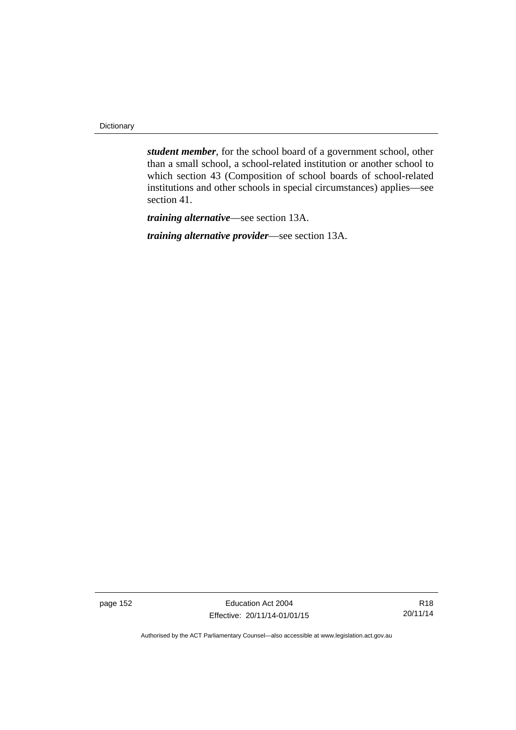**Dictionary** 

*student member*, for the school board of a government school, other than a small school, a school-related institution or another school to which section 43 (Composition of school boards of school-related institutions and other schools in special circumstances) applies—see section 41.

*training alternative*—see section 13A.

*training alternative provider*—see section 13A.

page 152 Education Act 2004 Effective: 20/11/14-01/01/15

R18 20/11/14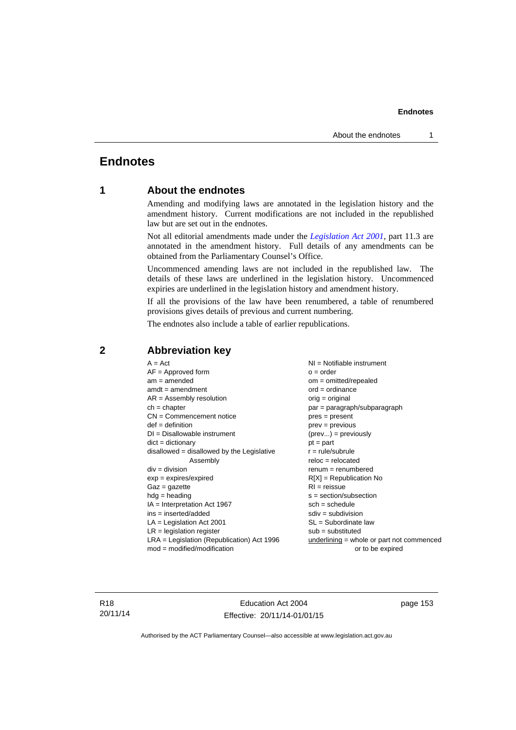# **Endnotes**

# **1 About the endnotes**

Amending and modifying laws are annotated in the legislation history and the amendment history. Current modifications are not included in the republished law but are set out in the endnotes.

Not all editorial amendments made under the *[Legislation Act 2001](http://www.legislation.act.gov.au/a/2001-14)*, part 11.3 are annotated in the amendment history. Full details of any amendments can be obtained from the Parliamentary Counsel's Office.

Uncommenced amending laws are not included in the republished law. The details of these laws are underlined in the legislation history. Uncommenced expiries are underlined in the legislation history and amendment history.

If all the provisions of the law have been renumbered, a table of renumbered provisions gives details of previous and current numbering.

The endnotes also include a table of earlier republications.

| $A = Act$                                    | $NI = Notifiable$ instrument              |
|----------------------------------------------|-------------------------------------------|
| $AF =$ Approved form                         | $o = order$                               |
| $am = amended$                               | $om = omitted/repealed$                   |
| $amdt = amendment$                           | $ord = ordinance$                         |
| $AR = Assembly resolution$                   | $orig = original$                         |
| $ch = chapter$                               | par = paragraph/subparagraph              |
| $CN =$ Commencement notice                   | $pres = present$                          |
| $def = definition$                           | $prev = previous$                         |
| $DI = Disallowable instrument$               | $(\text{prev}) = \text{previously}$       |
| $dict = dictionary$                          | $pt = part$                               |
| disallowed = disallowed by the Legislative   | $r = rule/subrule$                        |
| Assembly                                     | $reloc = relocated$                       |
| $div =$ division                             | $renum = renumbered$                      |
| $exp = expires/expired$                      | $R[X]$ = Republication No                 |
| $Gaz = gazette$                              | $RI = reissue$                            |
| $hdg = heading$                              | $s = section/subsection$                  |
| $IA = Interpretation Act 1967$               | $sch = schedule$                          |
| ins = inserted/added                         | $sdiv = subdivision$                      |
| $LA =$ Legislation Act 2001                  | $SL = Subordinate$ law                    |
| $LR =$ legislation register                  | $sub =$ substituted                       |
| $LRA =$ Legislation (Republication) Act 1996 | underlining = whole or part not commenced |
| $mod = modified/modification$                | or to be expired                          |
|                                              |                                           |

# **2 Abbreviation key**

R18 20/11/14

Education Act 2004 Effective: 20/11/14-01/01/15 page 153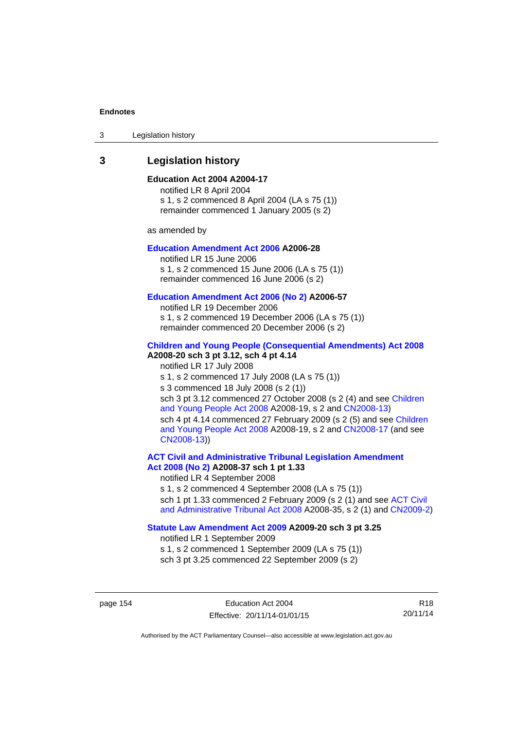3 Legislation history

# **3 Legislation history**

### **Education Act 2004 A2004-17**

notified LR 8 April 2004 s 1, s 2 commenced 8 April 2004 (LA s 75 (1)) remainder commenced 1 January 2005 (s 2)

as amended by

### **[Education Amendment Act 2006](http://www.legislation.act.gov.au/a/2006-28) A2006-28**

notified LR 15 June 2006 s 1, s 2 commenced 15 June 2006 (LA s 75 (1)) remainder commenced 16 June 2006 (s 2)

#### **[Education Amendment Act 2006 \(No 2\)](http://www.legislation.act.gov.au/a/2006-57) A2006-57**

notified LR 19 December 2006 s 1, s 2 commenced 19 December 2006 (LA s 75 (1)) remainder commenced 20 December 2006 (s 2)

### **[Children and Young People \(Consequential Amendments\) Act 2008](http://www.legislation.act.gov.au/a/2008-20) A2008-20 sch 3 pt 3.12, sch 4 pt 4.14**

notified LR 17 July 2008 s 1, s 2 commenced 17 July 2008 (LA s 75 (1)) s 3 commenced 18 July 2008 (s 2 (1)) sch 3 pt 3.12 commenced 27 October 2008 (s 2 (4) and see Children [and Young People Act 2008](http://www.legislation.act.gov.au/a/2008-19) A2008-19, s 2 and [CN2008-13](http://www.legislation.act.gov.au/cn/2008-13/default.asp)) sch 4 pt 4.14 commenced 27 February 2009 (s 2 (5) and see [Children](http://www.legislation.act.gov.au/a/2008-19)  [and Young People Act 2008](http://www.legislation.act.gov.au/a/2008-19) A2008-19, s 2 and [CN2008-17 \(](http://www.legislation.act.gov.au/cn/2008-17/default.asp)and see [CN2008-13](http://www.legislation.act.gov.au/cn/2008-13/default.asp)))

**[ACT Civil and Administrative Tribunal Legislation Amendment](http://www.legislation.act.gov.au/a/2008-37)  [Act 2008 \(No 2\)](http://www.legislation.act.gov.au/a/2008-37) A2008-37 sch 1 pt 1.33** 

notified LR 4 September 2008

s 1, s 2 commenced 4 September 2008 (LA s 75 (1)) sch 1 pt 1.33 commenced 2 February 2009 (s 2 (1) and see ACT Civil [and Administrative Tribunal Act 2008](http://www.legislation.act.gov.au/a/2008-35) A2008-35, s 2 (1) and [CN2009-2](http://www.legislation.act.gov.au/cn/2009-2/default.asp))

### **[Statute Law Amendment Act 2009](http://www.legislation.act.gov.au/a/2009-20) A2009-20 sch 3 pt 3.25**

notified LR 1 September 2009 s 1, s 2 commenced 1 September 2009 (LA s 75 (1)) sch 3 pt 3.25 commenced 22 September 2009 (s 2)

page 154 Education Act 2004 Effective: 20/11/14-01/01/15

R18 20/11/14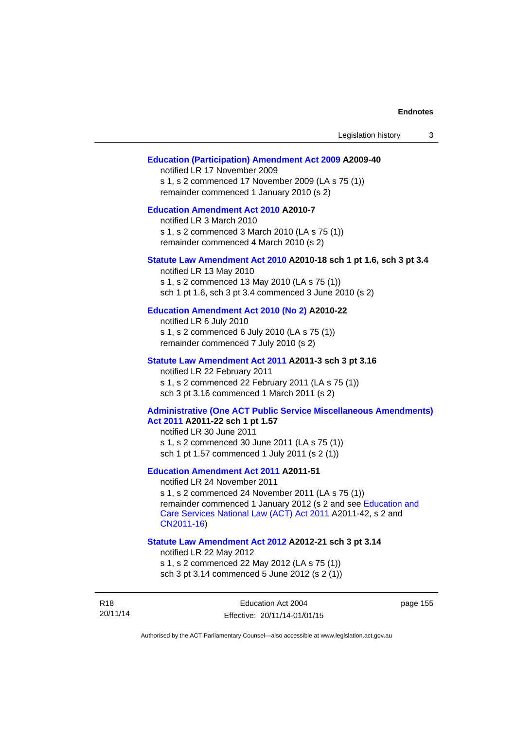| Legislation history<br>3                                                                                                                                                                                                                                                        |
|---------------------------------------------------------------------------------------------------------------------------------------------------------------------------------------------------------------------------------------------------------------------------------|
| <b>Education (Participation) Amendment Act 2009 A2009-40</b><br>notified LR 17 November 2009<br>s 1, s 2 commenced 17 November 2009 (LA s 75 (1))<br>remainder commenced 1 January 2010 (s 2)                                                                                   |
| <b>Education Amendment Act 2010 A2010-7</b><br>notified LR 3 March 2010<br>s 1, s 2 commenced 3 March 2010 (LA s 75 (1))<br>remainder commenced 4 March 2010 (s 2)                                                                                                              |
| Statute Law Amendment Act 2010 A2010-18 sch 1 pt 1.6, sch 3 pt 3.4<br>notified LR 13 May 2010<br>s 1, s 2 commenced 13 May 2010 (LA s 75 (1))<br>sch 1 pt 1.6, sch 3 pt 3.4 commenced 3 June 2010 (s 2)                                                                         |
| Education Amendment Act 2010 (No 2) A2010-22<br>notified LR 6 July 2010<br>s 1, s 2 commenced 6 July 2010 (LA s 75 (1))<br>remainder commenced 7 July 2010 (s 2)                                                                                                                |
| Statute Law Amendment Act 2011 A2011-3 sch 3 pt 3.16<br>notified LR 22 February 2011<br>s 1, s 2 commenced 22 February 2011 (LA s 75 (1))<br>sch 3 pt 3.16 commenced 1 March 2011 (s 2)                                                                                         |
| <b>Administrative (One ACT Public Service Miscellaneous Amendments)</b><br>Act 2011 A2011-22 sch 1 pt 1.57<br>notified LR 30 June 2011<br>s 1, s 2 commenced 30 June 2011 (LA s 75 (1))<br>sch 1 pt 1.57 commenced 1 July 2011 (s 2 (1))                                        |
| <b>Education Amendment Act 2011 A2011-51</b><br>notified LR 24 November 2011<br>s 1, s 2 commenced 24 November 2011 (LA s 75 (1))<br>remainder commenced 1 January 2012 (s 2 and see Education and<br>Care Services National Law (ACT) Act 2011 A2011-42, s 2 and<br>CN2011-16) |
| Statute Law Amendment Act 2012 A2012-21 sch 3 pt 3.14<br>notified LR 22 May 2012<br>s 1, s 2 commenced 22 May 2012 (LA s 75 (1))<br>sch 3 pt 3.14 commenced 5 June 2012 (s 2 (1))                                                                                               |

R18 20/11/14 page 155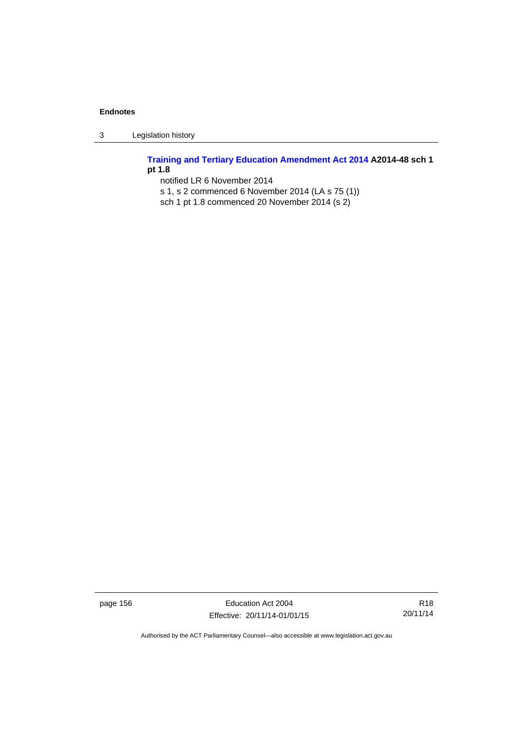3 Legislation history

**[Training and Tertiary Education Amendment Act 2014](http://www.legislation.act.gov.au/a/2014-48) A2014-48 sch 1 pt 1.8** 

notified LR 6 November 2014

- s 1, s 2 commenced 6 November 2014 (LA s 75 (1))
- sch 1 pt 1.8 commenced 20 November 2014 (s 2)

page 156 **Education Act 2004** Effective: 20/11/14-01/01/15

R18 20/11/14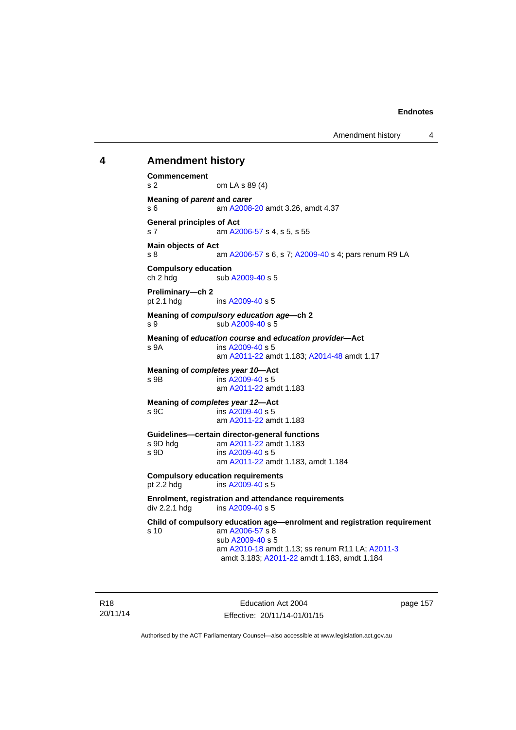### **4 Amendment history**

**Commencement**  s 2 om LA s 89 (4) **Meaning of** *parent* **and** *carer*  s 6 am [A2008-20](http://www.legislation.act.gov.au/a/2008-20) amdt 3.26, amdt 4.37 **General principles of Act**  s 7 am [A2006-57](http://www.legislation.act.gov.au/a/2006-57) s 4, s 5, s 55 **Main objects of Act**  s 8 am [A2006-57](http://www.legislation.act.gov.au/a/2006-57) s 6, s 7; [A2009-40](http://www.legislation.act.gov.au/a/2009-40) s 4; pars renum R9 LA **Compulsory education**  ch 2 hdg sub [A2009-40](http://www.legislation.act.gov.au/a/2009-40) s 5 **Preliminary—ch 2**  pt 2.1 hdg ins [A2009-40](http://www.legislation.act.gov.au/a/2009-40) s 5 **Meaning of** *compulsory education age***—ch 2**  s 9 sub [A2009-40](http://www.legislation.act.gov.au/a/2009-40) s 5 **Meaning of** *education course* **and** *education provider***—Act**  s 9A ins [A2009-40](http://www.legislation.act.gov.au/a/2009-40) s 5 am [A2011-22](http://www.legislation.act.gov.au/a/2011-22) amdt 1.183; [A2014-48](http://www.legislation.act.gov.au/a/2014-48) amdt 1.17 **Meaning of** *completes year 10***—Act**  s 9B ins [A2009-40](http://www.legislation.act.gov.au/a/2009-40) s 5 am [A2011-22](http://www.legislation.act.gov.au/a/2011-22) amdt 1.183 **Meaning of** *completes year 12***—Act**  s 9C ins [A2009-40](http://www.legislation.act.gov.au/a/2009-40) s 5 am [A2011-22](http://www.legislation.act.gov.au/a/2011-22) amdt 1.183 **Guidelines—certain director-general functions**  am [A2011-22](http://www.legislation.act.gov.au/a/2011-22) amdt 1.183 s 9D ins [A2009-40](http://www.legislation.act.gov.au/a/2009-40) s 5 am [A2011-22](http://www.legislation.act.gov.au/a/2011-22) amdt 1.183, amdt 1.184 **Compulsory education requirements**  pt 2.2 hdg ins [A2009-40](http://www.legislation.act.gov.au/a/2009-40) s 5 **Enrolment, registration and attendance requirements**  div 2.2.1 hdg ins [A2009-40](http://www.legislation.act.gov.au/a/2009-40) s 5 **Child of compulsory education age—enrolment and registration requirement**  s 10 am [A2006-57](http://www.legislation.act.gov.au/a/2006-57) s 8 sub [A2009-40](http://www.legislation.act.gov.au/a/2009-40) s 5 am [A2010-18](http://www.legislation.act.gov.au/a/2010-18) amdt 1.13; ss renum R11 LA; [A2011-3](http://www.legislation.act.gov.au/a/2011-3) amdt 3.183; [A2011-22](http://www.legislation.act.gov.au/a/2011-22) amdt 1.183, amdt 1.184

R18 20/11/14

Education Act 2004 Effective: 20/11/14-01/01/15 page 157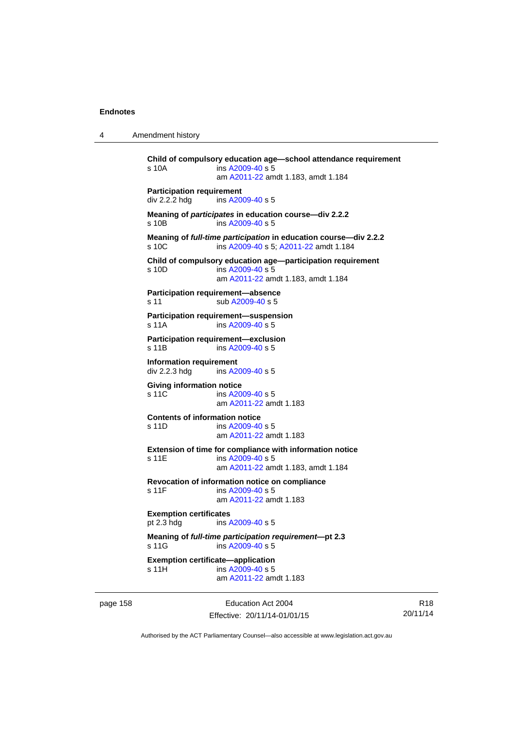4 Amendment history

```
Child of compulsory education age—school attendance requirement 
s 10A ins A2009-40 s 5
                am A2011-22 amdt 1.183, amdt 1.184 
Participation requirement 
div 2.2.2 hdg ins A2009-40 s 5
Meaning of participates in education course—div 2.2.2 
s 10B ins A2009-40 s 5
Meaning of full-time participation in education course—div 2.2.2 
A2009-40 A2011-22 amdt 1.184
Child of compulsory education age—participation requirement 
s 10D ins A2009-40 s 5
                am A2011-22 amdt 1.183, amdt 1.184 
Participation requirement—absence 
A2009-40 s 5
Participation requirement—suspension 
s 11A ins A2009-40 s 5
Participation requirement—exclusion 
s 11B ins A2009-40 s 5
Information requirement 
div 2.2.3 hdg ins A2009-40 s 5
Giving information notice 
A2009-40 s 5
                am A2011-22 amdt 1.183
Contents of information notice 
s 11D ins A2009-40 s 5
                am A2011-22 amdt 1.183
Extension of time for compliance with information notice 
A2009-40 s 5
                am A2011-22 amdt 1.183, amdt 1.184 
Revocation of information notice on compliance 
A2009-40 s 5
                am A2011-22 amdt 1.183
Exemption certificates 
pt 2.3 hdg ins A2009-40 s 5
Meaning of full-time participation requirement—pt 2.3 
 A2009-40 s 5
Exemption certificate—application 
A2009-40 s 5
                am A2011-22 amdt 1.183
```
page 158 Education Act 2004 Effective: 20/11/14-01/01/15

R18 20/11/14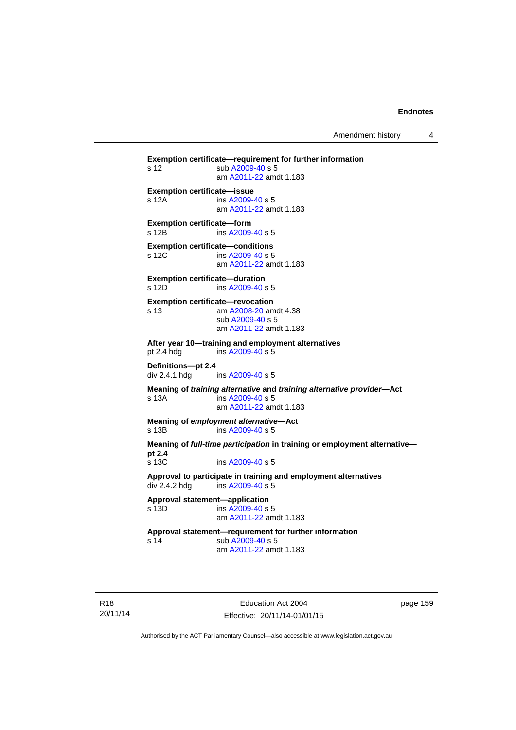Amendment history 4

**Exemption certificate—requirement for further information**  s 12 sub [A2009-40](http://www.legislation.act.gov.au/a/2009-40) s 5 am [A2011-22](http://www.legislation.act.gov.au/a/2011-22) amdt 1.183 **Exemption certificate—issue**  s 12A ins [A2009-40](http://www.legislation.act.gov.au/a/2009-40) s 5 am [A2011-22](http://www.legislation.act.gov.au/a/2011-22) amdt 1.183 **Exemption certificate—form**  s 12B ins [A2009-40](http://www.legislation.act.gov.au/a/2009-40) s 5 **Exemption certificate—conditions**  s 12C ins [A2009-40](http://www.legislation.act.gov.au/a/2009-40) s 5 am [A2011-22](http://www.legislation.act.gov.au/a/2011-22) amdt 1.183 **Exemption certificate—duration**  s 12D ins [A2009-40](http://www.legislation.act.gov.au/a/2009-40) s 5 **Exemption certificate—revocation**  s 13 am [A2008-20](http://www.legislation.act.gov.au/a/2008-20) amdt 4.38 sub [A2009-40](http://www.legislation.act.gov.au/a/2009-40) s 5 am [A2011-22](http://www.legislation.act.gov.au/a/2011-22) amdt 1.183 **After year 10—training and employment alternatives**  pt 2.4 hdg ins [A2009-40](http://www.legislation.act.gov.au/a/2009-40) s 5 **Definitions—pt 2.4**  ins [A2009-40](http://www.legislation.act.gov.au/a/2009-40) s 5 **Meaning of** *training alternative* **and** *training alternative provider***—Act**  s 13A ins [A2009-40](http://www.legislation.act.gov.au/a/2009-40) s 5 am [A2011-22](http://www.legislation.act.gov.au/a/2011-22) amdt 1.183 **Meaning of** *employment alternative***—Act**  s 13B ins [A2009-40](http://www.legislation.act.gov.au/a/2009-40) s 5 **Meaning of** *full-time participation* **in training or employment alternative pt 2.4**  s 13C ins [A2009-40](http://www.legislation.act.gov.au/a/2009-40) s 5 **Approval to participate in training and employment alternatives**  div 2.4.2 hdg ins [A2009-40](http://www.legislation.act.gov.au/a/2009-40) s 5 **Approval statement—application**   $ins A2009-40 s 5$  $ins A2009-40 s 5$  $ins A2009-40 s 5$  am [A2011-22](http://www.legislation.act.gov.au/a/2011-22) amdt 1.183 **Approval statement—requirement for further information**  s 14 sub [A2009-40](http://www.legislation.act.gov.au/a/2009-40) s 5 am [A2011-22](http://www.legislation.act.gov.au/a/2011-22) amdt 1.183

R18 20/11/14

Education Act 2004 Effective: 20/11/14-01/01/15 page 159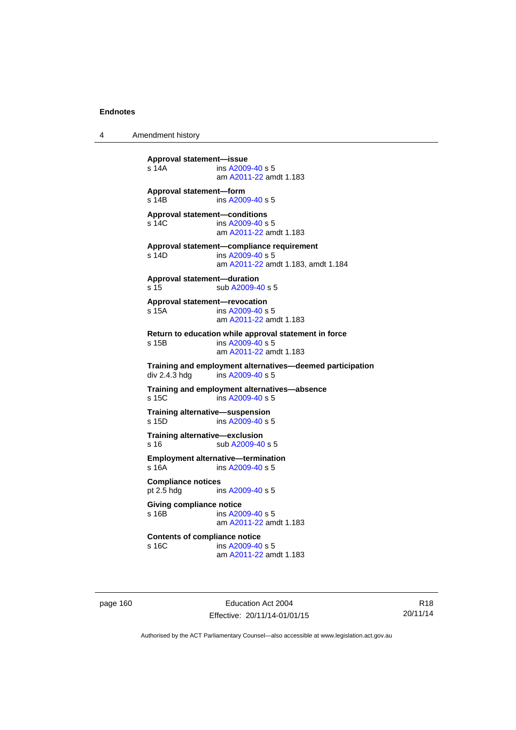4 Amendment history

**Approval statement—issue**  ins [A2009-40](http://www.legislation.act.gov.au/a/2009-40) s 5 am [A2011-22](http://www.legislation.act.gov.au/a/2011-22) amdt 1.183 **Approval statement—form**  s 14B ins [A2009-40](http://www.legislation.act.gov.au/a/2009-40) s 5 **Approval statement—conditions**  s 14C ins [A2009-40](http://www.legislation.act.gov.au/a/2009-40) s 5 am [A2011-22](http://www.legislation.act.gov.au/a/2011-22) amdt 1.183 **Approval statement—compliance requirement**  s 14D ins [A2009-40](http://www.legislation.act.gov.au/a/2009-40) s 5 am [A2011-22](http://www.legislation.act.gov.au/a/2011-22) amdt 1.183, amdt 1.184 **Approval statement—duration**  s 15 sub [A2009-40](http://www.legislation.act.gov.au/a/2009-40) s 5 **Approval statement—revocation**  s 15A ins [A2009-40](http://www.legislation.act.gov.au/a/2009-40) s 5 am [A2011-22](http://www.legislation.act.gov.au/a/2011-22) amdt 1.183 **Return to education while approval statement in force**  s 15B ins [A2009-40](http://www.legislation.act.gov.au/a/2009-40) s 5 am [A2011-22](http://www.legislation.act.gov.au/a/2011-22) amdt 1.183 **Training and employment alternatives—deemed participation**   $ins$  [A2009-40](http://www.legislation.act.gov.au/a/2009-40) s 5 **Training and employment alternatives—absence**  s 15C ins [A2009-40](http://www.legislation.act.gov.au/a/2009-40) s 5 **Training alternative—suspension**<br>s 15D **ins A2009-40 s** 5  $ins A2009-40 s 5$  $ins A2009-40 s 5$  $ins A2009-40 s 5$ **Training alternative—exclusion**  s 16 sub [A2009-40](http://www.legislation.act.gov.au/a/2009-40) s 5 **Employment alternative—termination**  s 16A ins [A2009-40](http://www.legislation.act.gov.au/a/2009-40) s 5 **Compliance notices**  pt 2.5 hdg ins [A2009-40](http://www.legislation.act.gov.au/a/2009-40) s 5 **Giving compliance notice**  s 16B ins [A2009-40](http://www.legislation.act.gov.au/a/2009-40) s 5 am [A2011-22](http://www.legislation.act.gov.au/a/2011-22) amdt 1.183 **Contents of compliance notice**<br>s 16C ins A2009-40 ins [A2009-40](http://www.legislation.act.gov.au/a/2009-40) s 5 am [A2011-22](http://www.legislation.act.gov.au/a/2011-22) amdt 1.183

page 160 Education Act 2004 Effective: 20/11/14-01/01/15

R18 20/11/14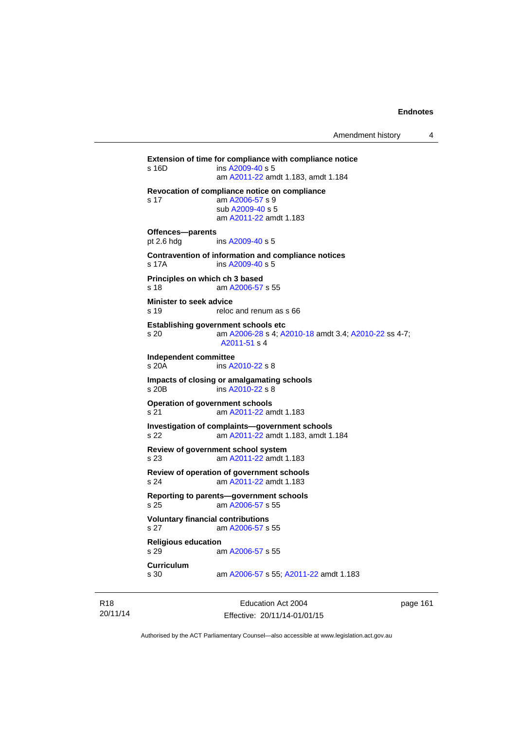**Extension of time for compliance with compliance notice**  s 16D ins [A2009-40](http://www.legislation.act.gov.au/a/2009-40) s 5 am [A2011-22](http://www.legislation.act.gov.au/a/2011-22) amdt 1.183, amdt 1.184 **Revocation of compliance notice on compliance**  s 17 am [A2006-57](http://www.legislation.act.gov.au/a/2006-57) s 9 sub [A2009-40](http://www.legislation.act.gov.au/a/2009-40) s 5 am [A2011-22](http://www.legislation.act.gov.au/a/2011-22) amdt 1.183 **Offences—parents**  pt 2.6 hdg ins [A2009-40](http://www.legislation.act.gov.au/a/2009-40) s 5 **Contravention of information and compliance notices**  s 17A ins [A2009-40](http://www.legislation.act.gov.au/a/2009-40) s 5 **Principles on which ch 3 based**  s 18 am [A2006-57](http://www.legislation.act.gov.au/a/2006-57) s 55 **Minister to seek advice**  s 19 reloc and renum as s 66 **Establishing government schools etc**  s 20 am [A2006-28](http://www.legislation.act.gov.au/a/2006-28) s 4; [A2010-18](http://www.legislation.act.gov.au/a/2010-18) amdt 3.4; [A2010-22](http://www.legislation.act.gov.au/a/2010-22) ss 4-7; [A2011-51](http://www.legislation.act.gov.au/a/2011-51) s 4 **Independent committee**  ins [A2010-22](http://www.legislation.act.gov.au/a/2010-22) s 8 **Impacts of closing or amalgamating schools**  s 20B ins [A2010-22](http://www.legislation.act.gov.au/a/2010-22) s 8 **Operation of government schools**  s 21 am [A2011-22](http://www.legislation.act.gov.au/a/2011-22) amdt 1.183 **Investigation of complaints—government schools**  s 22 am [A2011-22](http://www.legislation.act.gov.au/a/2011-22) amdt 1.183, amdt 1.184 **Review of government school system**  s 23 am [A2011-22](http://www.legislation.act.gov.au/a/2011-22) amdt 1.183 **Review of operation of government schools**  s 24 am [A2011-22](http://www.legislation.act.gov.au/a/2011-22) amdt 1.183 **Reporting to parents—government schools**  s 25 am [A2006-57](http://www.legislation.act.gov.au/a/2006-57) s 55 **Voluntary financial contributions**  s 27 am [A2006-57](http://www.legislation.act.gov.au/a/2006-57) s 55 **Religious education**  s 29 am [A2006-57](http://www.legislation.act.gov.au/a/2006-57) s 55 **Curriculum**  am [A2006-57](http://www.legislation.act.gov.au/a/2006-57) s 55; [A2011-22](http://www.legislation.act.gov.au/a/2011-22) amdt 1.183

R18 20/11/14

Education Act 2004 Effective: 20/11/14-01/01/15 page 161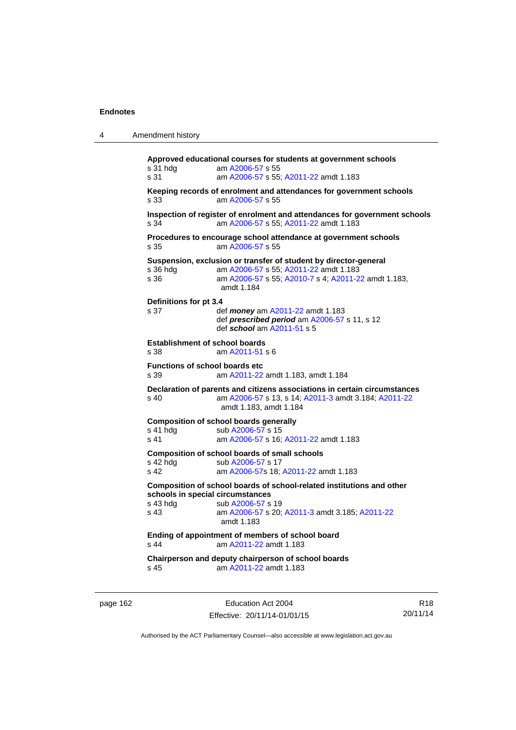| Amendment history<br>4 |  |
|------------------------|--|
|------------------------|--|

**Approved educational courses for students at government schools**  s 31 hdg am [A2006-57](http://www.legislation.act.gov.au/a/2006-57) s 55 s 31 am [A2006-57](http://www.legislation.act.gov.au/a/2006-57) s 55; [A2011-22](http://www.legislation.act.gov.au/a/2011-22) amdt 1.183 **Keeping records of enrolment and attendances for government schools**  s 33 am [A2006-57](http://www.legislation.act.gov.au/a/2006-57) s 55 **Inspection of register of enrolment and attendances for government schools**  s 34 am [A2006-57](http://www.legislation.act.gov.au/a/2006-57) s 55; [A2011-22](http://www.legislation.act.gov.au/a/2011-22) amdt 1.183 **Procedures to encourage school attendance at government schools**  s 35 am [A2006-57](http://www.legislation.act.gov.au/a/2006-57) s 55 **Suspension, exclusion or transfer of student by director-general**  s 36 hdg am [A2006-57](http://www.legislation.act.gov.au/a/2006-57) s 55; [A2011-22](http://www.legislation.act.gov.au/a/2011-22) amdt 1.183 am [A2006-57](http://www.legislation.act.gov.au/a/2006-57) s 55; [A2010-7](http://www.legislation.act.gov.au/a/2010-7) s 4; [A2011-22](http://www.legislation.act.gov.au/a/2011-22) amdt 1.183, amdt 1.184 **Definitions for pt 3.4**  s 37 def *money* am [A2011-22](http://www.legislation.act.gov.au/a/2011-22) amdt 1.183 def *prescribed period* am [A2006-57](http://www.legislation.act.gov.au/a/2006-57) s 11, s 12 def *school* am [A2011-51](http://www.legislation.act.gov.au/a/2011-51) s 5 **Establishment of school boards**  s 38 am [A2011-51](http://www.legislation.act.gov.au/a/2011-51) s 6 **Functions of school boards etc**  s 39 am [A2011-22](http://www.legislation.act.gov.au/a/2011-22) amdt 1.183, amdt 1.184 **Declaration of parents and citizens associations in certain circumstances**  s 40 am [A2006-57](http://www.legislation.act.gov.au/a/2006-57) s 13, s 14; [A2011-3](http://www.legislation.act.gov.au/a/2011-3) amdt 3.184; [A2011-22](http://www.legislation.act.gov.au/a/2011-22) amdt 1.183, amdt 1.184 **Composition of school boards generally**  s 41 hdg sub [A2006-57](http://www.legislation.act.gov.au/a/2006-57) s 15 s 41 am [A2006-57](http://www.legislation.act.gov.au/a/2006-57) s 16; [A2011-22](http://www.legislation.act.gov.au/a/2011-22) amdt 1.183 **Composition of school boards of small schools**  s 42 hdg sub [A2006-57](http://www.legislation.act.gov.au/a/2006-57) s 17<br>s 42 am A2006-57 s 18: am [A2006-57](http://www.legislation.act.gov.au/a/2006-57)s 18; [A2011-22](http://www.legislation.act.gov.au/a/2011-22) amdt 1.183 **Composition of school boards of school-related institutions and other schools in special circumstances**  s 43 hdg sub [A2006-57](http://www.legislation.act.gov.au/a/2006-57) s 19 s 43 am [A2006-57](http://www.legislation.act.gov.au/a/2006-57) s 20; [A2011-3](http://www.legislation.act.gov.au/a/2011-3) amdt 3.185; [A2011-22](http://www.legislation.act.gov.au/a/2011-22) amdt 1.183 **Ending of appointment of members of school board**  s 44 am [A2011-22](http://www.legislation.act.gov.au/a/2011-22) amdt 1.183 **Chairperson and deputy chairperson of school boards**  s 45 am [A2011-22](http://www.legislation.act.gov.au/a/2011-22) amdt 1.183

page 162 Education Act 2004 Effective: 20/11/14-01/01/15

R18 20/11/14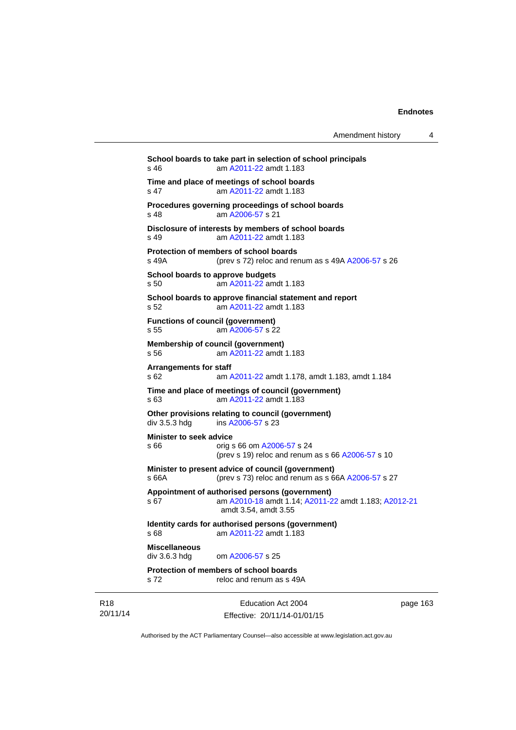| Amendment history |  |
|-------------------|--|
|-------------------|--|

Education Act 2004 **School boards to take part in selection of school principals**  s 46 am [A2011-22](http://www.legislation.act.gov.au/a/2011-22) amdt 1.183 **Time and place of meetings of school boards**  s 47 am [A2011-22](http://www.legislation.act.gov.au/a/2011-22) amdt 1.183 **Procedures governing proceedings of school boards**  s 48 am [A2006-57](http://www.legislation.act.gov.au/a/2006-57) s 21 **Disclosure of interests by members of school boards**  s 49 am [A2011-22](http://www.legislation.act.gov.au/a/2011-22) amdt 1.183 **Protection of members of school boards**  s 49A (prev s 72) reloc and renum as s 49A [A2006-57](http://www.legislation.act.gov.au/a/2006-57) s 26 **School boards to approve budgets**  s 50 am [A2011-22](http://www.legislation.act.gov.au/a/2011-22) amdt 1.183 **School boards to approve financial statement and report**  s 52 am [A2011-22](http://www.legislation.act.gov.au/a/2011-22) amdt 1.183 **Functions of council (government)**  s 55 am [A2006-57](http://www.legislation.act.gov.au/a/2006-57) s 22 **Membership of council (government)**  s 56 am [A2011-22](http://www.legislation.act.gov.au/a/2011-22) amdt 1.183 **Arrangements for staff**  s 62 am [A2011-22](http://www.legislation.act.gov.au/a/2011-22) amdt 1.178, amdt 1.183, amdt 1.184 **Time and place of meetings of council (government)**  s 63 am [A2011-22](http://www.legislation.act.gov.au/a/2011-22) amdt 1.183 **Other provisions relating to council (government)**  div 3.5.3 hdg ins [A2006-57](http://www.legislation.act.gov.au/a/2006-57) s 23 **Minister to seek advice**  s 66 orig s 66 om [A2006-57](http://www.legislation.act.gov.au/a/2006-57) s 24 (prev s 19) reloc and renum as s 66 [A2006-57](http://www.legislation.act.gov.au/a/2006-57) s 10 **Minister to present advice of council (government)**  s 66A (prev s 73) reloc and renum as s 66A [A2006-57](http://www.legislation.act.gov.au/a/2006-57) s 27 **Appointment of authorised persons (government)**  s 67 am [A2010-18](http://www.legislation.act.gov.au/a/2010-18) amdt 1.14; [A2011-22](http://www.legislation.act.gov.au/a/2011-22) amdt 1.183; [A2012-21](http://www.legislation.act.gov.au/a/2012-21) amdt 3.54, amdt 3.55 **Identity cards for authorised persons (government)**  s 68 am [A2011-22](http://www.legislation.act.gov.au/a/2011-22) amdt 1.183 **Miscellaneous**  div 3.6.3 hdg om [A2006-57](http://www.legislation.act.gov.au/a/2006-57) s 25 **Protection of members of school boards**  s 72 reloc and renum as s 49A

R18 20/11/14 Effective: 20/11/14-01/01/15

page 163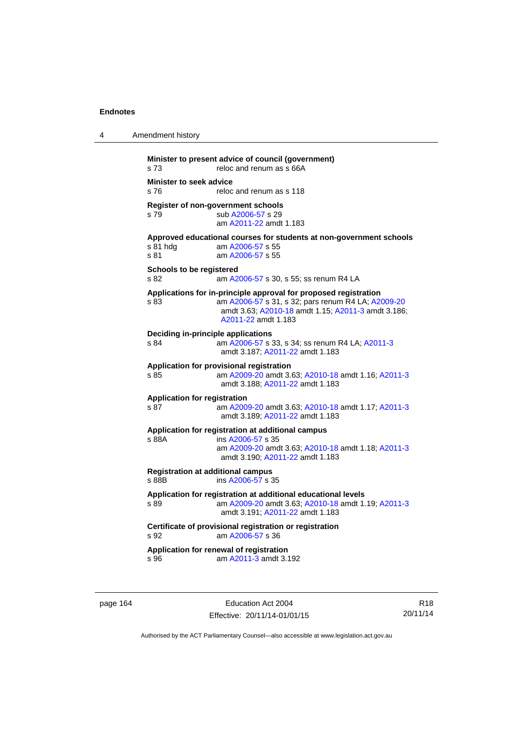| 4 | Amendment history                                                                                                                                                                                           |
|---|-------------------------------------------------------------------------------------------------------------------------------------------------------------------------------------------------------------|
|   | Minister to present advice of council (government)<br>s 73<br>reloc and renum as s 66A                                                                                                                      |
|   | <b>Minister to seek advice</b><br>s 76<br>reloc and renum as s 118                                                                                                                                          |
|   | Register of non-government schools<br>sub A2006-57 s 29<br>s 79<br>am A2011-22 amdt 1.183                                                                                                                   |
|   | Approved educational courses for students at non-government schools<br>s 81 hdg<br>am A2006-57 s 55<br>s 81<br>am A2006-57 s 55                                                                             |
|   | Schools to be registered<br>s 82<br>am A2006-57 s 30, s 55; ss renum R4 LA                                                                                                                                  |
|   | Applications for in-principle approval for proposed registration<br>am A2006-57 s 31, s 32; pars renum R4 LA; A2009-20<br>s 83<br>amdt 3.63; A2010-18 amdt 1.15; A2011-3 amdt 3.186;<br>A2011-22 amdt 1.183 |
|   | Deciding in-principle applications<br>am A2006-57 s 33, s 34; ss renum R4 LA; A2011-3<br>s 84<br>amdt 3.187; A2011-22 amdt 1.183                                                                            |
|   | Application for provisional registration<br>am A2009-20 amdt 3.63; A2010-18 amdt 1.16; A2011-3<br>s 85<br>amdt 3.188: A2011-22 amdt 1.183                                                                   |
|   | <b>Application for registration</b><br>s 87<br>am A2009-20 amdt 3.63; A2010-18 amdt 1.17; A2011-3<br>amdt 3.189; A2011-22 amdt 1.183                                                                        |
|   | Application for registration at additional campus<br>s 88A<br>ins A2006-57 s 35<br>am A2009-20 amdt 3.63; A2010-18 amdt 1.18; A2011-3<br>amdt 3.190; A2011-22 amdt 1.183                                    |
|   | <b>Registration at additional campus</b><br>s 88B<br>ins A2006-57 s 35                                                                                                                                      |
|   | Application for registration at additional educational levels<br>am A2009-20 amdt 3.63; A2010-18 amdt 1.19; A2011-3<br>s 89<br>amdt 3.191; A2011-22 amdt 1.183                                              |
|   | Certificate of provisional registration or registration<br>s 92<br>am A2006-57 s 36                                                                                                                         |
|   | Application for renewal of registration<br>am A2011-3 amdt 3.192<br>s 96                                                                                                                                    |

page 164 **Education Act 2004** Effective: 20/11/14-01/01/15

R18 20/11/14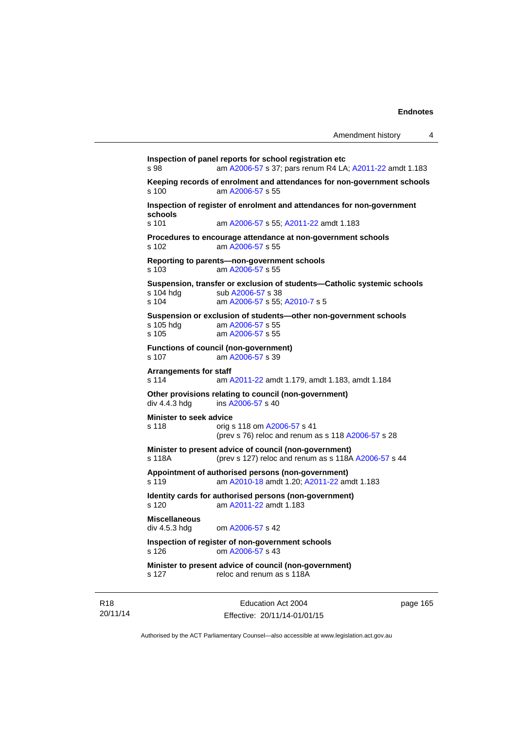```
Inspection of panel reports for school registration etc 
s 98 am A2006-57 s 37; pars renum R4 LA; A2011-22 amdt 1.183 
Keeping records of enrolment and attendances for non-government schools <br>s 100 am A2006-57 s 55
                 A2006-57 s 55
Inspection of register of enrolment and attendances for non-government 
schools 
s 101 am A2006-57 s 55; A2011-22 amdt 1.183 
Procedures to encourage attendance at non-government schools 
s 102 am A2006-57 s 55 
Reporting to parents—non-government schools 
s 103 am A2006-57 s 55 
Suspension, transfer or exclusion of students—Catholic systemic schools 
                A2006-57 s 38
s 104 am A2006-57 s 55; A2010-7 s 5 
Suspension or exclusion of students—other non-government schools 
                 A2006-57 s 55
s 105 am A2006-57 s 55 
Functions of council (non-government) 
s 107 am A2006-57 s 39 
Arrangements for staff 
s 114 am A2011-22 amdt 1.179, amdt 1.183, amdt 1.184 
Other provisions relating to council (non-government) 
A2006-57 s 40
Minister to seek advice 
s 118 orig s 118 om A2006-57 s 41 
                (prev s 76) reloc and renum as s 118 A2006-57 s 28 
Minister to present advice of council (non-government) 
s 118A (prev s 127) reloc and renum as s 118A A2006-57 s 44 
Appointment of authorised persons (non-government) 
s 119 am A2010-18 amdt 1.20; A2011-22 amdt 1.183 
Identity cards for authorised persons (non-government) 
s 120 am A2011-22 amdt 1.183
Miscellaneous 
div 4.5.3 hdg om A2006-57 s 42 
Inspection of register of non-government schools 
s 126 om A2006-57 s 43 
Minister to present advice of council (non-government) 
s 127 reloc and renum as s 118A
```
R18 20/11/14

Education Act 2004 Effective: 20/11/14-01/01/15 page 165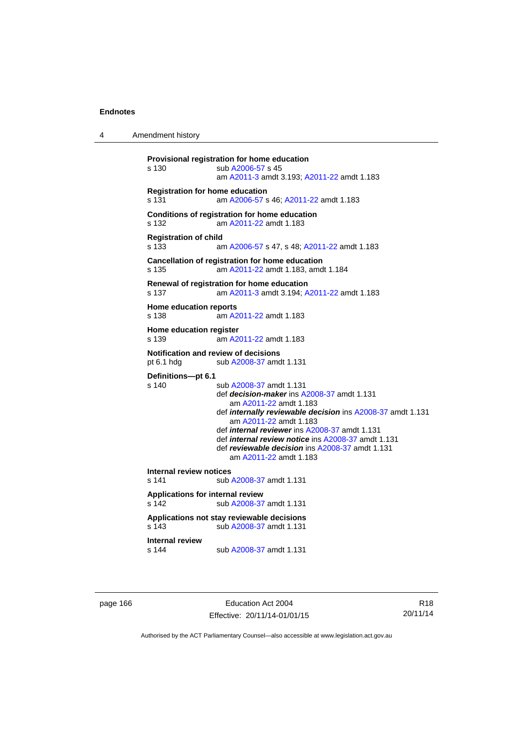4 Amendment history

```
Provisional registration for home education 
s 130 sub A2006-57 s 45 
                  am A2011-3 amdt 3.193; A2011-22 amdt 1.183 
Registration for home education 
s 131 am A2006-57 s 46; A2011-22 amdt 1.183 
Conditions of registration for home education 
s 132 am A2011-22 amdt 1.183
Registration of child 
s 133 am A2006-57 s 47, s 48; A2011-22 amdt 1.183 
Cancellation of registration for home education 
s 135 am A2011-22 amdt 1.183, amdt 1.184 
Renewal of registration for home education 
s 137 am A2011-3 amdt 3.194; A2011-22 amdt 1.183 
Home education reports 
s 138 am A2011-22 amdt 1.183
Home education register 
s 139 am A2011-22 amdt 1.183
Notification and review of decisions 
pt 6.1 hdg sub A2008-37 amdt 1.131 
Definitions—pt 6.1 
                 A2008-37 amdt 1.131
                  def decision-maker ins A2008-37 amdt 1.131 
                     am A2011-22 amdt 1.183
                  def internally reviewable decision ins A2008-37 amdt 1.131 
                     am A2011-22 amdt 1.183
                  def internal reviewer ins A2008-37 amdt 1.131 
                  def internal review notice ins A2008-37 amdt 1.131 
                  def reviewable decision ins A2008-37 amdt 1.131 
                     am A2011-22 amdt 1.183
Internal review notices 
                A2008-37 amdt 1.131
Applications for internal review 
s 142 sub A2008-37 amdt 1.131 
Applications not stay reviewable decisions 
s 143 sub A2008-37 amdt 1.131 
Internal review 
s 144 sub A2008-37 amdt 1.131
```
page 166 Education Act 2004 Effective: 20/11/14-01/01/15

R18 20/11/14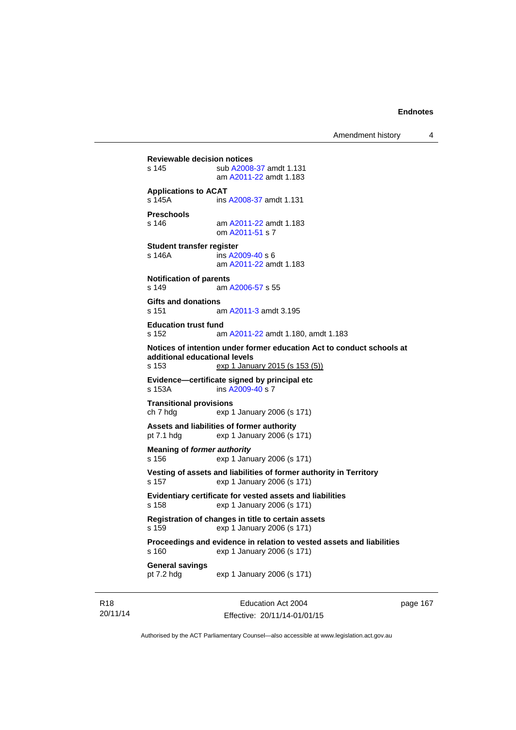Amendment history 4

**Reviewable decision notices**  s 145 sub [A2008-37](http://www.legislation.act.gov.au/a/2008-37) amdt 1.131 am [A2011-22](http://www.legislation.act.gov.au/a/2011-22) amdt 1.183 **Applications to ACAT**  s 145A ins [A2008-37](http://www.legislation.act.gov.au/a/2008-37) amdt 1.131 **Preschools**  s 146 am [A2011-22](http://www.legislation.act.gov.au/a/2011-22) amdt 1.183 om [A2011-51](http://www.legislation.act.gov.au/a/2011-51) s 7 **Student transfer register**  s 146A ins [A2009-40](http://www.legislation.act.gov.au/a/2009-40) s 6 am [A2011-22](http://www.legislation.act.gov.au/a/2011-22) amdt 1.183 **Notification of parents**  s 149 am [A2006-57](http://www.legislation.act.gov.au/a/2006-57) s 55 **Gifts and donations**  s 151 am [A2011-3](http://www.legislation.act.gov.au/a/2011-3) amdt 3.195 **Education trust fund**  s 152 am [A2011-22](http://www.legislation.act.gov.au/a/2011-22) amdt 1.180, amdt 1.183 **Notices of intention under former education Act to conduct schools at additional educational levels**  exp 1 January 2015 (s 153 (5)) **Evidence—certificate signed by principal etc**  s 153A ins [A2009-40](http://www.legislation.act.gov.au/a/2009-40) s 7 **Transitional provisions**  ch 7 hdg exp 1 January 2006 (s 171) **Assets and liabilities of former authority**  pt 7.1 hdg exp 1 January 2006 (s 171) **Meaning of** *former authority* s 156 exp 1 January 2006 (s 171) **Vesting of assets and liabilities of former authority in Territory**  s 157 exp 1 January 2006 (s 171) **Evidentiary certificate for vested assets and liabilities**  s 158 exp 1 January 2006 (s 171) **Registration of changes in title to certain assets**  s 159 exp 1 January 2006 (s 171) **Proceedings and evidence in relation to vested assets and liabilities**  s 160 exp 1 January 2006 (s 171) **General savings**  pt 7.2 hdg exp 1 January 2006 (s 171)

R18 20/11/14

Education Act 2004 Effective: 20/11/14-01/01/15 page 167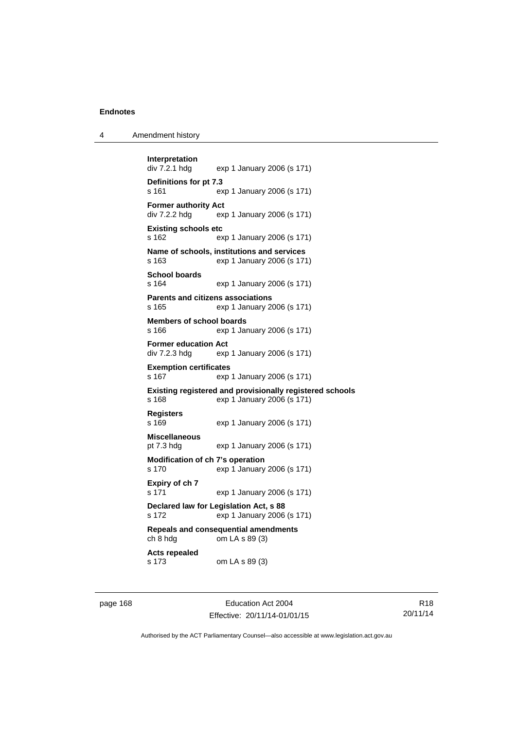| 4 | Amendment history |
|---|-------------------|
|---|-------------------|

```
Interpretation 
                exp 1 January 2006 (s 171)
Definitions for pt 7.3 
s 161 exp 1 January 2006 (s 171) 
Former authority Act 
div 7.2.2 hdg exp 1 January 2006 (s 171) 
Existing schools etc 
s 162 exp 1 January 2006 (s 171) 
Name of schools, institutions and services 
s 163 exp 1 January 2006 (s 171) 
School boards 
s 164 exp 1 January 2006 (s 171) 
Parents and citizens associations 
s 165 exp 1 January 2006 (s 171) 
Members of school boards 
s 166 exp 1 January 2006 (s 171) 
Former education Act 
div 7.2.3 hdg exp 1 January 2006 (s 171) 
Exemption certificates 
s 167 exp 1 January 2006 (s 171) 
Existing registered and provisionally registered schools 
s 168 exp 1 January 2006 (s 171) 
Registers 
s 169 exp 1 January 2006 (s 171) 
Miscellaneous 
pt 7.3 hdg exp 1 January 2006 (s 171) 
Modification of ch 7's operation 
s 170 exp 1 January 2006 (s 171) 
Expiry of ch 7 
s 171 exp 1 January 2006 (s 171) 
Declared law for Legislation Act, s 88 
s 172 exp 1 January 2006 (s 171) 
Repeals and consequential amendments 
ch 8 hdg om LA s 89 (3) 
Acts repealed 
s 173 om LA s 89 (3)
```
page 168 Education Act 2004 Effective: 20/11/14-01/01/15

R18 20/11/14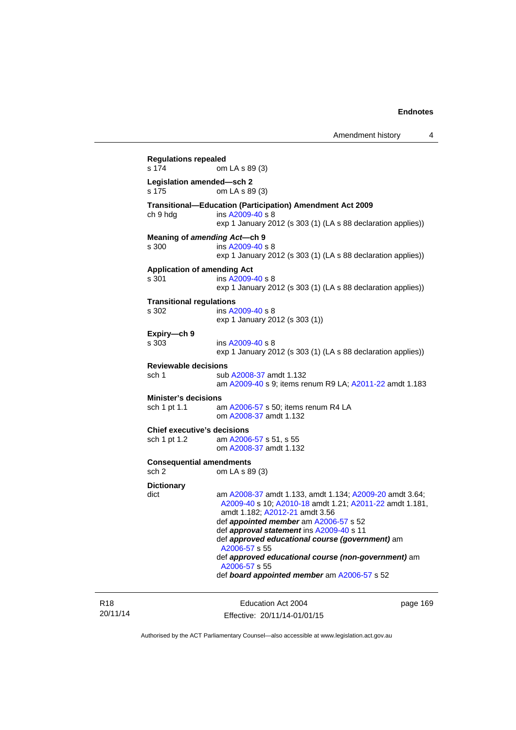**Regulations repealed**  om LA s 89 (3) **Legislation amended—sch 2**  om LA s 89 (3) **Transitional—Education (Participation) Amendment Act 2009**  ch 9 hdg ins [A2009-40](http://www.legislation.act.gov.au/a/2009-40) s 8 exp 1 January 2012 (s 303 (1) (LA s 88 declaration applies)) **Meaning of** *amending Act***—ch 9**  s 300 ins [A2009-40](http://www.legislation.act.gov.au/a/2009-40) s 8 exp 1 January 2012 (s 303 (1) (LA s 88 declaration applies)) **Application of amending Act**  s 301 ins [A2009-40](http://www.legislation.act.gov.au/a/2009-40) s 8 exp 1 January 2012 (s 303 (1) (LA s 88 declaration applies)) **Transitional regulations**  s 302 ins [A2009-40](http://www.legislation.act.gov.au/a/2009-40) s 8 exp 1 January 2012 (s 303 (1)) **Expiry—ch 9**  s 303 ins [A2009-40](http://www.legislation.act.gov.au/a/2009-40) s 8 exp 1 January 2012 (s 303 (1) (LA s 88 declaration applies)) **Reviewable decisions**  sub [A2008-37](http://www.legislation.act.gov.au/a/2008-37) amdt 1.132 am [A2009-40](http://www.legislation.act.gov.au/a/2009-40) s 9; items renum R9 LA; [A2011-22](http://www.legislation.act.gov.au/a/2011-22) amdt 1.183 **Minister's decisions**  sch 1 pt 1.1 am [A2006-57](http://www.legislation.act.gov.au/a/2006-57) s 50; items renum R4 LA om [A2008-37](http://www.legislation.act.gov.au/a/2008-37) amdt 1.132 **Chief executive's decisions**  sch 1 pt 1.2 am [A2006-57](http://www.legislation.act.gov.au/a/2006-57) s 51, s 55 om [A2008-37](http://www.legislation.act.gov.au/a/2008-37) amdt 1.132 **Consequential amendments**  sch 2 om LA s 89 (3) **Dictionary**  dict am [A2008-37](http://www.legislation.act.gov.au/a/2008-37) amdt 1.133, amdt 1.134; [A2009-20](http://www.legislation.act.gov.au/a/2009-20) amdt 3.64; [A2009-40](http://www.legislation.act.gov.au/a/2009-40) s 10; [A2010-18](http://www.legislation.act.gov.au/a/2010-18) amdt 1.21; [A2011-22](http://www.legislation.act.gov.au/a/2011-22) amdt 1.181, amdt 1.182; [A2012-21](http://www.legislation.act.gov.au/a/2012-21) amdt 3.56 def *appointed member* am [A2006-57](http://www.legislation.act.gov.au/a/2006-57) s 52 def *approval statement* ins [A2009-40](http://www.legislation.act.gov.au/a/2009-40) s 11 def *approved educational course (government)* am [A2006-57](http://www.legislation.act.gov.au/a/2006-57) s 55 def *approved educational course (non-government)* am [A2006-57](http://www.legislation.act.gov.au/a/2006-57) s 55 def *board appointed member* am [A2006-57](http://www.legislation.act.gov.au/a/2006-57) s 52

R18 20/11/14

Education Act 2004 Effective: 20/11/14-01/01/15 page 169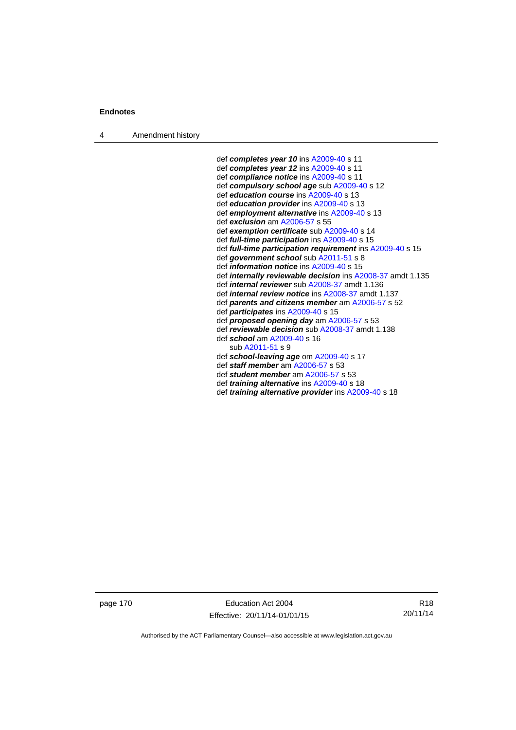4 Amendment history

 def *completes year 10* ins [A2009-40](http://www.legislation.act.gov.au/a/2009-40) s 11 def *completes year 12* ins [A2009-40](http://www.legislation.act.gov.au/a/2009-40) s 11 def *compliance notice* ins [A2009-40](http://www.legislation.act.gov.au/a/2009-40) s 11 def *compulsory school age* sub [A2009-40](http://www.legislation.act.gov.au/a/2009-40) s 12 def *education course* ins [A2009-40](http://www.legislation.act.gov.au/a/2009-40) s 13 def *education provider* ins [A2009-40](http://www.legislation.act.gov.au/a/2009-40) s 13 def *employment alternative* ins [A2009-40](http://www.legislation.act.gov.au/a/2009-40) s 13 def *exclusion* am [A2006-57](http://www.legislation.act.gov.au/a/2006-57) s 55 def *exemption certificate* sub [A2009-40](http://www.legislation.act.gov.au/a/2009-40) s 14 def *full-time participation* ins [A2009-40](http://www.legislation.act.gov.au/a/2009-40) s 15 def *full-time participation requirement* ins [A2009-40](http://www.legislation.act.gov.au/a/2009-40) s 15 def *government school* sub [A2011-51](http://www.legislation.act.gov.au/a/2011-51) s 8 def *information notice* ins [A2009-40](http://www.legislation.act.gov.au/a/2009-40) s 15 def *internally reviewable decision* ins [A2008-37](http://www.legislation.act.gov.au/a/2008-37) amdt 1.135 def *internal reviewer* sub [A2008-37](http://www.legislation.act.gov.au/a/2008-37) amdt 1.136 def *internal review notice* ins [A2008-37](http://www.legislation.act.gov.au/a/2008-37) amdt 1.137 def *parents and citizens member* am [A2006-57](http://www.legislation.act.gov.au/a/2006-57) s 52 def *participates* ins [A2009-40](http://www.legislation.act.gov.au/a/2009-40) s 15 def *proposed opening day* am [A2006-57](http://www.legislation.act.gov.au/a/2006-57) s 53 def *reviewable decision* sub [A2008-37](http://www.legislation.act.gov.au/a/2008-37) amdt 1.138 def *school* am [A2009-40](http://www.legislation.act.gov.au/a/2009-40) s 16 sub [A2011-51](http://www.legislation.act.gov.au/a/2011-51) s 9 def *school-leaving age* om [A2009-40](http://www.legislation.act.gov.au/a/2009-40) s 17 def *staff member* am [A2006-57](http://www.legislation.act.gov.au/a/2006-57) s 53 def *student member* am [A2006-57](http://www.legislation.act.gov.au/a/2006-57) s 53 def *training alternative* ins [A2009-40](http://www.legislation.act.gov.au/a/2009-40) s 18 def *training alternative provider* ins [A2009-40](http://www.legislation.act.gov.au/a/2009-40) s 18

page 170 Education Act 2004 Effective: 20/11/14-01/01/15

R18 20/11/14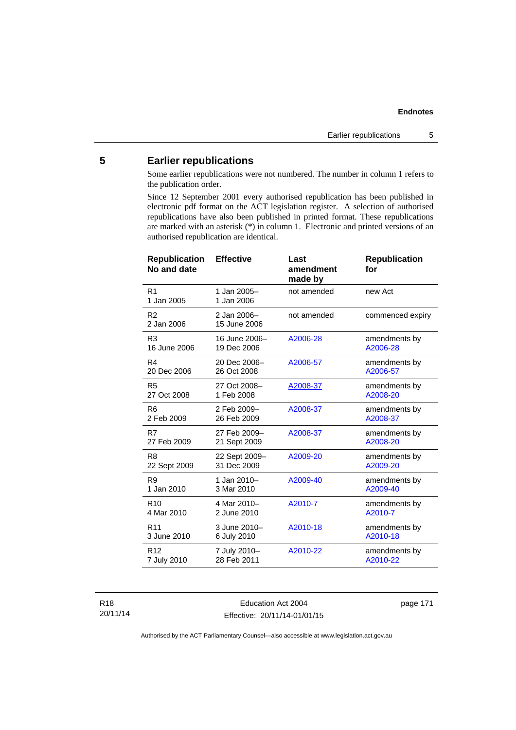# **5 Earlier republications**

Some earlier republications were not numbered. The number in column 1 refers to the publication order.

Since 12 September 2001 every authorised republication has been published in electronic pdf format on the ACT legislation register. A selection of authorised republications have also been published in printed format. These republications are marked with an asterisk (\*) in column 1. Electronic and printed versions of an authorised republication are identical.

| <b>Republication</b><br>No and date | <b>Effective</b>            | Last<br>amendment<br>made by | <b>Republication</b><br>for |
|-------------------------------------|-----------------------------|------------------------------|-----------------------------|
| R <sub>1</sub><br>1 Jan 2005        | 1 Jan 2005-<br>1 Jan 2006   | not amended                  | new Act                     |
| R <sub>2</sub><br>2 Jan 2006        | 2 Jan 2006-<br>15 June 2006 | not amended                  | commenced expiry            |
| R <sub>3</sub>                      | 16 June 2006-               | A2006-28                     | amendments by               |
| 16 June 2006                        | 19 Dec 2006                 |                              | A2006-28                    |
| R4                                  | 20 Dec 2006-                | A2006-57                     | amendments by               |
| 20 Dec 2006                         | 26 Oct 2008                 |                              | A2006-57                    |
| R <sub>5</sub>                      | 27 Oct 2008-                | A2008-37                     | amendments by               |
| 27 Oct 2008                         | 1 Feb 2008                  |                              | A2008-20                    |
| R <sub>6</sub>                      | 2 Feb 2009-                 | A2008-37                     | amendments by               |
| 2 Feb 2009                          | 26 Feb 2009                 |                              | A2008-37                    |
| R7                                  | 27 Feb 2009-                | A2008-37                     | amendments by               |
| 27 Feb 2009                         | 21 Sept 2009                |                              | A2008-20                    |
| R <sub>8</sub>                      | 22 Sept 2009-               | A2009-20                     | amendments by               |
| 22 Sept 2009                        | 31 Dec 2009                 |                              | A2009-20                    |
| R <sub>9</sub>                      | 1 Jan 2010-                 | A2009-40                     | amendments by               |
| 1 Jan 2010                          | 3 Mar 2010                  |                              | A2009-40                    |
| R <sub>10</sub>                     | 4 Mar 2010-                 | A2010-7                      | amendments by               |
| 4 Mar 2010                          | 2 June 2010                 |                              | A2010-7                     |
| R <sub>11</sub>                     | 3 June 2010-                | A2010-18                     | amendments by               |
| 3 June 2010                         | 6 July 2010                 |                              | A2010-18                    |
| R <sub>12</sub>                     | 7 July 2010-                | A2010-22                     | amendments by               |
| 7 July 2010                         | 28 Feb 2011                 |                              | A2010-22                    |

R18 20/11/14

Education Act 2004 Effective: 20/11/14-01/01/15 page 171